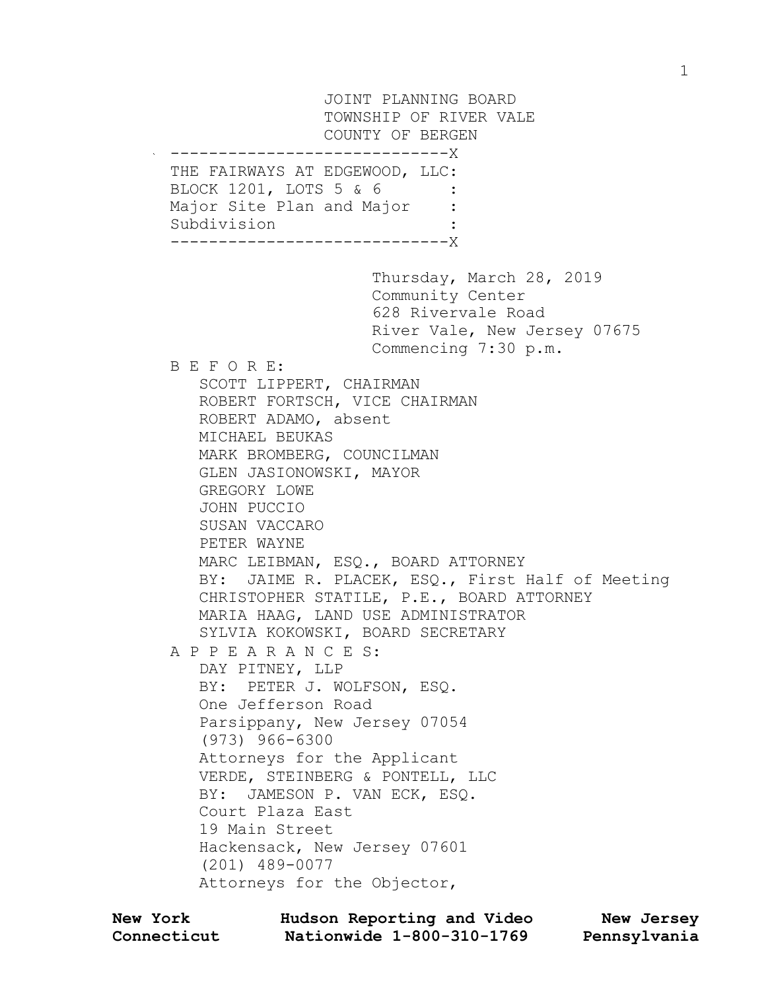JOINT PLANNING BOARD TOWNSHIP OF RIVER VALE COUNTY OF BERGEN -----------------------------X THE FAIRWAYS AT EDGEWOOD, LLC: BLOCK 1201, LOTS 5 & 6 Major Site Plan and Major Subdivision : -----------------------------X Thursday, March 28, 2019 Community Center 628 Rivervale Road River Vale, New Jersey 07675 Commencing 7:30 p.m. B E F O R E: SCOTT LIPPERT, CHAIRMAN ROBERT FORTSCH, VICE CHAIRMAN ROBERT ADAMO, absent MICHAEL BEUKAS MARK BROMBERG, COUNCILMAN GLEN JASIONOWSKI, MAYOR GREGORY LOWE JOHN PUCCIO SUSAN VACCARO PETER WAYNE MARC LEIBMAN, ESQ., BOARD ATTORNEY BY: JAIME R. PLACEK, ESQ., First Half of Meeting CHRISTOPHER STATILE, P.E., BOARD ATTORNEY MARIA HAAG, LAND USE ADMINISTRATOR SYLVIA KOKOWSKI, BOARD SECRETARY A P P E A R A N C E S: DAY PITNEY, LLP BY: PETER J. WOLFSON, ESQ. One Jefferson Road Parsippany, New Jersey 07054 (973) 966-6300 Attorneys for the Applicant VERDE, STEINBERG & PONTELL, LLC BY: JAMESON P. VAN ECK, ESQ. Court Plaza East 19 Main Street Hackensack, New Jersey 07601 (201) 489-0077 Attorneys for the Objector,

| <b>New York</b> | Hudson Reporting and Video | New Jersey   |
|-----------------|----------------------------|--------------|
| Connecticut     | Nationwide 1-800-310-1769  | Pennsylvania |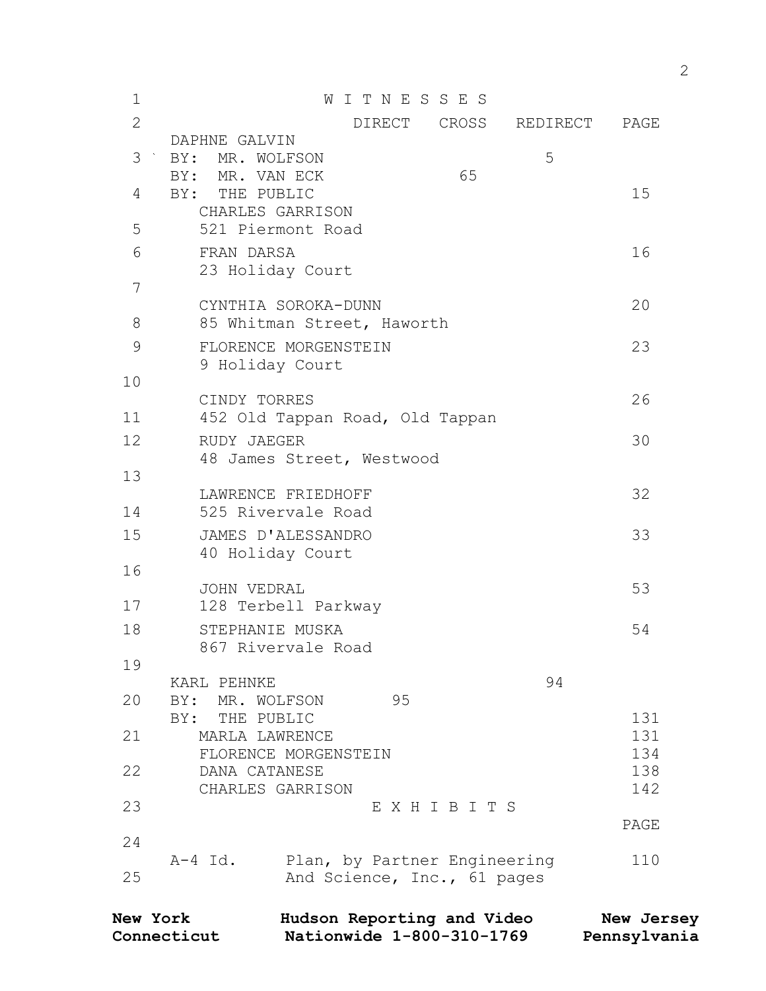| $\mathbf 1$    | WITNESSES                               |            |
|----------------|-----------------------------------------|------------|
| $\overline{2}$ | CROSS<br>DIRECT<br>REDIRECT             | PAGE       |
|                | DAPHNE GALVIN                           |            |
| 3              | 5<br>BY:<br>MR. WOLFSON                 |            |
|                | 65<br>BY: MR. VAN ECK                   |            |
| 4              | BY: THE PUBLIC                          | 15         |
|                | CHARLES GARRISON                        |            |
| 5              | 521 Piermont Road                       |            |
| 6              | FRAN DARSA                              | 16         |
|                | 23 Holiday Court                        |            |
| 7              |                                         |            |
|                | CYNTHIA SOROKA-DUNN                     | 20         |
| 8              | 85 Whitman Street, Haworth              |            |
| $\mathsf 9$    | FLORENCE MORGENSTEIN                    | 23         |
|                | 9 Holiday Court                         |            |
| 10             |                                         |            |
|                | CINDY TORRES                            | 26         |
| 11             | 452 Old Tappan Road, Old Tappan         |            |
| 12             | RUDY JAEGER                             | 30         |
|                | 48 James Street, Westwood               |            |
| 13             |                                         |            |
|                | LAWRENCE FRIEDHOFF                      | 32         |
| 14             | 525 Rivervale Road                      |            |
| 15             | JAMES D'ALESSANDRO                      | 33         |
|                | 40 Holiday Court                        |            |
| 16             |                                         |            |
|                | <b>JOHN VEDRAL</b>                      | 53         |
| 17             | 128 Terbell Parkway                     |            |
| 18             | STEPHANIE MUSKA                         | 54         |
|                | 867 Rivervale Road                      |            |
| 19             |                                         |            |
|                | 94<br>KARL PEHNKE                       |            |
| 20             | 95<br>BY: MR. WOLFSON                   |            |
| 21             | THE PUBLIC<br>BY:                       | 131<br>131 |
|                | MARLA LAWRENCE<br>FLORENCE MORGENSTEIN  | 134        |
| 22             | DANA CATANESE                           | 138        |
|                | CHARLES GARRISON                        | 142        |
| 23             | EXHIBITS                                |            |
|                |                                         | PAGE       |
| 24             |                                         |            |
|                | A-4 Id.<br>Plan, by Partner Engineering | 110        |
| 25             | And Science, Inc., 61 pages             |            |
|                |                                         |            |

| <b>New York</b> | Hudson Reporting and Video | New Jersey   |
|-----------------|----------------------------|--------------|
| Connecticut     | Nationwide 1-800-310-1769  | Pennsylvania |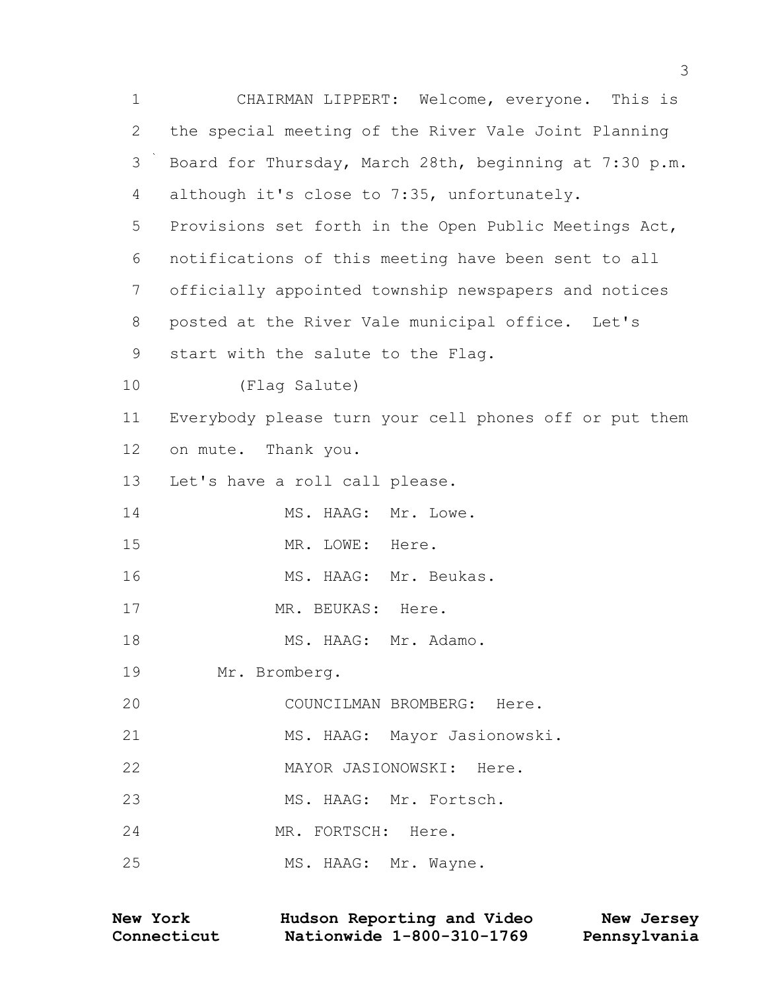| $\mathbf 1$   | CHAIRMAN LIPPERT: Welcome, everyone. This is           |
|---------------|--------------------------------------------------------|
| 2             | the special meeting of the River Vale Joint Planning   |
| $\mathcal{S}$ | Board for Thursday, March 28th, beginning at 7:30 p.m. |
| 4             | although it's close to 7:35, unfortunately.            |
| 5             | Provisions set forth in the Open Public Meetings Act,  |
| 6             | notifications of this meeting have been sent to all    |
| 7             | officially appointed township newspapers and notices   |
| $8\,$         | posted at the River Vale municipal office. Let's       |
| 9             | start with the salute to the Flag.                     |
| 10            | (Flag Salute)                                          |
| 11            | Everybody please turn your cell phones off or put them |
| 12            | on mute. Thank you.                                    |
| 13            | Let's have a roll call please.                         |
| 14            | MS. HAAG: Mr. Lowe.                                    |
| 15            | MR. LOWE: Here.                                        |
| 16            | MS. HAAG: Mr. Beukas.                                  |
| 17            | MR. BEUKAS: Here.                                      |
| 18            | MS. HAAG: Mr. Adamo.                                   |
| 19            | Mr. Bromberg.                                          |
| 20            | COUNCILMAN BROMBERG: Here.                             |
| 21            | MS. HAAG: Mayor Jasionowski.                           |
| 22            | MAYOR JASIONOWSKI: Here.                               |
| 23            | MS. HAAG: Mr. Fortsch.                                 |
| 24            | MR. FORTSCH: Here.                                     |
| 25            | MS. HAAG: Mr. Wayne.                                   |

| New York    | Hudson Reporting and Video | New Jersey   |
|-------------|----------------------------|--------------|
| Connecticut | Nationwide 1-800-310-1769  | Pennsylvania |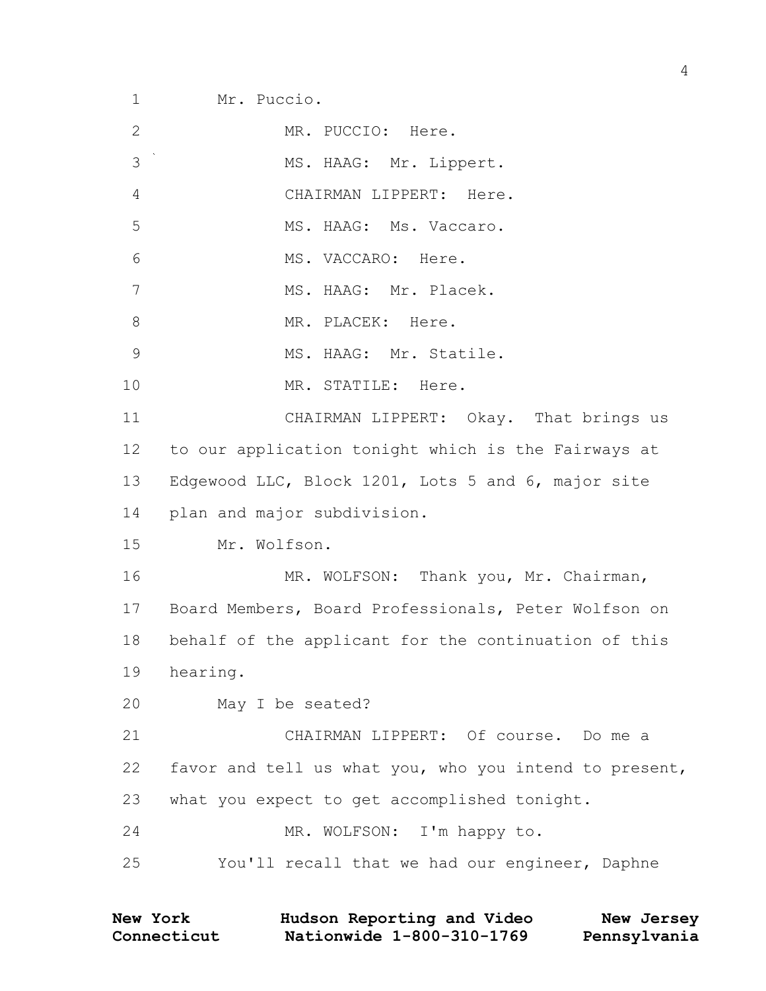Mr. Puccio.

| $\mathbf{2}$    | MR. PUCCIO: Here.                                      |
|-----------------|--------------------------------------------------------|
| 3               | MS. HAAG: Mr. Lippert.                                 |
| $\overline{4}$  | CHAIRMAN LIPPERT: Here.                                |
| 5               | MS. HAAG: Ms. Vaccaro.                                 |
| $6\,$           | MS. VACCARO: Here.                                     |
| 7               | MS. HAAG: Mr. Placek.                                  |
| $8\,$           | MR. PLACEK: Here.                                      |
| $\mathcal{G}$   | MS. HAAG: Mr. Statile.                                 |
| 10              | MR. STATILE: Here.                                     |
| 11              | CHAIRMAN LIPPERT: Okay. That brings us                 |
| 12 <sup>°</sup> | to our application tonight which is the Fairways at    |
| 13              | Edgewood LLC, Block 1201, Lots 5 and 6, major site     |
| 14              | plan and major subdivision.                            |
| 15              | Mr. Wolfson.                                           |
| 16              | MR. WOLFSON: Thank you, Mr. Chairman,                  |
| 17              | Board Members, Board Professionals, Peter Wolfson on   |
| 18              | behalf of the applicant for the continuation of this   |
| 19              | hearing.                                               |
| 20              | May I be seated?                                       |
| 21              | CHAIRMAN LIPPERT: Of course. Do me a                   |
| 22              | favor and tell us what you, who you intend to present, |
| 23              | what you expect to get accomplished tonight.           |
| 24              | MR. WOLFSON: I'm happy to.                             |
| 25              | You'll recall that we had our engineer, Daphne         |
|                 |                                                        |

| <b>New York</b> | Hudson Reporting and Video | New Jersey   |
|-----------------|----------------------------|--------------|
| Connecticut     | Nationwide 1-800-310-1769  | Pennsylvania |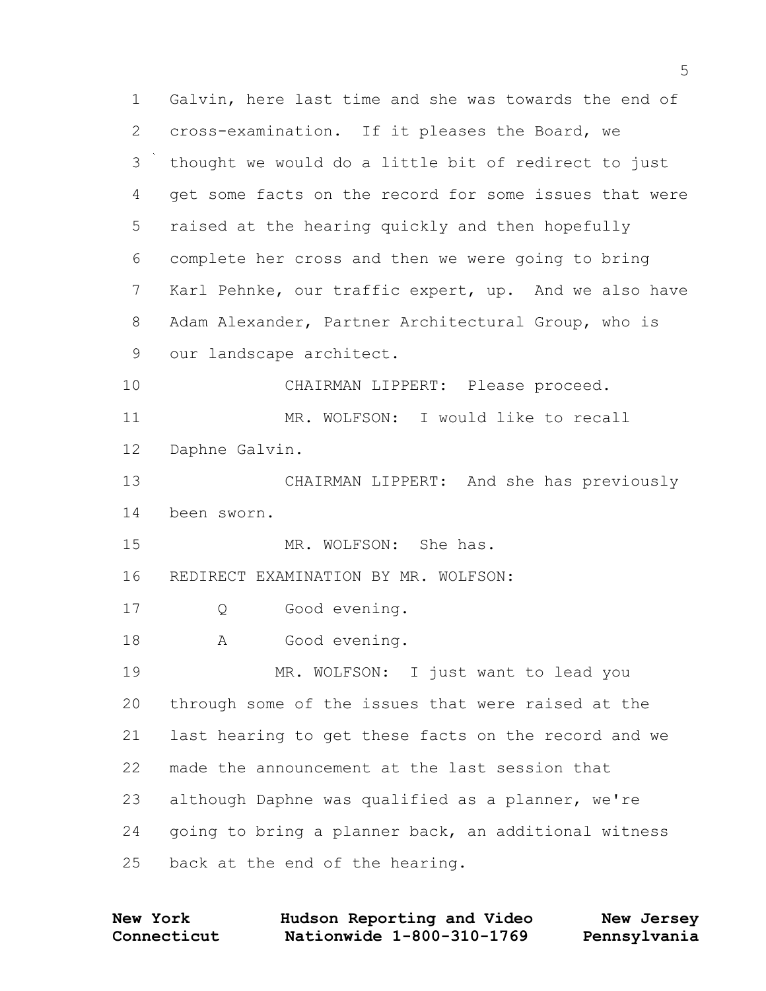Galvin, here last time and she was towards the end of cross-examination. If it pleases the Board, we thought we would do a little bit of redirect to just get some facts on the record for some issues that were raised at the hearing quickly and then hopefully complete her cross and then we were going to bring Karl Pehnke, our traffic expert, up. And we also have Adam Alexander, Partner Architectural Group, who is our landscape architect. CHAIRMAN LIPPERT: Please proceed. 11 MR. WOLFSON: I would like to recall Daphne Galvin. CHAIRMAN LIPPERT: And she has previously been sworn. 15 MR. WOLFSON: She has. REDIRECT EXAMINATION BY MR. WOLFSON: 17 O Good evening. 18 A Good evening. MR. WOLFSON: I just want to lead you through some of the issues that were raised at the last hearing to get these facts on the record and we made the announcement at the last session that although Daphne was qualified as a planner, we're going to bring a planner back, an additional witness back at the end of the hearing.

**Connecticut Nationwide 1-800-310-1769 Pennsylvania New York Hudson Reporting and Video New Jersey**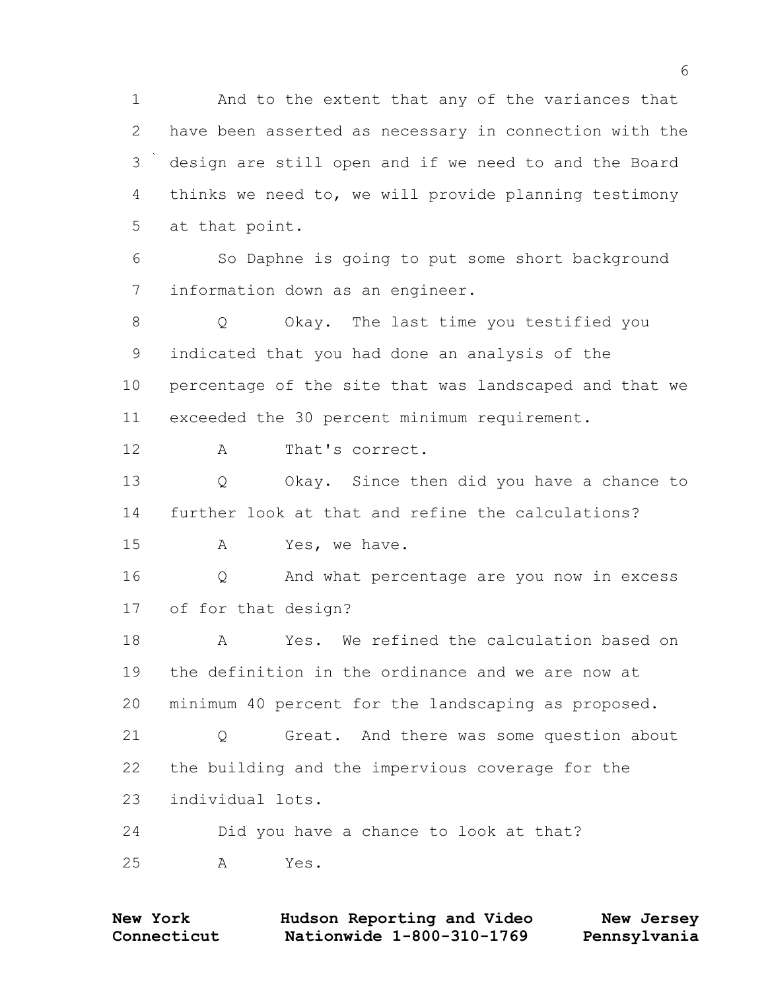And to the extent that any of the variances that have been asserted as necessary in connection with the design are still open and if we need to and the Board thinks we need to, we will provide planning testimony at that point.

 So Daphne is going to put some short background information down as an engineer.

 Q Okay. The last time you testified you indicated that you had done an analysis of the percentage of the site that was landscaped and that we exceeded the 30 percent minimum requirement.

12 A That's correct.

 Q Okay. Since then did you have a chance to further look at that and refine the calculations?

15 A Yes, we have.

 Q And what percentage are you now in excess of for that design?

 A Yes. We refined the calculation based on the definition in the ordinance and we are now at minimum 40 percent for the landscaping as proposed.

 Q Great. And there was some question about the building and the impervious coverage for the individual lots.

 Did you have a chance to look at that? A Yes.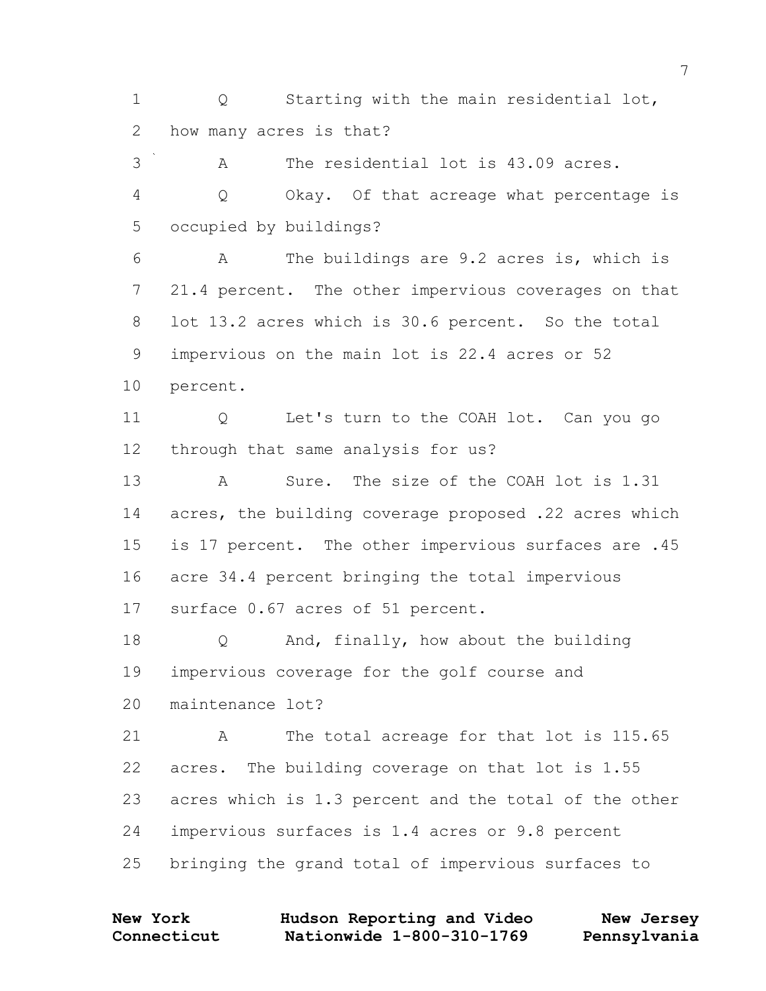1 O Starting with the main residential lot, 2 how many acres is that?

3 A The residential lot is 43.09 acres. 4 Q Okay. Of that acreage what percentage is 5 occupied by buildings?

6 A The buildings are 9.2 acres is, which is 7 21.4 percent. The other impervious coverages on that 8 lot 13.2 acres which is 30.6 percent. So the total 9 impervious on the main lot is 22.4 acres or 52 10 percent.

11 Q Let's turn to the COAH lot. Can you go 12 through that same analysis for us?

13 A Sure. The size of the COAH lot is 1.31 14 acres, the building coverage proposed .22 acres which 15 is 17 percent. The other impervious surfaces are .45 16 acre 34.4 percent bringing the total impervious 17 surface 0.67 acres of 51 percent.

18 Q And, finally, how about the building 19 impervious coverage for the golf course and 20 maintenance lot?

21 A The total acreage for that lot is 115.65 22 acres. The building coverage on that lot is 1.55 23 acres which is 1.3 percent and the total of the other 24 impervious surfaces is 1.4 acres or 9.8 percent 25 bringing the grand total of impervious surfaces to

| <b>New York</b> | Hudson Reporting and Video | New Jersey   |
|-----------------|----------------------------|--------------|
| Connecticut     | Nationwide 1-800-310-1769  | Pennsylvania |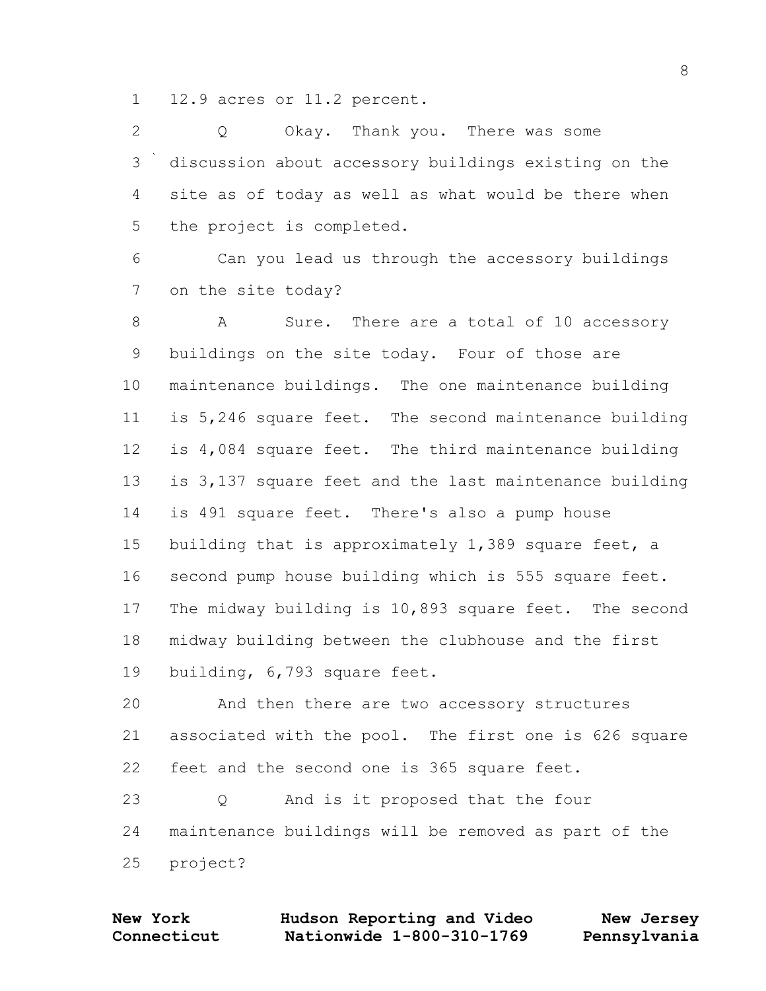12.9 acres or 11.2 percent.

 Q Okay. Thank you. There was some discussion about accessory buildings existing on the site as of today as well as what would be there when the project is completed.

 Can you lead us through the accessory buildings on the site today?

8 A Sure. There are a total of 10 accessory buildings on the site today. Four of those are maintenance buildings. The one maintenance building is 5,246 square feet. The second maintenance building is 4,084 square feet. The third maintenance building is 3,137 square feet and the last maintenance building is 491 square feet. There's also a pump house 15 building that is approximately 1,389 square feet, a second pump house building which is 555 square feet. The midway building is 10,893 square feet. The second midway building between the clubhouse and the first building, 6,793 square feet.

 And then there are two accessory structures associated with the pool. The first one is 626 square feet and the second one is 365 square feet.

 Q And is it proposed that the four maintenance buildings will be removed as part of the project?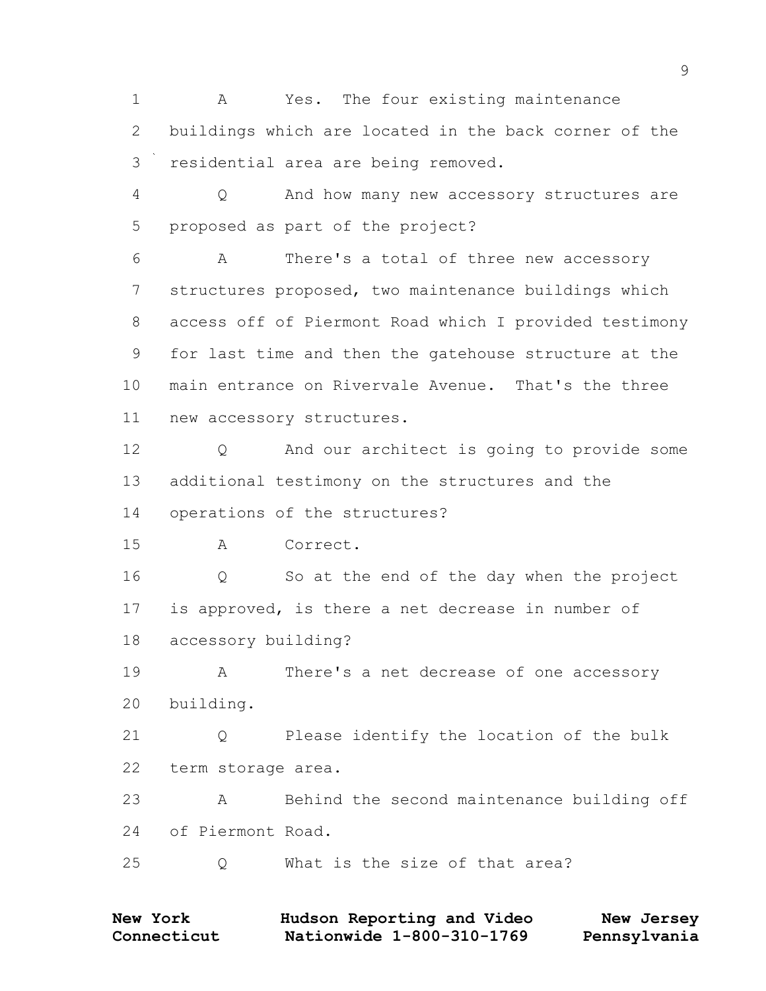A Yes. The four existing maintenance buildings which are located in the back corner of the residential area are being removed.

 Q And how many new accessory structures are proposed as part of the project?

 A There's a total of three new accessory structures proposed, two maintenance buildings which access off of Piermont Road which I provided testimony for last time and then the gatehouse structure at the main entrance on Rivervale Avenue. That's the three new accessory structures.

12 0 And our architect is going to provide some additional testimony on the structures and the operations of the structures?

A Correct.

 Q So at the end of the day when the project is approved, is there a net decrease in number of accessory building?

 A There's a net decrease of one accessory building.

 Q Please identify the location of the bulk term storage area.

 A Behind the second maintenance building off of Piermont Road.

Q What is the size of that area?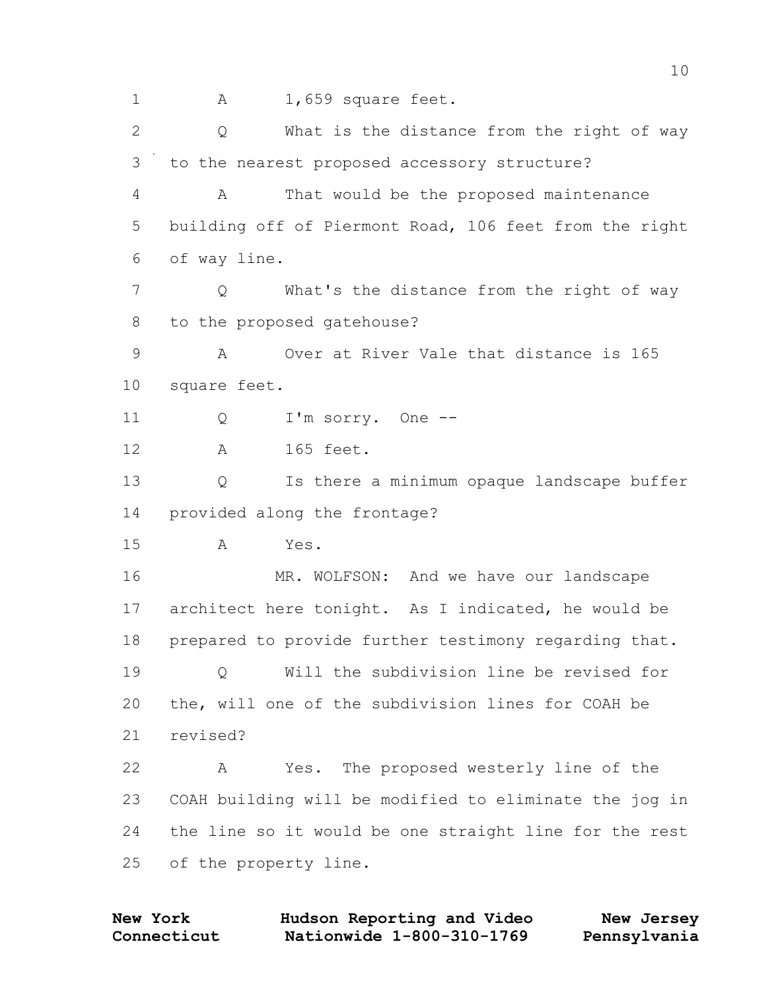1 A 1,659 square feet. Q What is the distance from the right of way to the nearest proposed accessory structure? A That would be the proposed maintenance building off of Piermont Road, 106 feet from the right of way line. Q What's the distance from the right of way to the proposed gatehouse? A Over at River Vale that distance is 165 square feet. 11 Q I'm sorry. One -- A 165 feet. Q Is there a minimum opaque landscape buffer provided along the frontage? A Yes. 16 MR. WOLFSON: And we have our landscape architect here tonight. As I indicated, he would be prepared to provide further testimony regarding that. Q Will the subdivision line be revised for the, will one of the subdivision lines for COAH be revised? A Yes. The proposed westerly line of the COAH building will be modified to eliminate the jog in the line so it would be one straight line for the rest of the property line.

**Connecticut Nationwide 1-800-310-1769 Pennsylvania New York Hudson Reporting and Video New Jersey**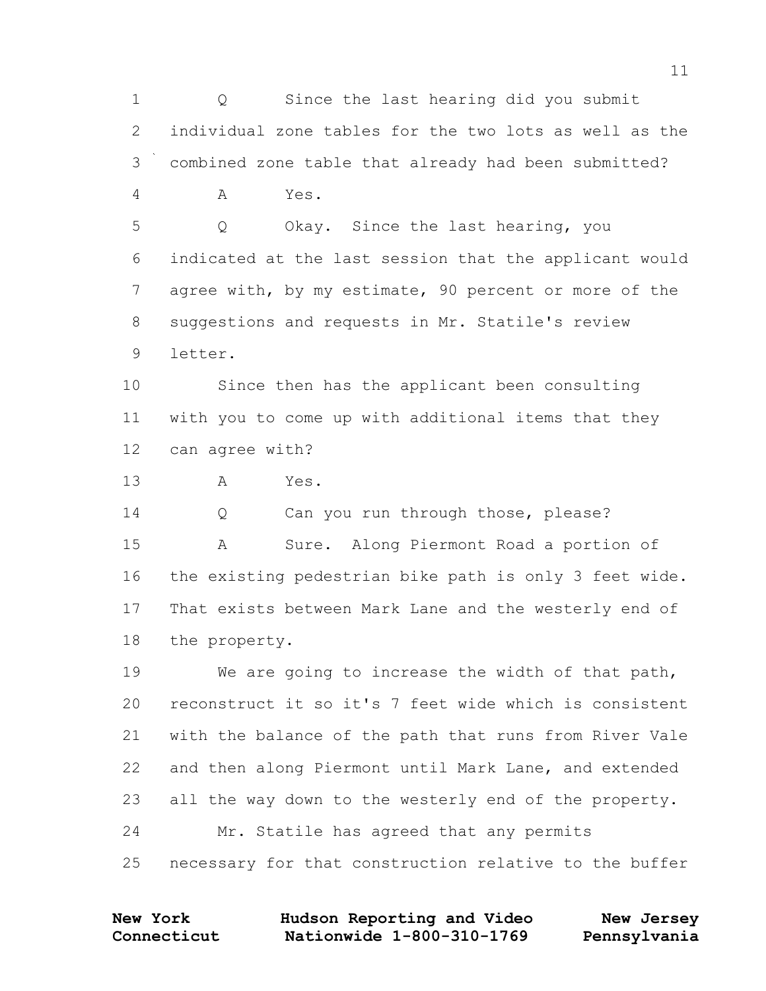Q Since the last hearing did you submit individual zone tables for the two lots as well as the combined zone table that already had been submitted? A Yes. Q Okay. Since the last hearing, you indicated at the last session that the applicant would agree with, by my estimate, 90 percent or more of the suggestions and requests in Mr. Statile's review letter. Since then has the applicant been consulting with you to come up with additional items that they can agree with? A Yes. Q Can you run through those, please? A Sure. Along Piermont Road a portion of the existing pedestrian bike path is only 3 feet wide. That exists between Mark Lane and the westerly end of the property. We are going to increase the width of that path,

 reconstruct it so it's 7 feet wide which is consistent with the balance of the path that runs from River Vale and then along Piermont until Mark Lane, and extended all the way down to the westerly end of the property. Mr. Statile has agreed that any permits necessary for that construction relative to the buffer

**Connecticut Nationwide 1-800-310-1769 Pennsylvania New York Hudson Reporting and Video New Jersey**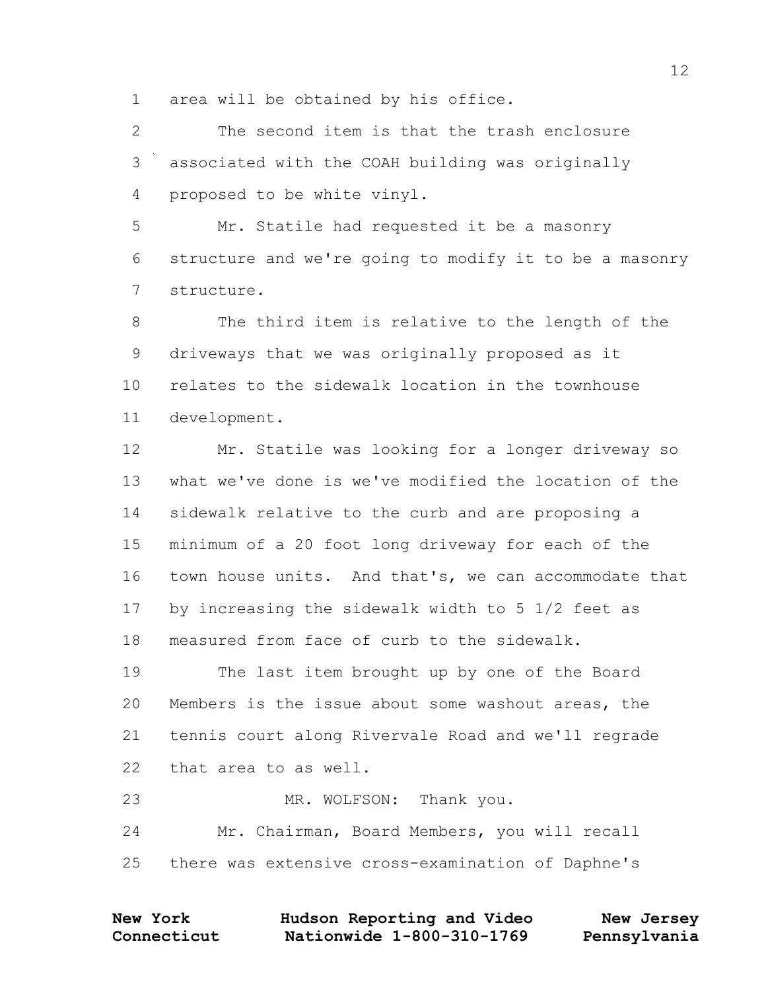area will be obtained by his office.

 The second item is that the trash enclosure associated with the COAH building was originally proposed to be white vinyl.

 Mr. Statile had requested it be a masonry structure and we're going to modify it to be a masonry structure.

 The third item is relative to the length of the driveways that we was originally proposed as it relates to the sidewalk location in the townhouse development.

 Mr. Statile was looking for a longer driveway so what we've done is we've modified the location of the sidewalk relative to the curb and are proposing a minimum of a 20 foot long driveway for each of the town house units. And that's, we can accommodate that by increasing the sidewalk width to 5 1/2 feet as measured from face of curb to the sidewalk.

 The last item brought up by one of the Board Members is the issue about some washout areas, the tennis court along Rivervale Road and we'll regrade that area to as well.

23 MR. WOLFSON: Thank you. Mr. Chairman, Board Members, you will recall there was extensive cross-examination of Daphne's

| <b>New York</b> | Hudson Reporting and Video | New Jersey   |
|-----------------|----------------------------|--------------|
| Connecticut     | Nationwide 1-800-310-1769  | Pennsylvania |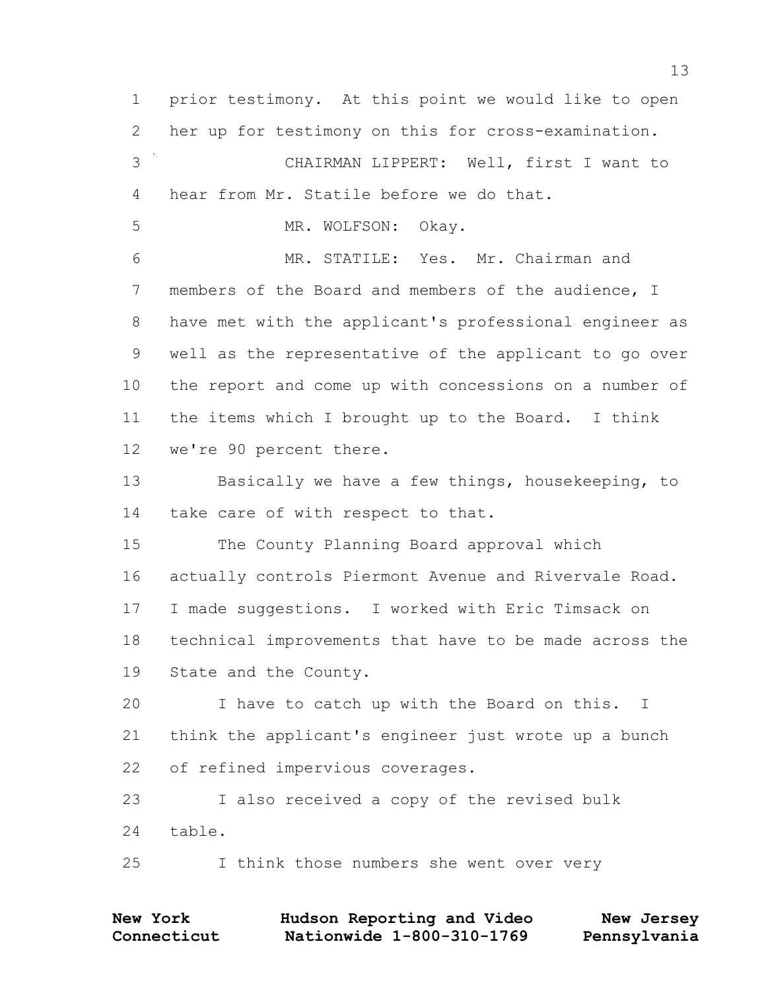prior testimony. At this point we would like to open her up for testimony on this for cross-examination. CHAIRMAN LIPPERT: Well, first I want to hear from Mr. Statile before we do that. MR. WOLFSON: Okay. MR. STATILE: Yes. Mr. Chairman and members of the Board and members of the audience, I have met with the applicant's professional engineer as well as the representative of the applicant to go over the report and come up with concessions on a number of the items which I brought up to the Board. I think we're 90 percent there. Basically we have a few things, housekeeping, to take care of with respect to that. The County Planning Board approval which actually controls Piermont Avenue and Rivervale Road. I made suggestions. I worked with Eric Timsack on technical improvements that have to be made across the State and the County. I have to catch up with the Board on this. I think the applicant's engineer just wrote up a bunch of refined impervious coverages. I also received a copy of the revised bulk table. I think those numbers she went over very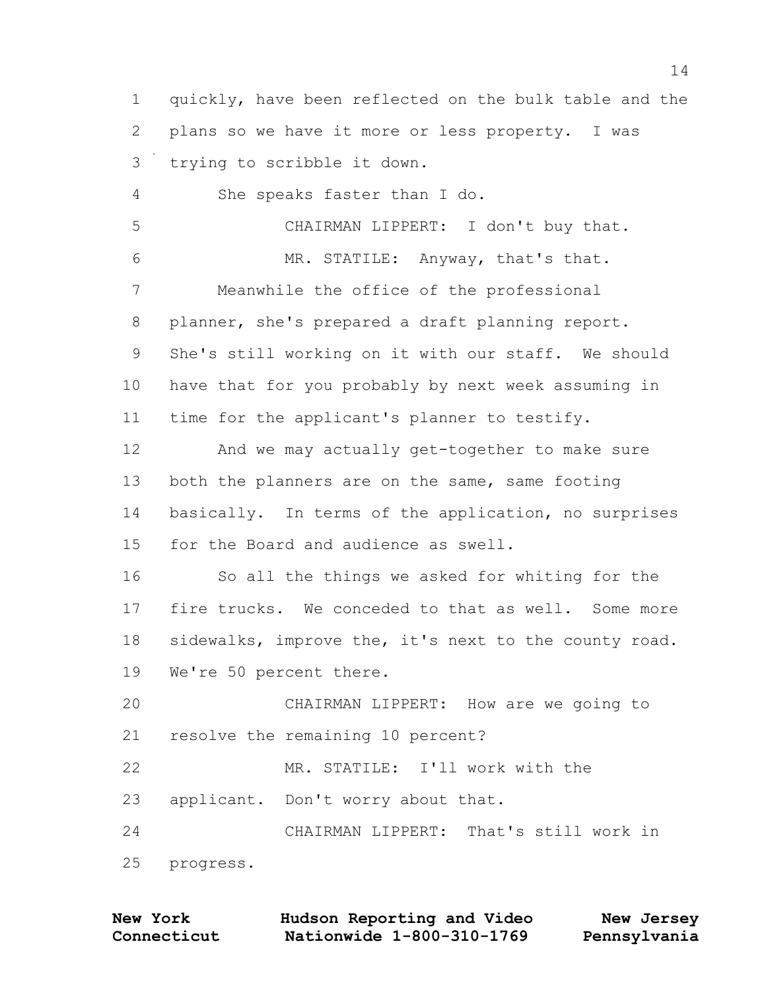quickly, have been reflected on the bulk table and the plans so we have it more or less property. I was trying to scribble it down. She speaks faster than I do. CHAIRMAN LIPPERT: I don't buy that. MR. STATILE: Anyway, that's that. Meanwhile the office of the professional planner, she's prepared a draft planning report. She's still working on it with our staff. We should have that for you probably by next week assuming in time for the applicant's planner to testify. And we may actually get-together to make sure 13 both the planners are on the same, same footing basically. In terms of the application, no surprises for the Board and audience as swell. 16 So all the things we asked for whiting for the fire trucks. We conceded to that as well. Some more sidewalks, improve the, it's next to the county road. We're 50 percent there. CHAIRMAN LIPPERT: How are we going to resolve the remaining 10 percent? MR. STATILE: I'll work with the applicant. Don't worry about that. CHAIRMAN LIPPERT: That's still work in progress.

| <b>New York</b> | Hudson Reporting and Video | New Jersey   |
|-----------------|----------------------------|--------------|
| Connecticut     | Nationwide 1-800-310-1769  | Pennsylvania |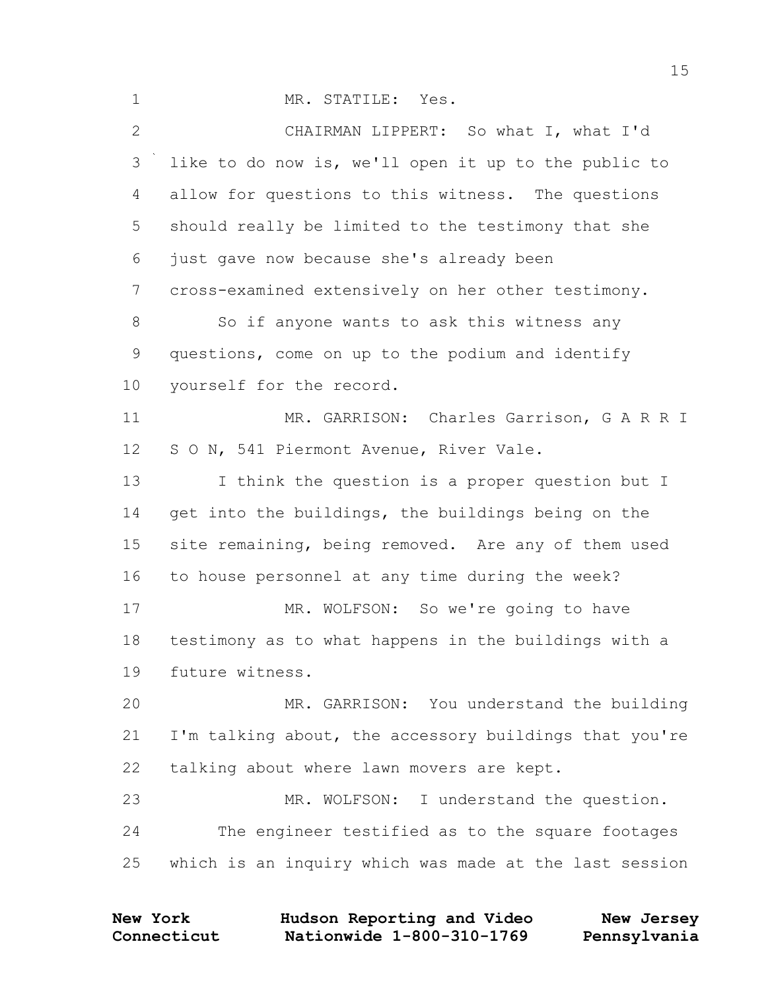| $\mathbf{1}$ | MR. STATILE: Yes.                                      |
|--------------|--------------------------------------------------------|
| $\mathbf{2}$ | CHAIRMAN LIPPERT: So what I, what I'd                  |
| 3            | like to do now is, we'll open it up to the public to   |
| 4            | allow for questions to this witness. The questions     |
| 5            | should really be limited to the testimony that she     |
| 6            | just gave now because she's already been               |
| 7            | cross-examined extensively on her other testimony.     |
| $8\,$        | So if anyone wants to ask this witness any             |
| 9            | questions, come on up to the podium and identify       |
| 10           | yourself for the record.                               |
| 11           | MR. GARRISON: Charles Garrison, G A R R I              |
| 12           | S O N, 541 Piermont Avenue, River Vale.                |
| 13           | I think the question is a proper question but I        |
| 14           | get into the buildings, the buildings being on the     |
| 15           | site remaining, being removed. Are any of them used    |
| 16           | to house personnel at any time during the week?        |
| 17           | MR. WOLFSON: So we're going to have                    |
| 18           | testimony as to what happens in the buildings with a   |
| 19           | future witness.                                        |
| 20           | MR. GARRISON: You understand the building              |
| 21           | I'm talking about, the accessory buildings that you're |
| 22           | talking about where lawn movers are kept.              |
| 23           | MR. WOLFSON: I understand the question.                |
| 24           | The engineer testified as to the square footages       |
| 25           | which is an inquiry which was made at the last session |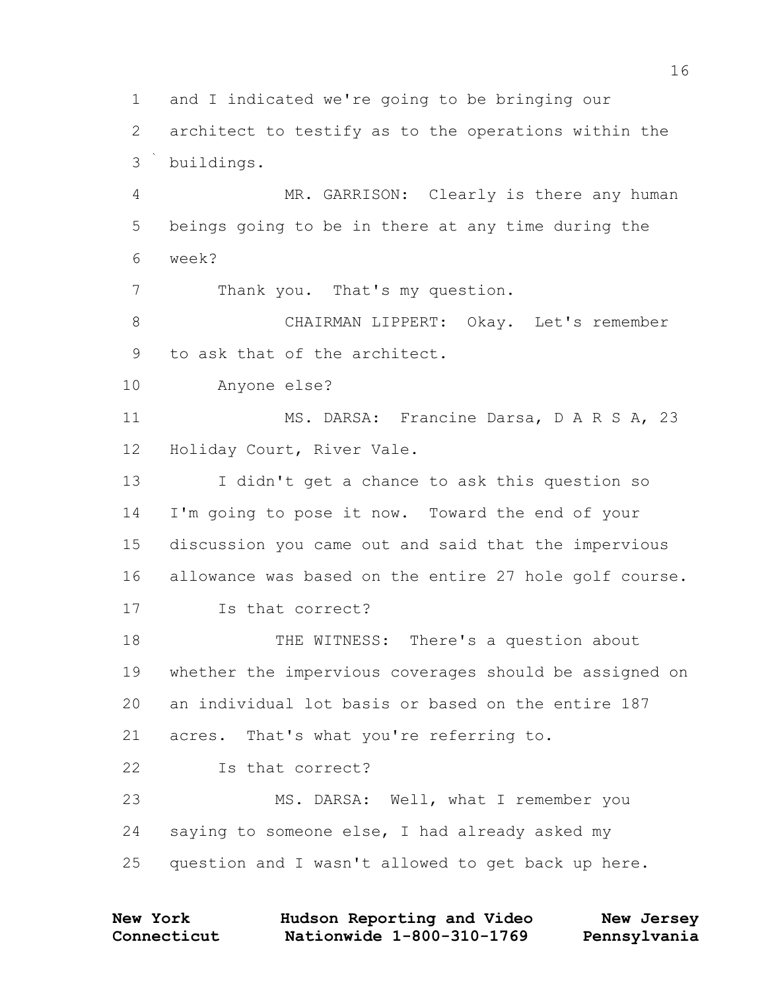and I indicated we're going to be bringing our architect to testify as to the operations within the buildings. MR. GARRISON: Clearly is there any human beings going to be in there at any time during the week? Thank you. That's my question. CHAIRMAN LIPPERT: Okay. Let's remember to ask that of the architect. Anyone else? 11 MS. DARSA: Francine Darsa, D A R S A, 23 Holiday Court, River Vale. I didn't get a chance to ask this question so I'm going to pose it now. Toward the end of your discussion you came out and said that the impervious allowance was based on the entire 27 hole golf course. Is that correct? THE WITNESS: There's a question about whether the impervious coverages should be assigned on an individual lot basis or based on the entire 187 acres. That's what you're referring to. **Is that correct?**  MS. DARSA: Well, what I remember you saying to someone else, I had already asked my question and I wasn't allowed to get back up here.

| <b>New York</b> | Hudson Reporting and Video | New Jersey   |
|-----------------|----------------------------|--------------|
| Connecticut     | Nationwide 1-800-310-1769  | Pennsylvania |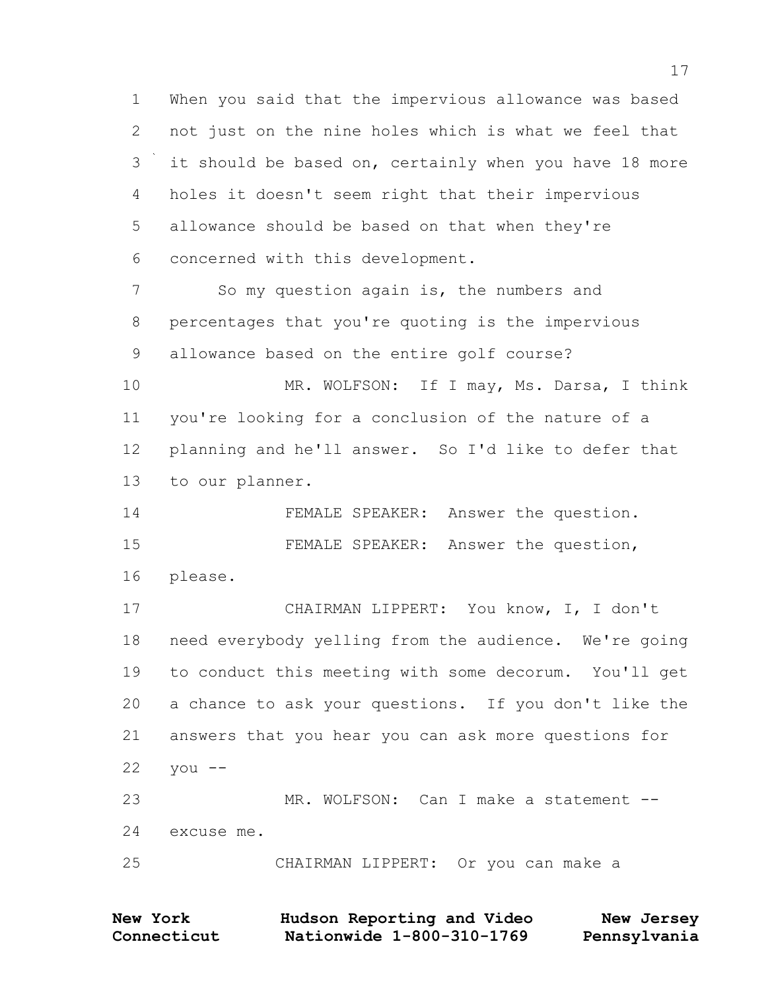When you said that the impervious allowance was based not just on the nine holes which is what we feel that it should be based on, certainly when you have 18 more holes it doesn't seem right that their impervious allowance should be based on that when they're concerned with this development.

 So my question again is, the numbers and percentages that you're quoting is the impervious allowance based on the entire golf course?

10 MR. WOLFSON: If I may, Ms. Darsa, I think you're looking for a conclusion of the nature of a planning and he'll answer. So I'd like to defer that to our planner.

 FEMALE SPEAKER: Answer the question. FEMALE SPEAKER: Answer the question,

please.

 CHAIRMAN LIPPERT: You know, I, I don't need everybody yelling from the audience. We're going to conduct this meeting with some decorum. You'll get a chance to ask your questions. If you don't like the answers that you hear you can ask more questions for you  $-$  MR. WOLFSON: Can I make a statement -- excuse me.

CHAIRMAN LIPPERT: Or you can make a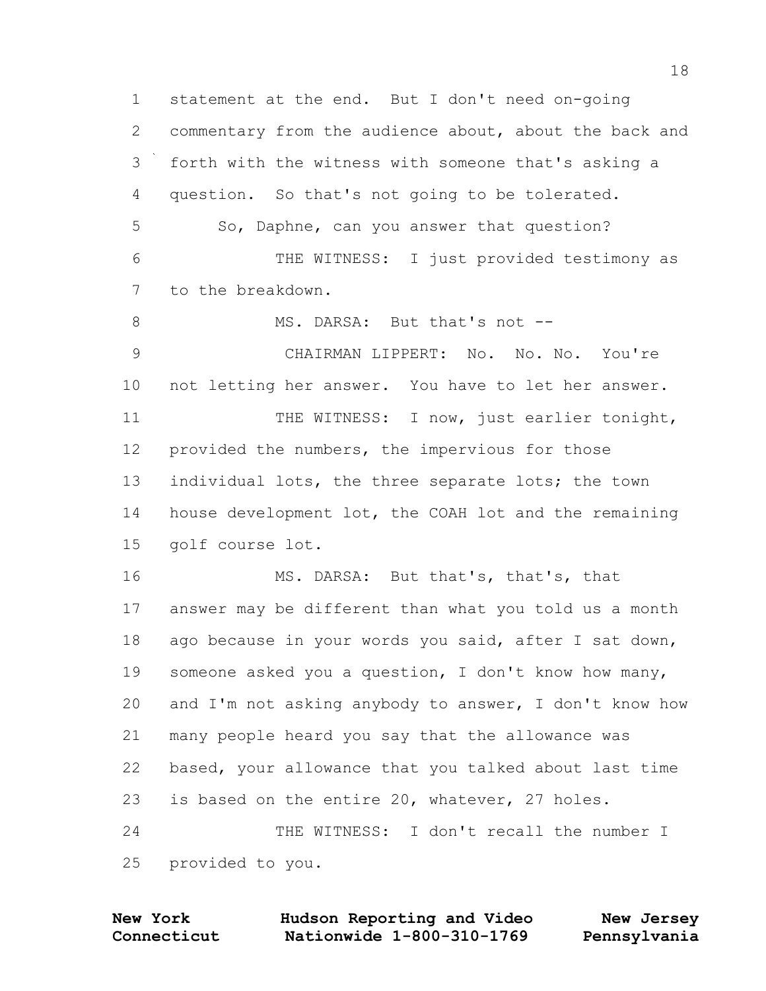statement at the end. But I don't need on-going commentary from the audience about, about the back and forth with the witness with someone that's asking a question. So that's not going to be tolerated. 5 So, Daphne, can you answer that question? THE WITNESS: I just provided testimony as to the breakdown. 8 MS. DARSA: But that's not -- CHAIRMAN LIPPERT: No. No. No. You're not letting her answer. You have to let her answer. 11 THE WITNESS: I now, just earlier tonight, provided the numbers, the impervious for those 13 individual lots, the three separate lots; the town house development lot, the COAH lot and the remaining golf course lot. 16 MS. DARSA: But that's, that's, that answer may be different than what you told us a month ago because in your words you said, after I sat down, someone asked you a question, I don't know how many, and I'm not asking anybody to answer, I don't know how many people heard you say that the allowance was based, your allowance that you talked about last time is based on the entire 20, whatever, 27 holes. THE WITNESS: I don't recall the number I provided to you.

**New York Hudson Reporting and Video New Jersey**

**Connecticut Nationwide 1-800-310-1769 Pennsylvania**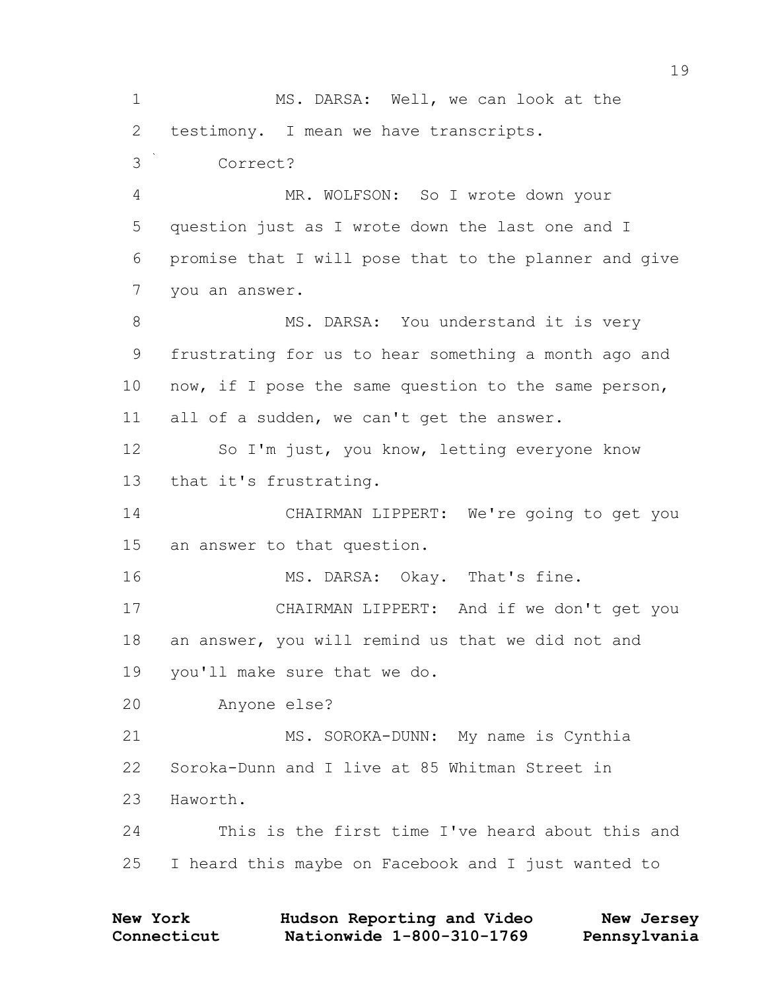1 MS. DARSA: Well, we can look at the 2 testimony. I mean we have transcripts. 3 Correct? 4 MR. WOLFSON: So I wrote down your 5 question just as I wrote down the last one and I 6 promise that I will pose that to the planner and give 7 you an answer. 8 MS. DARSA: You understand it is very 9 frustrating for us to hear something a month ago and 10 now, if I pose the same question to the same person, 11 all of a sudden, we can't get the answer. 12 So I'm just, you know, letting everyone know 13 that it's frustrating. 14 CHAIRMAN LIPPERT: We're going to get you 15 an answer to that question. 16 MS. DARSA: Okay. That's fine. 17 CHAIRMAN LIPPERT: And if we don't get you 18 an answer, you will remind us that we did not and 19 you'll make sure that we do. 20 Anyone else? 21 MS. SOROKA-DUNN: My name is Cynthia 22 Soroka-Dunn and I live at 85 Whitman Street in 23 Haworth. 24 This is the first time I've heard about this and 25 I heard this maybe on Facebook and I just wanted to

| <b>New York</b> | Hudson Reporting and Video | New Jersey   |
|-----------------|----------------------------|--------------|
| Connecticut     | Nationwide 1-800-310-1769  | Pennsylvania |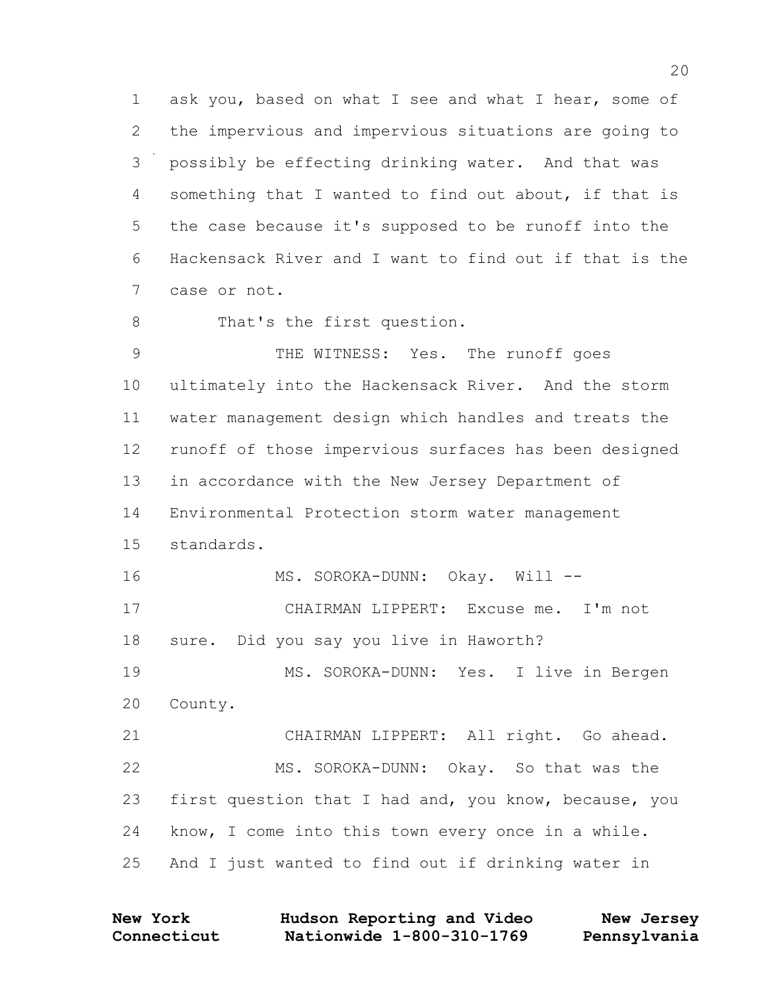ask you, based on what I see and what I hear, some of the impervious and impervious situations are going to possibly be effecting drinking water. And that was something that I wanted to find out about, if that is the case because it's supposed to be runoff into the Hackensack River and I want to find out if that is the case or not.

8 That's the first question.

 THE WITNESS: Yes. The runoff goes ultimately into the Hackensack River. And the storm water management design which handles and treats the runoff of those impervious surfaces has been designed in accordance with the New Jersey Department of Environmental Protection storm water management standards. 16 MS. SOROKA-DUNN: Okay. Will -- CHAIRMAN LIPPERT: Excuse me. I'm not sure. Did you say you live in Haworth? MS. SOROKA-DUNN: Yes. I live in Bergen County. CHAIRMAN LIPPERT: All right. Go ahead. MS. SOROKA-DUNN: Okay. So that was the first question that I had and, you know, because, you know, I come into this town every once in a while. And I just wanted to find out if drinking water in

| <b>New York</b> | Hudson Reporting and Video | New Jersey   |
|-----------------|----------------------------|--------------|
| Connecticut     | Nationwide 1-800-310-1769  | Pennsylvania |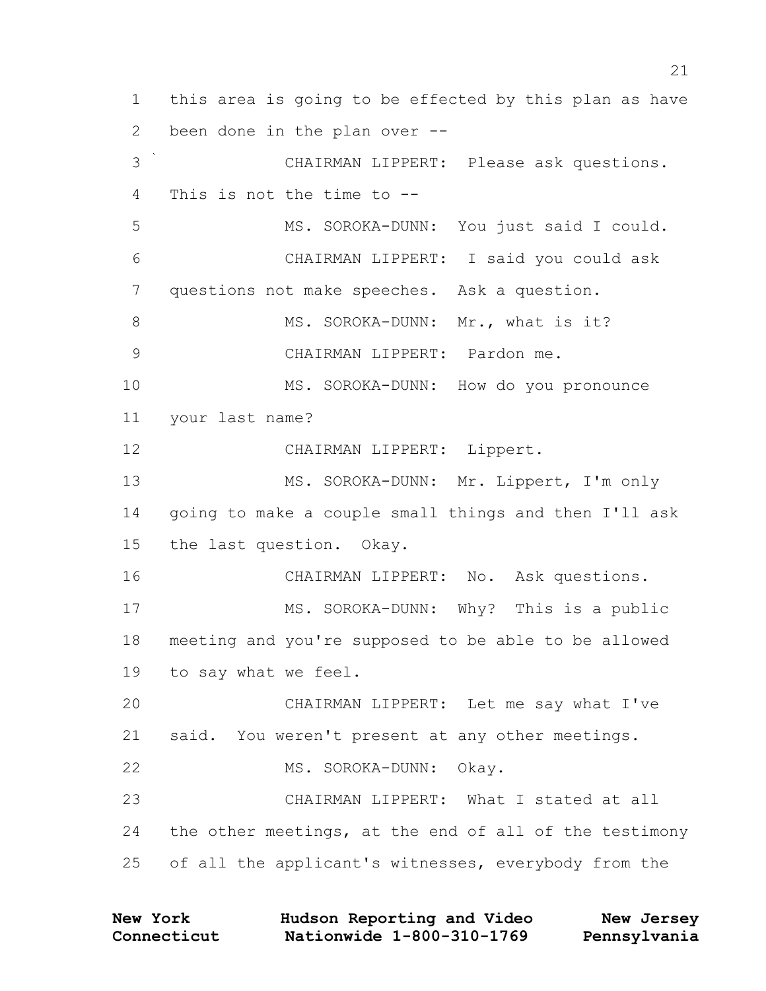this area is going to be effected by this plan as have been done in the plan over -- CHAIRMAN LIPPERT: Please ask questions. This is not the time to -- MS. SOROKA-DUNN: You just said I could. CHAIRMAN LIPPERT: I said you could ask questions not make speeches. Ask a question. 8 MS. SOROKA-DUNN: Mr., what is it? CHAIRMAN LIPPERT: Pardon me. MS. SOROKA-DUNN: How do you pronounce your last name? CHAIRMAN LIPPERT: Lippert. MS. SOROKA-DUNN: Mr. Lippert, I'm only going to make a couple small things and then I'll ask the last question. Okay. CHAIRMAN LIPPERT: No. Ask questions. 17 MS. SOROKA-DUNN: Why? This is a public meeting and you're supposed to be able to be allowed to say what we feel. CHAIRMAN LIPPERT: Let me say what I've said. You weren't present at any other meetings. MS. SOROKA-DUNN: Okay. CHAIRMAN LIPPERT: What I stated at all the other meetings, at the end of all of the testimony of all the applicant's witnesses, everybody from the

| <b>New York</b> | Hudson Reporting and Video | New Jersey   |
|-----------------|----------------------------|--------------|
| Connecticut     | Nationwide 1-800-310-1769  | Pennsylvania |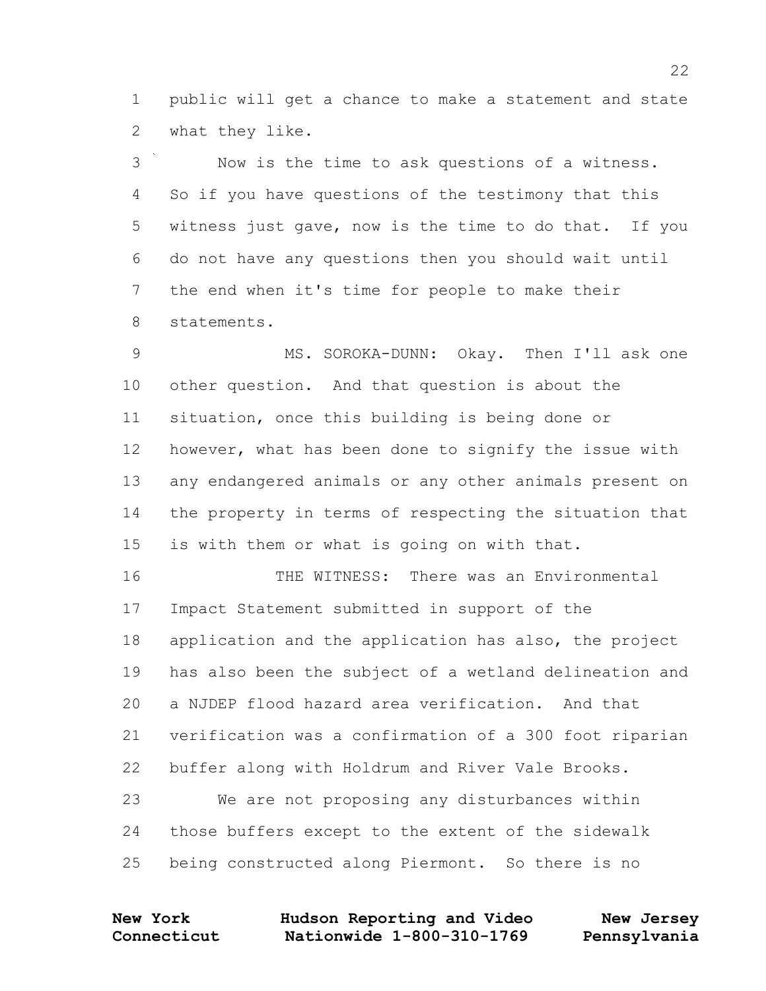public will get a chance to make a statement and state what they like.

 Now is the time to ask questions of a witness. So if you have questions of the testimony that this witness just gave, now is the time to do that. If you do not have any questions then you should wait until the end when it's time for people to make their statements.

 MS. SOROKA-DUNN: Okay. Then I'll ask one other question. And that question is about the situation, once this building is being done or however, what has been done to signify the issue with any endangered animals or any other animals present on the property in terms of respecting the situation that is with them or what is going on with that.

 THE WITNESS: There was an Environmental Impact Statement submitted in support of the application and the application has also, the project has also been the subject of a wetland delineation and a NJDEP flood hazard area verification. And that verification was a confirmation of a 300 foot riparian buffer along with Holdrum and River Vale Brooks.

 We are not proposing any disturbances within those buffers except to the extent of the sidewalk being constructed along Piermont. So there is no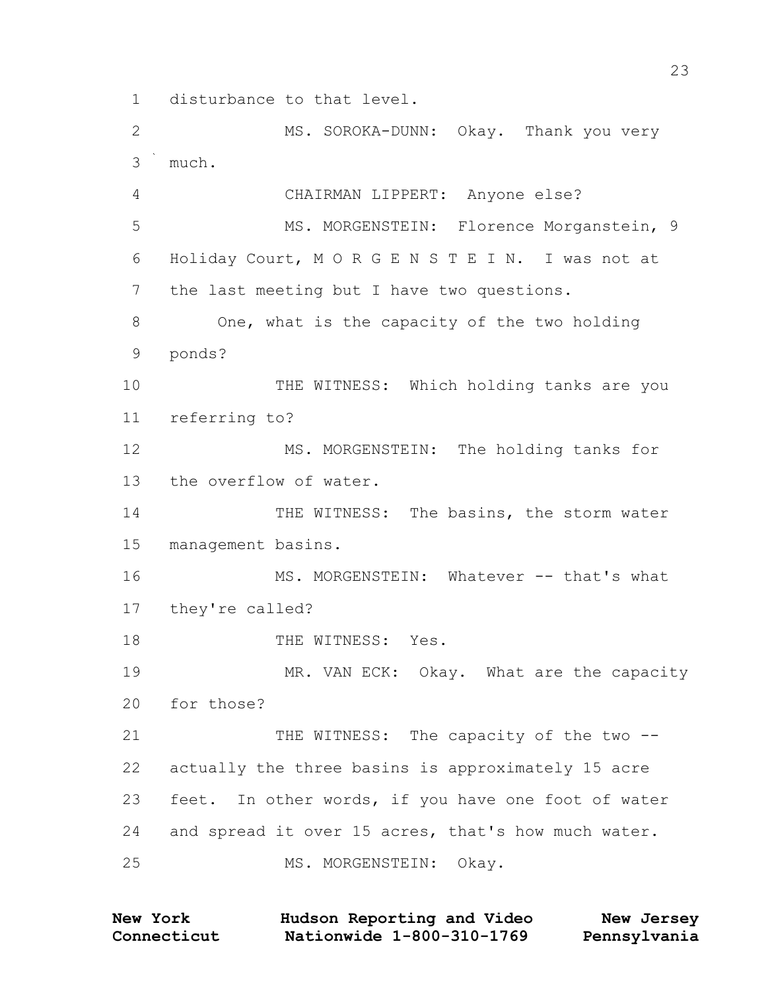disturbance to that level.

2 MS. SOROKA-DUNN: Okay. Thank you very much. CHAIRMAN LIPPERT: Anyone else? 5 MS. MORGENSTEIN: Florence Morganstein, 9 Holiday Court, M O R G E N S T E I N. I was not at the last meeting but I have two questions. One, what is the capacity of the two holding ponds? THE WITNESS: Which holding tanks are you referring to? 12 MS. MORGENSTEIN: The holding tanks for the overflow of water. 14 THE WITNESS: The basins, the storm water management basins. 16 MS. MORGENSTEIN: Whatever -- that's what they're called? 18 THE WITNESS: Yes. 19 MR. VAN ECK: Okay. What are the capacity for those? 21 THE WITNESS: The capacity of the two -- actually the three basins is approximately 15 acre feet. In other words, if you have one foot of water and spread it over 15 acres, that's how much water. 25 MS. MORGENSTEIN: Okay.

**Connecticut Nationwide 1-800-310-1769 Pennsylvania New York Hudson Reporting and Video New Jersey**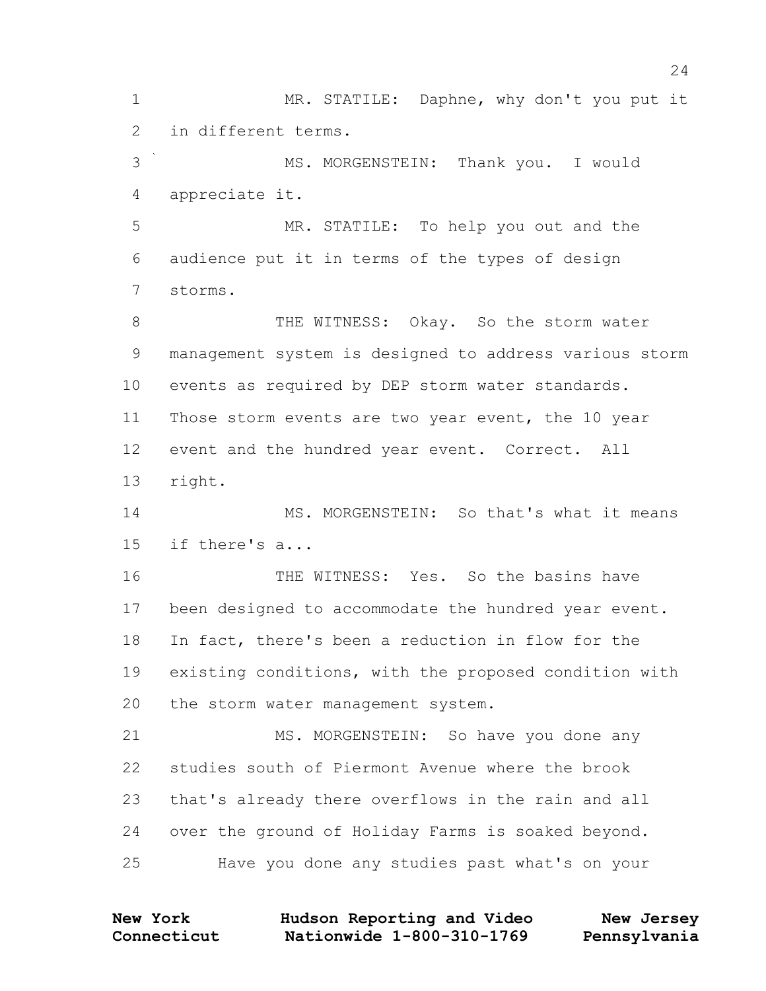1 MR. STATILE: Daphne, why don't you put it in different terms. MS. MORGENSTEIN: Thank you. I would appreciate it.

 MR. STATILE: To help you out and the audience put it in terms of the types of design storms.

8 THE WITNESS: Okay. So the storm water management system is designed to address various storm events as required by DEP storm water standards. Those storm events are two year event, the 10 year event and the hundred year event. Correct. All right.

14 MS. MORGENSTEIN: So that's what it means if there's a...

 THE WITNESS: Yes. So the basins have been designed to accommodate the hundred year event. In fact, there's been a reduction in flow for the existing conditions, with the proposed condition with the storm water management system.

21 MS. MORGENSTEIN: So have you done any studies south of Piermont Avenue where the brook that's already there overflows in the rain and all over the ground of Holiday Farms is soaked beyond. Have you done any studies past what's on your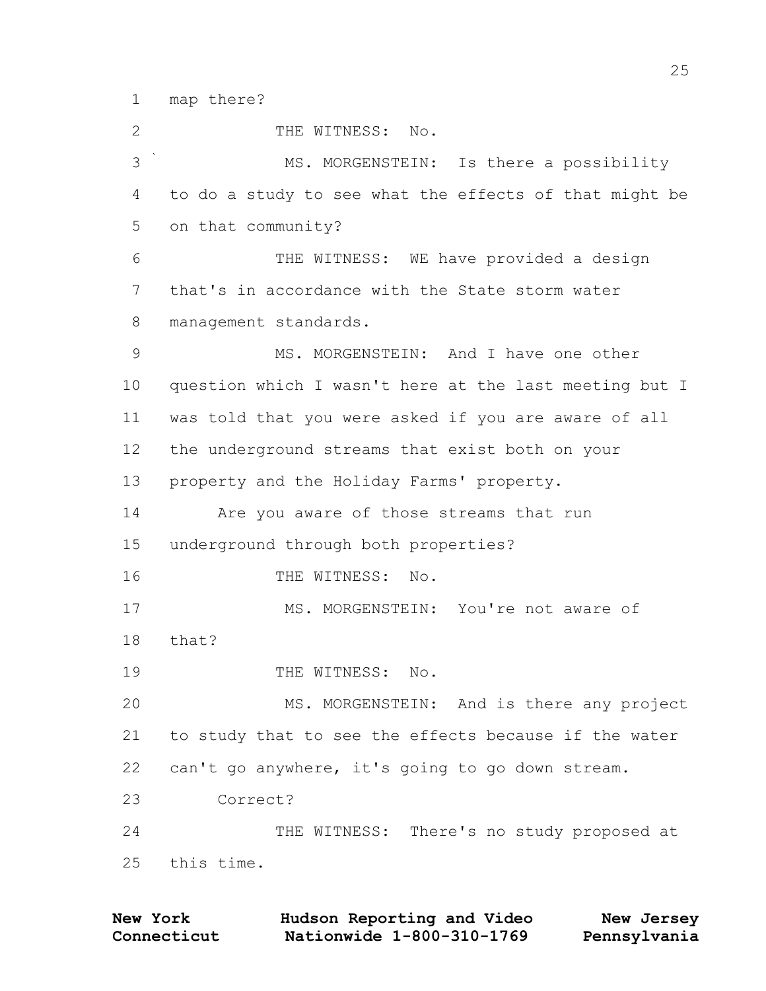map there?

2 THE WITNESS: No. MS. MORGENSTEIN: Is there a possibility to do a study to see what the effects of that might be on that community? THE WITNESS: WE have provided a design that's in accordance with the State storm water management standards. MS. MORGENSTEIN: And I have one other question which I wasn't here at the last meeting but I was told that you were asked if you are aware of all the underground streams that exist both on your property and the Holiday Farms' property. Are you aware of those streams that run underground through both properties? 16 THE WITNESS: No. 17 MS. MORGENSTEIN: You're not aware of that? 19 THE WITNESS: No. 20 MS. MORGENSTEIN: And is there any project to study that to see the effects because if the water can't go anywhere, it's going to go down stream. Correct? THE WITNESS: There's no study proposed at this time.

| <b>New York</b> | Hudson Reporting and Video | New Jersey   |
|-----------------|----------------------------|--------------|
| Connecticut     | Nationwide 1-800-310-1769  | Pennsylvania |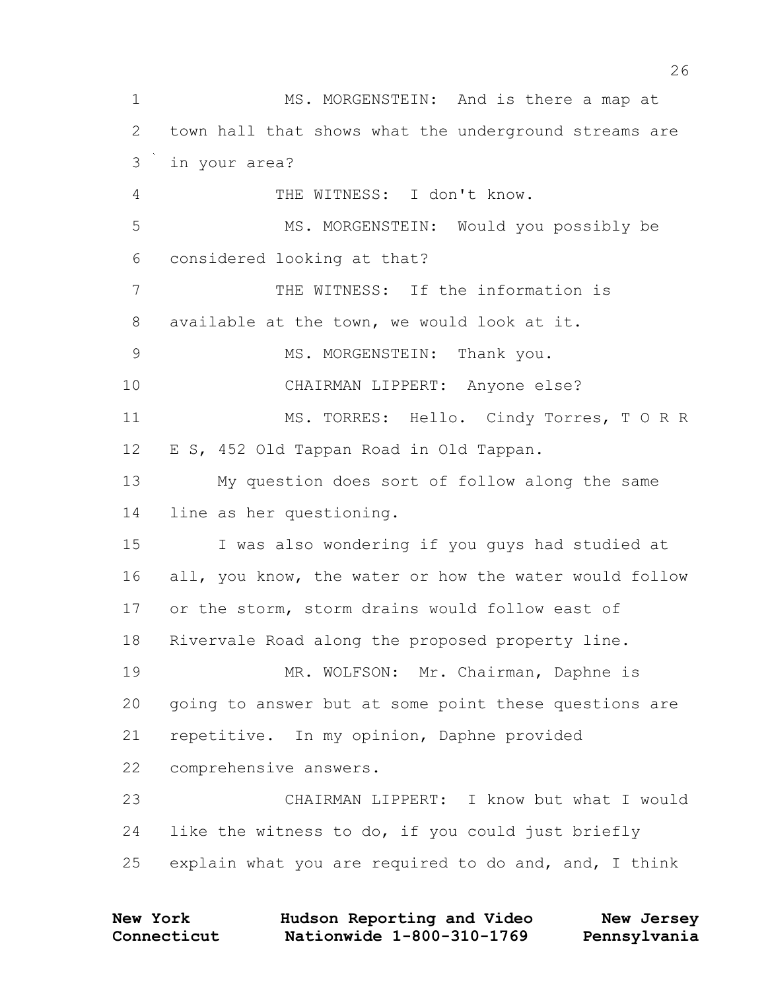MS. MORGENSTEIN: And is there a map at town hall that shows what the underground streams are in your area? THE WITNESS: I don't know. MS. MORGENSTEIN: Would you possibly be considered looking at that? THE WITNESS: If the information is available at the town, we would look at it. 9 MS. MORGENSTEIN: Thank you. CHAIRMAN LIPPERT: Anyone else? MS. TORRES: Hello. Cindy Torres, T O R R E S, 452 Old Tappan Road in Old Tappan. My question does sort of follow along the same line as her questioning. I was also wondering if you guys had studied at all, you know, the water or how the water would follow or the storm, storm drains would follow east of Rivervale Road along the proposed property line. 19 MR. WOLFSON: Mr. Chairman, Daphne is going to answer but at some point these questions are repetitive. In my opinion, Daphne provided comprehensive answers. CHAIRMAN LIPPERT: I know but what I would like the witness to do, if you could just briefly explain what you are required to do and, and, I think

| <b>New York</b> | Hudson Reporting and Video | New Jersey   |
|-----------------|----------------------------|--------------|
| Connecticut     | Nationwide 1-800-310-1769  | Pennsylvania |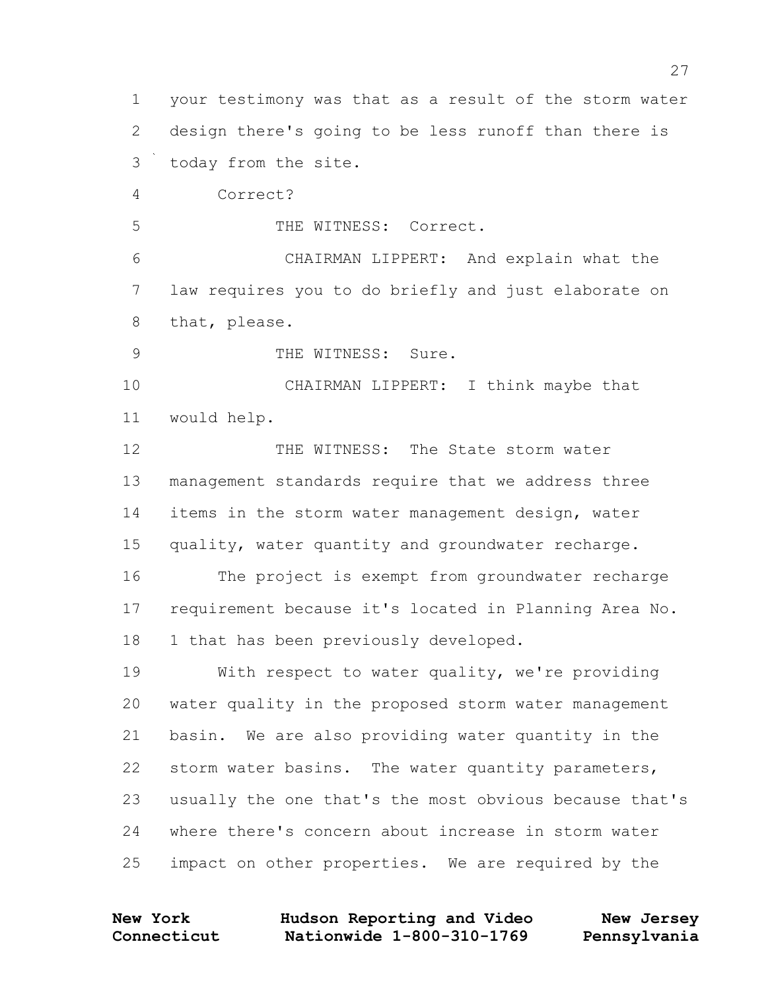your testimony was that as a result of the storm water design there's going to be less runoff than there is today from the site. Correct? THE WITNESS: Correct. CHAIRMAN LIPPERT: And explain what the law requires you to do briefly and just elaborate on that, please. 9 THE WITNESS: Sure. CHAIRMAN LIPPERT: I think maybe that would help. 12 THE WITNESS: The State storm water management standards require that we address three items in the storm water management design, water quality, water quantity and groundwater recharge. The project is exempt from groundwater recharge requirement because it's located in Planning Area No. 18 1 that has been previously developed. With respect to water quality, we're providing water quality in the proposed storm water management basin. We are also providing water quantity in the storm water basins. The water quantity parameters, usually the one that's the most obvious because that's where there's concern about increase in storm water impact on other properties. We are required by the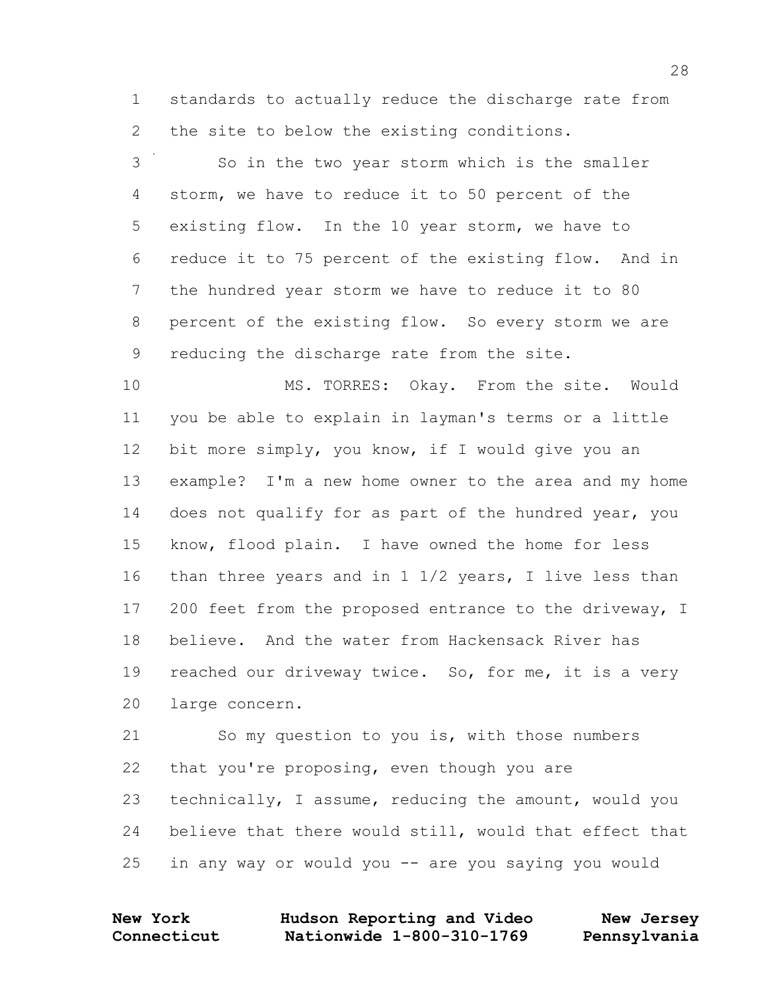standards to actually reduce the discharge rate from the site to below the existing conditions.

 So in the two year storm which is the smaller storm, we have to reduce it to 50 percent of the existing flow. In the 10 year storm, we have to reduce it to 75 percent of the existing flow. And in the hundred year storm we have to reduce it to 80 percent of the existing flow. So every storm we are reducing the discharge rate from the site.

 MS. TORRES: Okay. From the site. Would you be able to explain in layman's terms or a little bit more simply, you know, if I would give you an example? I'm a new home owner to the area and my home does not qualify for as part of the hundred year, you know, flood plain. I have owned the home for less than three years and in 1 1/2 years, I live less than 17 200 feet from the proposed entrance to the driveway, I believe. And the water from Hackensack River has reached our driveway twice. So, for me, it is a very large concern.

 So my question to you is, with those numbers that you're proposing, even though you are technically, I assume, reducing the amount, would you believe that there would still, would that effect that in any way or would you -- are you saying you would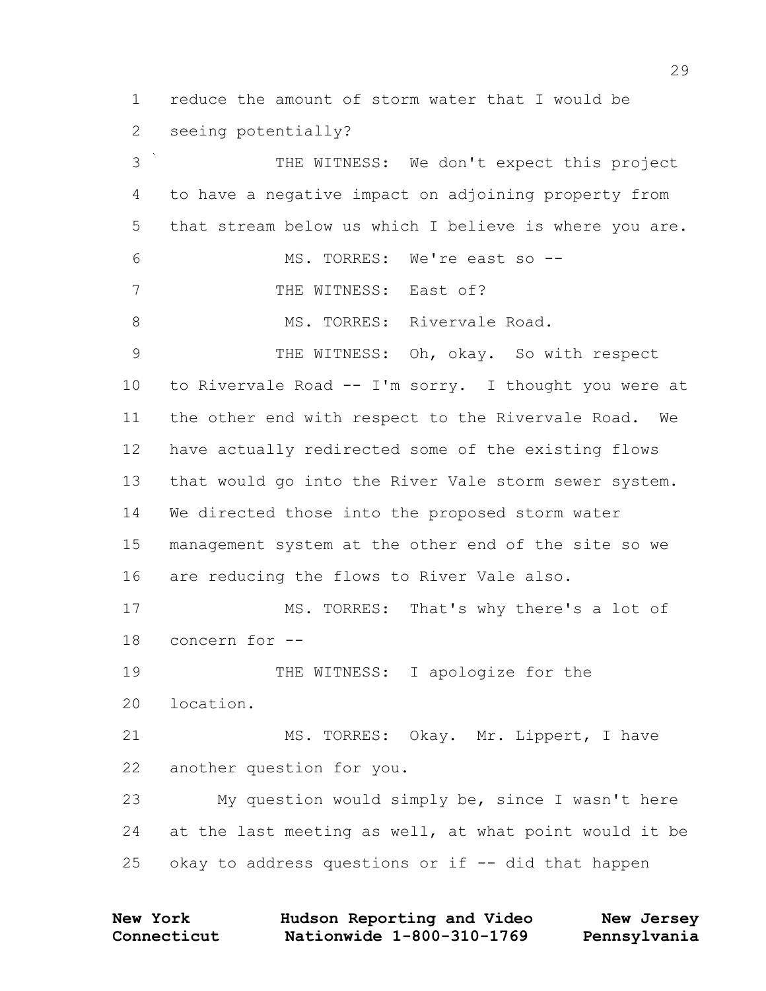reduce the amount of storm water that I would be seeing potentially?

 THE WITNESS: We don't expect this project to have a negative impact on adjoining property from that stream below us which I believe is where you are. MS. TORRES: We're east so -- 7 THE WITNESS: East of? 8 MS. TORRES: Rivervale Road. 9 THE WITNESS: Oh, okay. So with respect to Rivervale Road -- I'm sorry. I thought you were at the other end with respect to the Rivervale Road. We have actually redirected some of the existing flows that would go into the River Vale storm sewer system. We directed those into the proposed storm water management system at the other end of the site so we are reducing the flows to River Vale also. MS. TORRES: That's why there's a lot of concern for -- 19 THE WITNESS: I apologize for the location. MS. TORRES: Okay. Mr. Lippert, I have another question for you. My question would simply be, since I wasn't here at the last meeting as well, at what point would it be 25 okay to address questions or if  $-$ - did that happen

| <b>New York</b> | Hudson Reporting and Video | New Jersey   |
|-----------------|----------------------------|--------------|
| Connecticut     | Nationwide 1-800-310-1769  | Pennsylvania |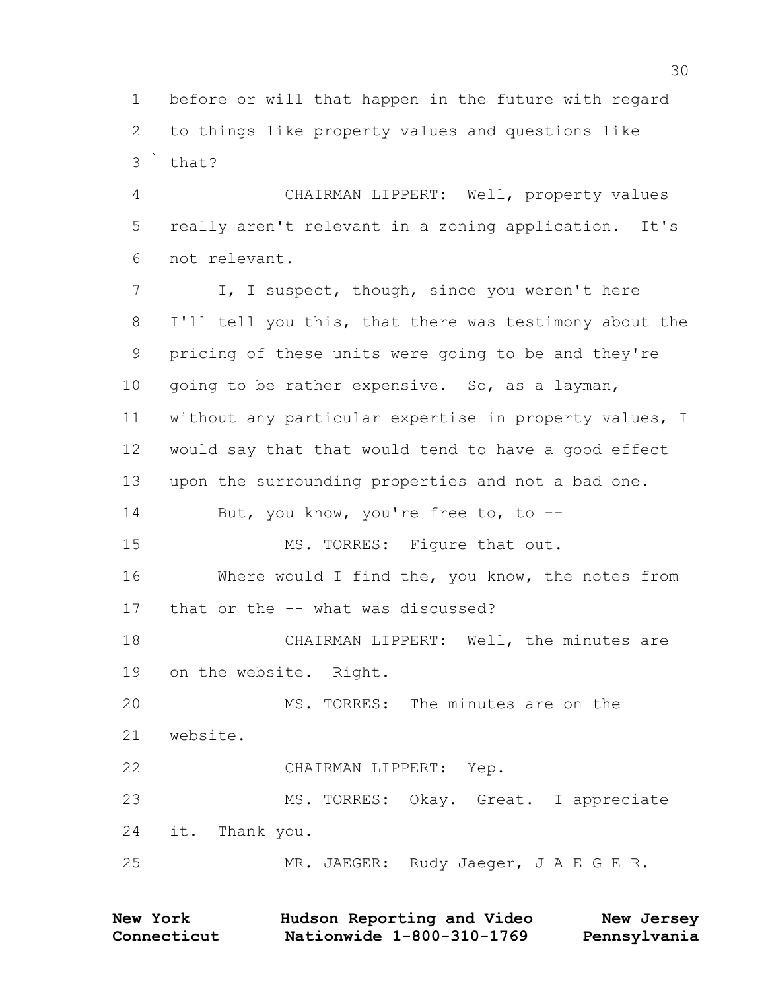before or will that happen in the future with regard to things like property values and questions like that?

 CHAIRMAN LIPPERT: Well, property values really aren't relevant in a zoning application. It's not relevant.

7 I, I suspect, though, since you weren't here I'll tell you this, that there was testimony about the pricing of these units were going to be and they're 10 going to be rather expensive. So, as a layman, without any particular expertise in property values, I would say that that would tend to have a good effect upon the surrounding properties and not a bad one. 14 But, you know, you're free to, to --15 MS. TORRES: Figure that out. 16 Where would I find the, you know, the notes from that or the -- what was discussed? CHAIRMAN LIPPERT: Well, the minutes are on the website. Right. MS. TORRES: The minutes are on the website. CHAIRMAN LIPPERT: Yep. MS. TORRES: Okay. Great. I appreciate it. Thank you. MR. JAEGER: Rudy Jaeger, J A E G E R.

**Connecticut Nationwide 1-800-310-1769 Pennsylvania New York Hudson Reporting and Video New Jersey**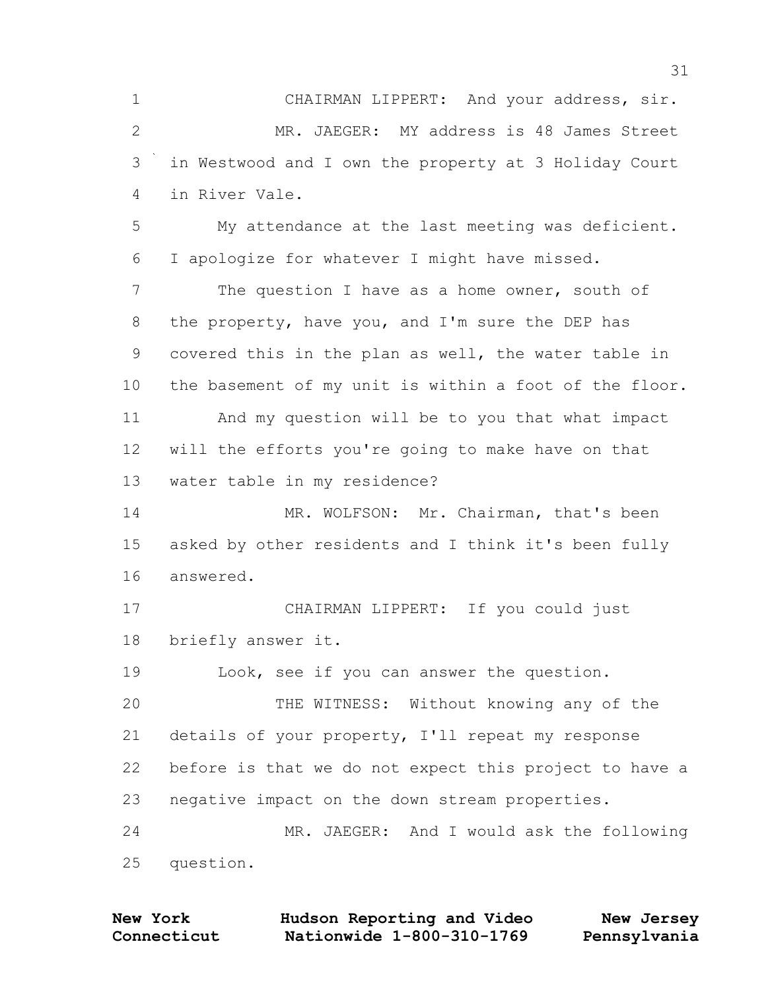CHAIRMAN LIPPERT: And your address, sir. MR. JAEGER: MY address is 48 James Street in Westwood and I own the property at 3 Holiday Court in River Vale.

 My attendance at the last meeting was deficient. I apologize for whatever I might have missed.

 The question I have as a home owner, south of the property, have you, and I'm sure the DEP has covered this in the plan as well, the water table in the basement of my unit is within a foot of the floor. And my question will be to you that what impact will the efforts you're going to make have on that water table in my residence?

 MR. WOLFSON: Mr. Chairman, that's been asked by other residents and I think it's been fully answered.

 CHAIRMAN LIPPERT: If you could just briefly answer it.

Look, see if you can answer the question.

 THE WITNESS: Without knowing any of the details of your property, I'll repeat my response before is that we do not expect this project to have a negative impact on the down stream properties. MR. JAEGER: And I would ask the following

question.

| <b>New York</b> | Hudson Reporting and Video | New Jersey   |
|-----------------|----------------------------|--------------|
| Connecticut     | Nationwide 1-800-310-1769  | Pennsylvania |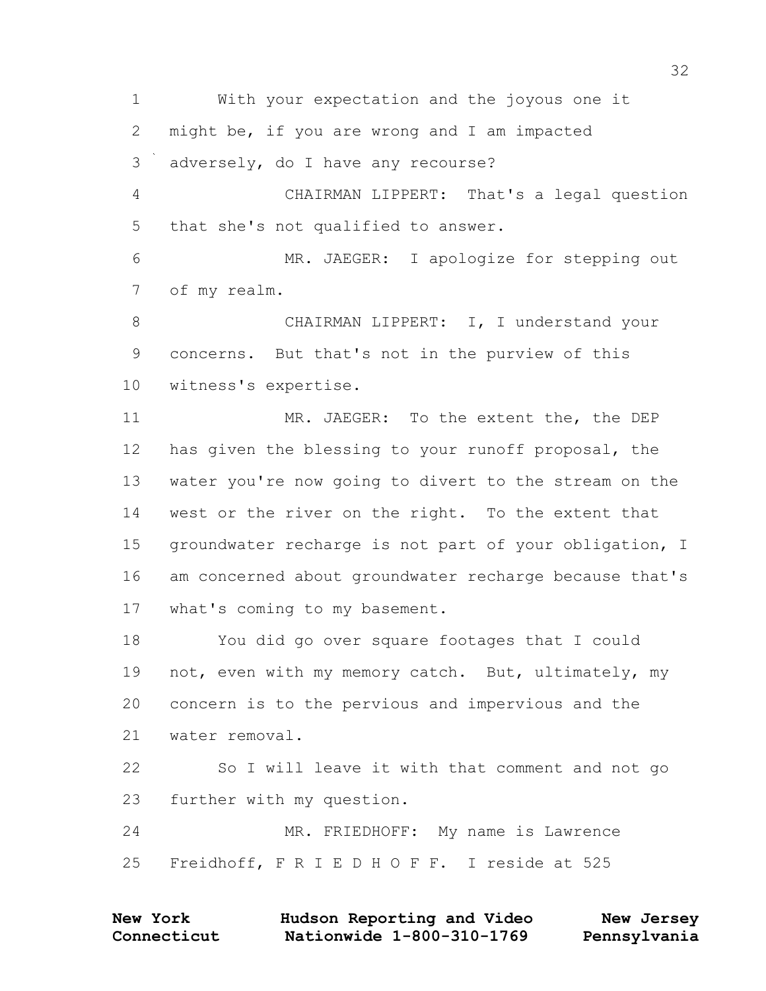With your expectation and the joyous one it might be, if you are wrong and I am impacted adversely, do I have any recourse? CHAIRMAN LIPPERT: That's a legal question that she's not qualified to answer. MR. JAEGER: I apologize for stepping out of my realm. CHAIRMAN LIPPERT: I, I understand your concerns. But that's not in the purview of this witness's expertise. MR. JAEGER: To the extent the, the DEP has given the blessing to your runoff proposal, the water you're now going to divert to the stream on the west or the river on the right. To the extent that groundwater recharge is not part of your obligation, I am concerned about groundwater recharge because that's what's coming to my basement. You did go over square footages that I could 19 not, even with my memory catch. But, ultimately, my concern is to the pervious and impervious and the water removal. So I will leave it with that comment and not go further with my question. MR. FRIEDHOFF: My name is Lawrence Freidhoff, F R I E D H O F F. I reside at 525

| <b>New York</b> | Hudson Reporting and Video | New Jersey   |
|-----------------|----------------------------|--------------|
| Connecticut     | Nationwide 1-800-310-1769  | Pennsylvania |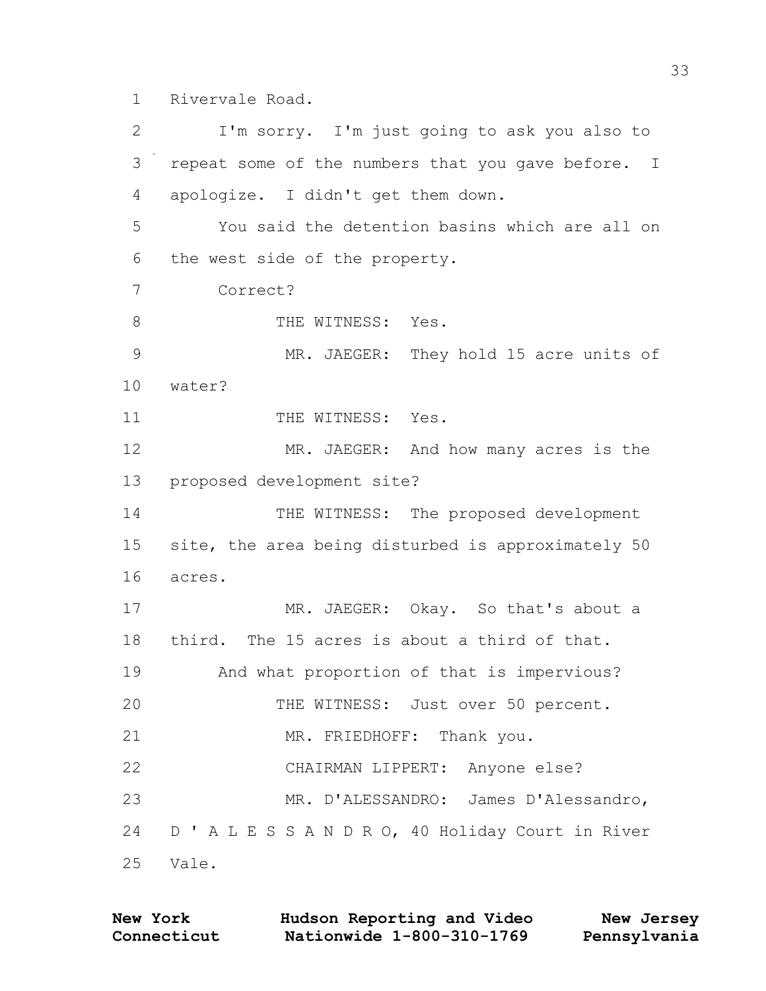1 Rivervale Road.

2 I'm sorry. I'm just going to ask you also to 3 repeat some of the numbers that you gave before. I 4 apologize. I didn't get them down. 5 You said the detention basins which are all on 6 the west side of the property. 7 Correct? 8 THE WITNESS: Yes. 9 MR. JAEGER: They hold 15 acre units of 10 water? 11 THE WITNESS: Yes. 12 MR. JAEGER: And how many acres is the 13 proposed development site? 14 THE WITNESS: The proposed development 15 site, the area being disturbed is approximately 50 16 acres. 17 MR. JAEGER: Okay. So that's about a 18 third. The 15 acres is about a third of that. 19 And what proportion of that is impervious? 20 THE WITNESS: Just over 50 percent. 21 MR. FRIEDHOFF: Thank you. 22 CHAIRMAN LIPPERT: Anyone else? 23 MR. D'ALESSANDRO: James D'Alessandro, 24 D ' A L E S S A N D R O, 40 Holiday Court in River 25 Vale.

| <b>New York</b> | Hudson Reporting and Video | New Jersey   |
|-----------------|----------------------------|--------------|
| Connecticut     | Nationwide 1-800-310-1769  | Pennsylvania |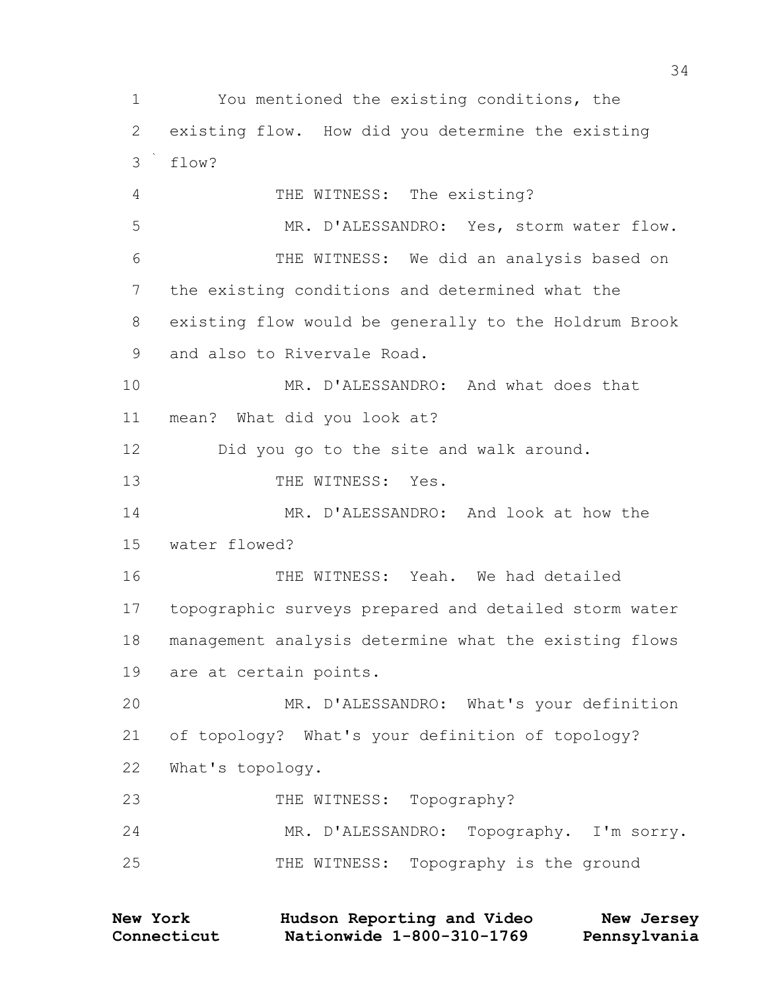You mentioned the existing conditions, the existing flow. How did you determine the existing flow? THE WITNESS: The existing? MR. D'ALESSANDRO: Yes, storm water flow. THE WITNESS: We did an analysis based on the existing conditions and determined what the existing flow would be generally to the Holdrum Brook and also to Rivervale Road. MR. D'ALESSANDRO: And what does that mean? What did you look at? Did you go to the site and walk around. 13 THE WITNESS: Yes. MR. D'ALESSANDRO: And look at how the water flowed? THE WITNESS: Yeah. We had detailed topographic surveys prepared and detailed storm water management analysis determine what the existing flows are at certain points. MR. D'ALESSANDRO: What's your definition of topology? What's your definition of topology? What's topology. 23 THE WITNESS: Topography? MR. D'ALESSANDRO: Topography. I'm sorry. THE WITNESS: Topography is the ground

| <b>New York</b> | Hudson Reporting and Video | New Jersey   |
|-----------------|----------------------------|--------------|
| Connecticut     | Nationwide 1-800-310-1769  | Pennsylvania |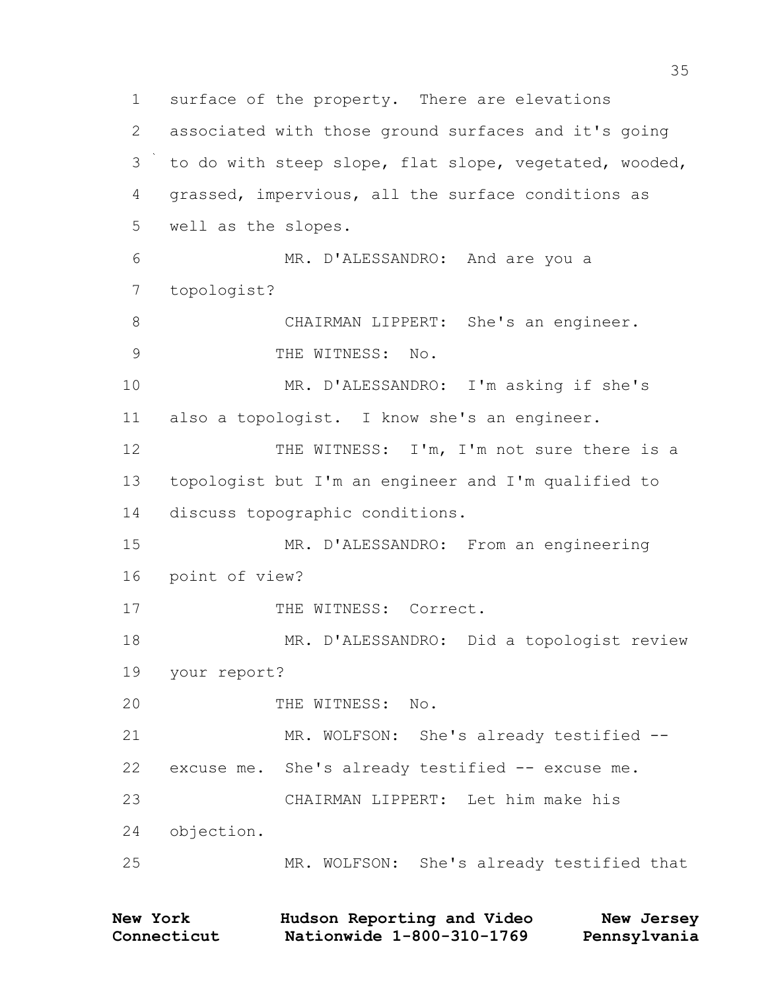surface of the property. There are elevations associated with those ground surfaces and it's going to do with steep slope, flat slope, vegetated, wooded, grassed, impervious, all the surface conditions as well as the slopes. MR. D'ALESSANDRO: And are you a topologist? CHAIRMAN LIPPERT: She's an engineer. 9 THE WITNESS: No. MR. D'ALESSANDRO: I'm asking if she's also a topologist. I know she's an engineer. THE WITNESS: I'm, I'm not sure there is a topologist but I'm an engineer and I'm qualified to discuss topographic conditions. MR. D'ALESSANDRO: From an engineering point of view? 17 THE WITNESS: Correct. MR. D'ALESSANDRO: Did a topologist review your report? 20 THE WITNESS: No. MR. WOLFSON: She's already testified -- excuse me. She's already testified -- excuse me. CHAIRMAN LIPPERT: Let him make his objection. MR. WOLFSON: She's already testified that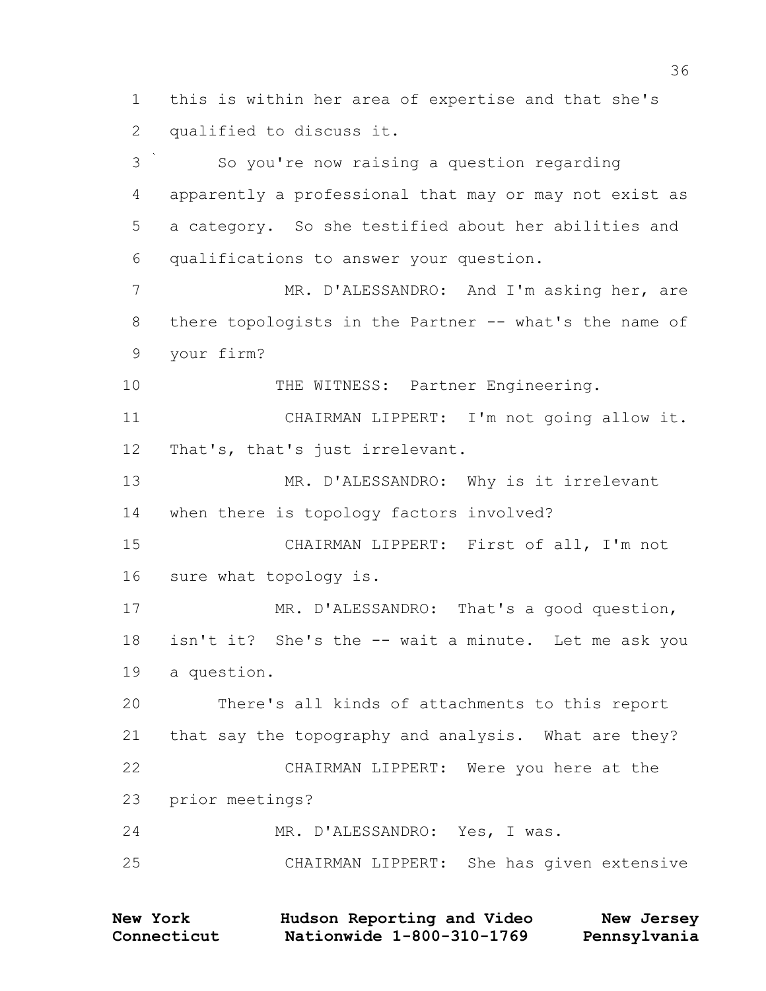this is within her area of expertise and that she's qualified to discuss it. So you're now raising a question regarding apparently a professional that may or may not exist as a category. So she testified about her abilities and qualifications to answer your question. 7 MR. D'ALESSANDRO: And I'm asking her, are 8 there topologists in the Partner -- what's the name of your firm? 10 THE WITNESS: Partner Engineering. CHAIRMAN LIPPERT: I'm not going allow it. That's, that's just irrelevant. MR. D'ALESSANDRO: Why is it irrelevant when there is topology factors involved? CHAIRMAN LIPPERT: First of all, I'm not sure what topology is. MR. D'ALESSANDRO: That's a good question, isn't it? She's the -- wait a minute. Let me ask you a question. There's all kinds of attachments to this report that say the topography and analysis. What are they?

 CHAIRMAN LIPPERT: Were you here at the prior meetings?

MR. D'ALESSANDRO: Yes, I was.

CHAIRMAN LIPPERT: She has given extensive

**Connecticut Nationwide 1-800-310-1769 Pennsylvania New York Hudson Reporting and Video New Jersey**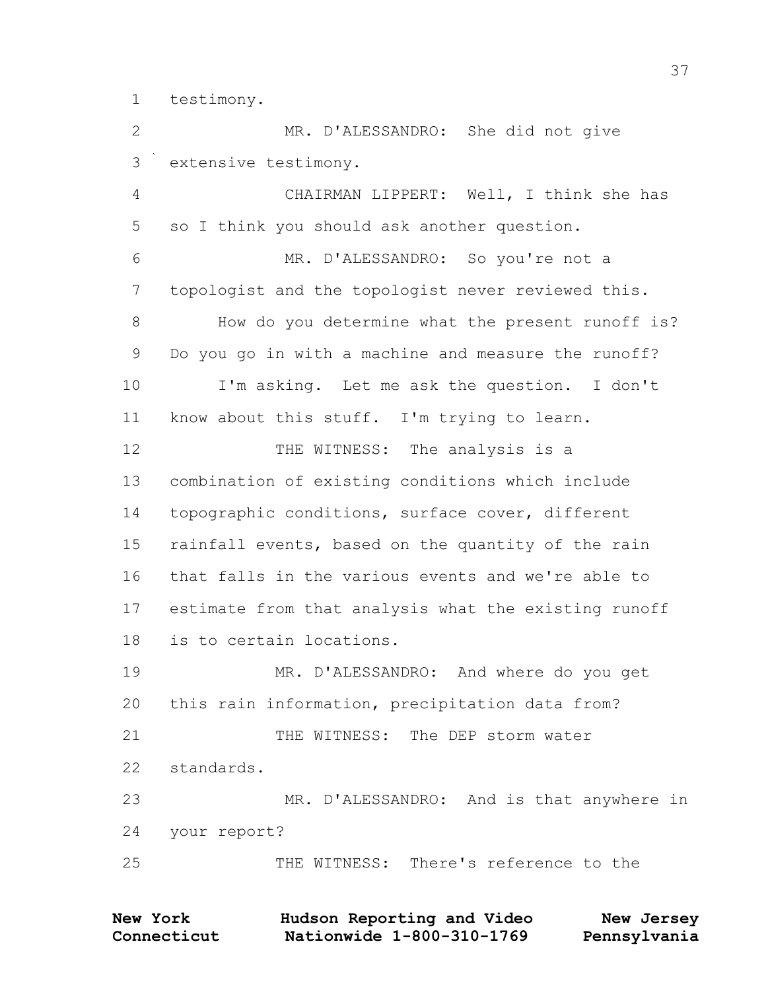testimony.

 MR. D'ALESSANDRO: She did not give extensive testimony.

 CHAIRMAN LIPPERT: Well, I think she has so I think you should ask another question. MR. D'ALESSANDRO: So you're not a topologist and the topologist never reviewed this. How do you determine what the present runoff is? Do you go in with a machine and measure the runoff? I'm asking. Let me ask the question. I don't know about this stuff. I'm trying to learn. 12 THE WITNESS: The analysis is a combination of existing conditions which include topographic conditions, surface cover, different rainfall events, based on the quantity of the rain that falls in the various events and we're able to estimate from that analysis what the existing runoff is to certain locations. MR. D'ALESSANDRO: And where do you get this rain information, precipitation data from? THE WITNESS: The DEP storm water standards. MR. D'ALESSANDRO: And is that anywhere in your report? THE WITNESS: There's reference to the

**Connecticut Nationwide 1-800-310-1769 Pennsylvania New York Hudson Reporting and Video New Jersey**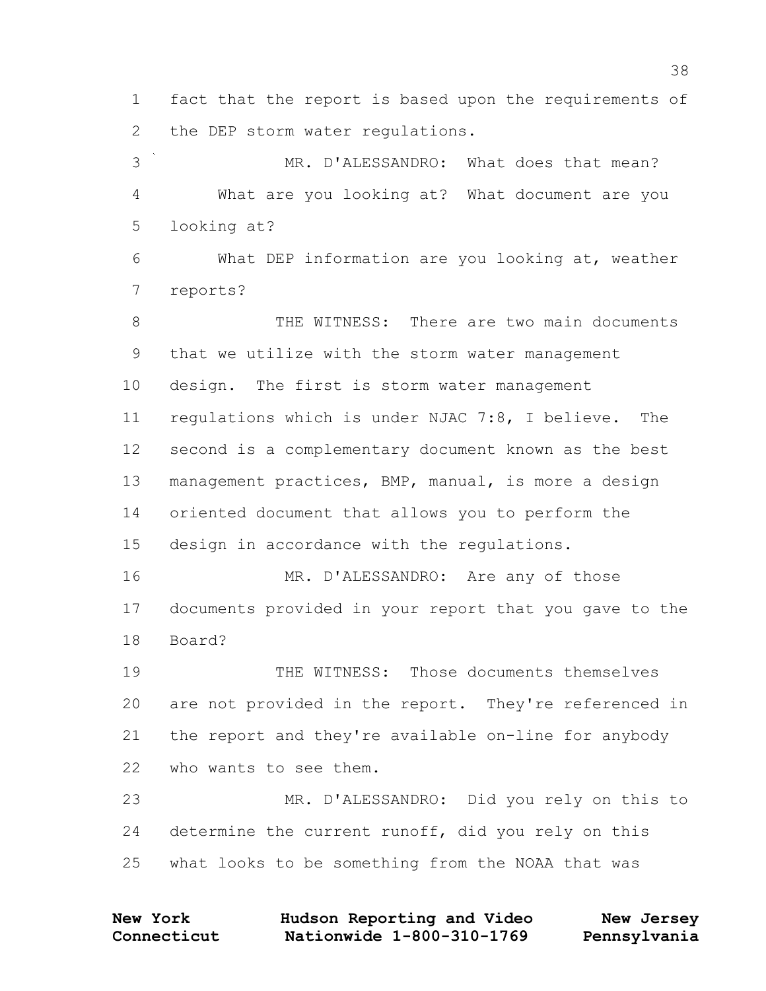fact that the report is based upon the requirements of the DEP storm water regulations.

 MR. D'ALESSANDRO: What does that mean? What are you looking at? What document are you looking at?

 What DEP information are you looking at, weather reports?

 THE WITNESS: There are two main documents that we utilize with the storm water management design. The first is storm water management regulations which is under NJAC 7:8, I believe. The second is a complementary document known as the best management practices, BMP, manual, is more a design oriented document that allows you to perform the design in accordance with the regulations. MR. D'ALESSANDRO: Are any of those

 documents provided in your report that you gave to the Board?

 THE WITNESS: Those documents themselves are not provided in the report. They're referenced in the report and they're available on-line for anybody who wants to see them.

 MR. D'ALESSANDRO: Did you rely on this to determine the current runoff, did you rely on this what looks to be something from the NOAA that was

**Connecticut Nationwide 1-800-310-1769 Pennsylvania New York Hudson Reporting and Video New Jersey**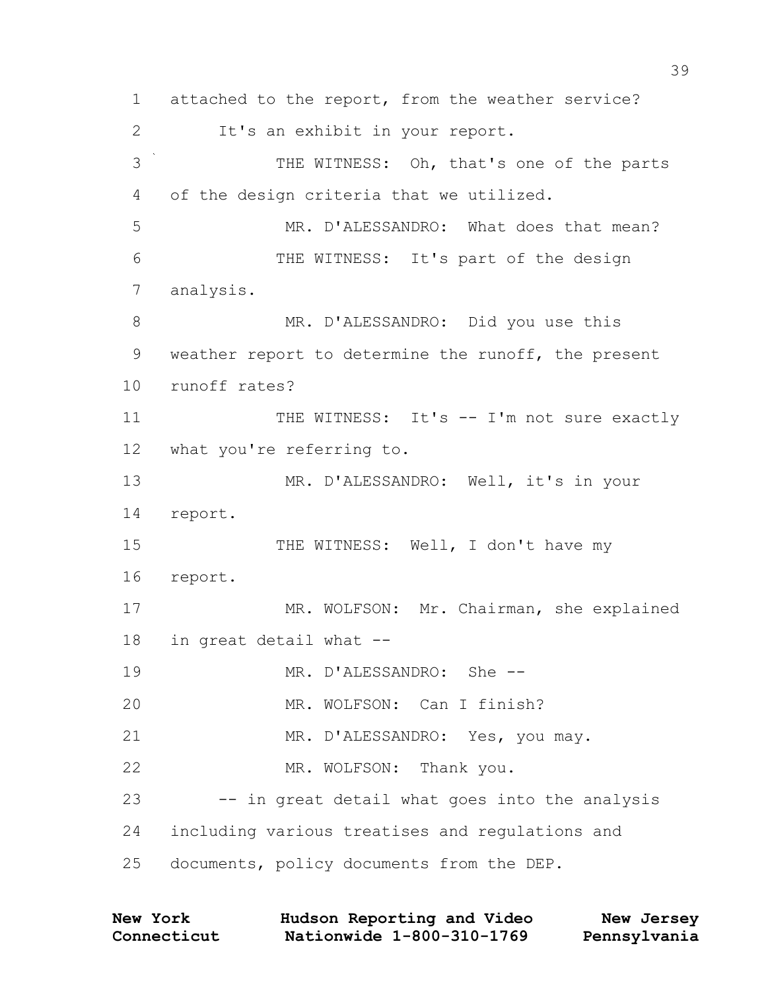1 attached to the report, from the weather service? 2 It's an exhibit in your report. 3 THE WITNESS: Oh, that's one of the parts 4 of the design criteria that we utilized. 5 MR. D'ALESSANDRO: What does that mean? 6 THE WITNESS: It's part of the design 7 analysis. 8 MR. D'ALESSANDRO: Did you use this 9 weather report to determine the runoff, the present 10 runoff rates? 11 THE WITNESS: It's -- I'm not sure exactly 12 what you're referring to. 13 MR. D'ALESSANDRO: Well, it's in your 14 report. 15 THE WITNESS: Well, I don't have my 16 report. 17 MR. WOLFSON: Mr. Chairman, she explained 18 in great detail what -- 19 MR. D'ALESSANDRO: She -- 20 MR. WOLFSON: Can I finish? 21 MR. D'ALESSANDRO: Yes, you may. 22 MR. WOLFSON: Thank you. 23 -- in great detail what goes into the analysis 24 including various treatises and regulations and 25 documents, policy documents from the DEP.

| <b>New York</b> | Hudson Reporting and Video | New Jersey   |
|-----------------|----------------------------|--------------|
| Connecticut     | Nationwide 1-800-310-1769  | Pennsylvania |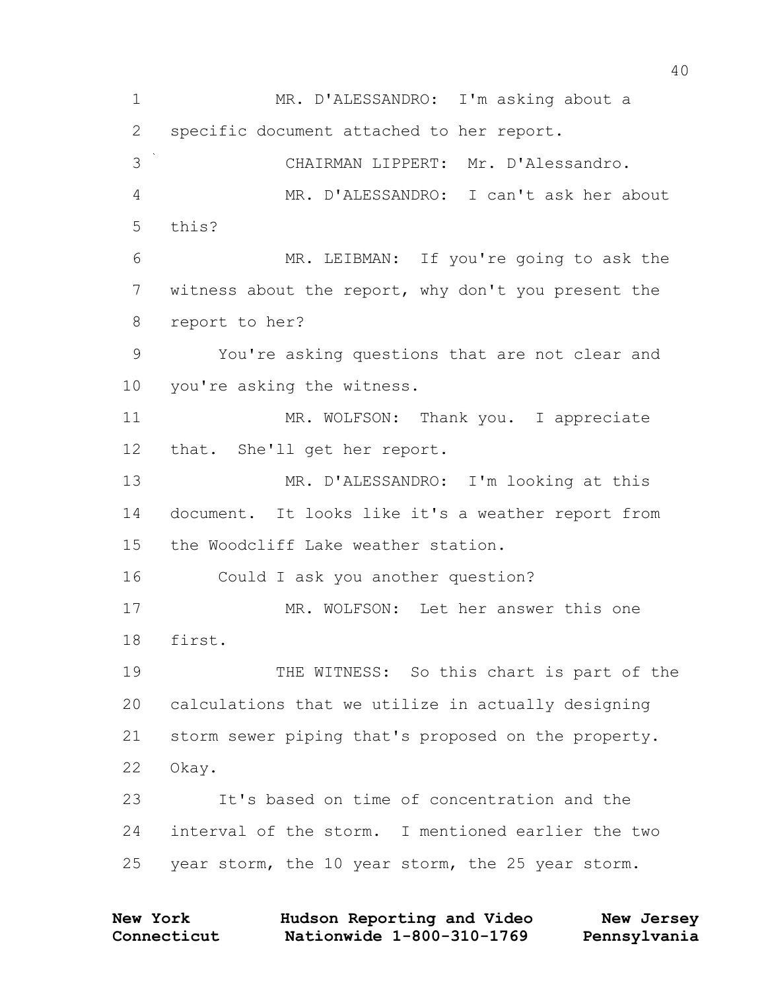1 MR. D'ALESSANDRO: I'm asking about a 2 specific document attached to her report. 3 CHAIRMAN LIPPERT: Mr. D'Alessandro. 4 MR. D'ALESSANDRO: I can't ask her about 5 this? 6 MR. LEIBMAN: If you're going to ask the 7 witness about the report, why don't you present the 8 report to her? 9 You're asking questions that are not clear and 10 you're asking the witness. 11 MR. WOLFSON: Thank you. I appreciate 12 that. She'll get her report. 13 MR. D'ALESSANDRO: I'm looking at this 14 document. It looks like it's a weather report from 15 the Woodcliff Lake weather station. 16 Could I ask you another question? 17 MR. WOLFSON: Let her answer this one 18 first. 19 THE WITNESS: So this chart is part of the 20 calculations that we utilize in actually designing 21 storm sewer piping that's proposed on the property. 22 Okay. 23 It's based on time of concentration and the 24 interval of the storm. I mentioned earlier the two 25 year storm, the 10 year storm, the 25 year storm.

| <b>New York</b> | Hudson Reporting and Video | New Jersey   |
|-----------------|----------------------------|--------------|
| Connecticut     | Nationwide 1-800-310-1769  | Pennsylvania |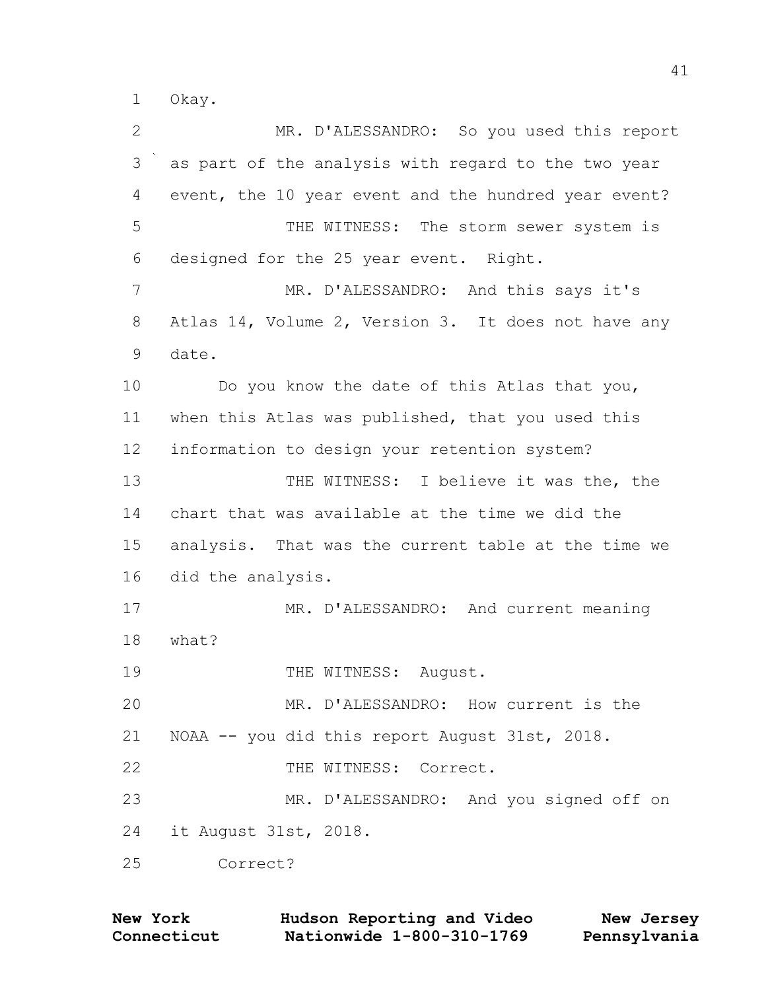1 Okay.

| 2     | MR. D'ALESSANDRO: So you used this report            |
|-------|------------------------------------------------------|
| 3     | as part of the analysis with regard to the two year  |
| 4     | event, the 10 year event and the hundred year event? |
| 5     | THE WITNESS: The storm sewer system is               |
| 6     | designed for the 25 year event. Right.               |
| 7     | MR. D'ALESSANDRO: And this says it's                 |
| $8\,$ | Atlas 14, Volume 2, Version 3. It does not have any  |
| 9     | date.                                                |
| 10    | Do you know the date of this Atlas that you,         |
| 11    | when this Atlas was published, that you used this    |
| 12    | information to design your retention system?         |
| 13    | THE WITNESS: I believe it was the, the               |
| 14    | chart that was available at the time we did the      |
| 15    | analysis. That was the current table at the time we  |
| 16    | did the analysis.                                    |
| 17    | MR. D'ALESSANDRO: And current meaning                |
| 18    | what?                                                |
| 19    | THE WITNESS: August.                                 |
| 20    | MR. D'ALESSANDRO: How current is the                 |
| 21    | NOAA -- you did this report August 31st, 2018.       |
| 22    | THE WITNESS: Correct.                                |
| 23    | MR. D'ALESSANDRO: And you signed off on              |
| 24    | it August 31st, 2018.                                |
| 25    | Correct?                                             |

| <b>New York</b> | Hudson Reporting and Video | New Jersey   |
|-----------------|----------------------------|--------------|
| Connecticut     | Nationwide 1-800-310-1769  | Pennsylvania |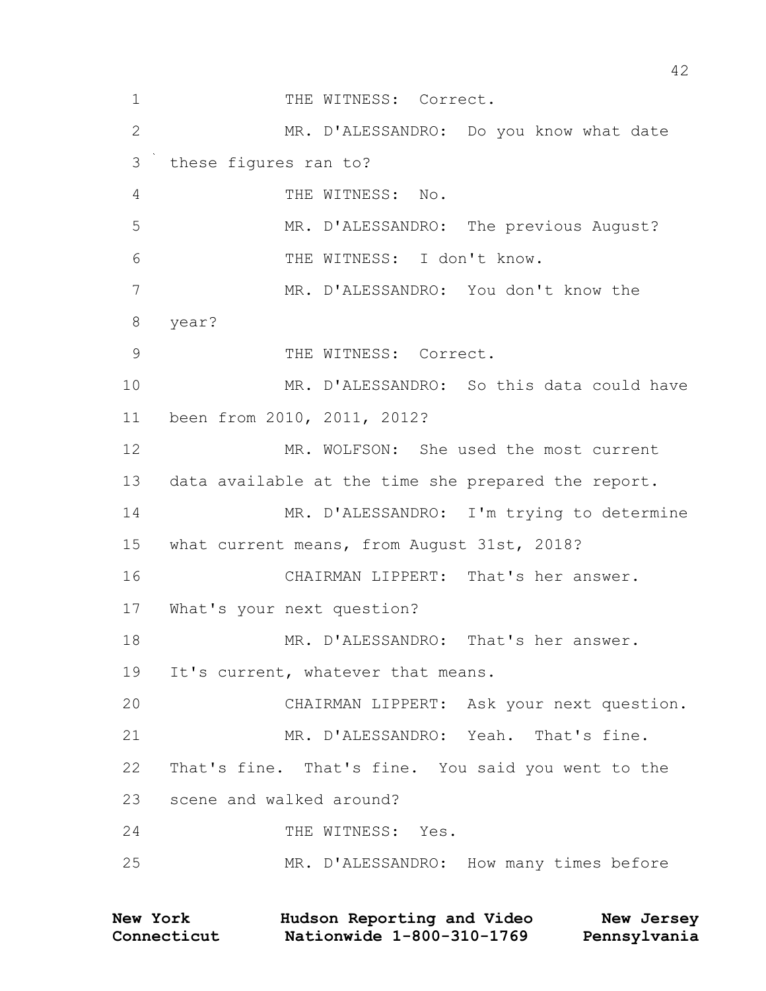1 THE WITNESS: Correct. MR. D'ALESSANDRO: Do you know what date these figures ran to? THE WITNESS: No. MR. D'ALESSANDRO: The previous August? THE WITNESS: I don't know. MR. D'ALESSANDRO: You don't know the year? 9 THE WITNESS: Correct. MR. D'ALESSANDRO: So this data could have been from 2010, 2011, 2012? MR. WOLFSON: She used the most current data available at the time she prepared the report. MR. D'ALESSANDRO: I'm trying to determine what current means, from August 31st, 2018? CHAIRMAN LIPPERT: That's her answer. What's your next question? 18 MR. D'ALESSANDRO: That's her answer. 19 It's current, whatever that means. CHAIRMAN LIPPERT: Ask your next question. MR. D'ALESSANDRO: Yeah. That's fine. That's fine. That's fine. You said you went to the scene and walked around? 24 THE WITNESS: Yes. MR. D'ALESSANDRO: How many times before

| <b>New York</b> | Hudson Reporting and Video | New Jersey   |
|-----------------|----------------------------|--------------|
| Connecticut     | Nationwide 1-800-310-1769  | Pennsylvania |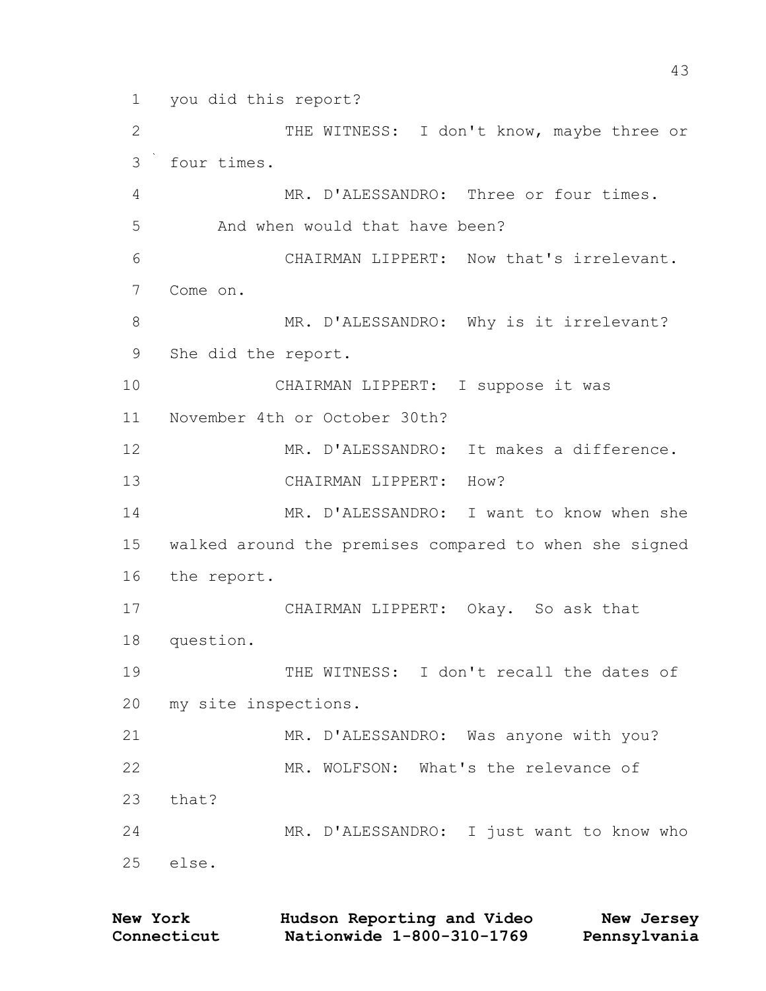you did this report? 2 THE WITNESS: I don't know, maybe three or four times. MR. D'ALESSANDRO: Three or four times. 5 And when would that have been? CHAIRMAN LIPPERT: Now that's irrelevant. Come on. 8 MR. D'ALESSANDRO: Why is it irrelevant? She did the report. CHAIRMAN LIPPERT: I suppose it was November 4th or October 30th? MR. D'ALESSANDRO: It makes a difference. CHAIRMAN LIPPERT: How? MR. D'ALESSANDRO: I want to know when she walked around the premises compared to when she signed the report. CHAIRMAN LIPPERT: Okay. So ask that question. 19 THE WITNESS: I don't recall the dates of my site inspections. MR. D'ALESSANDRO: Was anyone with you? MR. WOLFSON: What's the relevance of that? MR. D'ALESSANDRO: I just want to know who else.

| <b>New York</b> | Hudson Reporting and Video | New Jersey   |
|-----------------|----------------------------|--------------|
| Connecticut     | Nationwide 1-800-310-1769  | Pennsylvania |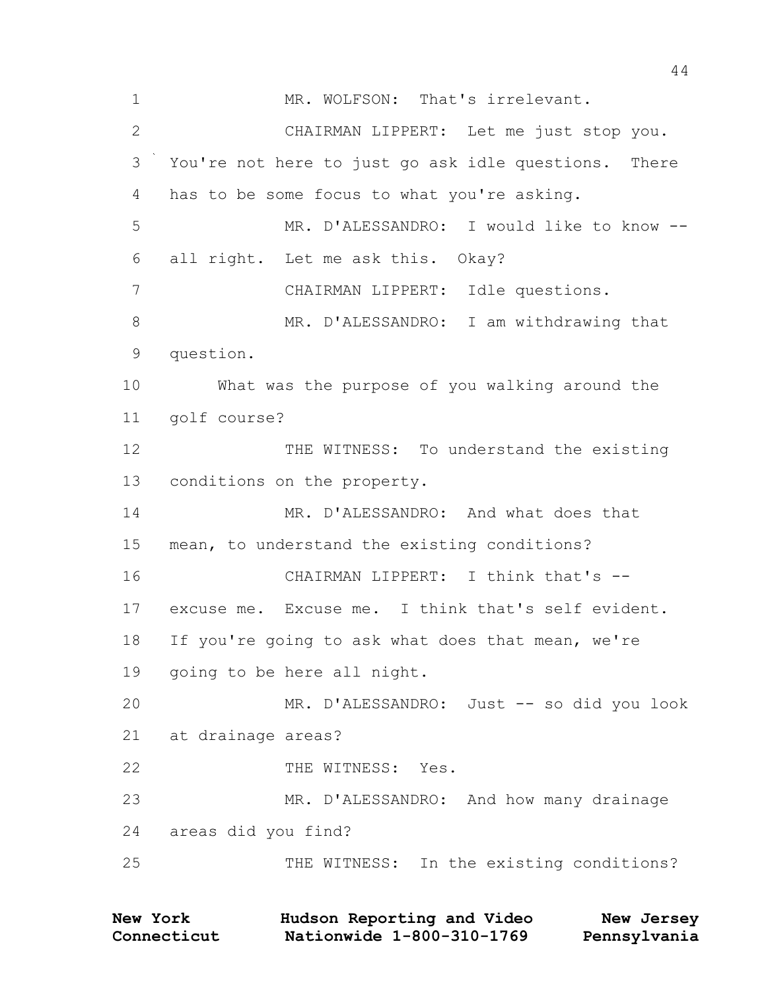1 MR. WOLFSON: That's irrelevant. CHAIRMAN LIPPERT: Let me just stop you. You're not here to just go ask idle questions. There has to be some focus to what you're asking. MR. D'ALESSANDRO: I would like to know -- all right. Let me ask this. Okay? CHAIRMAN LIPPERT: Idle questions. 8 MR. D'ALESSANDRO: I am withdrawing that question. What was the purpose of you walking around the golf course? THE WITNESS: To understand the existing conditions on the property. MR. D'ALESSANDRO: And what does that mean, to understand the existing conditions? CHAIRMAN LIPPERT: I think that's -- excuse me. Excuse me. I think that's self evident. If you're going to ask what does that mean, we're going to be here all night. MR. D'ALESSANDRO: Just -- so did you look at drainage areas? 22 THE WITNESS: Yes. MR. D'ALESSANDRO: And how many drainage areas did you find? THE WITNESS: In the existing conditions?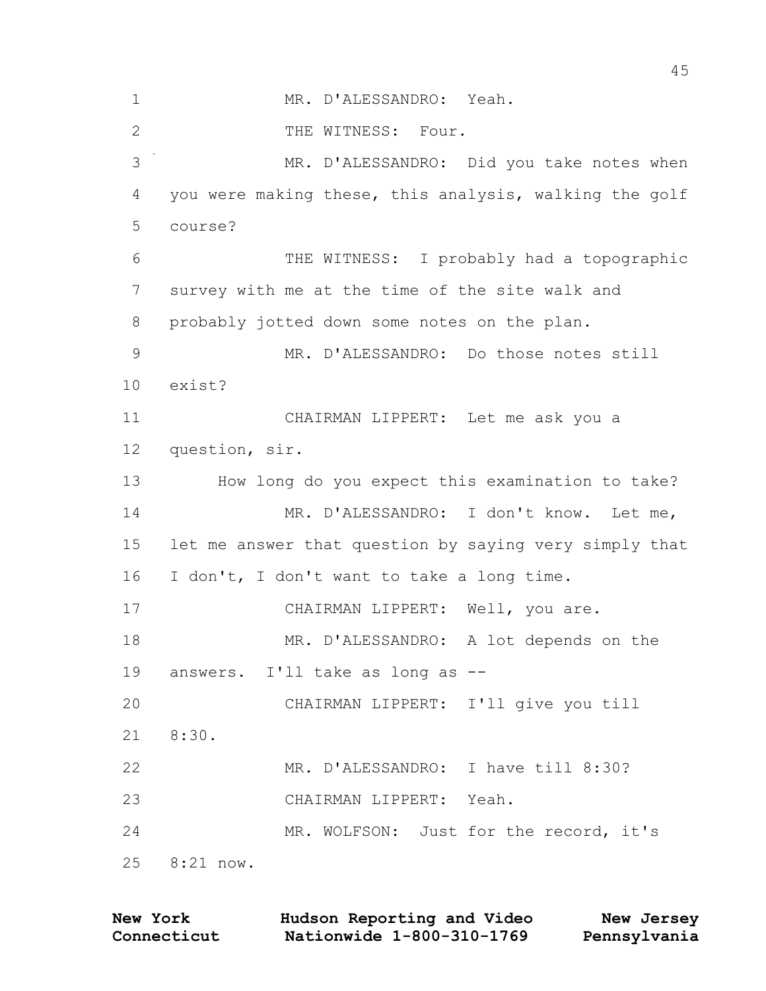MR. D'ALESSANDRO: Yeah. 2 THE WITNESS: Four. MR. D'ALESSANDRO: Did you take notes when you were making these, this analysis, walking the golf course? THE WITNESS: I probably had a topographic survey with me at the time of the site walk and probably jotted down some notes on the plan. MR. D'ALESSANDRO: Do those notes still exist? CHAIRMAN LIPPERT: Let me ask you a question, sir. How long do you expect this examination to take? MR. D'ALESSANDRO: I don't know. Let me, let me answer that question by saying very simply that I don't, I don't want to take a long time. CHAIRMAN LIPPERT: Well, you are. MR. D'ALESSANDRO: A lot depends on the answers. I'll take as long as -- CHAIRMAN LIPPERT: I'll give you till 8:30. MR. D'ALESSANDRO: I have till 8:30? CHAIRMAN LIPPERT: Yeah. MR. WOLFSON: Just for the record, it's 8:21 now.

| <b>New York</b> | Hudson Reporting and Video | New Jersey   |
|-----------------|----------------------------|--------------|
| Connecticut     | Nationwide 1-800-310-1769  | Pennsylvania |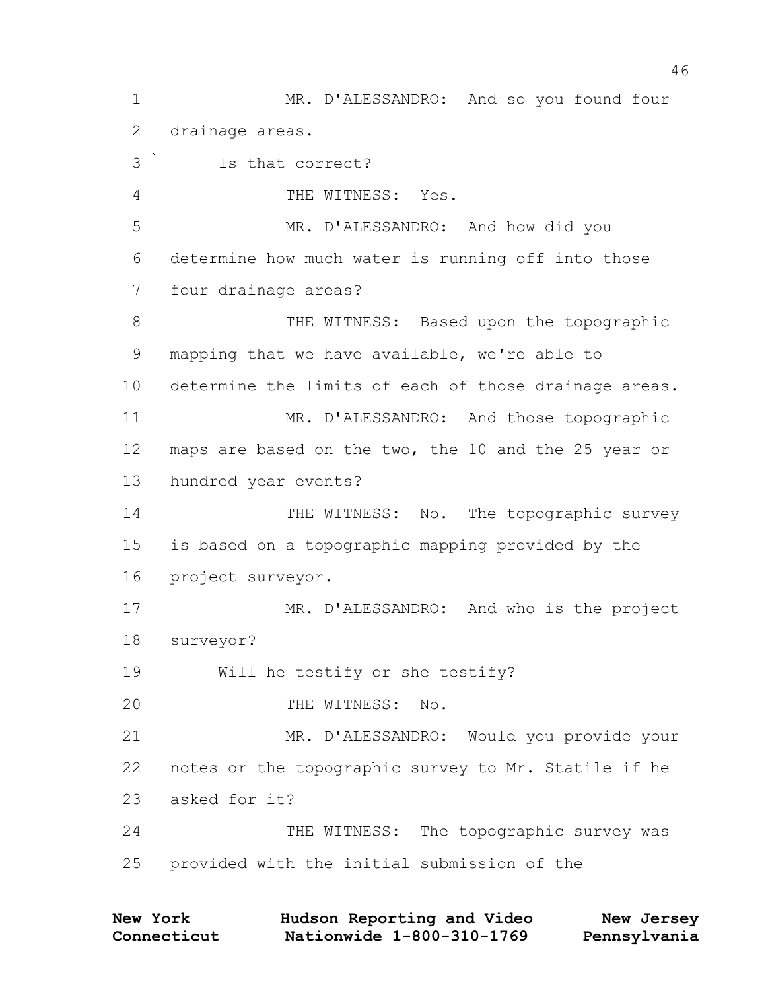1 MR. D'ALESSANDRO: And so you found four 2 drainage areas. 3 Is that correct? 4 THE WITNESS: Yes. 5 MR. D'ALESSANDRO: And how did you 6 determine how much water is running off into those 7 four drainage areas? 8 THE WITNESS: Based upon the topographic 9 mapping that we have available, we're able to 10 determine the limits of each of those drainage areas. 11 MR. D'ALESSANDRO: And those topographic 12 maps are based on the two, the 10 and the 25 year or 13 hundred year events? 14 THE WITNESS: No. The topographic survey 15 is based on a topographic mapping provided by the 16 project surveyor. 17 MR. D'ALESSANDRO: And who is the project 18 surveyor? 19 Will he testify or she testify? 20 THE WITNESS: No. 21 MR. D'ALESSANDRO: Would you provide your 22 notes or the topographic survey to Mr. Statile if he 23 asked for it? 24 THE WITNESS: The topographic survey was 25 provided with the initial submission of the

| New York    | Hudson Reporting and Video | New Jersey   |
|-------------|----------------------------|--------------|
| Connecticut | Nationwide 1-800-310-1769  | Pennsylvania |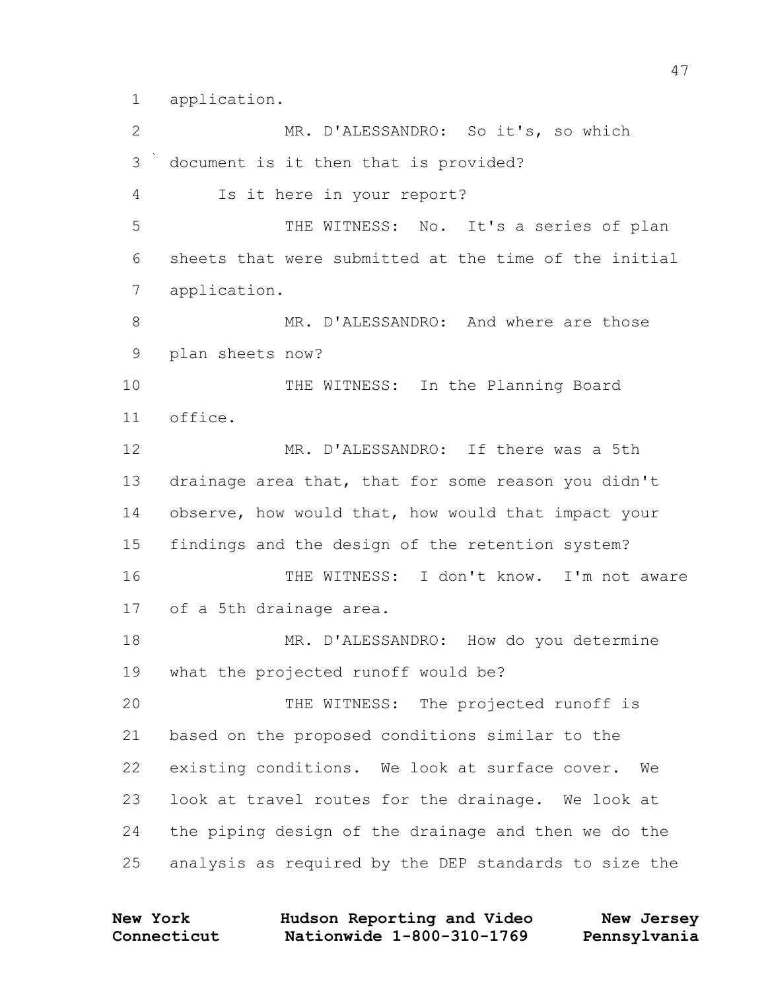application.

2 MR. D'ALESSANDRO: So it's, so which document is it then that is provided? Is it here in your report? THE WITNESS: No. It's a series of plan sheets that were submitted at the time of the initial application. MR. D'ALESSANDRO: And where are those plan sheets now? 10 THE WITNESS: In the Planning Board office. MR. D'ALESSANDRO: If there was a 5th drainage area that, that for some reason you didn't observe, how would that, how would that impact your findings and the design of the retention system? THE WITNESS: I don't know. I'm not aware of a 5th drainage area. MR. D'ALESSANDRO: How do you determine what the projected runoff would be? THE WITNESS: The projected runoff is based on the proposed conditions similar to the existing conditions. We look at surface cover. We look at travel routes for the drainage. We look at the piping design of the drainage and then we do the analysis as required by the DEP standards to size the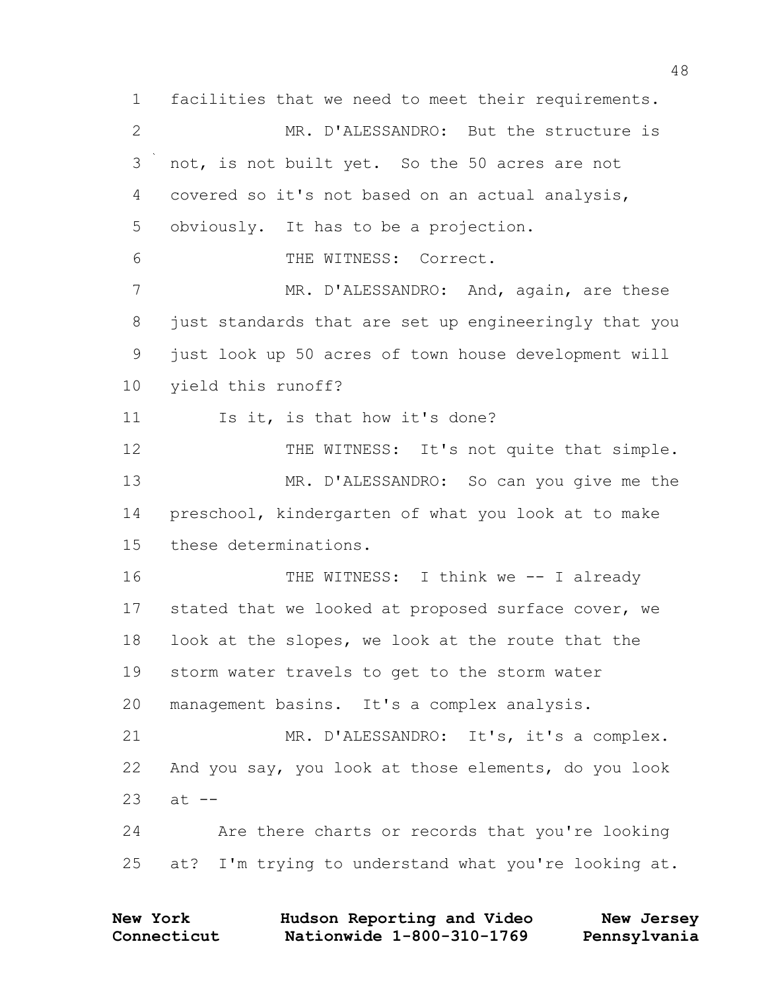1 facilities that we need to meet their requirements. 2 MR. D'ALESSANDRO: But the structure is 3 not, is not built yet. So the 50 acres are not 4 covered so it's not based on an actual analysis, 5 obviously. It has to be a projection. 6 THE WITNESS: Correct. 7 MR. D'ALESSANDRO: And, again, are these 8 just standards that are set up engineeringly that you 9 just look up 50 acres of town house development will 10 yield this runoff? 11 Is it, is that how it's done? 12 THE WITNESS: It's not quite that simple. 13 MR. D'ALESSANDRO: So can you give me the 14 preschool, kindergarten of what you look at to make 15 these determinations. 16 THE WITNESS: I think we -- I already 17 stated that we looked at proposed surface cover, we 18 look at the slopes, we look at the route that the 19 storm water travels to get to the storm water 20 management basins. It's a complex analysis. 21 MR. D'ALESSANDRO: It's, it's a complex. 22 And you say, you look at those elements, do you look  $23$  at  $-$ 24 Are there charts or records that you're looking 25 at? I'm trying to understand what you're looking at.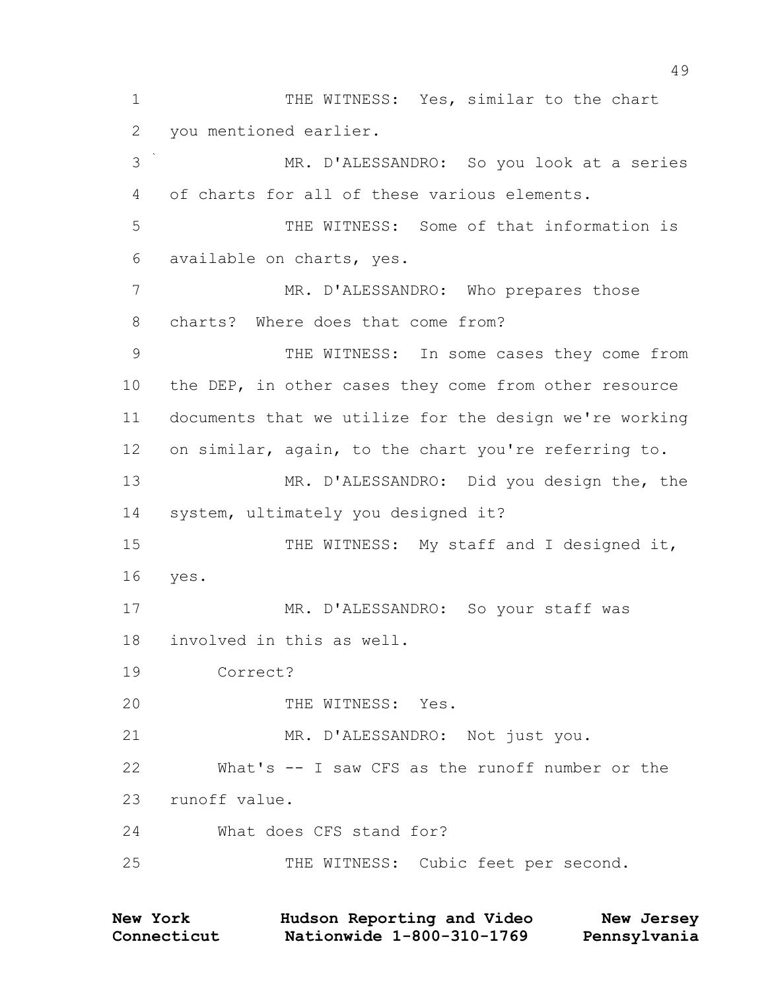1 THE WITNESS: Yes, similar to the chart you mentioned earlier. MR. D'ALESSANDRO: So you look at a series of charts for all of these various elements. THE WITNESS: Some of that information is available on charts, yes. MR. D'ALESSANDRO: Who prepares those charts? Where does that come from? THE WITNESS: In some cases they come from the DEP, in other cases they come from other resource documents that we utilize for the design we're working on similar, again, to the chart you're referring to. MR. D'ALESSANDRO: Did you design the, the system, ultimately you designed it? 15 THE WITNESS: My staff and I designed it, yes. 17 MR. D'ALESSANDRO: So your staff was involved in this as well. Correct? 20 THE WITNESS: Yes. 21 MR. D'ALESSANDRO: Not just you. What's -- I saw CFS as the runoff number or the runoff value. What does CFS stand for? THE WITNESS: Cubic feet per second.

**Connecticut Nationwide 1-800-310-1769 Pennsylvania New York Hudson Reporting and Video New Jersey**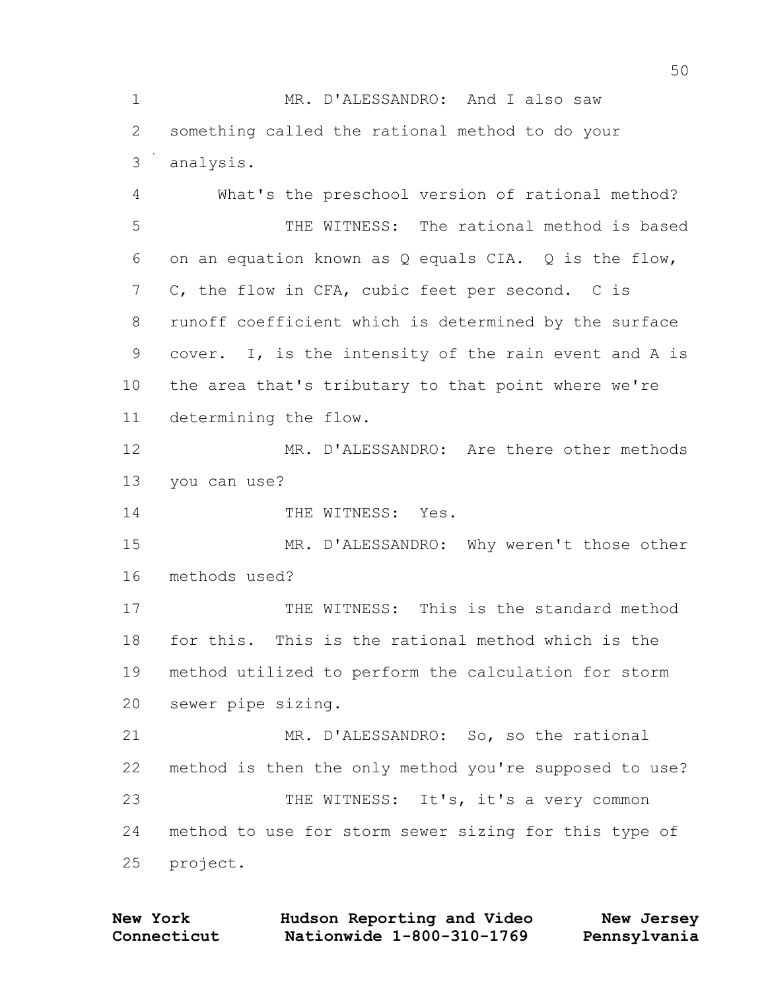MR. D'ALESSANDRO: And I also saw something called the rational method to do your analysis. What's the preschool version of rational method? THE WITNESS: The rational method is based on an equation known as Q equals CIA. Q is the flow, C, the flow in CFA, cubic feet per second. C is runoff coefficient which is determined by the surface cover. I, is the intensity of the rain event and A is the area that's tributary to that point where we're determining the flow. MR. D'ALESSANDRO: Are there other methods you can use? 14 THE WITNESS: Yes. MR. D'ALESSANDRO: Why weren't those other methods used? THE WITNESS: This is the standard method for this. This is the rational method which is the method utilized to perform the calculation for storm sewer pipe sizing. MR. D'ALESSANDRO: So, so the rational method is then the only method you're supposed to use? 23 THE WITNESS: It's, it's a very common method to use for storm sewer sizing for this type of project.

**Connecticut Nationwide 1-800-310-1769 Pennsylvania New York Hudson Reporting and Video New Jersey**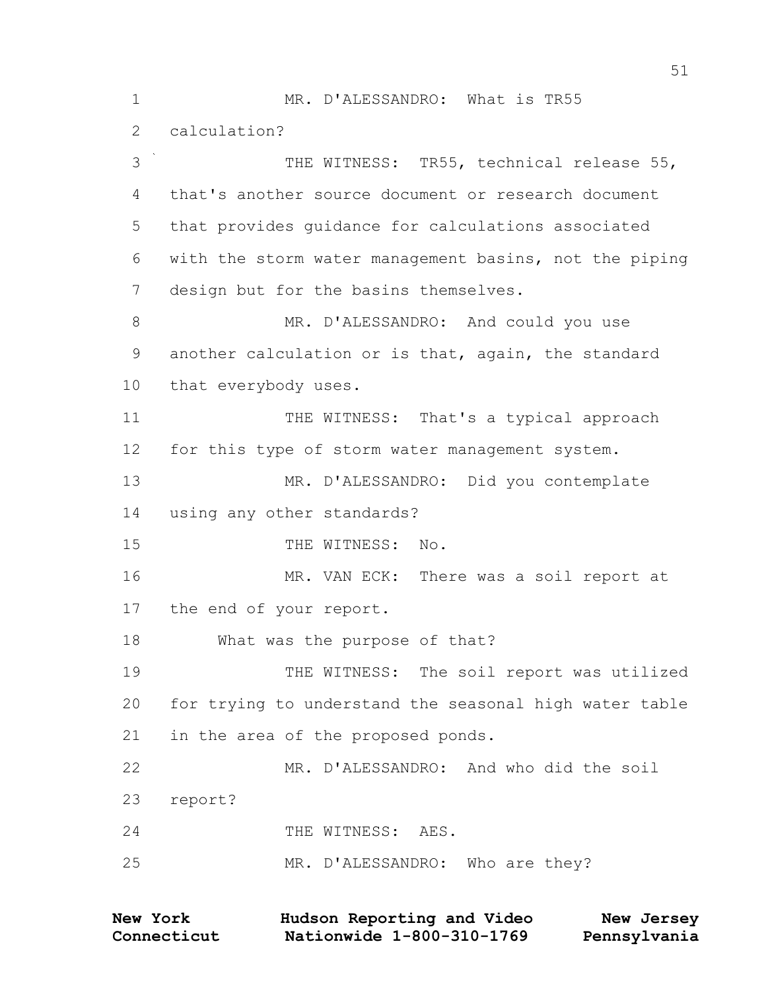MR. D'ALESSANDRO: What is TR55 calculation? THE WITNESS: TR55, technical release 55, that's another source document or research document that provides guidance for calculations associated with the storm water management basins, not the piping design but for the basins themselves. 8 MR. D'ALESSANDRO: And could you use another calculation or is that, again, the standard that everybody uses. 11 THE WITNESS: That's a typical approach for this type of storm water management system. MR. D'ALESSANDRO: Did you contemplate using any other standards? 15 THE WITNESS: No. MR. VAN ECK: There was a soil report at the end of your report. What was the purpose of that? 19 THE WITNESS: The soil report was utilized for trying to understand the seasonal high water table in the area of the proposed ponds. MR. D'ALESSANDRO: And who did the soil report? 24 THE WITNESS: AES. 25 MR. D'ALESSANDRO: Who are they?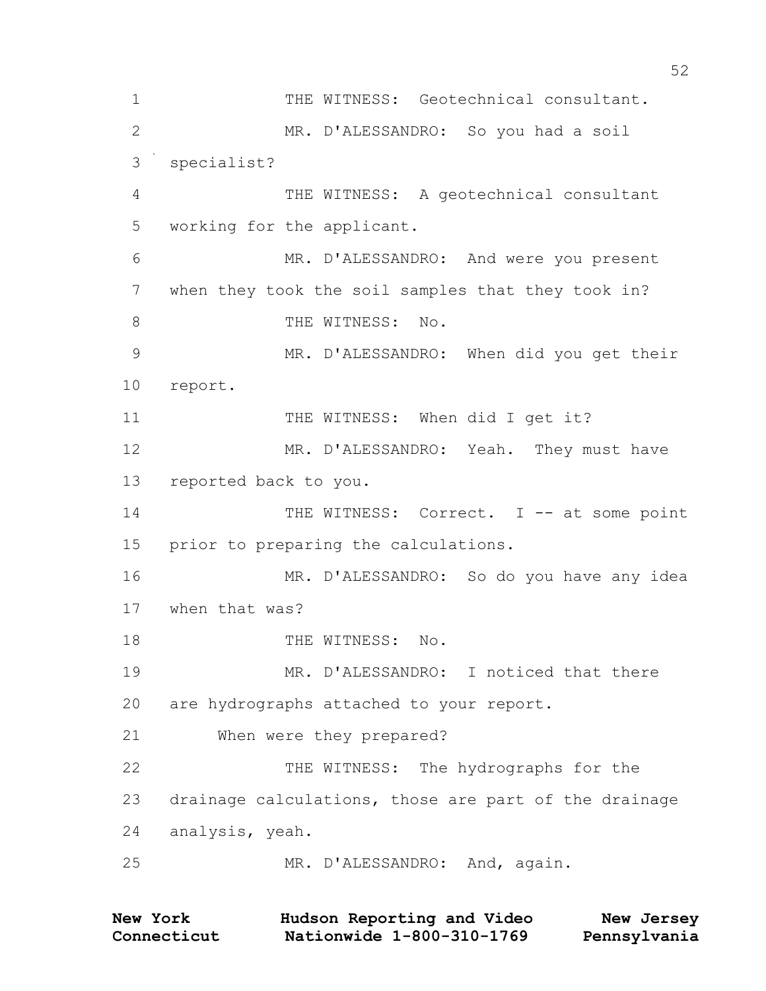1 THE WITNESS: Geotechnical consultant. MR. D'ALESSANDRO: So you had a soil specialist? THE WITNESS: A geotechnical consultant working for the applicant. MR. D'ALESSANDRO: And were you present when they took the soil samples that they took in? 8 THE WITNESS: No. MR. D'ALESSANDRO: When did you get their report. 11 THE WITNESS: When did I get it? MR. D'ALESSANDRO: Yeah. They must have reported back to you. 14 THE WITNESS: Correct. I -- at some point prior to preparing the calculations. MR. D'ALESSANDRO: So do you have any idea when that was? 18 THE WITNESS: No. MR. D'ALESSANDRO: I noticed that there are hydrographs attached to your report. When were they prepared? THE WITNESS: The hydrographs for the drainage calculations, those are part of the drainage analysis, yeah. MR. D'ALESSANDRO: And, again.

| <b>New York</b> | Hudson Reporting and Video | New Jersey   |
|-----------------|----------------------------|--------------|
| Connecticut     | Nationwide 1-800-310-1769  | Pennsylvania |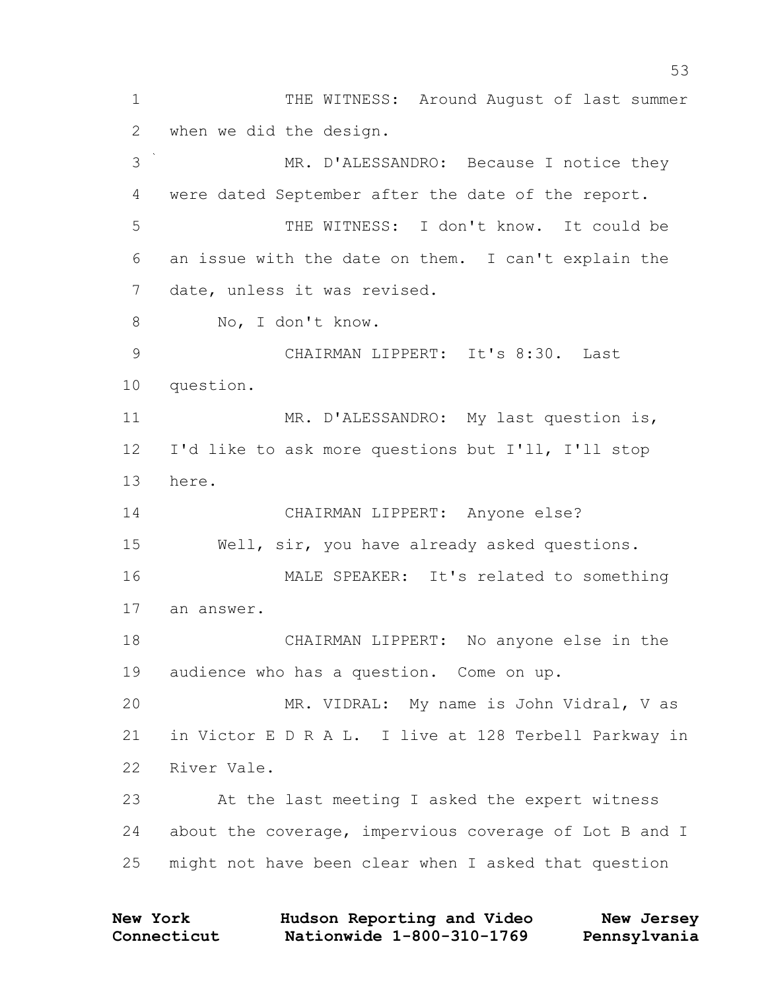1 THE WITNESS: Around August of last summer when we did the design. MR. D'ALESSANDRO: Because I notice they were dated September after the date of the report. THE WITNESS: I don't know. It could be an issue with the date on them. I can't explain the date, unless it was revised. No, I don't know. CHAIRMAN LIPPERT: It's 8:30. Last question. 11 MR. D'ALESSANDRO: My last question is, I'd like to ask more questions but I'll, I'll stop here. CHAIRMAN LIPPERT: Anyone else? Well, sir, you have already asked questions. MALE SPEAKER: It's related to something an answer. CHAIRMAN LIPPERT: No anyone else in the audience who has a question. Come on up. MR. VIDRAL: My name is John Vidral, V as in Victor E D R A L. I live at 128 Terbell Parkway in River Vale. At the last meeting I asked the expert witness about the coverage, impervious coverage of Lot B and I might not have been clear when I asked that question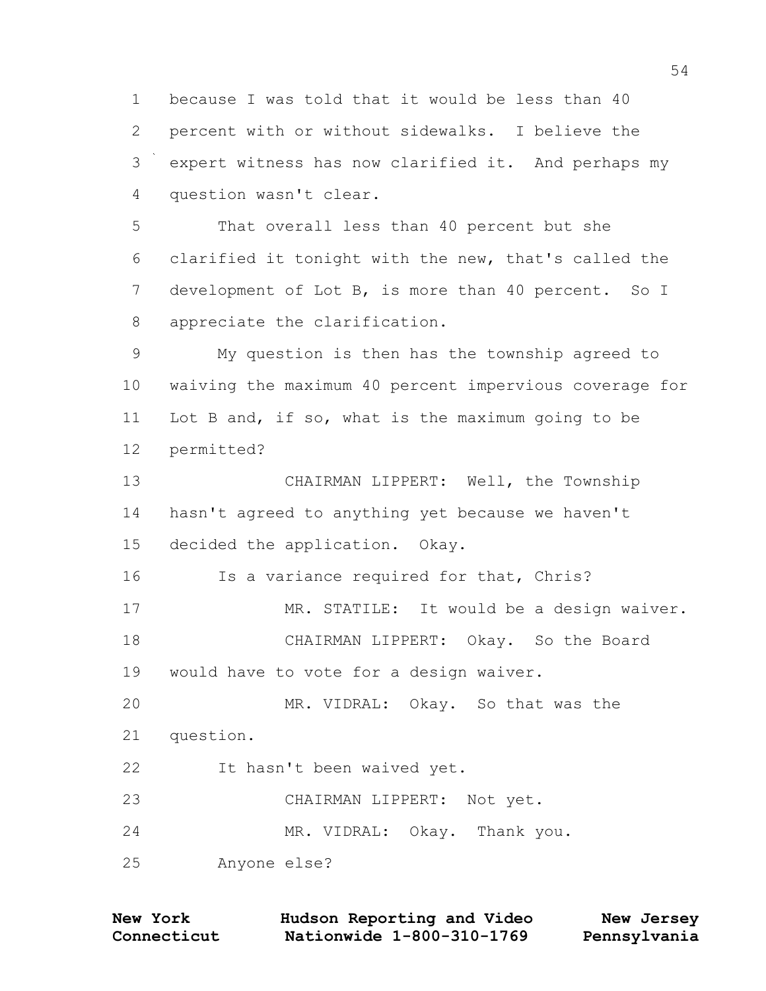because I was told that it would be less than 40 percent with or without sidewalks. I believe the expert witness has now clarified it. And perhaps my question wasn't clear.

 That overall less than 40 percent but she clarified it tonight with the new, that's called the 7 development of Lot B, is more than 40 percent. So I appreciate the clarification.

 My question is then has the township agreed to waiving the maximum 40 percent impervious coverage for Lot B and, if so, what is the maximum going to be permitted?

 CHAIRMAN LIPPERT: Well, the Township hasn't agreed to anything yet because we haven't decided the application. Okay.

Is a variance required for that, Chris?

17 MR. STATILE: It would be a design waiver. CHAIRMAN LIPPERT: Okay. So the Board would have to vote for a design waiver.

 MR. VIDRAL: Okay. So that was the question. It hasn't been waived yet.

CHAIRMAN LIPPERT: Not yet.

MR. VIDRAL: Okay. Thank you.

Anyone else?

| <b>New York</b> | Hudson Reporting and Video | New Jersey   |
|-----------------|----------------------------|--------------|
| Connecticut     | Nationwide 1-800-310-1769  | Pennsylvania |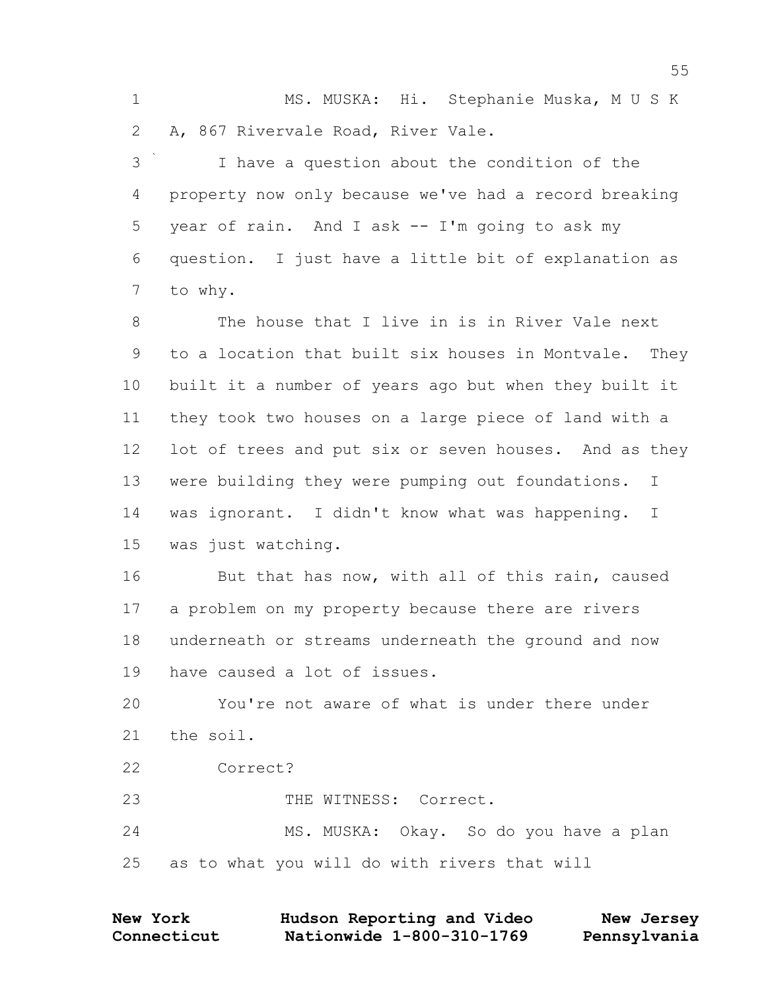MS. MUSKA: Hi. Stephanie Muska, M U S K A, 867 Rivervale Road, River Vale.

 I have a question about the condition of the property now only because we've had a record breaking year of rain. And I ask -- I'm going to ask my question. I just have a little bit of explanation as to why.

 The house that I live in is in River Vale next to a location that built six houses in Montvale. They built it a number of years ago but when they built it they took two houses on a large piece of land with a 12 lot of trees and put six or seven houses. And as they were building they were pumping out foundations. I was ignorant. I didn't know what was happening. I was just watching.

16 But that has now, with all of this rain, caused a problem on my property because there are rivers underneath or streams underneath the ground and now have caused a lot of issues.

 You're not aware of what is under there under the soil.

Correct?

23 THE WITNESS: Correct.

 MS. MUSKA: Okay. So do you have a plan as to what you will do with rivers that will

| <b>New York</b> | Hudson Reporting and Video | New Jersey   |
|-----------------|----------------------------|--------------|
| Connecticut     | Nationwide 1-800-310-1769  | Pennsylvania |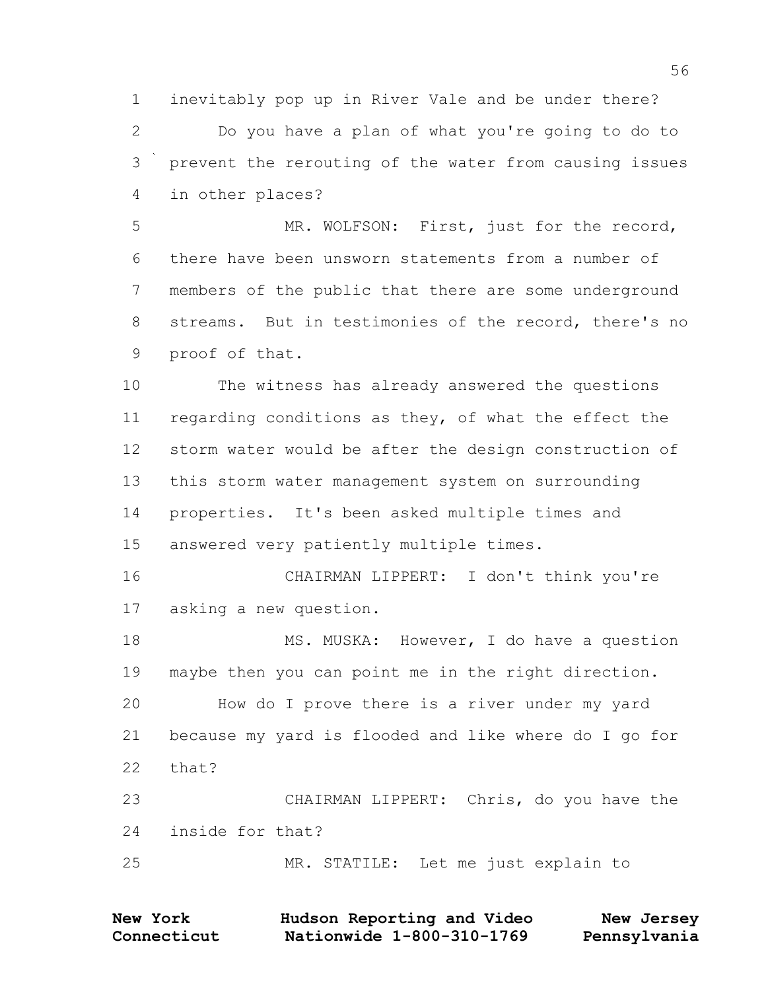inevitably pop up in River Vale and be under there?

 Do you have a plan of what you're going to do to prevent the rerouting of the water from causing issues in other places?

 MR. WOLFSON: First, just for the record, there have been unsworn statements from a number of members of the public that there are some underground streams. But in testimonies of the record, there's no proof of that.

 The witness has already answered the questions regarding conditions as they, of what the effect the storm water would be after the design construction of this storm water management system on surrounding properties. It's been asked multiple times and answered very patiently multiple times.

 CHAIRMAN LIPPERT: I don't think you're asking a new question.

18 MS. MUSKA: However, I do have a question maybe then you can point me in the right direction. How do I prove there is a river under my yard because my yard is flooded and like where do I go for that? CHAIRMAN LIPPERT: Chris, do you have the

inside for that?

MR. STATILE: Let me just explain to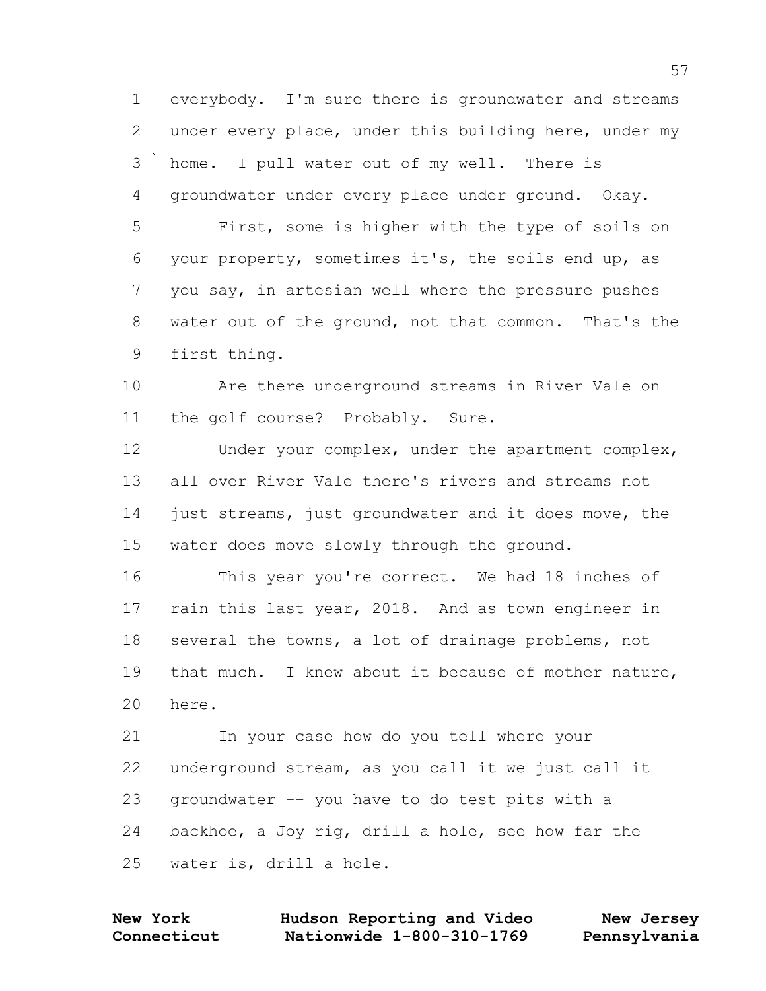1 everybody. I'm sure there is groundwater and streams 2 under every place, under this building here, under my 3 home. I pull water out of my well. There is 4 groundwater under every place under ground. Okay. 5 First, some is higher with the type of soils on

6 your property, sometimes it's, the soils end up, as 7 you say, in artesian well where the pressure pushes 8 water out of the ground, not that common. That's the 9 first thing.

10 Are there underground streams in River Vale on 11 the golf course? Probably. Sure.

12 Under your complex, under the apartment complex, 13 all over River Vale there's rivers and streams not 14 just streams, just groundwater and it does move, the 15 water does move slowly through the ground.

16 This year you're correct. We had 18 inches of 17 rain this last year, 2018. And as town engineer in 18 several the towns, a lot of drainage problems, not 19 that much. I knew about it because of mother nature, 20 here.

21 In your case how do you tell where your 22 underground stream, as you call it we just call it 23 groundwater -- you have to do test pits with a 24 backhoe, a Joy rig, drill a hole, see how far the 25 water is, drill a hole.

| <b>New York</b> | Hudson Reporting and Video | New Jersey   |
|-----------------|----------------------------|--------------|
| Connecticut     | Nationwide 1-800-310-1769  | Pennsylvania |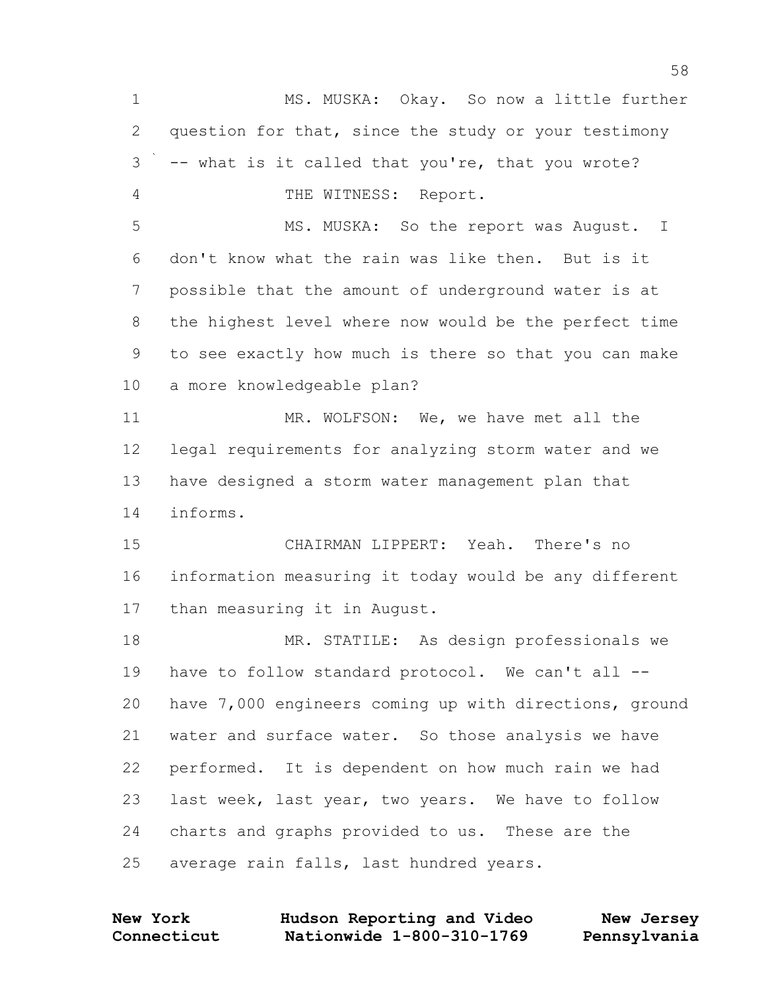MS. MUSKA: Okay. So now a little further question for that, since the study or your testimony -- what is it called that you're, that you wrote? THE WITNESS: Report. 5 MS. MUSKA: So the report was August. I don't know what the rain was like then. But is it possible that the amount of underground water is at the highest level where now would be the perfect time to see exactly how much is there so that you can make a more knowledgeable plan? 11 MR. WOLFSON: We, we have met all the legal requirements for analyzing storm water and we have designed a storm water management plan that informs. CHAIRMAN LIPPERT: Yeah. There's no information measuring it today would be any different than measuring it in August. MR. STATILE: As design professionals we have to follow standard protocol. We can't all -- have 7,000 engineers coming up with directions, ground water and surface water. So those analysis we have performed. It is dependent on how much rain we had last week, last year, two years. We have to follow charts and graphs provided to us. These are the average rain falls, last hundred years.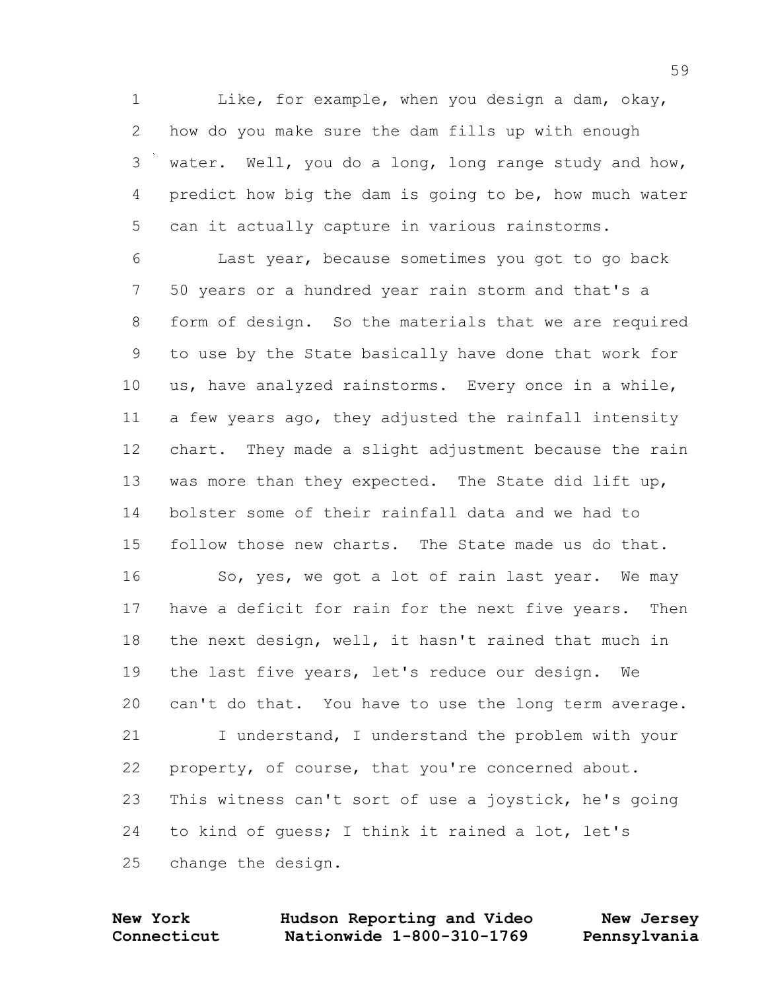Like, for example, when you design a dam, okay, how do you make sure the dam fills up with enough water. Well, you do a long, long range study and how, predict how big the dam is going to be, how much water can it actually capture in various rainstorms.

 Last year, because sometimes you got to go back 50 years or a hundred year rain storm and that's a form of design. So the materials that we are required to use by the State basically have done that work for us, have analyzed rainstorms. Every once in a while, a few years ago, they adjusted the rainfall intensity chart. They made a slight adjustment because the rain was more than they expected. The State did lift up, bolster some of their rainfall data and we had to follow those new charts. The State made us do that.

16 So, yes, we got a lot of rain last year. We may have a deficit for rain for the next five years. Then the next design, well, it hasn't rained that much in the last five years, let's reduce our design. We can't do that. You have to use the long term average. 21 I understand, I understand the problem with your property, of course, that you're concerned about. This witness can't sort of use a joystick, he's going to kind of guess; I think it rained a lot, let's change the design.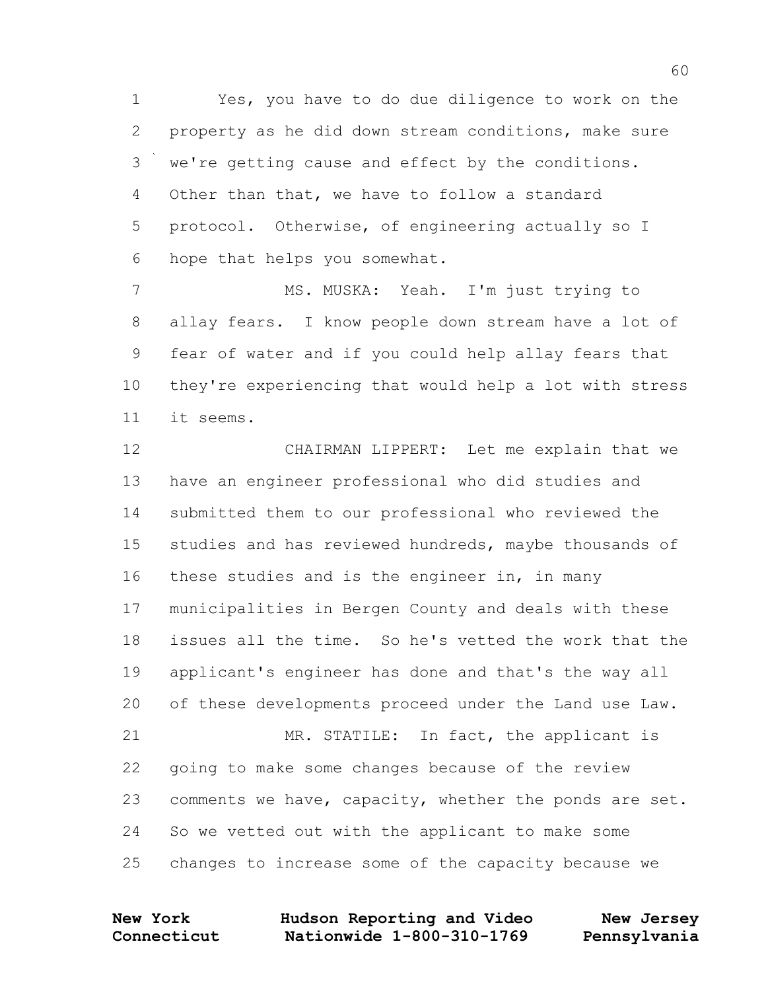Yes, you have to do due diligence to work on the property as he did down stream conditions, make sure we're getting cause and effect by the conditions. Other than that, we have to follow a standard protocol. Otherwise, of engineering actually so I hope that helps you somewhat.

 MS. MUSKA: Yeah. I'm just trying to allay fears. I know people down stream have a lot of fear of water and if you could help allay fears that they're experiencing that would help a lot with stress it seems.

 CHAIRMAN LIPPERT: Let me explain that we have an engineer professional who did studies and submitted them to our professional who reviewed the studies and has reviewed hundreds, maybe thousands of these studies and is the engineer in, in many municipalities in Bergen County and deals with these issues all the time. So he's vetted the work that the applicant's engineer has done and that's the way all of these developments proceed under the Land use Law. MR. STATILE: In fact, the applicant is going to make some changes because of the review comments we have, capacity, whether the ponds are set. So we vetted out with the applicant to make some changes to increase some of the capacity because we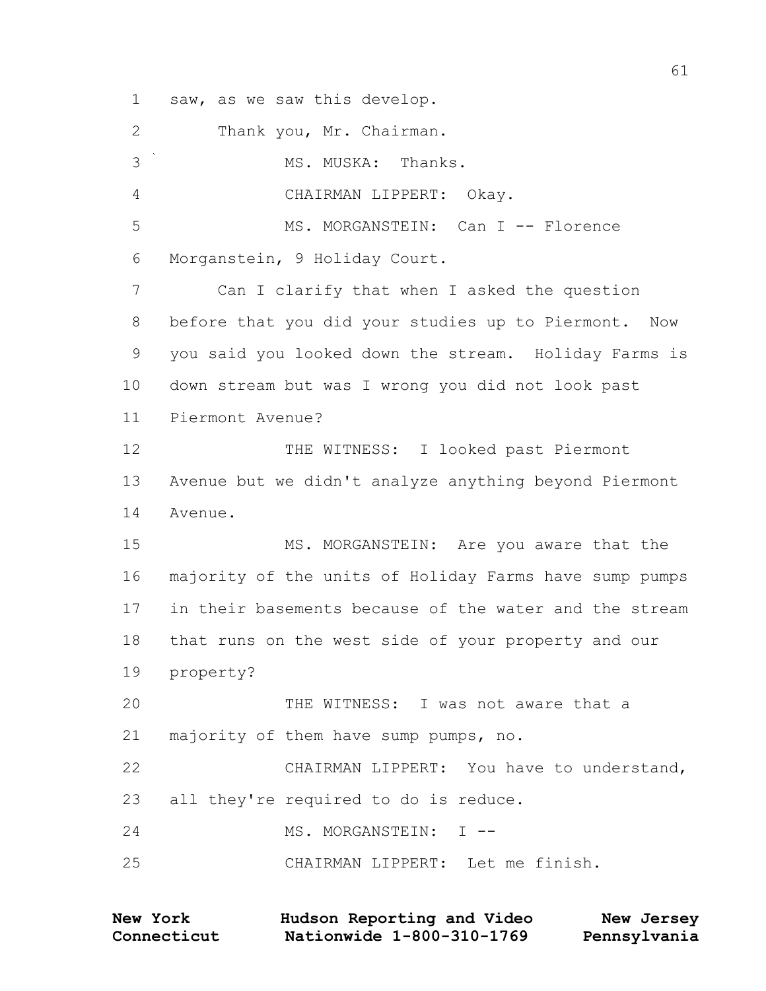saw, as we saw this develop.

 Thank you, Mr. Chairman. MS. MUSKA: Thanks. CHAIRMAN LIPPERT: Okay. 5 MS. MORGANSTEIN: Can I -- Florence Morganstein, 9 Holiday Court. Can I clarify that when I asked the question before that you did your studies up to Piermont. Now you said you looked down the stream. Holiday Farms is down stream but was I wrong you did not look past Piermont Avenue? 12 THE WITNESS: I looked past Piermont Avenue but we didn't analyze anything beyond Piermont Avenue. 15 MS. MORGANSTEIN: Are you aware that the majority of the units of Holiday Farms have sump pumps in their basements because of the water and the stream that runs on the west side of your property and our property? THE WITNESS: I was not aware that a majority of them have sump pumps, no. CHAIRMAN LIPPERT: You have to understand, all they're required to do is reduce. 24 MS. MORGANSTEIN: I --CHAIRMAN LIPPERT: Let me finish.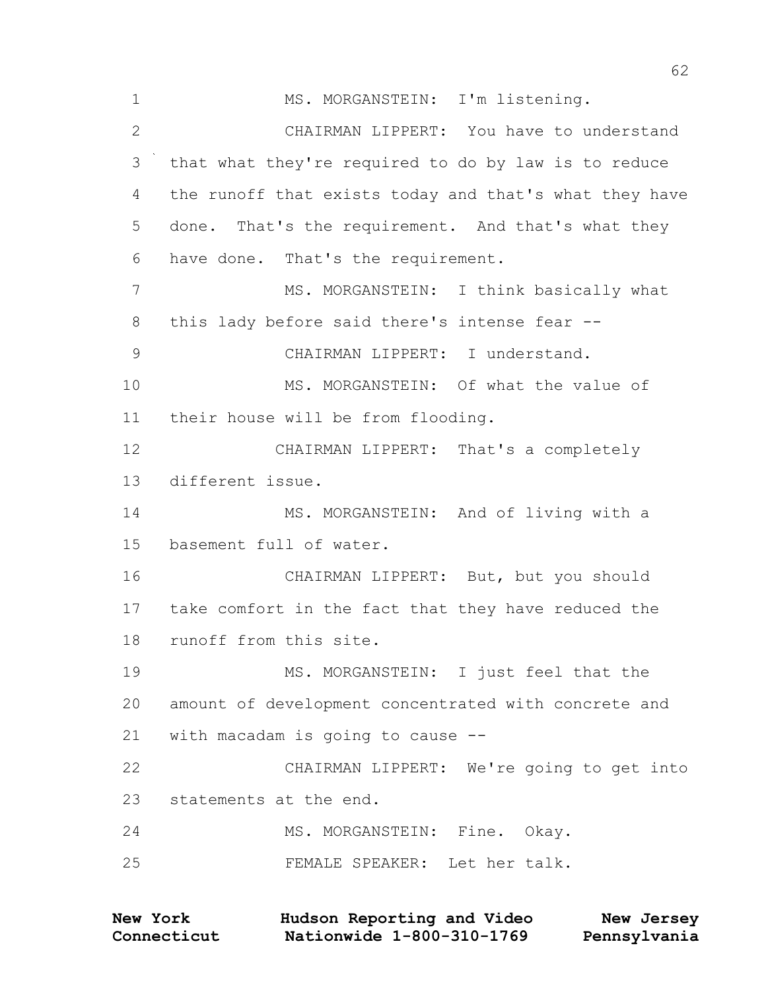1 MS. MORGANSTEIN: I'm listening. CHAIRMAN LIPPERT: You have to understand that what they're required to do by law is to reduce the runoff that exists today and that's what they have done. That's the requirement. And that's what they have done. That's the requirement. 7 MS. MORGANSTEIN: I think basically what 8 this lady before said there's intense fear -- CHAIRMAN LIPPERT: I understand. MS. MORGANSTEIN: Of what the value of their house will be from flooding. CHAIRMAN LIPPERT: That's a completely different issue. 14 MS. MORGANSTEIN: And of living with a basement full of water. CHAIRMAN LIPPERT: But, but you should take comfort in the fact that they have reduced the runoff from this site. MS. MORGANSTEIN: I just feel that the amount of development concentrated with concrete and with macadam is going to cause -- CHAIRMAN LIPPERT: We're going to get into statements at the end. 24 MS. MORGANSTEIN: Fine. Okay. FEMALE SPEAKER: Let her talk.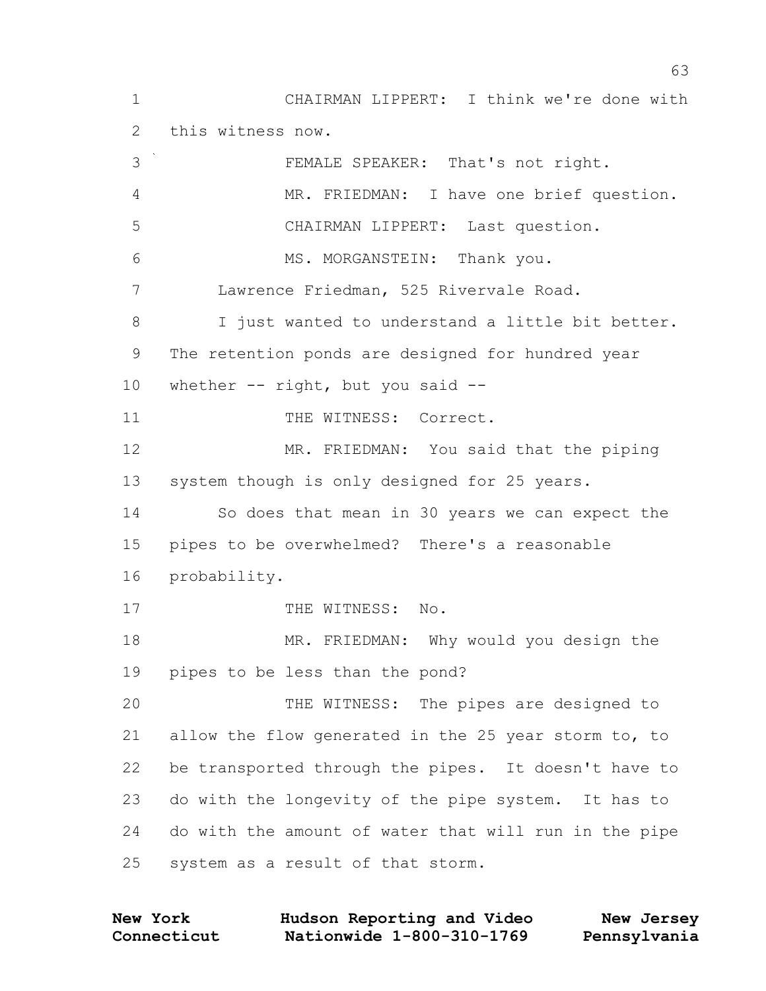CHAIRMAN LIPPERT: I think we're done with this witness now. FEMALE SPEAKER: That's not right. MR. FRIEDMAN: I have one brief question. CHAIRMAN LIPPERT: Last question. 6 MS. MORGANSTEIN: Thank you. Lawrence Friedman, 525 Rivervale Road. I just wanted to understand a little bit better. The retention ponds are designed for hundred year 10 whether -- right, but you said --11 THE WITNESS: Correct. MR. FRIEDMAN: You said that the piping system though is only designed for 25 years. So does that mean in 30 years we can expect the pipes to be overwhelmed? There's a reasonable probability. 17 THE WITNESS: No. MR. FRIEDMAN: Why would you design the pipes to be less than the pond? THE WITNESS: The pipes are designed to allow the flow generated in the 25 year storm to, to be transported through the pipes. It doesn't have to do with the longevity of the pipe system. It has to do with the amount of water that will run in the pipe system as a result of that storm.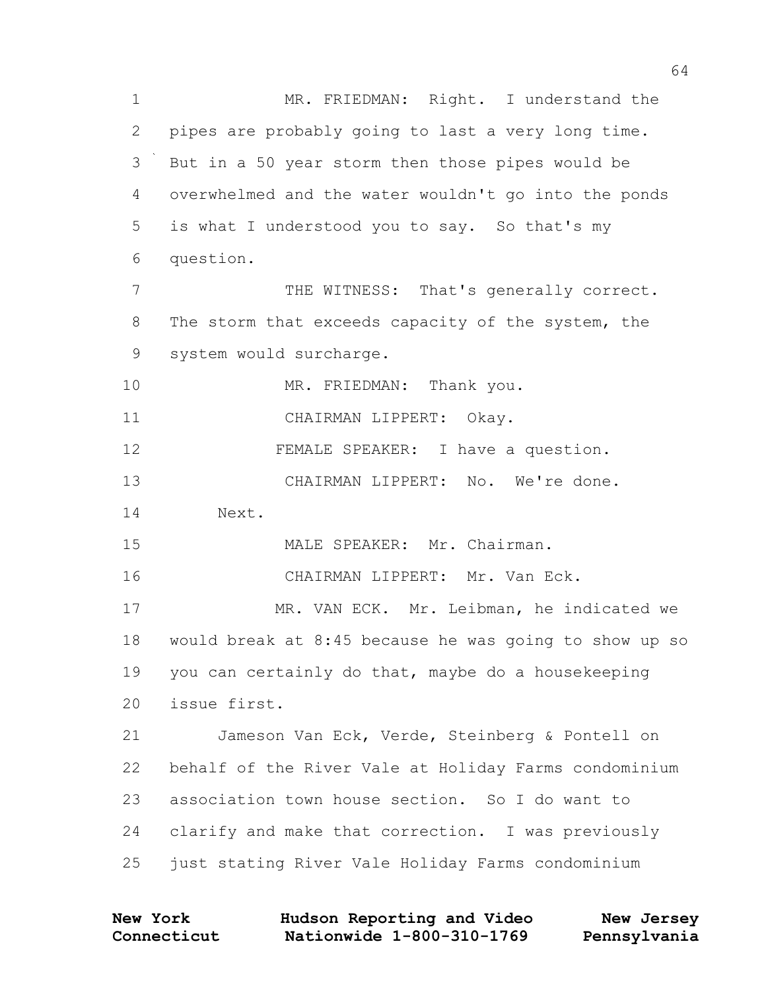MR. FRIEDMAN: Right. I understand the pipes are probably going to last a very long time. But in a 50 year storm then those pipes would be overwhelmed and the water wouldn't go into the ponds is what I understood you to say. So that's my question. 7 THE WITNESS: That's generally correct. 8 The storm that exceeds capacity of the system, the system would surcharge. 10 MR. FRIEDMAN: Thank you. CHAIRMAN LIPPERT: Okay. 12 FEMALE SPEAKER: I have a question. CHAIRMAN LIPPERT: No. We're done. Next. 15 MALE SPEAKER: Mr. Chairman. CHAIRMAN LIPPERT: Mr. Van Eck. MR. VAN ECK. Mr. Leibman, he indicated we would break at 8:45 because he was going to show up so you can certainly do that, maybe do a housekeeping issue first. Jameson Van Eck, Verde, Steinberg & Pontell on behalf of the River Vale at Holiday Farms condominium association town house section. So I do want to clarify and make that correction. I was previously just stating River Vale Holiday Farms condominium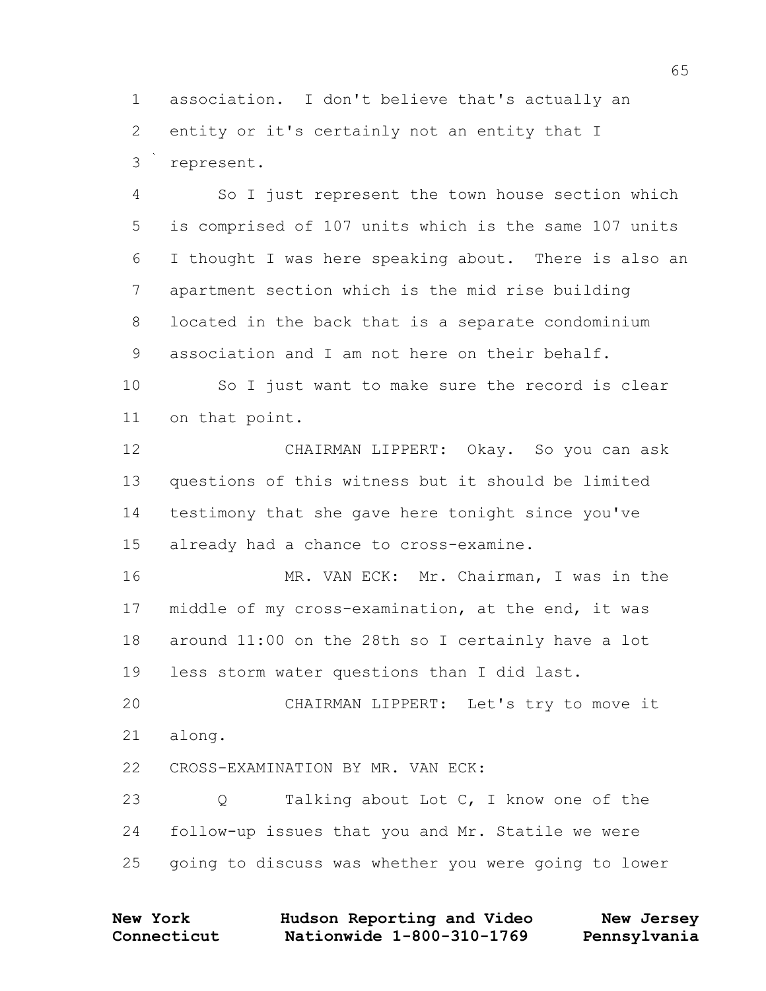association. I don't believe that's actually an entity or it's certainly not an entity that I represent.

 So I just represent the town house section which is comprised of 107 units which is the same 107 units I thought I was here speaking about. There is also an apartment section which is the mid rise building located in the back that is a separate condominium association and I am not here on their behalf.

 So I just want to make sure the record is clear on that point.

 CHAIRMAN LIPPERT: Okay. So you can ask questions of this witness but it should be limited testimony that she gave here tonight since you've already had a chance to cross-examine.

 MR. VAN ECK: Mr. Chairman, I was in the middle of my cross-examination, at the end, it was around 11:00 on the 28th so I certainly have a lot less storm water questions than I did last.

 CHAIRMAN LIPPERT: Let's try to move it along.

CROSS-EXAMINATION BY MR. VAN ECK:

23 Q Talking about Lot C, I know one of the follow-up issues that you and Mr. Statile we were going to discuss was whether you were going to lower

| <b>New York</b> | Hudson Reporting and Video | New Jersey   |
|-----------------|----------------------------|--------------|
| Connecticut     | Nationwide 1-800-310-1769  | Pennsylvania |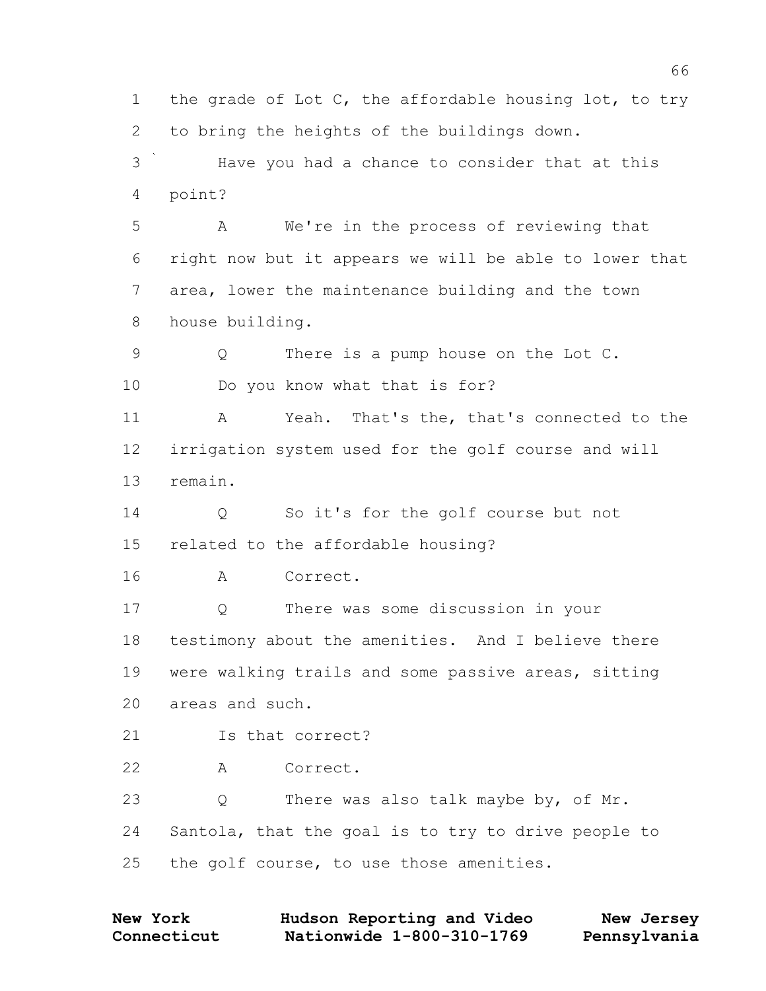1 the grade of Lot C, the affordable housing lot, to try to bring the heights of the buildings down. Have you had a chance to consider that at this point? A We're in the process of reviewing that right now but it appears we will be able to lower that area, lower the maintenance building and the town house building. Q There is a pump house on the Lot C. Do you know what that is for? A Yeah. That's the, that's connected to the irrigation system used for the golf course and will remain. Q So it's for the golf course but not related to the affordable housing? A Correct. Q There was some discussion in your testimony about the amenities. And I believe there were walking trails and some passive areas, sitting areas and such. Is that correct? A Correct. Q There was also talk maybe by, of Mr. Santola, that the goal is to try to drive people to 25 the golf course, to use those amenities.

| <b>New York</b> | Hudson Reporting and Video | New Jersey   |
|-----------------|----------------------------|--------------|
| Connecticut     | Nationwide 1-800-310-1769  | Pennsylvania |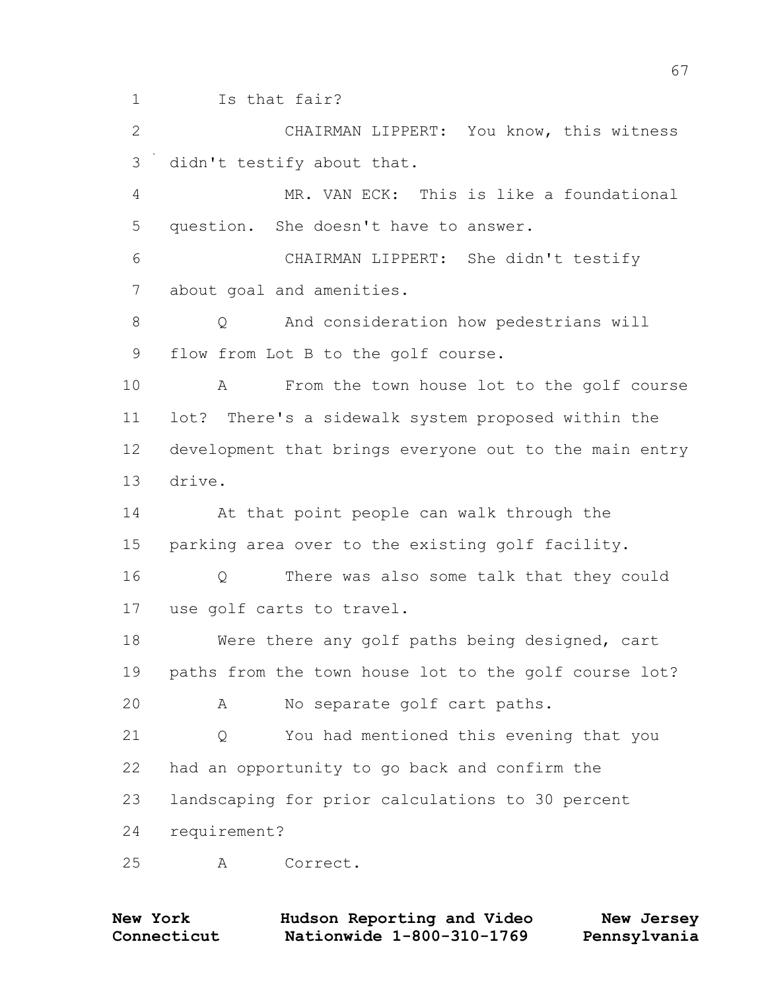Is that fair? CHAIRMAN LIPPERT: You know, this witness didn't testify about that. MR. VAN ECK: This is like a foundational question. She doesn't have to answer. CHAIRMAN LIPPERT: She didn't testify about goal and amenities. Q And consideration how pedestrians will flow from Lot B to the golf course. A From the town house lot to the golf course lot? There's a sidewalk system proposed within the development that brings everyone out to the main entry drive. At that point people can walk through the parking area over to the existing golf facility. Q There was also some talk that they could use golf carts to travel. Were there any golf paths being designed, cart paths from the town house lot to the golf course lot? A No separate golf cart paths. Q You had mentioned this evening that you had an opportunity to go back and confirm the landscaping for prior calculations to 30 percent requirement?

A Correct.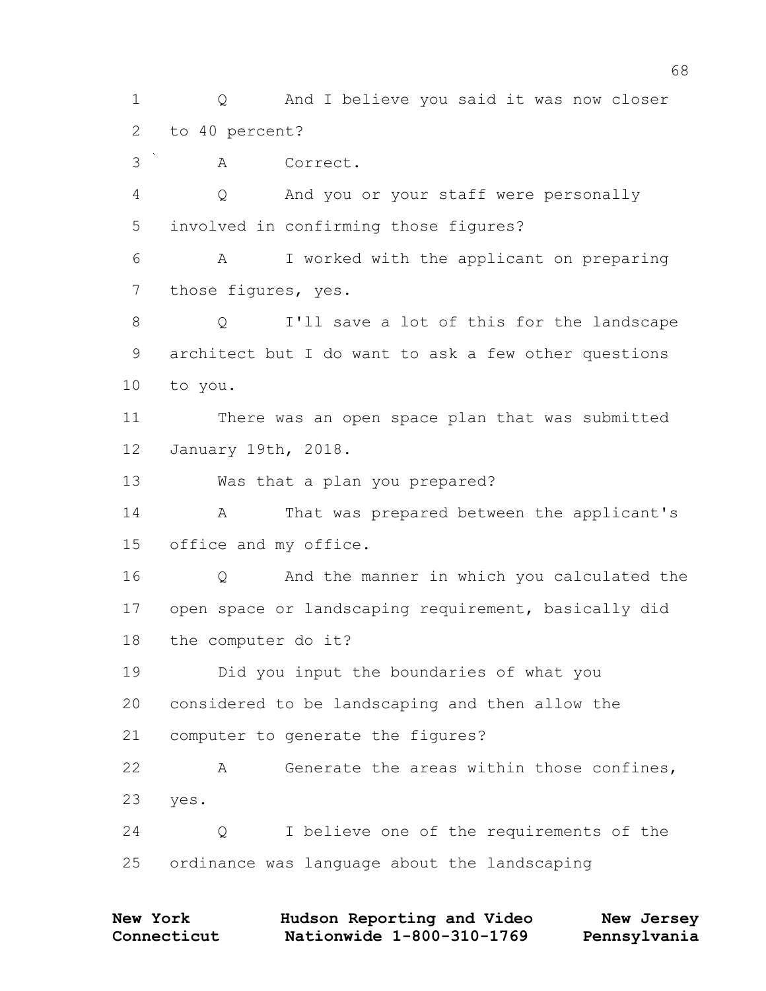Q And I believe you said it was now closer to 40 percent? A Correct. Q And you or your staff were personally involved in confirming those figures? A I worked with the applicant on preparing those figures, yes. Q I'll save a lot of this for the landscape architect but I do want to ask a few other questions to you. There was an open space plan that was submitted January 19th, 2018. Was that a plan you prepared? 14 A That was prepared between the applicant's office and my office. Q And the manner in which you calculated the open space or landscaping requirement, basically did the computer do it? Did you input the boundaries of what you considered to be landscaping and then allow the computer to generate the figures? A Generate the areas within those confines, yes. Q I believe one of the requirements of the ordinance was language about the landscaping

| <b>New York</b> | Hudson Reporting and Video | New Jersey   |
|-----------------|----------------------------|--------------|
| Connecticut     | Nationwide 1-800-310-1769  | Pennsylvania |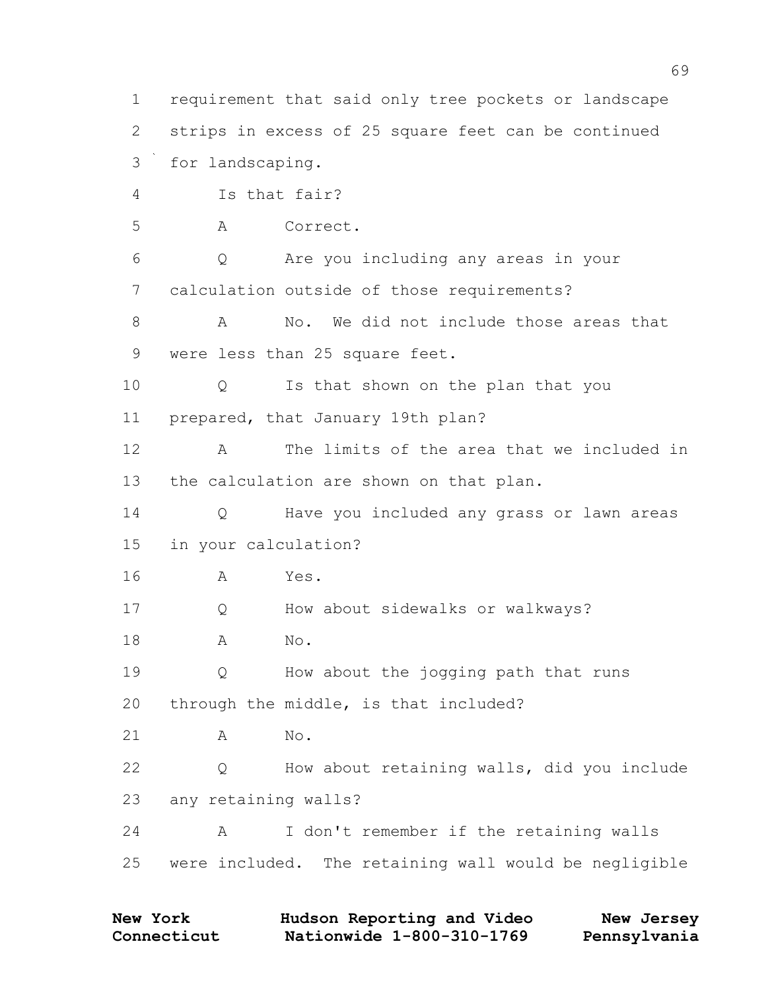requirement that said only tree pockets or landscape strips in excess of 25 square feet can be continued for landscaping. Is that fair? A Correct. Q Are you including any areas in your calculation outside of those requirements? A No. We did not include those areas that 9 were less than 25 square feet. Q Is that shown on the plan that you prepared, that January 19th plan? A The limits of the area that we included in the calculation are shown on that plan. Q Have you included any grass or lawn areas in your calculation? A Yes. 17 O How about sidewalks or walkways? A No. Q How about the jogging path that runs through the middle, is that included? A No. Q How about retaining walls, did you include any retaining walls? A I don't remember if the retaining walls were included. The retaining wall would be negligible

| New York    | Hudson Reporting and Video | New Jersey   |
|-------------|----------------------------|--------------|
| Connecticut | Nationwide 1-800-310-1769  | Pennsylvania |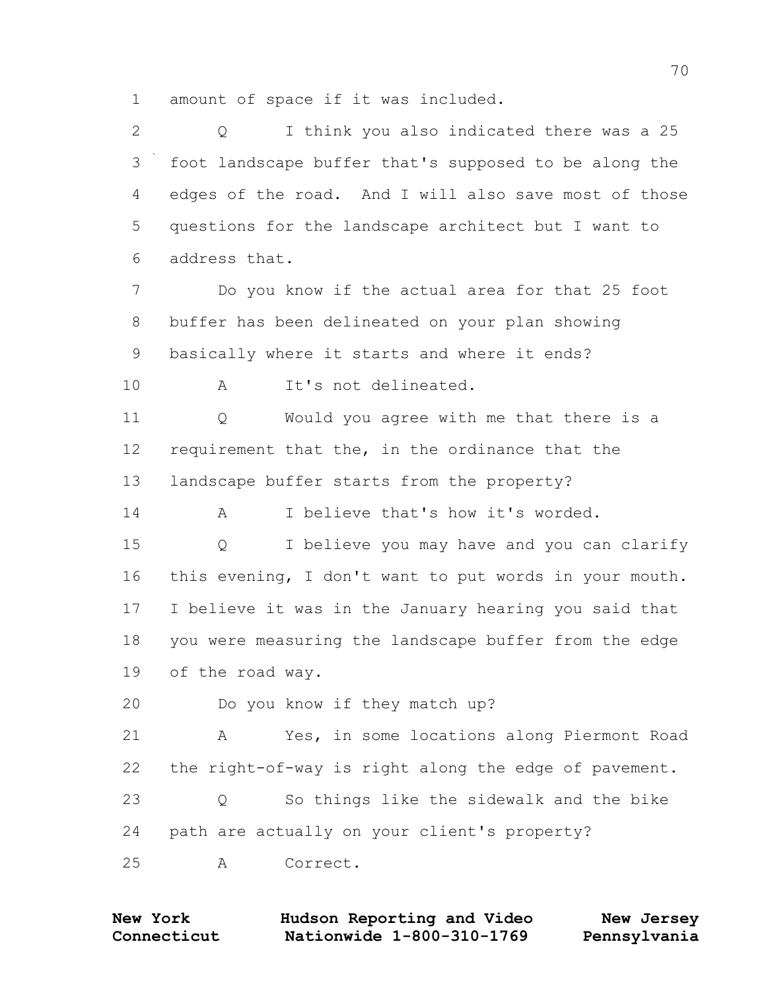amount of space if it was included.

 Q I think you also indicated there was a 25 foot landscape buffer that's supposed to be along the edges of the road. And I will also save most of those questions for the landscape architect but I want to address that. Do you know if the actual area for that 25 foot buffer has been delineated on your plan showing basically where it starts and where it ends? A It's not delineated. Q Would you agree with me that there is a requirement that the, in the ordinance that the landscape buffer starts from the property? 14 A I believe that's how it's worded. Q I believe you may have and you can clarify this evening, I don't want to put words in your mouth. I believe it was in the January hearing you said that you were measuring the landscape buffer from the edge of the road way. Do you know if they match up? A Yes, in some locations along Piermont Road the right-of-way is right along the edge of pavement. Q So things like the sidewalk and the bike path are actually on your client's property? A Correct.

**Connecticut Nationwide 1-800-310-1769 Pennsylvania New York Hudson Reporting and Video New Jersey**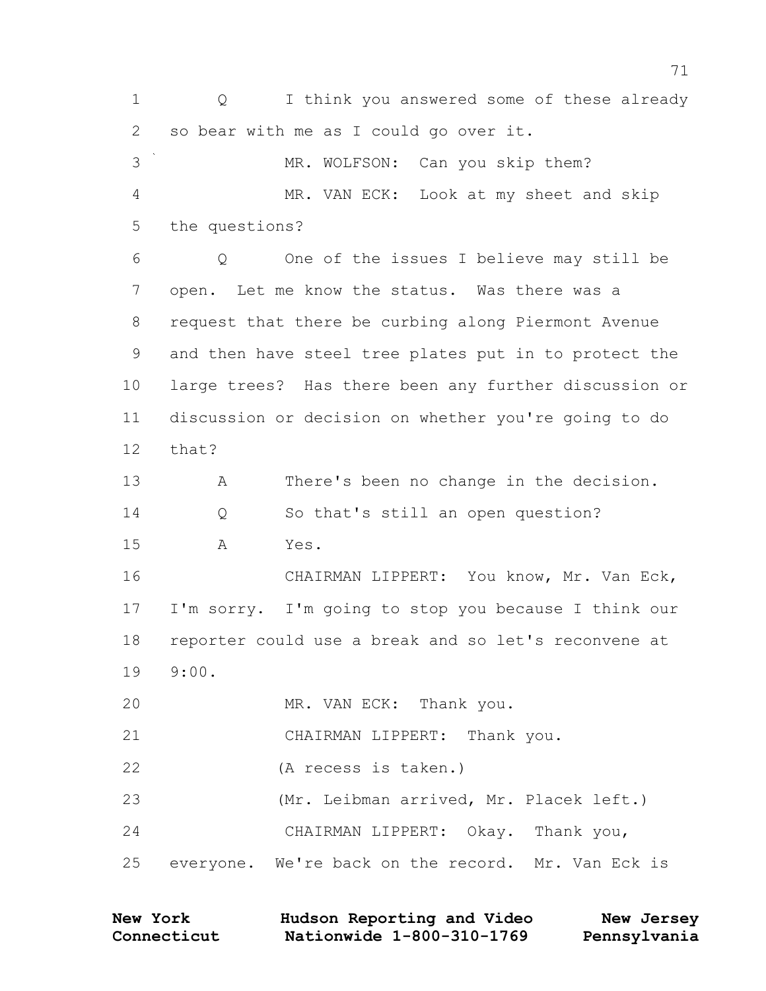Q I think you answered some of these already so bear with me as I could go over it. 3 MR. WOLFSON: Can you skip them? MR. VAN ECK: Look at my sheet and skip the questions? Q One of the issues I believe may still be open. Let me know the status. Was there was a request that there be curbing along Piermont Avenue and then have steel tree plates put in to protect the large trees? Has there been any further discussion or discussion or decision on whether you're going to do that? A There's been no change in the decision. Q So that's still an open question? A Yes. CHAIRMAN LIPPERT: You know, Mr. Van Eck, I'm sorry. I'm going to stop you because I think our reporter could use a break and so let's reconvene at 9:00. MR. VAN ECK: Thank you. CHAIRMAN LIPPERT: Thank you. (A recess is taken.) (Mr. Leibman arrived, Mr. Placek left.) CHAIRMAN LIPPERT: Okay. Thank you, everyone. We're back on the record. Mr. Van Eck is

| <b>New York</b> | Hudson Reporting and Video | New Jersey   |
|-----------------|----------------------------|--------------|
| Connecticut     | Nationwide 1-800-310-1769  | Pennsylvania |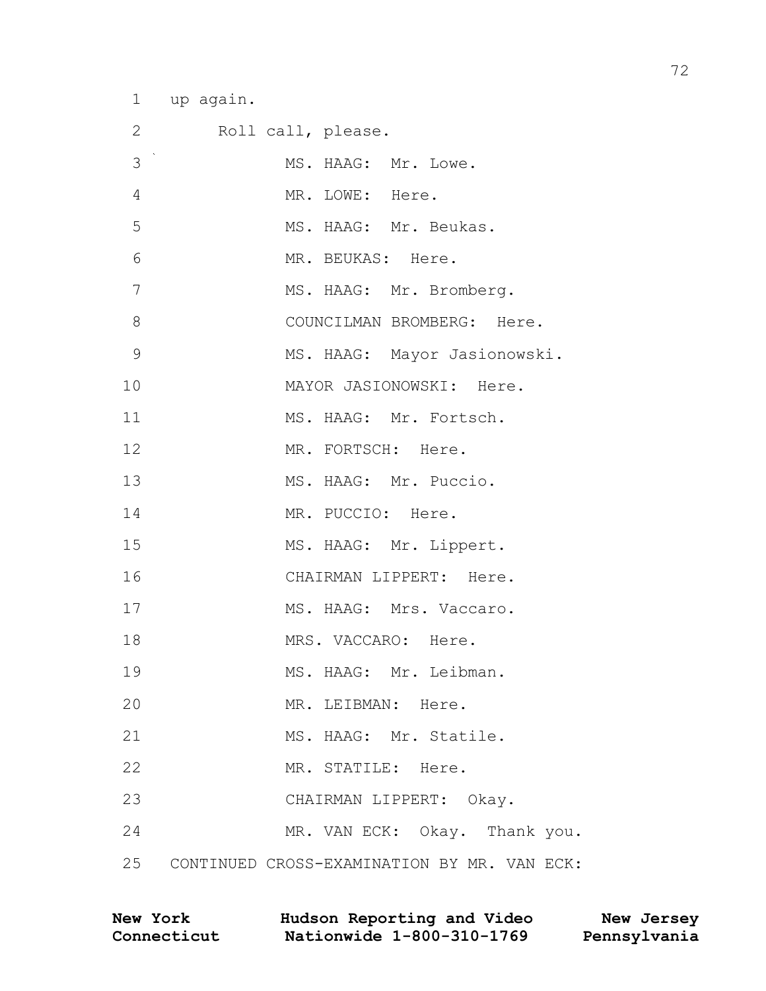1 up again.

| $\overline{2}$ | Roll call, please.                             |
|----------------|------------------------------------------------|
| 3              | MS. HAAG: Mr. Lowe.                            |
| 4              | MR. LOWE: Here.                                |
| 5              | MS. HAAG: Mr. Beukas.                          |
| 6              | MR. BEUKAS: Here.                              |
| 7              | MS. HAAG: Mr. Bromberg.                        |
| 8              | COUNCILMAN BROMBERG: Here.                     |
| 9              | MS. HAAG: Mayor Jasionowski.                   |
| 10             | MAYOR JASIONOWSKI: Here.                       |
| 11             | MS. HAAG: Mr. Fortsch.                         |
| 12             | MR. FORTSCH: Here.                             |
| 13             | MS. HAAG: Mr. Puccio.                          |
| 14             | MR. PUCCIO: Here.                              |
| 15             | MS. HAAG: Mr. Lippert.                         |
| 16             | CHAIRMAN LIPPERT: Here.                        |
| 17             | MS. HAAG: Mrs. Vaccaro.                        |
| 18             | MRS. VACCARO: Here.                            |
| 19             | MS. HAAG: Mr. Leibman.                         |
| 20             | MR. LEIBMAN: Here.                             |
| 21             | MS. HAAG: Mr. Statile.                         |
| 22             | MR. STATILE: Here.                             |
| 23             | CHAIRMAN LIPPERT: Okay.                        |
| 24             | MR. VAN ECK: Okay. Thank you.                  |
|                | 25 CONTINUED CROSS-EXAMINATION BY MR. VAN ECK: |

| <b>New York</b> | Hudson Reporting and Video | New Jersey   |
|-----------------|----------------------------|--------------|
| Connecticut     | Nationwide 1-800-310-1769  | Pennsylvania |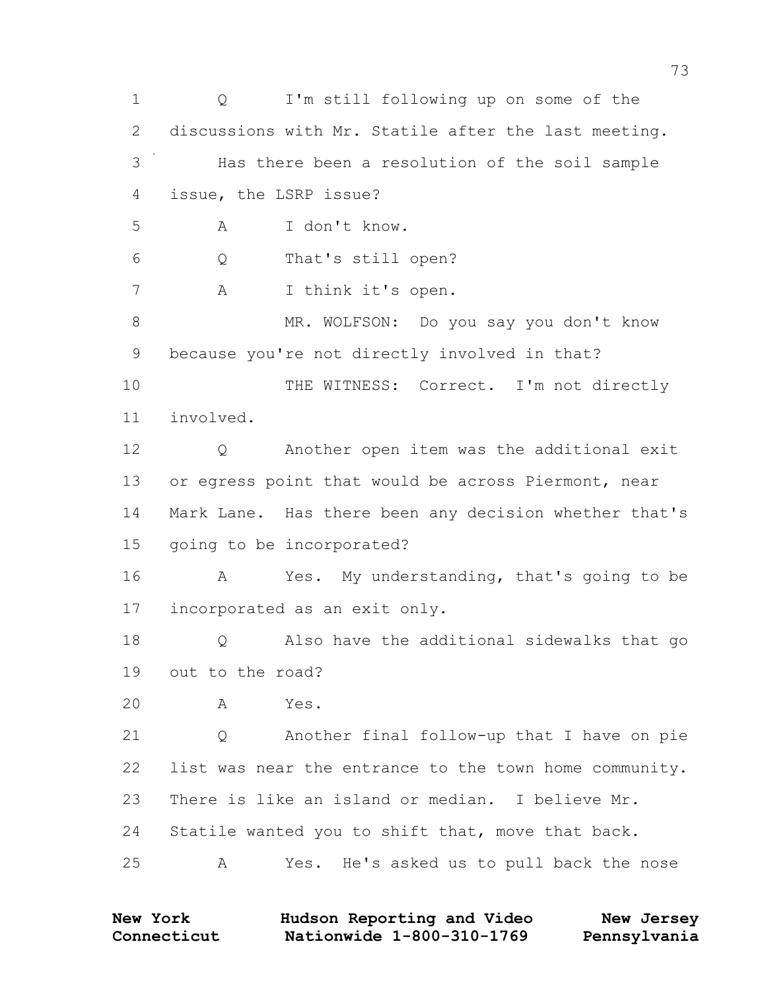Q I'm still following up on some of the discussions with Mr. Statile after the last meeting. Has there been a resolution of the soil sample issue, the LSRP issue? A I don't know. Q That's still open? A I think it's open. 8 MR. WOLFSON: Do you say you don't know because you're not directly involved in that? 10 THE WITNESS: Correct. I'm not directly involved. Q Another open item was the additional exit 13 or egress point that would be across Piermont, near Mark Lane. Has there been any decision whether that's going to be incorporated? A Yes. My understanding, that's going to be incorporated as an exit only. 18 O Also have the additional sidewalks that go out to the road? A Yes. Q Another final follow-up that I have on pie list was near the entrance to the town home community. There is like an island or median. I believe Mr. Statile wanted you to shift that, move that back. A Yes. He's asked us to pull back the nose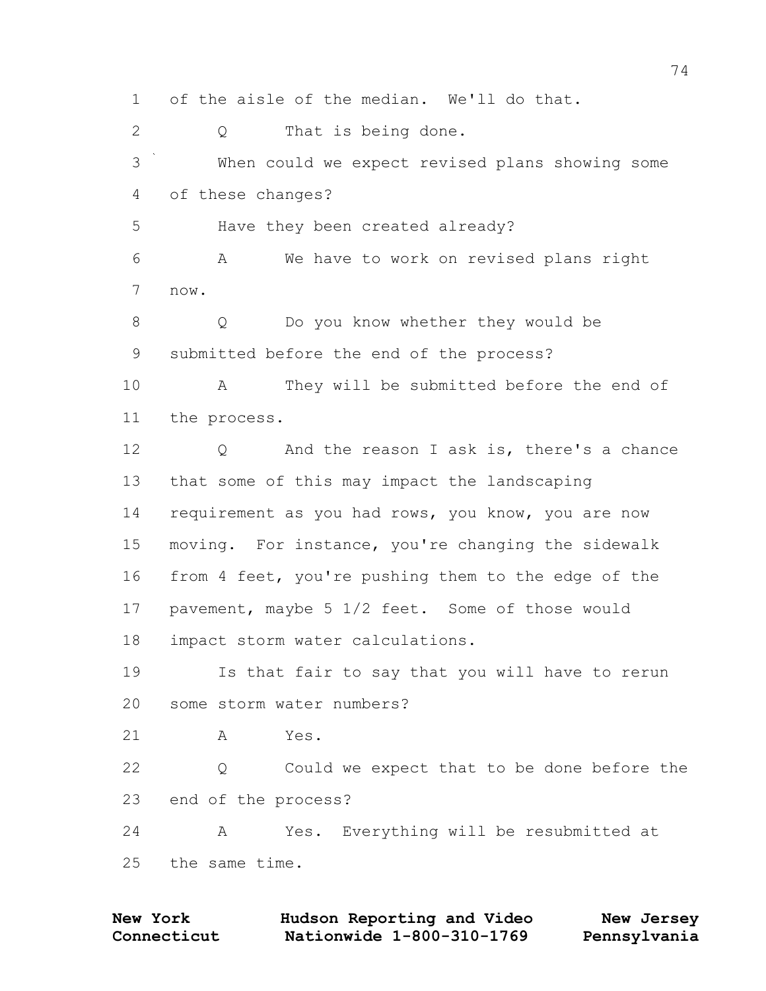of the aisle of the median. We'll do that. Q That is being done. When could we expect revised plans showing some of these changes? Have they been created already? A We have to work on revised plans right now. Q Do you know whether they would be submitted before the end of the process? A They will be submitted before the end of the process. 12 Q And the reason I ask is, there's a chance that some of this may impact the landscaping requirement as you had rows, you know, you are now moving. For instance, you're changing the sidewalk from 4 feet, you're pushing them to the edge of the pavement, maybe 5 1/2 feet. Some of those would impact storm water calculations. Is that fair to say that you will have to rerun some storm water numbers? A Yes. Q Could we expect that to be done before the end of the process? A Yes. Everything will be resubmitted at the same time.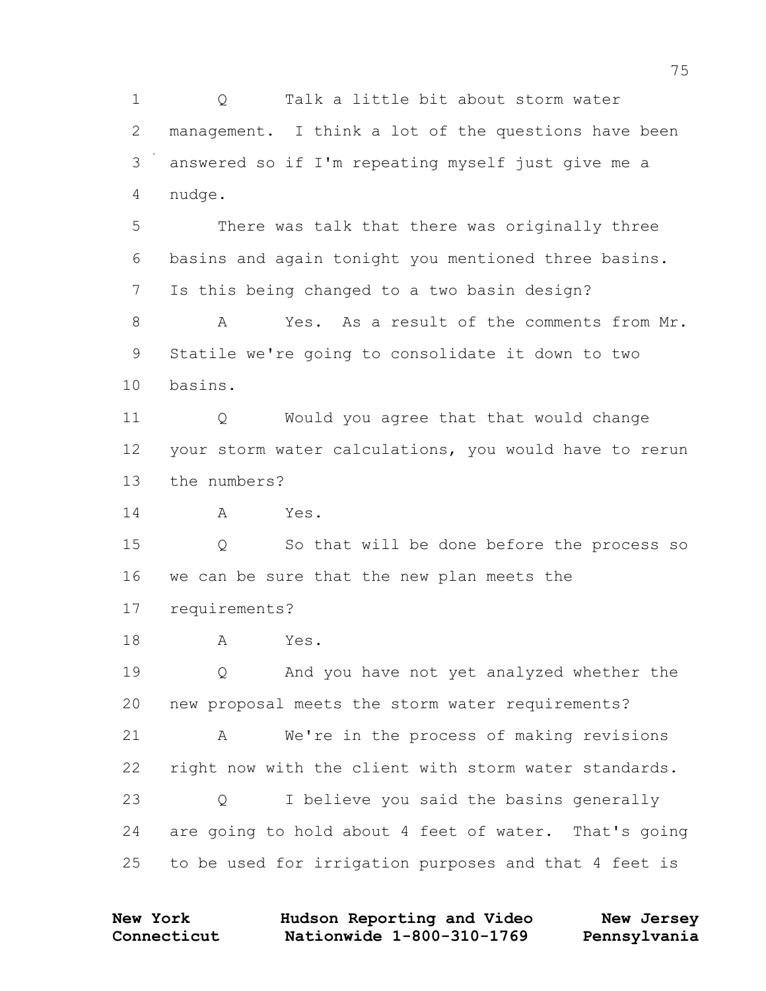Q Talk a little bit about storm water management. I think a lot of the questions have been answered so if I'm repeating myself just give me a nudge. There was talk that there was originally three basins and again tonight you mentioned three basins. Is this being changed to a two basin design? A Yes. As a result of the comments from Mr. Statile we're going to consolidate it down to two basins. Q Would you agree that that would change your storm water calculations, you would have to rerun the numbers? A Yes. Q So that will be done before the process so we can be sure that the new plan meets the requirements? A Yes. Q And you have not yet analyzed whether the new proposal meets the storm water requirements? A We're in the process of making revisions

 right now with the client with storm water standards. Q I believe you said the basins generally

 are going to hold about 4 feet of water. That's going to be used for irrigation purposes and that 4 feet is

| <b>New York</b> | Hudson Reporting and Video | New Jersey   |
|-----------------|----------------------------|--------------|
| Connecticut     | Nationwide 1-800-310-1769  | Pennsylvania |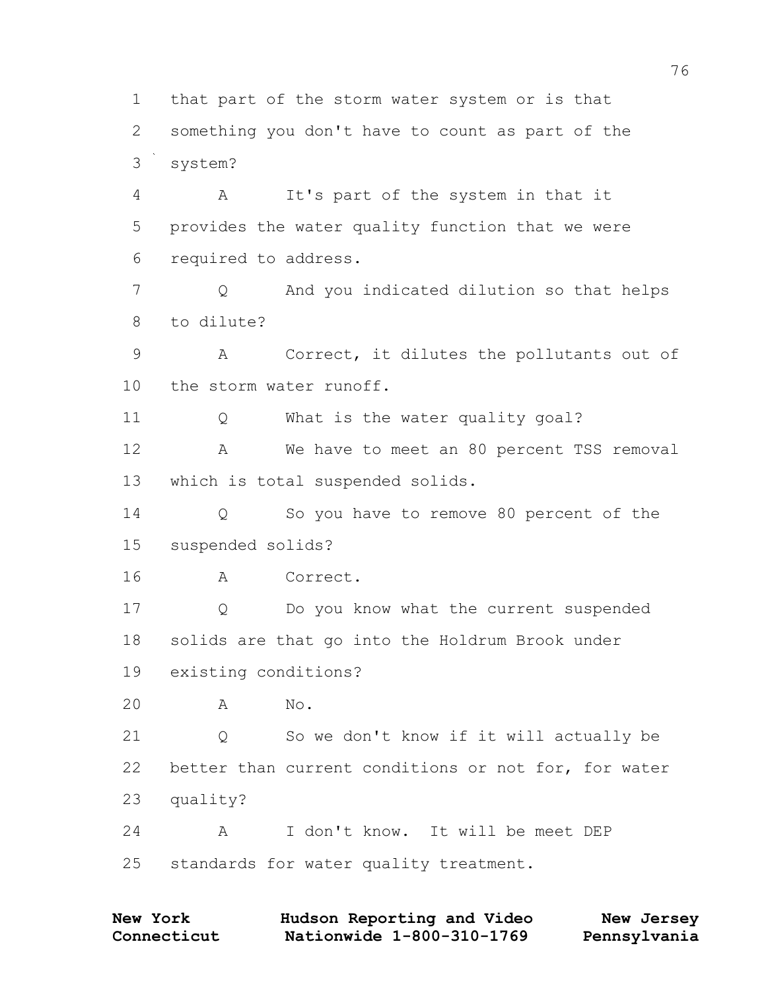2 something you don't have to count as part of the 3 system? 4 A It's part of the system in that it 5 provides the water quality function that we were 6 required to address. 7 Q And you indicated dilution so that helps 8 to dilute? 9 A Correct, it dilutes the pollutants out of 10 the storm water runoff. 11 Q What is the water quality goal? 12 A We have to meet an 80 percent TSS removal 13 which is total suspended solids. 14 Q So you have to remove 80 percent of the 15 suspended solids? 16 A Correct. 17 Q Do you know what the current suspended 18 solids are that go into the Holdrum Brook under 19 existing conditions? 20 A No. 21 Q So we don't know if it will actually be 22 better than current conditions or not for, for water 23 quality? 24 A I don't know. It will be meet DEP 25 standards for water quality treatment.

1 that part of the storm water system or is that

**Connecticut Nationwide 1-800-310-1769 Pennsylvania New York Hudson Reporting and Video New Jersey**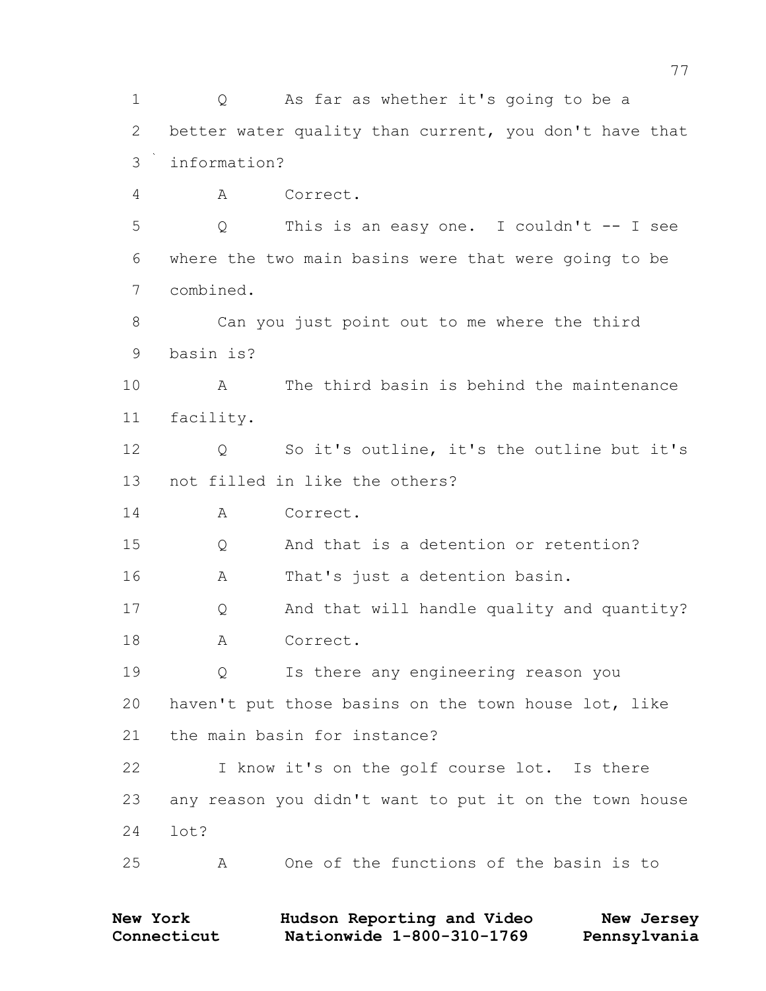Q As far as whether it's going to be a better water quality than current, you don't have that information? A Correct. Q This is an easy one. I couldn't -- I see where the two main basins were that were going to be combined. Can you just point out to me where the third basin is? A The third basin is behind the maintenance facility. Q So it's outline, it's the outline but it's not filled in like the others? 14 A Correct. Q And that is a detention or retention? A That's just a detention basin. Q And that will handle quality and quantity? A Correct. Q Is there any engineering reason you haven't put those basins on the town house lot, like the main basin for instance? I know it's on the golf course lot. Is there any reason you didn't want to put it on the town house lot? A One of the functions of the basin is to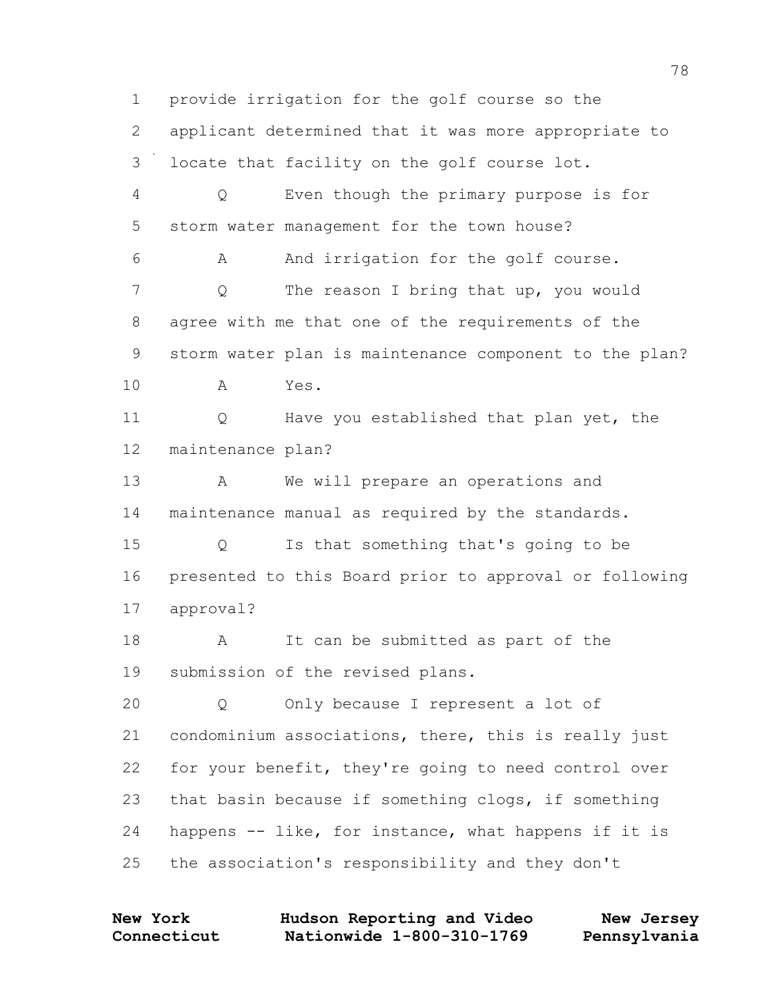provide irrigation for the golf course so the applicant determined that it was more appropriate to locate that facility on the golf course lot. Q Even though the primary purpose is for storm water management for the town house? A And irrigation for the golf course. 7 O The reason I bring that up, you would agree with me that one of the requirements of the storm water plan is maintenance component to the plan? A Yes. Q Have you established that plan yet, the maintenance plan? A We will prepare an operations and maintenance manual as required by the standards. Q Is that something that's going to be presented to this Board prior to approval or following approval? 18 A It can be submitted as part of the submission of the revised plans. Q Only because I represent a lot of condominium associations, there, this is really just for your benefit, they're going to need control over that basin because if something clogs, if something happens -- like, for instance, what happens if it is the association's responsibility and they don't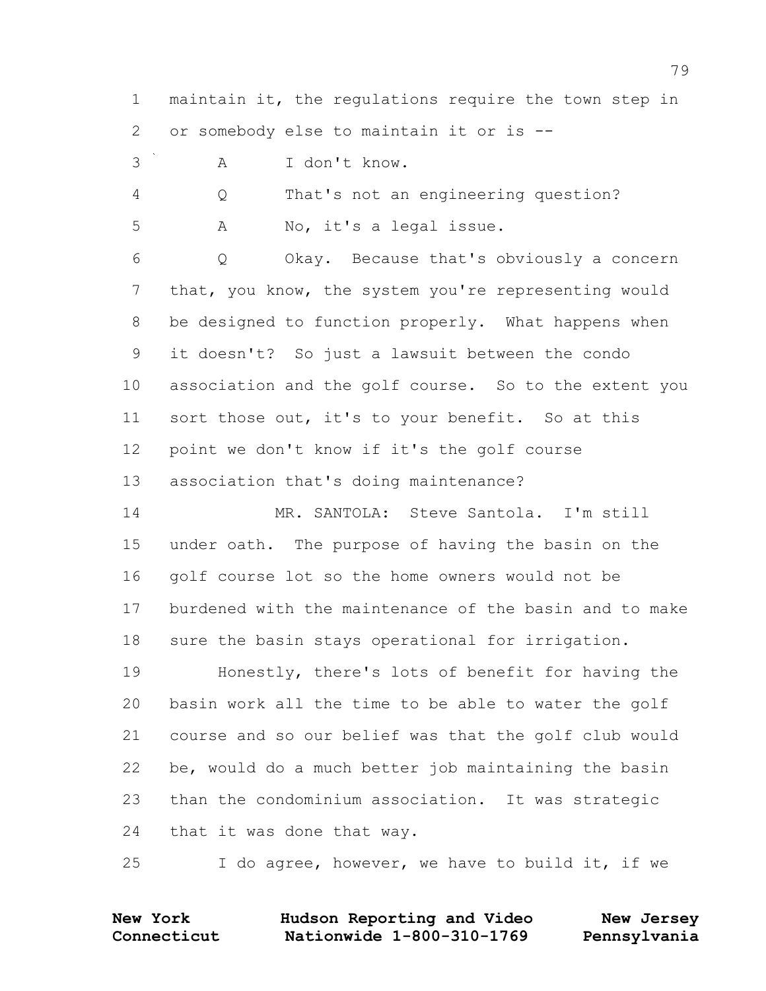maintain it, the regulations require the town step in or somebody else to maintain it or is --

A I don't know.

 Q That's not an engineering question? A No, it's a legal issue.

 Q Okay. Because that's obviously a concern that, you know, the system you're representing would be designed to function properly. What happens when it doesn't? So just a lawsuit between the condo association and the golf course. So to the extent you sort those out, it's to your benefit. So at this point we don't know if it's the golf course association that's doing maintenance?

 MR. SANTOLA: Steve Santola. I'm still under oath. The purpose of having the basin on the golf course lot so the home owners would not be burdened with the maintenance of the basin and to make sure the basin stays operational for irrigation.

 Honestly, there's lots of benefit for having the basin work all the time to be able to water the golf course and so our belief was that the golf club would be, would do a much better job maintaining the basin than the condominium association. It was strategic that it was done that way.

I do agree, however, we have to build it, if we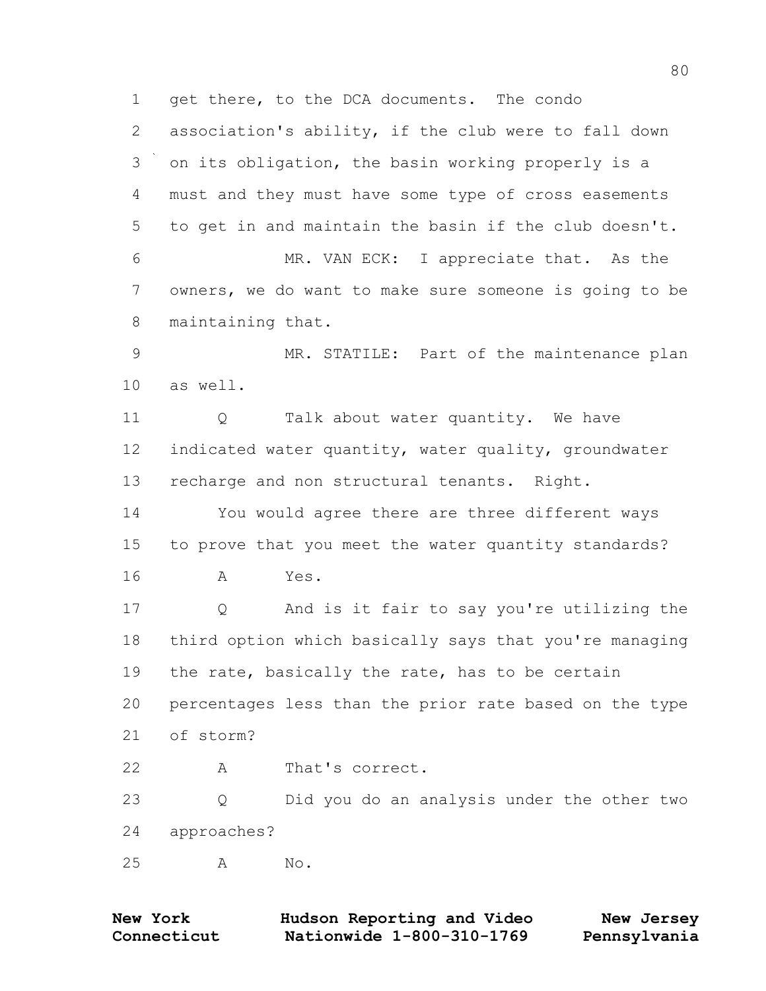1 get there, to the DCA documents. The condo association's ability, if the club were to fall down on its obligation, the basin working properly is a must and they must have some type of cross easements to get in and maintain the basin if the club doesn't. MR. VAN ECK: I appreciate that. As the owners, we do want to make sure someone is going to be maintaining that. MR. STATILE: Part of the maintenance plan as well. 11 Q Talk about water quantity. We have indicated water quantity, water quality, groundwater recharge and non structural tenants. Right. You would agree there are three different ways to prove that you meet the water quantity standards? A Yes. Q And is it fair to say you're utilizing the third option which basically says that you're managing 19 the rate, basically the rate, has to be certain percentages less than the prior rate based on the type of storm? 22 A That's correct. Q Did you do an analysis under the other two approaches? A No.

| <b>New York</b> | Hudson Reporting and Video | New Jersey   |
|-----------------|----------------------------|--------------|
| Connecticut     | Nationwide 1-800-310-1769  | Pennsylvania |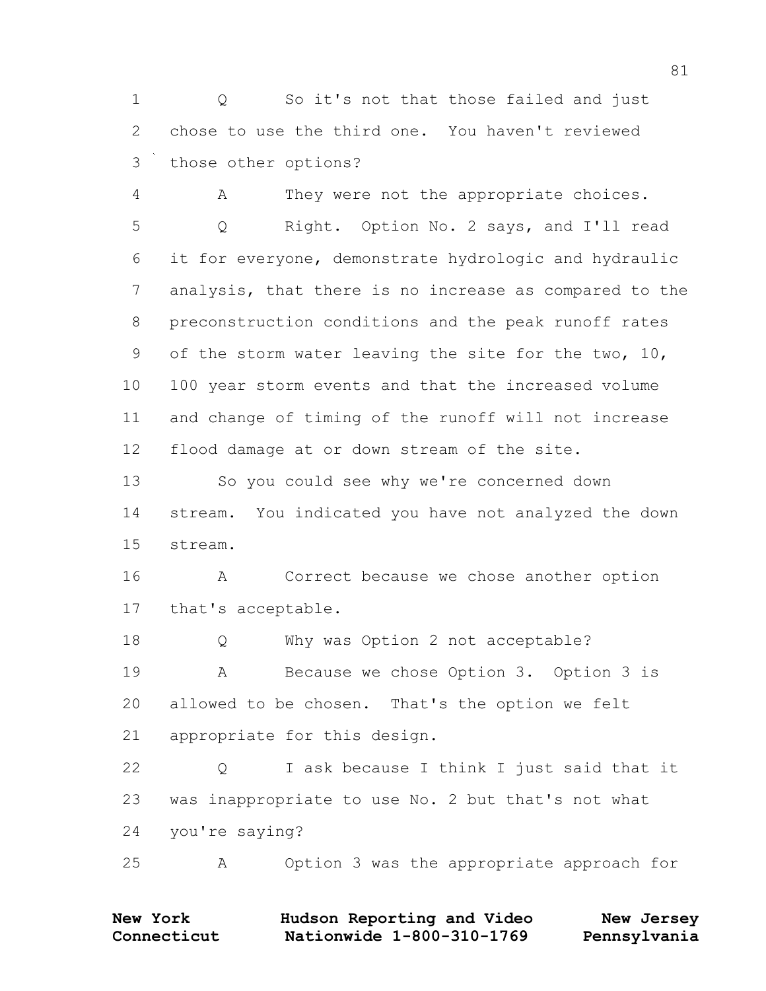1 Q So it's not that those failed and just chose to use the third one. You haven't reviewed those other options?

 A They were not the appropriate choices. Q Right. Option No. 2 says, and I'll read it for everyone, demonstrate hydrologic and hydraulic analysis, that there is no increase as compared to the preconstruction conditions and the peak runoff rates of the storm water leaving the site for the two, 10, 100 year storm events and that the increased volume and change of timing of the runoff will not increase flood damage at or down stream of the site.

 So you could see why we're concerned down stream. You indicated you have not analyzed the down stream.

 A Correct because we chose another option that's acceptable.

18 Q Why was Option 2 not acceptable? A Because we chose Option 3. Option 3 is allowed to be chosen. That's the option we felt appropriate for this design.

 Q I ask because I think I just said that it was inappropriate to use No. 2 but that's not what you're saying?

A Option 3 was the appropriate approach for

| <b>New York</b> | Hudson Reporting and Video | New Jersey   |
|-----------------|----------------------------|--------------|
| Connecticut     | Nationwide 1-800-310-1769  | Pennsylvania |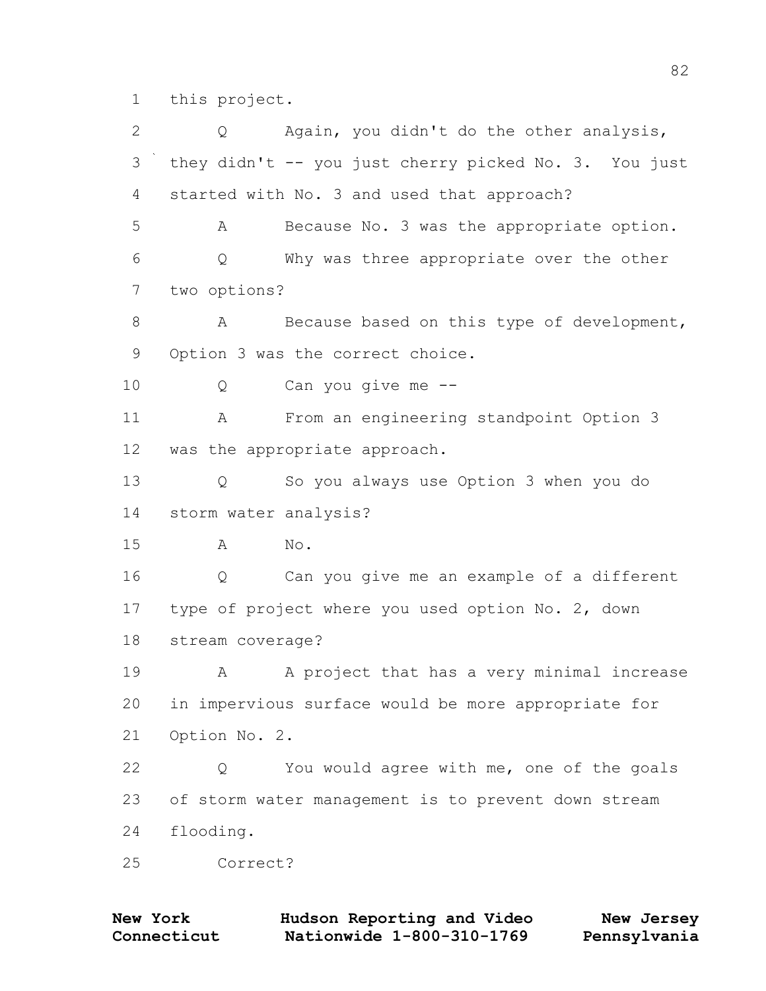this project.

| $\overline{2}$ | Again, you didn't do the other analysis,<br>Q         |
|----------------|-------------------------------------------------------|
| 3              | they didn't -- you just cherry picked No. 3. You just |
| 4              | started with No. 3 and used that approach?            |
| 5              | Because No. 3 was the appropriate option.<br>Α        |
| 6              | Why was three appropriate over the other<br>Q         |
| 7              | two options?                                          |
| $\,8\,$        | Because based on this type of development,<br>Α       |
| 9              | Option 3 was the correct choice.                      |
| 10             | Can you give me --<br>Q                               |
| 11             | From an engineering standpoint Option 3<br>A          |
| 12             | was the appropriate approach.                         |
| 13             | So you always use Option 3 when you do<br>Q           |
| 14             | storm water analysis?                                 |
| 15             | No.<br>Α                                              |
| 16             | Can you give me an example of a different<br>Q        |
| 17             | type of project where you used option No. 2, down     |
| 18             | stream coverage?                                      |
| 19             | A project that has a very minimal increase<br>A       |
| 20             | in impervious surface would be more appropriate for   |
| 21             | Option No. 2.                                         |
| 22             | You would agree with me, one of the goals<br>Q        |
| 23             | of storm water management is to prevent down stream   |
| 24             | flooding.                                             |
| 25             | Correct?                                              |

| <b>New York</b> | Hudson Reporting and Video | New Jersey   |
|-----------------|----------------------------|--------------|
| Connecticut     | Nationwide 1-800-310-1769  | Pennsylvania |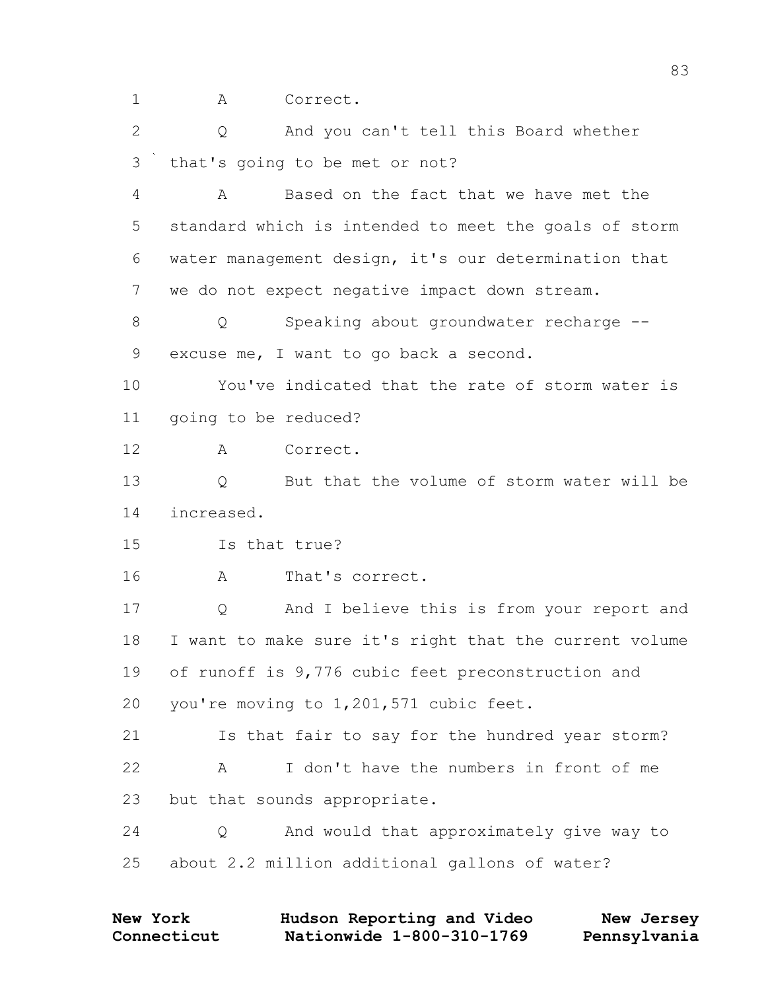1 A Correct.

 Q And you can't tell this Board whether that's going to be met or not?

 A Based on the fact that we have met the standard which is intended to meet the goals of storm water management design, it's our determination that we do not expect negative impact down stream.

8 Q Speaking about groundwater recharge --excuse me, I want to go back a second.

 You've indicated that the rate of storm water is going to be reduced?

A Correct.

 Q But that the volume of storm water will be increased.

Is that true?

A That's correct.

 Q And I believe this is from your report and I want to make sure it's right that the current volume of runoff is 9,776 cubic feet preconstruction and you're moving to 1,201,571 cubic feet.

 Is that fair to say for the hundred year storm? A I don't have the numbers in front of me but that sounds appropriate.

 Q And would that approximately give way to about 2.2 million additional gallons of water?

| <b>New York</b> | Hudson Reporting and Video | New Jersey   |
|-----------------|----------------------------|--------------|
| Connecticut     | Nationwide 1-800-310-1769  | Pennsylvania |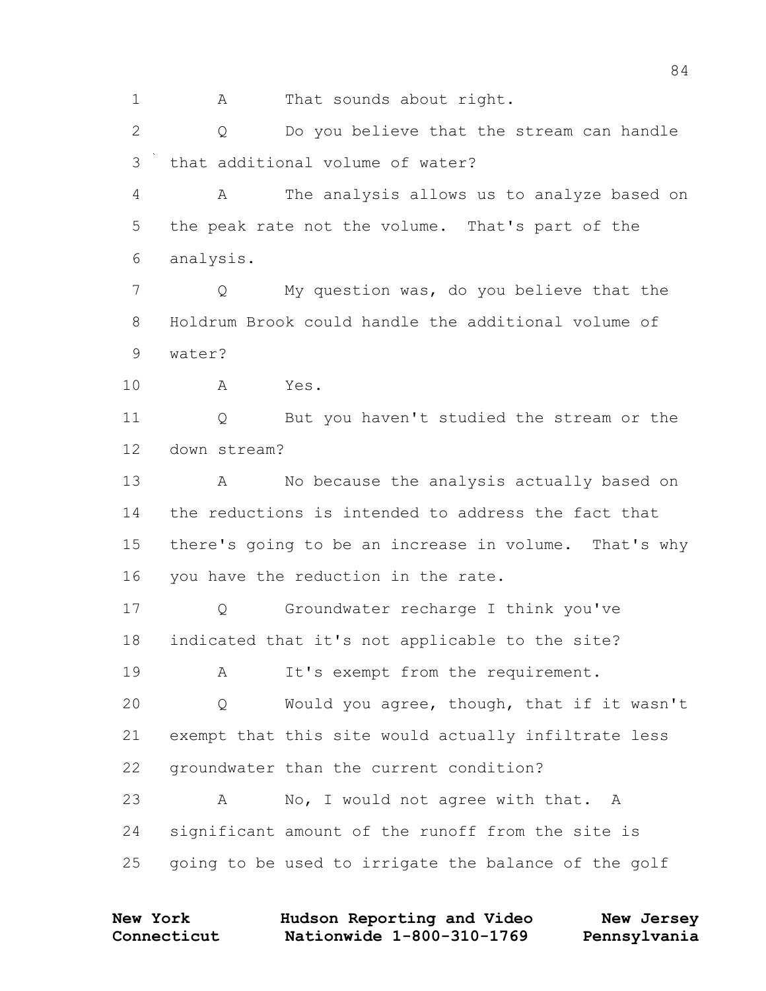1 A That sounds about right.

 Q Do you believe that the stream can handle that additional volume of water?

 A The analysis allows us to analyze based on the peak rate not the volume. That's part of the analysis.

 Q My question was, do you believe that the Holdrum Brook could handle the additional volume of water?

A Yes.

 Q But you haven't studied the stream or the down stream?

13 A No because the analysis actually based on the reductions is intended to address the fact that there's going to be an increase in volume. That's why you have the reduction in the rate.

 Q Groundwater recharge I think you've indicated that it's not applicable to the site?

19 A It's exempt from the requirement.

 Q Would you agree, though, that if it wasn't exempt that this site would actually infiltrate less groundwater than the current condition?

23 A No, I would not agree with that. A significant amount of the runoff from the site is going to be used to irrigate the balance of the golf

| <b>New York</b> | Hudson Reporting and Video | New Jersey   |
|-----------------|----------------------------|--------------|
| Connecticut     | Nationwide 1-800-310-1769  | Pennsylvania |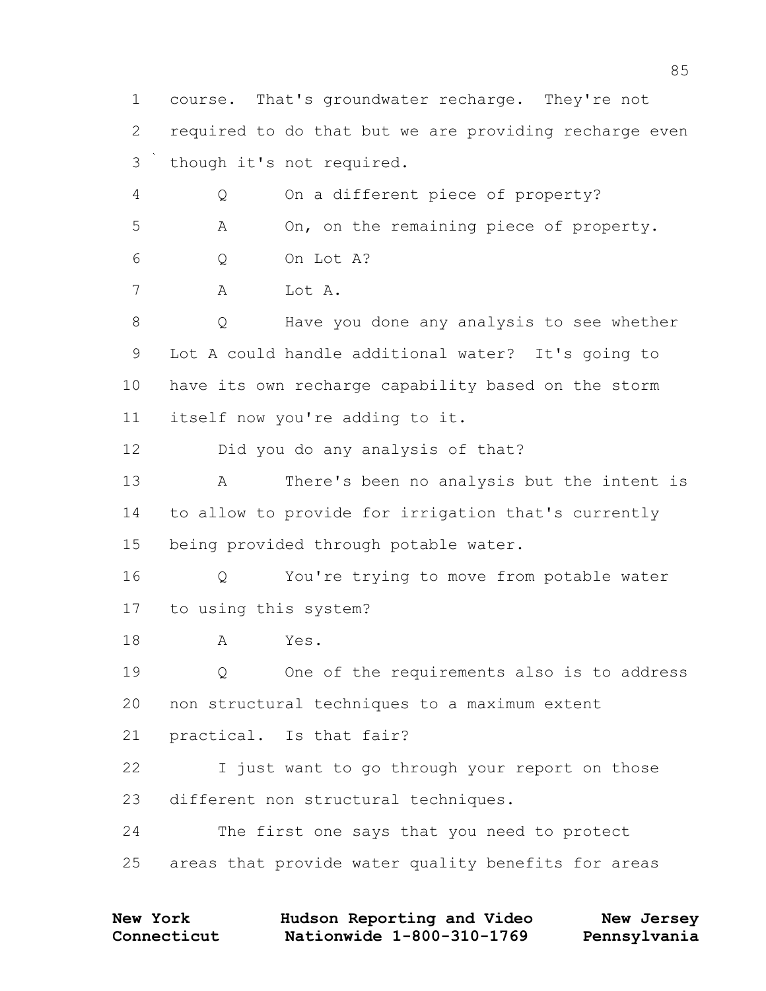course. That's groundwater recharge. They're not required to do that but we are providing recharge even though it's not required. Q On a different piece of property? A On, on the remaining piece of property. Q On Lot A? A Lot A. Q Have you done any analysis to see whether Lot A could handle additional water? It's going to have its own recharge capability based on the storm itself now you're adding to it. Did you do any analysis of that? A There's been no analysis but the intent is to allow to provide for irrigation that's currently being provided through potable water. Q You're trying to move from potable water to using this system? A Yes. Q One of the requirements also is to address non structural techniques to a maximum extent practical. Is that fair? I just want to go through your report on those different non structural techniques. The first one says that you need to protect areas that provide water quality benefits for areas

| <b>New York</b> | Hudson Reporting and Video | New Jersey   |
|-----------------|----------------------------|--------------|
| Connecticut     | Nationwide 1-800-310-1769  | Pennsylvania |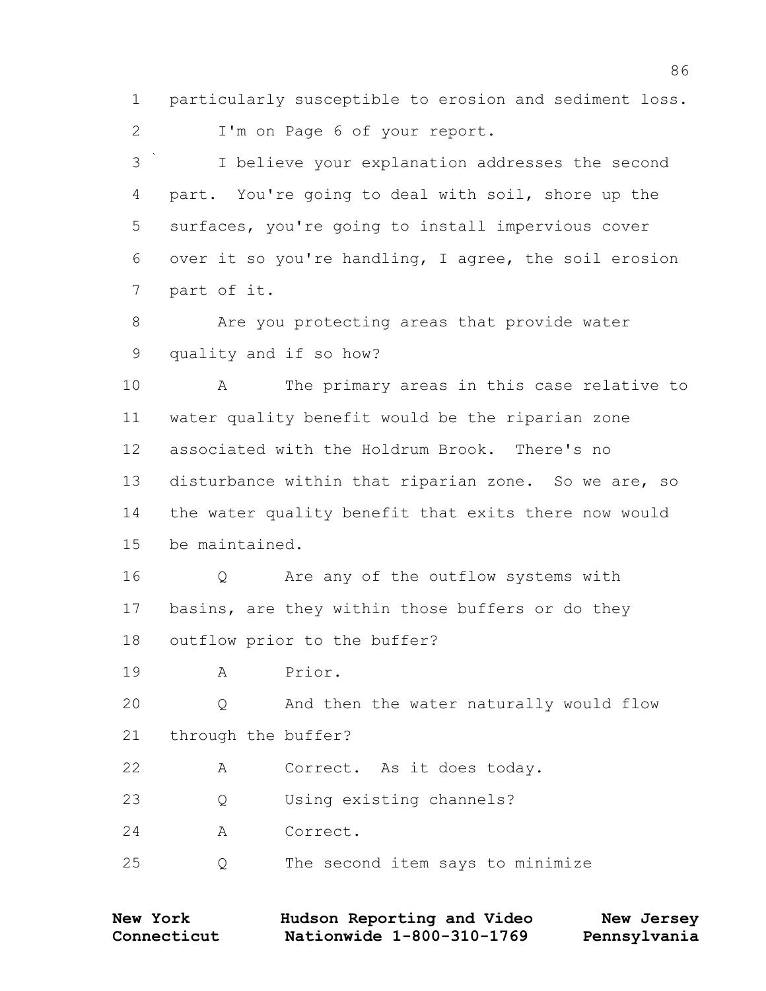particularly susceptible to erosion and sediment loss.

I'm on Page 6 of your report.

 I believe your explanation addresses the second part. You're going to deal with soil, shore up the surfaces, you're going to install impervious cover over it so you're handling, I agree, the soil erosion part of it.

 Are you protecting areas that provide water quality and if so how?

 A The primary areas in this case relative to water quality benefit would be the riparian zone associated with the Holdrum Brook. There's no disturbance within that riparian zone. So we are, so the water quality benefit that exits there now would be maintained.

 Q Are any of the outflow systems with basins, are they within those buffers or do they outflow prior to the buffer?

A Prior.

 Q And then the water naturally would flow through the buffer?

A Correct. As it does today.

Q Using existing channels?

A Correct.

Q The second item says to minimize

| <b>New York</b> | Hudson Reporting and Video | New Jersey   |
|-----------------|----------------------------|--------------|
| Connecticut     | Nationwide 1-800-310-1769  | Pennsylvania |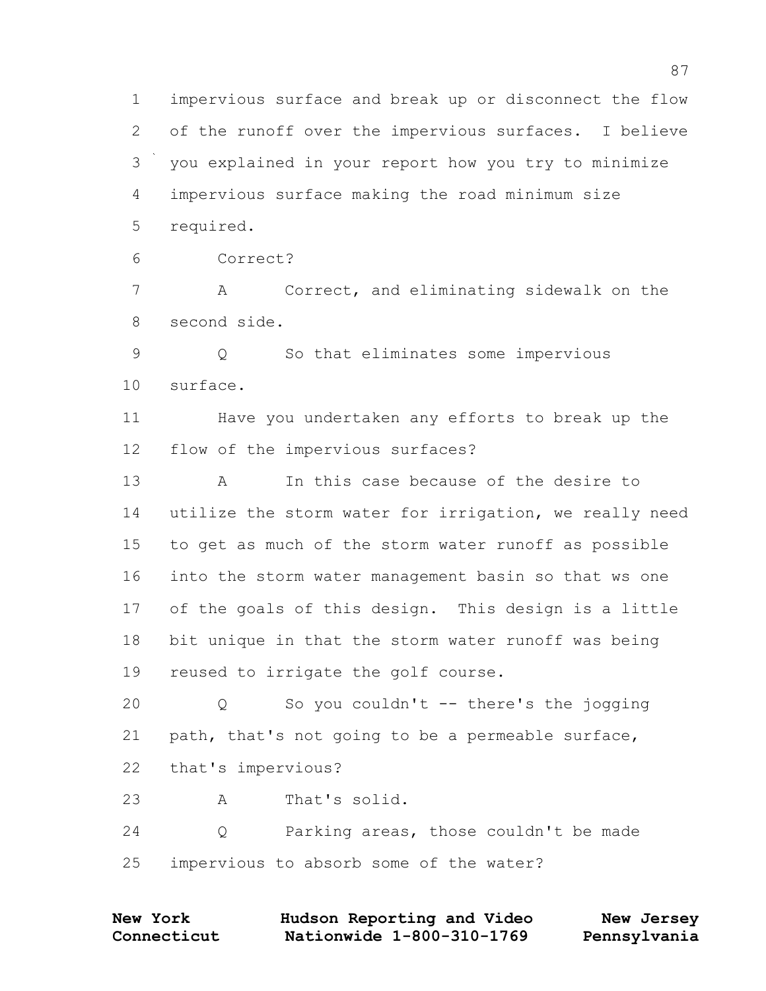impervious surface and break up or disconnect the flow of the runoff over the impervious surfaces. I believe you explained in your report how you try to minimize impervious surface making the road minimum size required.

Correct?

 A Correct, and eliminating sidewalk on the second side.

 Q So that eliminates some impervious surface.

 Have you undertaken any efforts to break up the flow of the impervious surfaces?

 A In this case because of the desire to utilize the storm water for irrigation, we really need to get as much of the storm water runoff as possible into the storm water management basin so that ws one of the goals of this design. This design is a little bit unique in that the storm water runoff was being reused to irrigate the golf course.

 Q So you couldn't -- there's the jogging path, that's not going to be a permeable surface, that's impervious? A That's solid.

 Q Parking areas, those couldn't be made impervious to absorb some of the water?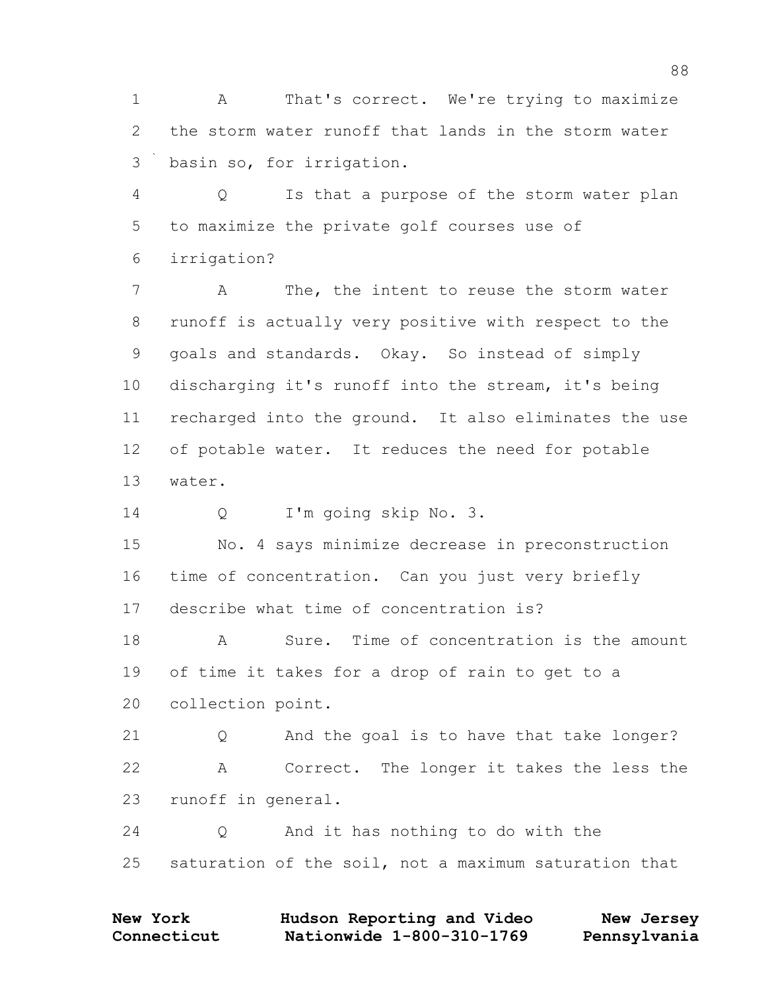1 A That's correct. We're trying to maximize the storm water runoff that lands in the storm water basin so, for irrigation.

 Q Is that a purpose of the storm water plan to maximize the private golf courses use of irrigation?

 A The, the intent to reuse the storm water runoff is actually very positive with respect to the goals and standards. Okay. So instead of simply discharging it's runoff into the stream, it's being recharged into the ground. It also eliminates the use of potable water. It reduces the need for potable water.

Q I'm going skip No. 3.

 No. 4 says minimize decrease in preconstruction time of concentration. Can you just very briefly describe what time of concentration is?

18 A Sure. Time of concentration is the amount of time it takes for a drop of rain to get to a collection point.

 Q And the goal is to have that take longer? A Correct. The longer it takes the less the runoff in general.

 Q And it has nothing to do with the saturation of the soil, not a maximum saturation that

| <b>New York</b> | Hudson Reporting and Video | New Jersey   |
|-----------------|----------------------------|--------------|
| Connecticut     | Nationwide 1-800-310-1769  | Pennsylvania |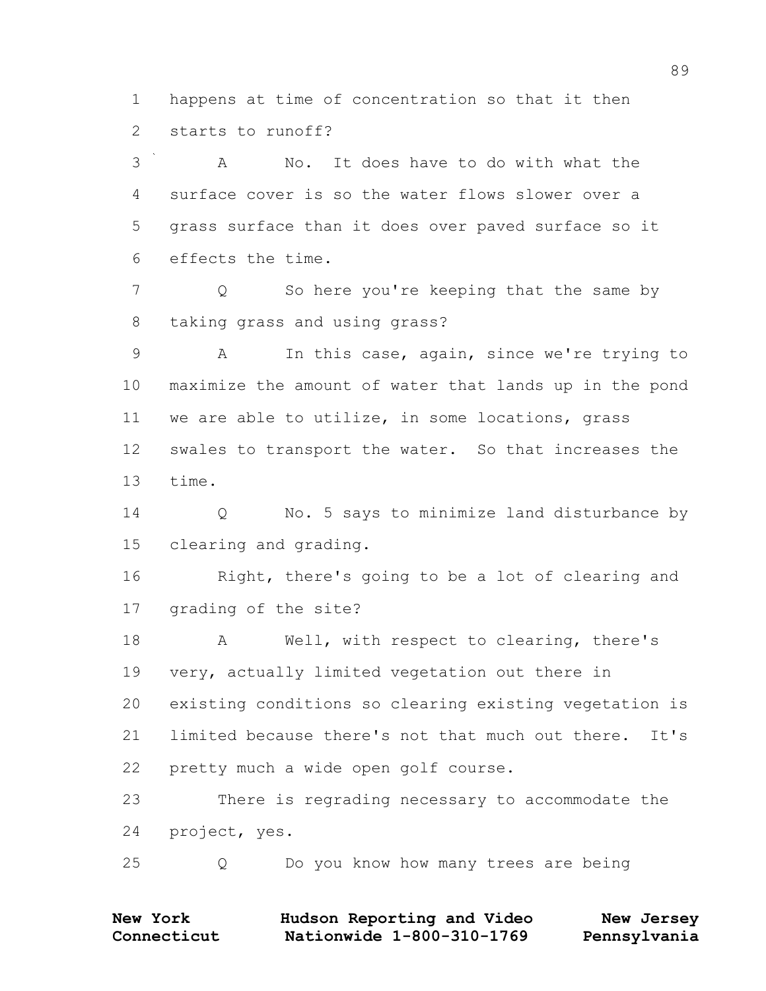happens at time of concentration so that it then starts to runoff?

 A No. It does have to do with what the surface cover is so the water flows slower over a grass surface than it does over paved surface so it effects the time.

7 O So here you're keeping that the same by taking grass and using grass?

 A In this case, again, since we're trying to maximize the amount of water that lands up in the pond we are able to utilize, in some locations, grass swales to transport the water. So that increases the time.

 Q No. 5 says to minimize land disturbance by clearing and grading.

 Right, there's going to be a lot of clearing and grading of the site?

18 A Well, with respect to clearing, there's very, actually limited vegetation out there in existing conditions so clearing existing vegetation is limited because there's not that much out there. It's pretty much a wide open golf course.

 There is regrading necessary to accommodate the project, yes.

Q Do you know how many trees are being

| <b>New York</b> | Hudson Reporting and Video | New Jersey   |
|-----------------|----------------------------|--------------|
| Connecticut     | Nationwide 1-800-310-1769  | Pennsylvania |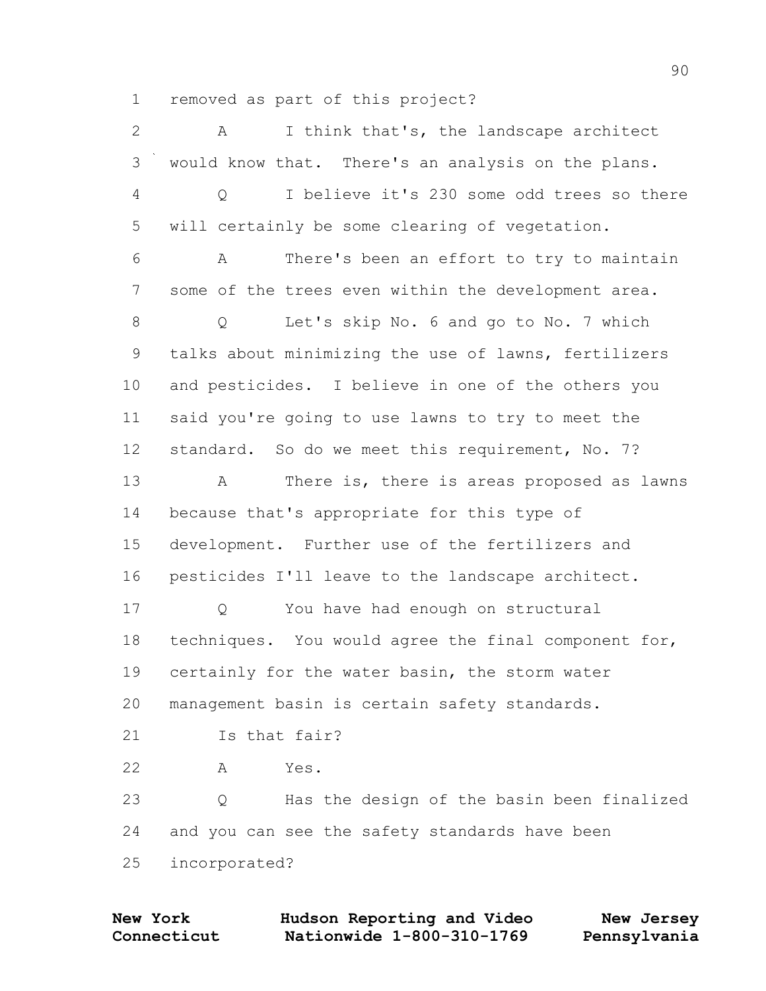removed as part of this project?

| $\mathbf{2}$   | I think that's, the landscape architect<br>A         |
|----------------|------------------------------------------------------|
| 3              | would know that. There's an analysis on the plans.   |
| $\overline{4}$ | I believe it's 230 some odd trees so there<br>Q      |
| 5              | will certainly be some clearing of vegetation.       |
| 6              | There's been an effort to try to maintain<br>Α       |
| 7              | some of the trees even within the development area.  |
| $8\,$          | Let's skip No. 6 and go to No. 7 which<br>Q          |
| 9              | talks about minimizing the use of lawns, fertilizers |
| 10             | and pesticides. I believe in one of the others you   |
| 11             | said you're going to use lawns to try to meet the    |
| 12             | standard. So do we meet this requirement, No. 7?     |
| 13             | There is, there is areas proposed as lawns<br>A      |
| 14             | because that's appropriate for this type of          |
| 15             | development. Further use of the fertilizers and      |
| 16             | pesticides I'll leave to the landscape architect.    |
| 17             | You have had enough on structural<br>Q               |
| 18             | techniques. You would agree the final component for, |
| 19             | certainly for the water basin, the storm water       |
| 20             | management basin is certain safety standards.        |
| 21             | Is that fair?                                        |
| 22             | Yes.<br>Α                                            |
| 23             | Has the design of the basin been finalized<br>Q      |
| 24             | and you can see the safety standards have been       |
| 25             | incorporated?                                        |

**Connecticut Nationwide 1-800-310-1769 Pennsylvania New York Hudson Reporting and Video New Jersey**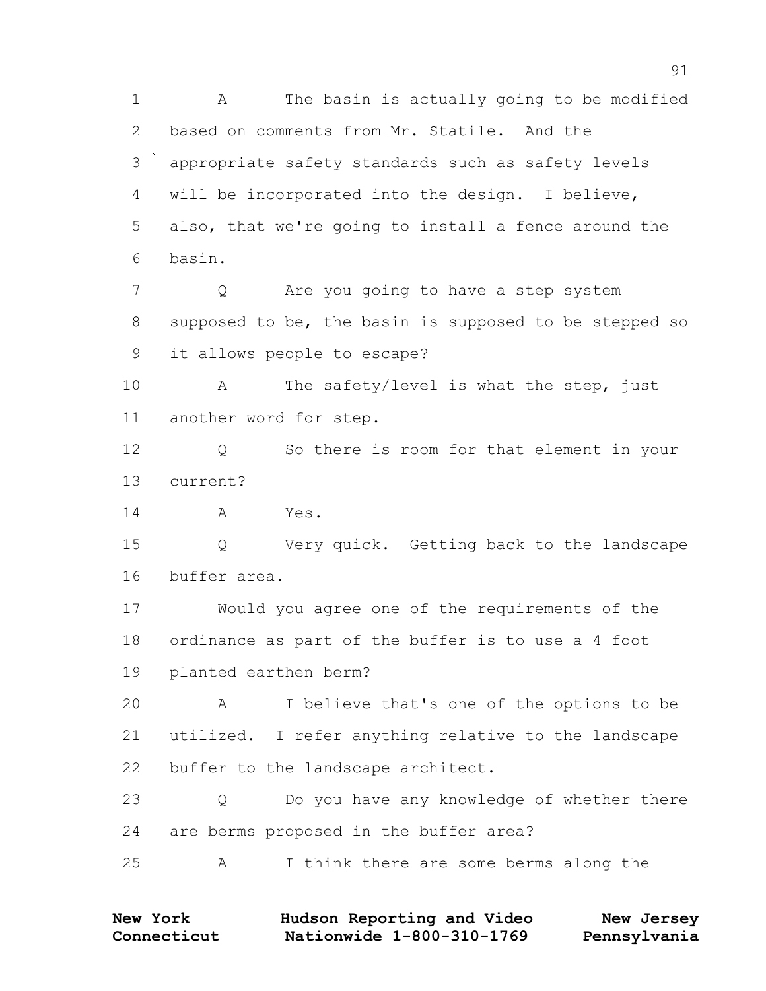A The basin is actually going to be modified based on comments from Mr. Statile. And the appropriate safety standards such as safety levels will be incorporated into the design. I believe, also, that we're going to install a fence around the basin. Q Are you going to have a step system supposed to be, the basin is supposed to be stepped so it allows people to escape? 10 A The safety/level is what the step, just another word for step. Q So there is room for that element in your current? A Yes. Q Very quick. Getting back to the landscape buffer area. Would you agree one of the requirements of the ordinance as part of the buffer is to use a 4 foot planted earthen berm? A I believe that's one of the options to be utilized. I refer anything relative to the landscape buffer to the landscape architect. Q Do you have any knowledge of whether there are berms proposed in the buffer area? A I think there are some berms along the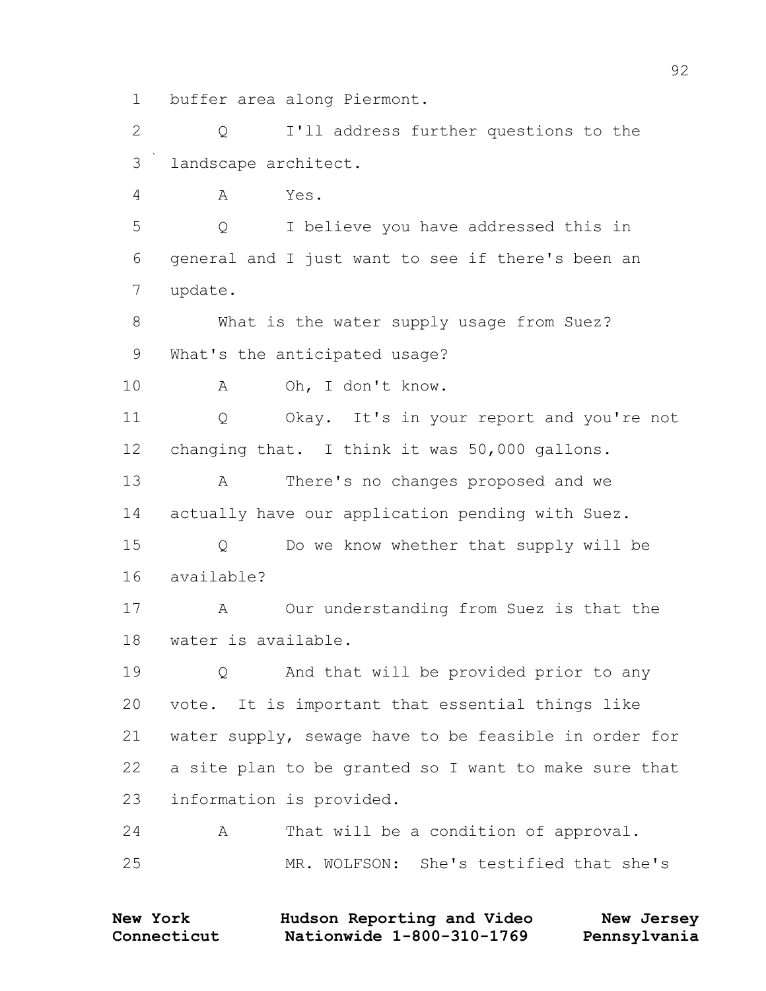1 buffer area along Piermont.

2 Q I'll address further questions to the 3 landscape architect.

4 A Yes.

5 Q I believe you have addressed this in 6 general and I just want to see if there's been an 7 update.

8 What is the water supply usage from Suez? 9 What's the anticipated usage?

10 A Oh, I don't know.

11 Q Okay. It's in your report and you're not 12 changing that. I think it was 50,000 gallons.

13 A There's no changes proposed and we 14 actually have our application pending with Suez.

15 Q Do we know whether that supply will be 16 available?

17 A Our understanding from Suez is that the 18 water is available.

19 Q And that will be provided prior to any 20 vote. It is important that essential things like 21 water supply, sewage have to be feasible in order for 22 a site plan to be granted so I want to make sure that 23 information is provided.

24 A That will be a condition of approval. 25 MR. WOLFSON: She's testified that she's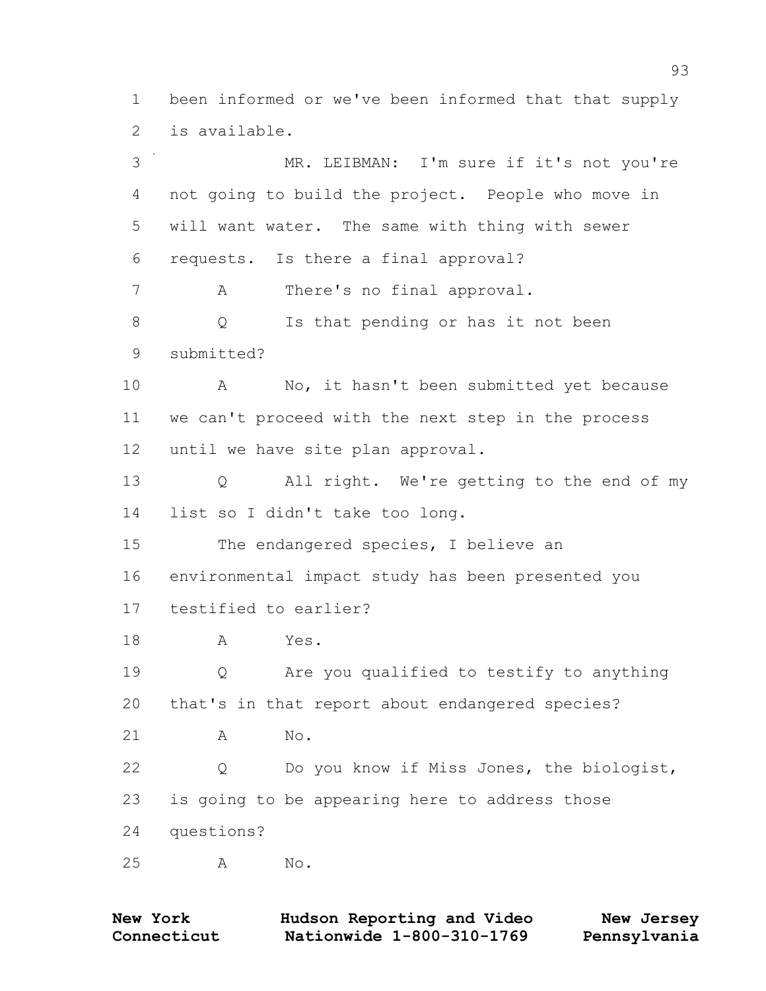been informed or we've been informed that that supply is available.

 MR. LEIBMAN: I'm sure if it's not you're not going to build the project. People who move in will want water. The same with thing with sewer requests. Is there a final approval? A There's no final approval. Q Is that pending or has it not been submitted? A No, it hasn't been submitted yet because we can't proceed with the next step in the process until we have site plan approval. Q All right. We're getting to the end of my list so I didn't take too long. The endangered species, I believe an environmental impact study has been presented you testified to earlier? A Yes. Q Are you qualified to testify to anything that's in that report about endangered species? A No. Q Do you know if Miss Jones, the biologist, is going to be appearing here to address those questions? A No.

| <b>New York</b> | Hudson Reporting and Video | New Jersey   |
|-----------------|----------------------------|--------------|
| Connecticut     | Nationwide 1-800-310-1769  | Pennsylvania |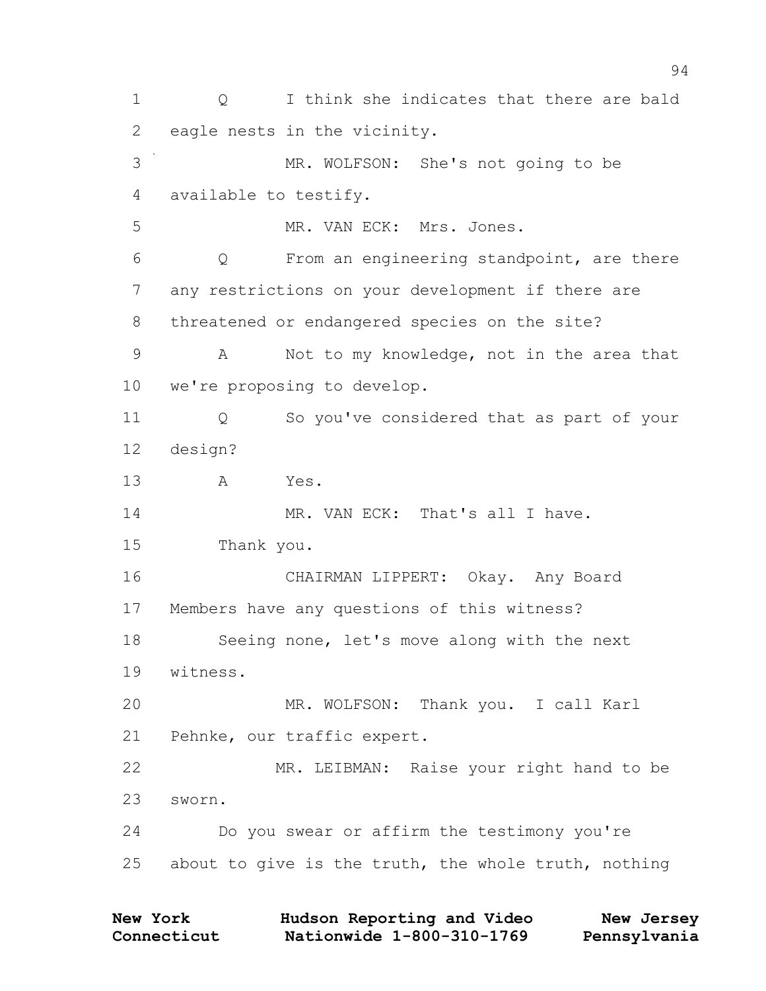1 0 I think she indicates that there are bald 2 eagle nests in the vicinity. 3 MR. WOLFSON: She's not going to be 4 available to testify. 5 MR. VAN ECK: Mrs. Jones. 6 Q From an engineering standpoint, are there 7 any restrictions on your development if there are 8 threatened or endangered species on the site? 9 A Not to my knowledge, not in the area that 10 we're proposing to develop. 11 Q So you've considered that as part of your 12 design? 13 A Yes. 14 MR. VAN ECK: That's all I have. 15 Thank you. 16 CHAIRMAN LIPPERT: Okay. Any Board 17 Members have any questions of this witness? 18 Seeing none, let's move along with the next 19 witness. 20 MR. WOLFSON: Thank you. I call Karl 21 Pehnke, our traffic expert. 22 MR. LEIBMAN: Raise your right hand to be 23 sworn. 24 Do you swear or affirm the testimony you're 25 about to give is the truth, the whole truth, nothing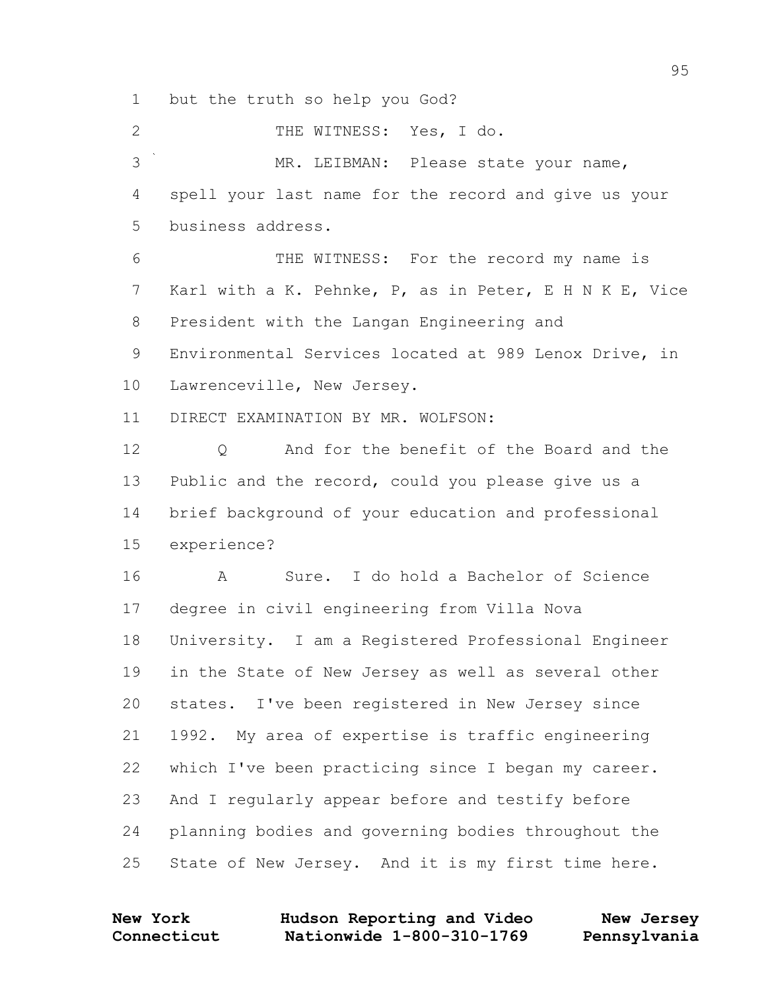but the truth so help you God?

2 THE WITNESS: Yes, I do. MR. LEIBMAN: Please state your name, spell your last name for the record and give us your business address. THE WITNESS: For the record my name is Karl with a K. Pehnke, P, as in Peter, E H N K E, Vice President with the Langan Engineering and Environmental Services located at 989 Lenox Drive, in Lawrenceville, New Jersey. DIRECT EXAMINATION BY MR. WOLFSON: 12 0 And for the benefit of the Board and the Public and the record, could you please give us a brief background of your education and professional experience? A Sure. I do hold a Bachelor of Science degree in civil engineering from Villa Nova University. I am a Registered Professional Engineer in the State of New Jersey as well as several other states. I've been registered in New Jersey since 1992. My area of expertise is traffic engineering which I've been practicing since I began my career. And I regularly appear before and testify before planning bodies and governing bodies throughout the State of New Jersey. And it is my first time here.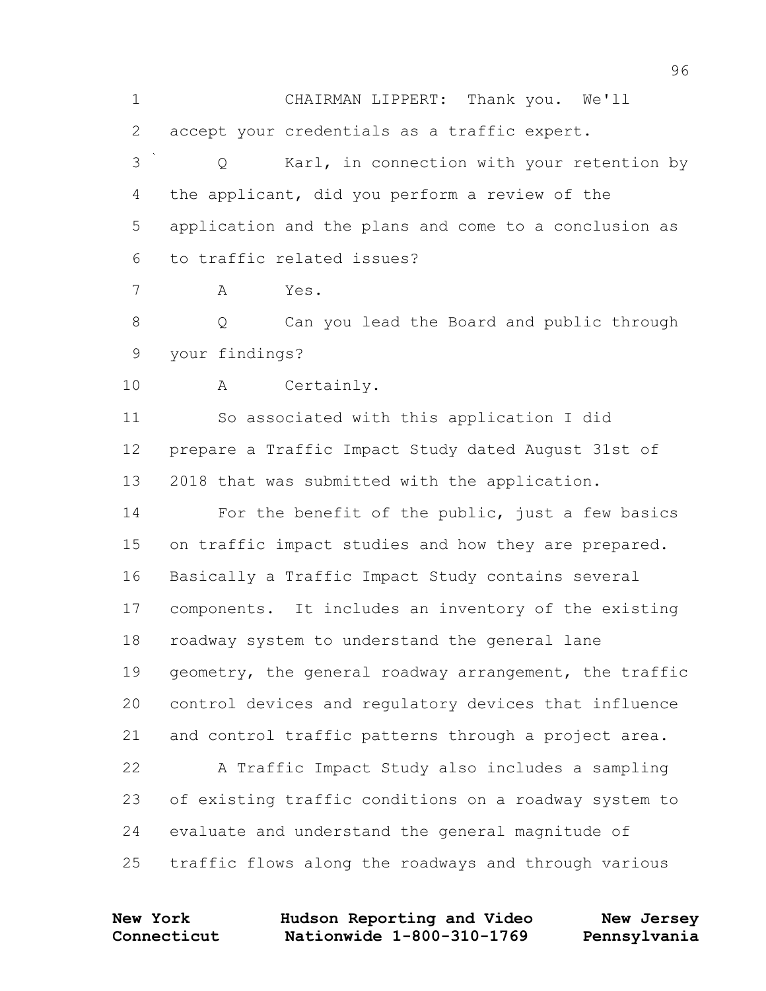CHAIRMAN LIPPERT: Thank you. We'll accept your credentials as a traffic expert. Q Karl, in connection with your retention by the applicant, did you perform a review of the application and the plans and come to a conclusion as to traffic related issues? A Yes. Q Can you lead the Board and public through your findings? A Certainly. So associated with this application I did prepare a Traffic Impact Study dated August 31st of 2018 that was submitted with the application. For the benefit of the public, just a few basics 15 on traffic impact studies and how they are prepared. Basically a Traffic Impact Study contains several components. It includes an inventory of the existing roadway system to understand the general lane geometry, the general roadway arrangement, the traffic control devices and regulatory devices that influence and control traffic patterns through a project area. A Traffic Impact Study also includes a sampling of existing traffic conditions on a roadway system to evaluate and understand the general magnitude of traffic flows along the roadways and through various

**Connecticut Nationwide 1-800-310-1769 Pennsylvania New York Hudson Reporting and Video New Jersey**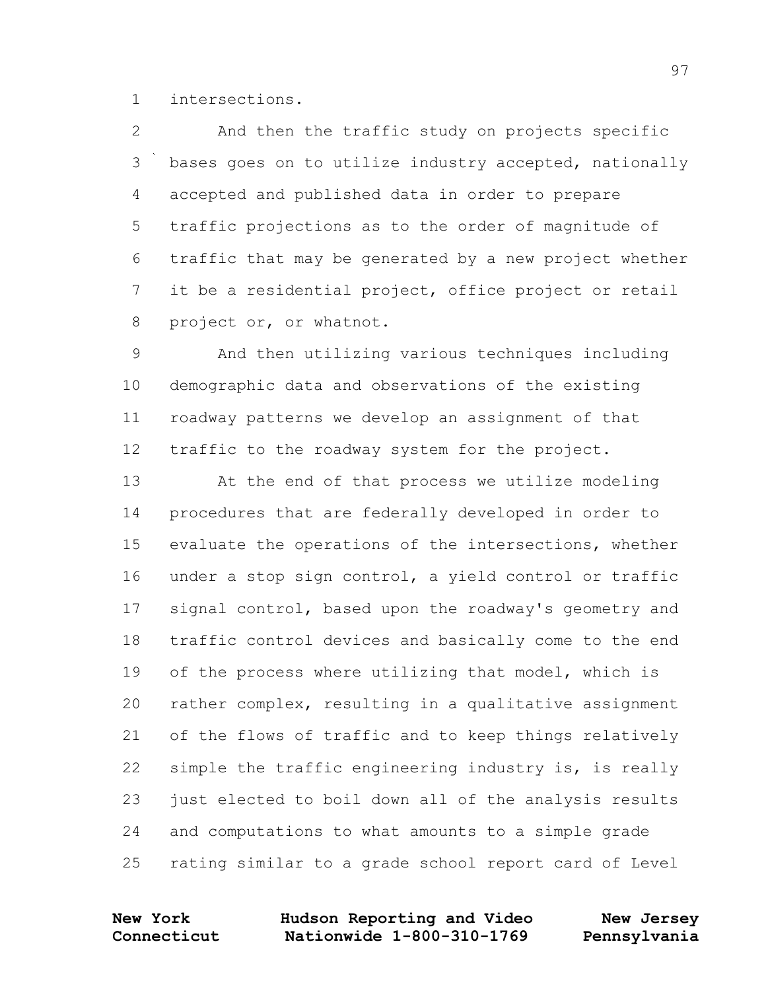intersections.

 And then the traffic study on projects specific 3 bases goes on to utilize industry accepted, nationally accepted and published data in order to prepare traffic projections as to the order of magnitude of traffic that may be generated by a new project whether it be a residential project, office project or retail project or, or whatnot.

 And then utilizing various techniques including demographic data and observations of the existing roadway patterns we develop an assignment of that traffic to the roadway system for the project.

 At the end of that process we utilize modeling procedures that are federally developed in order to evaluate the operations of the intersections, whether under a stop sign control, a yield control or traffic signal control, based upon the roadway's geometry and traffic control devices and basically come to the end

 of the process where utilizing that model, which is rather complex, resulting in a qualitative assignment of the flows of traffic and to keep things relatively simple the traffic engineering industry is, is really just elected to boil down all of the analysis results and computations to what amounts to a simple grade rating similar to a grade school report card of Level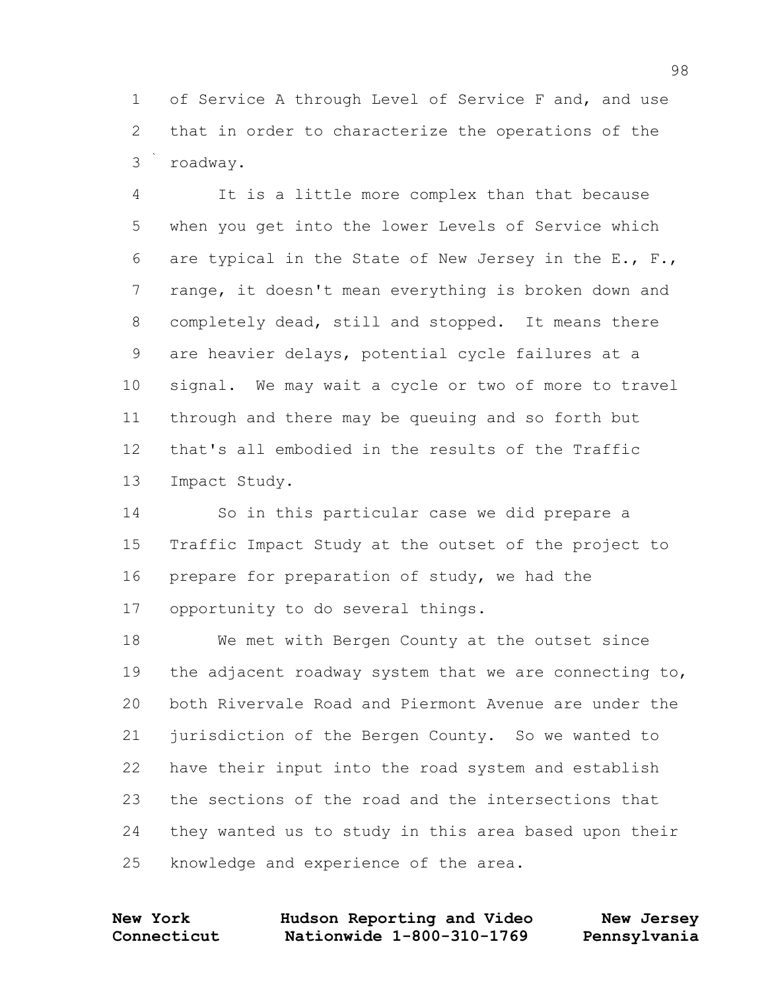of Service A through Level of Service F and, and use that in order to characterize the operations of the roadway.

 It is a little more complex than that because when you get into the lower Levels of Service which are typical in the State of New Jersey in the E., F., range, it doesn't mean everything is broken down and completely dead, still and stopped. It means there are heavier delays, potential cycle failures at a signal. We may wait a cycle or two of more to travel through and there may be queuing and so forth but that's all embodied in the results of the Traffic Impact Study.

 So in this particular case we did prepare a Traffic Impact Study at the outset of the project to prepare for preparation of study, we had the opportunity to do several things.

 We met with Bergen County at the outset since the adjacent roadway system that we are connecting to, both Rivervale Road and Piermont Avenue are under the jurisdiction of the Bergen County. So we wanted to have their input into the road system and establish the sections of the road and the intersections that they wanted us to study in this area based upon their knowledge and experience of the area.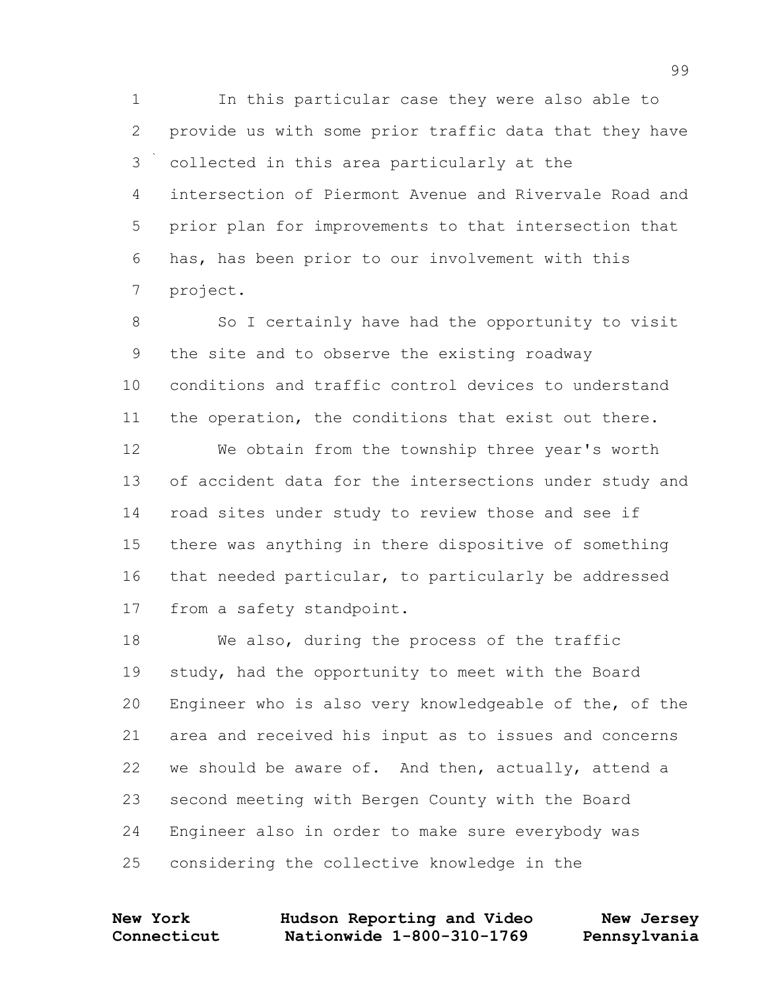In this particular case they were also able to provide us with some prior traffic data that they have collected in this area particularly at the intersection of Piermont Avenue and Rivervale Road and prior plan for improvements to that intersection that has, has been prior to our involvement with this project.

8 So I certainly have had the opportunity to visit the site and to observe the existing roadway conditions and traffic control devices to understand the operation, the conditions that exist out there.

 We obtain from the township three year's worth of accident data for the intersections under study and road sites under study to review those and see if there was anything in there dispositive of something that needed particular, to particularly be addressed from a safety standpoint.

 We also, during the process of the traffic study, had the opportunity to meet with the Board Engineer who is also very knowledgeable of the, of the area and received his input as to issues and concerns we should be aware of. And then, actually, attend a second meeting with Bergen County with the Board Engineer also in order to make sure everybody was considering the collective knowledge in the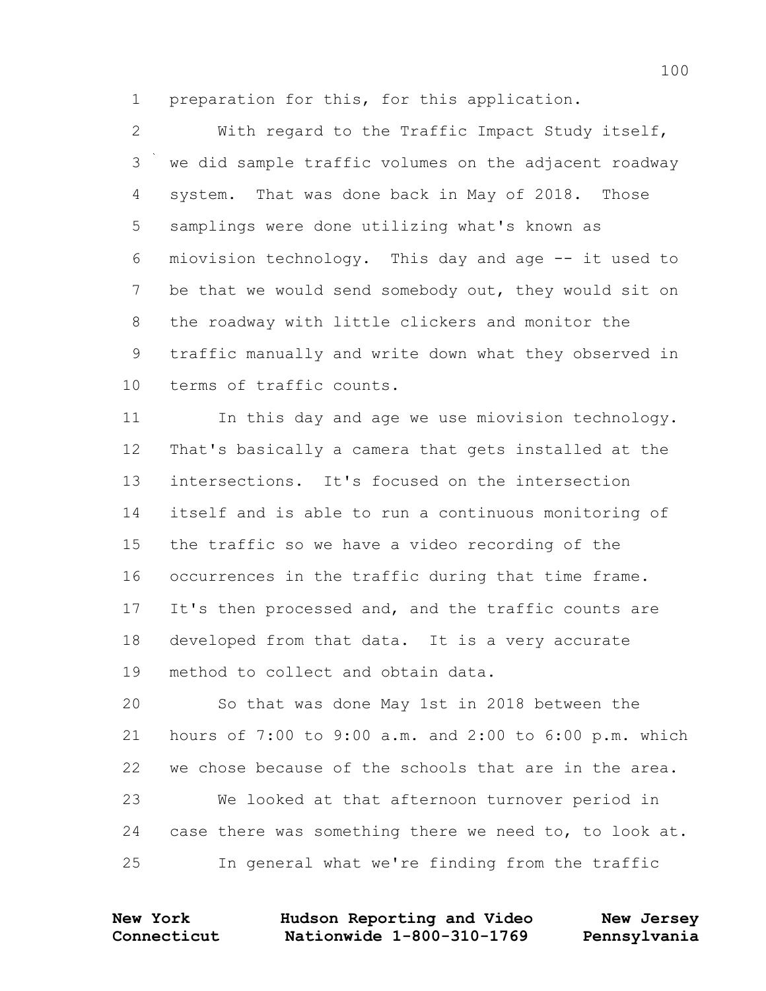preparation for this, for this application.

 With regard to the Traffic Impact Study itself, we did sample traffic volumes on the adjacent roadway system. That was done back in May of 2018. Those samplings were done utilizing what's known as miovision technology. This day and age -- it used to be that we would send somebody out, they would sit on the roadway with little clickers and monitor the traffic manually and write down what they observed in terms of traffic counts.

11 In this day and age we use miovision technology. That's basically a camera that gets installed at the intersections. It's focused on the intersection itself and is able to run a continuous monitoring of the traffic so we have a video recording of the occurrences in the traffic during that time frame. It's then processed and, and the traffic counts are developed from that data. It is a very accurate method to collect and obtain data.

 So that was done May 1st in 2018 between the hours of 7:00 to 9:00 a.m. and 2:00 to 6:00 p.m. which we chose because of the schools that are in the area. We looked at that afternoon turnover period in case there was something there we need to, to look at. In general what we're finding from the traffic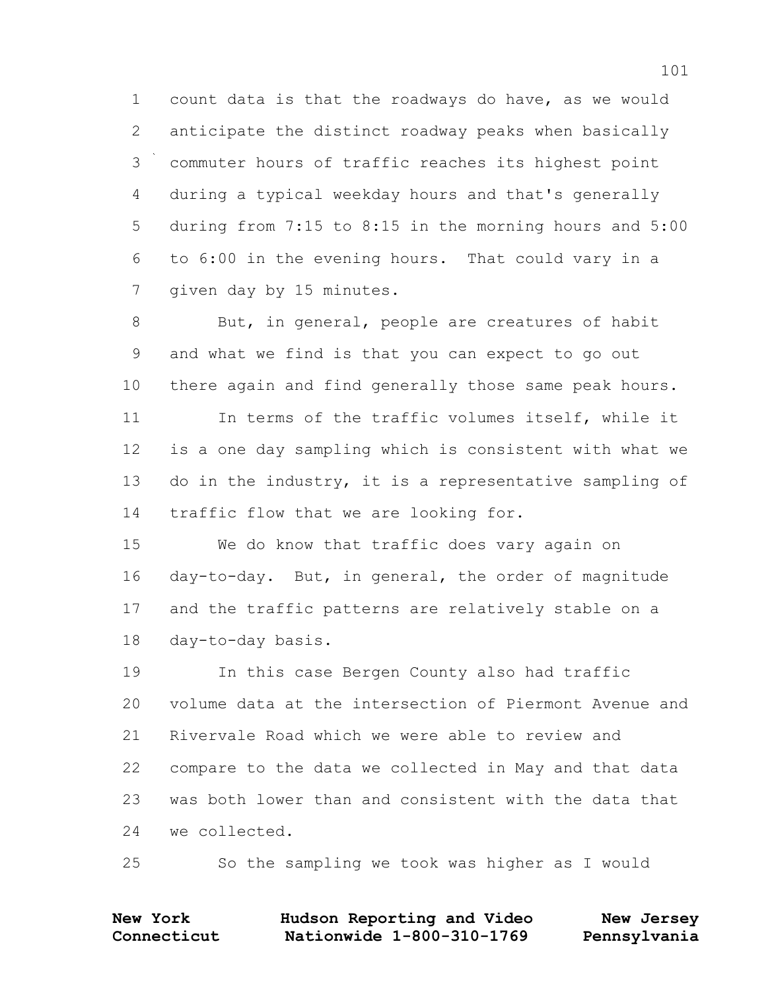count data is that the roadways do have, as we would anticipate the distinct roadway peaks when basically commuter hours of traffic reaches its highest point during a typical weekday hours and that's generally during from 7:15 to 8:15 in the morning hours and 5:00 to 6:00 in the evening hours. That could vary in a given day by 15 minutes.

8 But, in general, people are creatures of habit and what we find is that you can expect to go out there again and find generally those same peak hours. In terms of the traffic volumes itself, while it is a one day sampling which is consistent with what we do in the industry, it is a representative sampling of traffic flow that we are looking for.

 We do know that traffic does vary again on day-to-day. But, in general, the order of magnitude and the traffic patterns are relatively stable on a day-to-day basis.

 In this case Bergen County also had traffic volume data at the intersection of Piermont Avenue and Rivervale Road which we were able to review and compare to the data we collected in May and that data was both lower than and consistent with the data that we collected.

So the sampling we took was higher as I would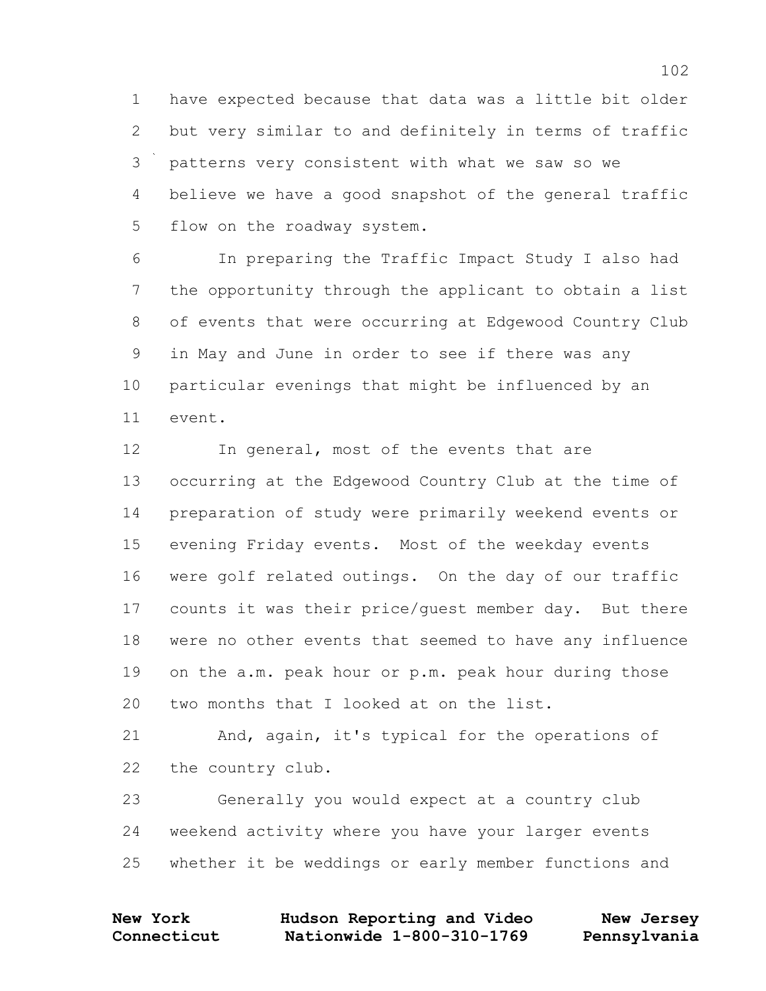have expected because that data was a little bit older but very similar to and definitely in terms of traffic patterns very consistent with what we saw so we believe we have a good snapshot of the general traffic flow on the roadway system.

 In preparing the Traffic Impact Study I also had the opportunity through the applicant to obtain a list of events that were occurring at Edgewood Country Club in May and June in order to see if there was any particular evenings that might be influenced by an event.

12 In general, most of the events that are occurring at the Edgewood Country Club at the time of preparation of study were primarily weekend events or evening Friday events. Most of the weekday events were golf related outings. On the day of our traffic counts it was their price/guest member day. But there were no other events that seemed to have any influence on the a.m. peak hour or p.m. peak hour during those two months that I looked at on the list.

 And, again, it's typical for the operations of the country club.

 Generally you would expect at a country club weekend activity where you have your larger events whether it be weddings or early member functions and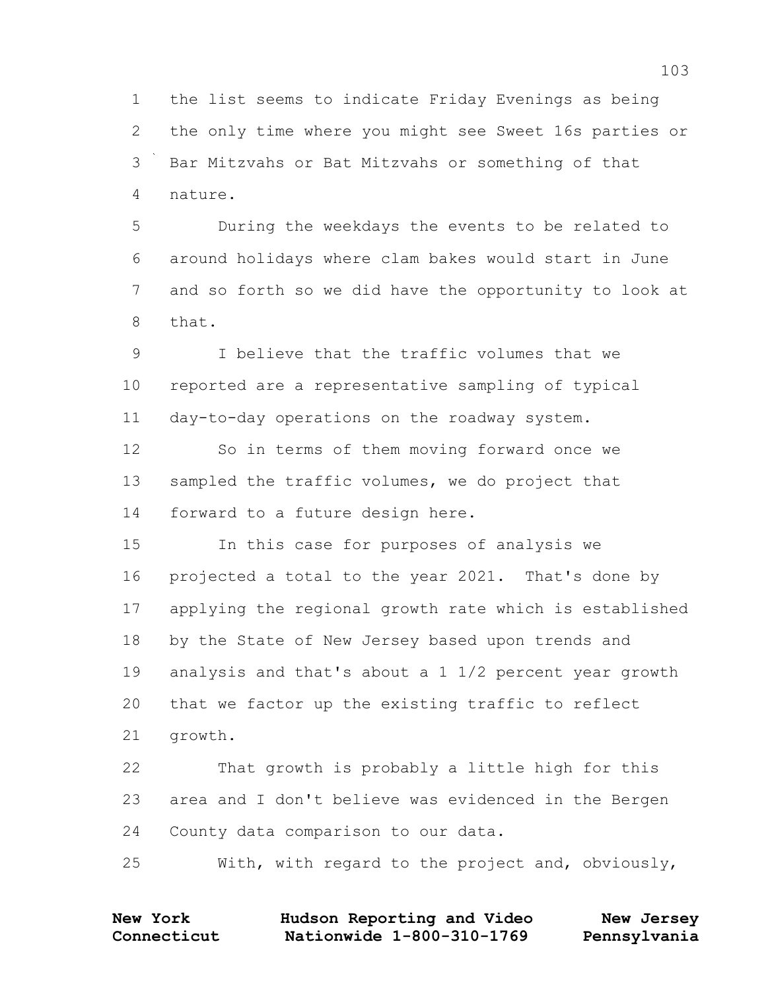the list seems to indicate Friday Evenings as being the only time where you might see Sweet 16s parties or Bar Mitzvahs or Bat Mitzvahs or something of that nature.

 During the weekdays the events to be related to around holidays where clam bakes would start in June and so forth so we did have the opportunity to look at that.

 I believe that the traffic volumes that we reported are a representative sampling of typical day-to-day operations on the roadway system.

 So in terms of them moving forward once we 13 sampled the traffic volumes, we do project that forward to a future design here.

 In this case for purposes of analysis we projected a total to the year 2021. That's done by applying the regional growth rate which is established by the State of New Jersey based upon trends and analysis and that's about a 1 1/2 percent year growth that we factor up the existing traffic to reflect growth.

 That growth is probably a little high for this area and I don't believe was evidenced in the Bergen County data comparison to our data.

With, with regard to the project and, obviously,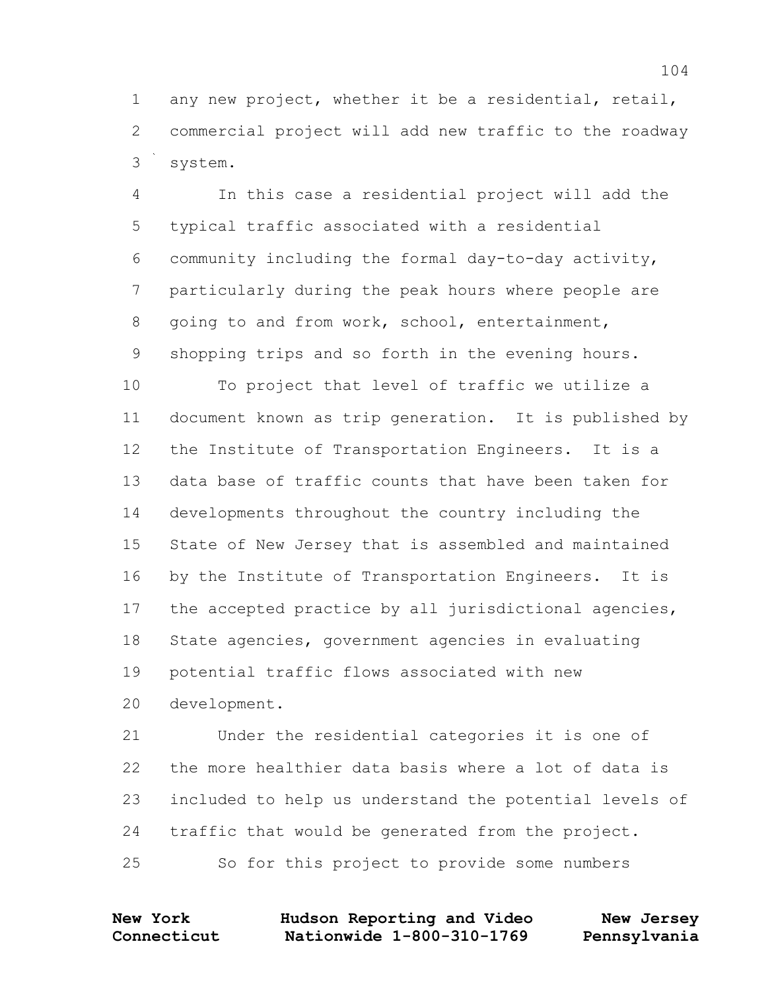any new project, whether it be a residential, retail, commercial project will add new traffic to the roadway system.

 In this case a residential project will add the typical traffic associated with a residential community including the formal day-to-day activity, particularly during the peak hours where people are going to and from work, school, entertainment, shopping trips and so forth in the evening hours.

 To project that level of traffic we utilize a document known as trip generation. It is published by the Institute of Transportation Engineers. It is a data base of traffic counts that have been taken for developments throughout the country including the State of New Jersey that is assembled and maintained by the Institute of Transportation Engineers. It is the accepted practice by all jurisdictional agencies, State agencies, government agencies in evaluating potential traffic flows associated with new development.

 Under the residential categories it is one of the more healthier data basis where a lot of data is included to help us understand the potential levels of traffic that would be generated from the project. So for this project to provide some numbers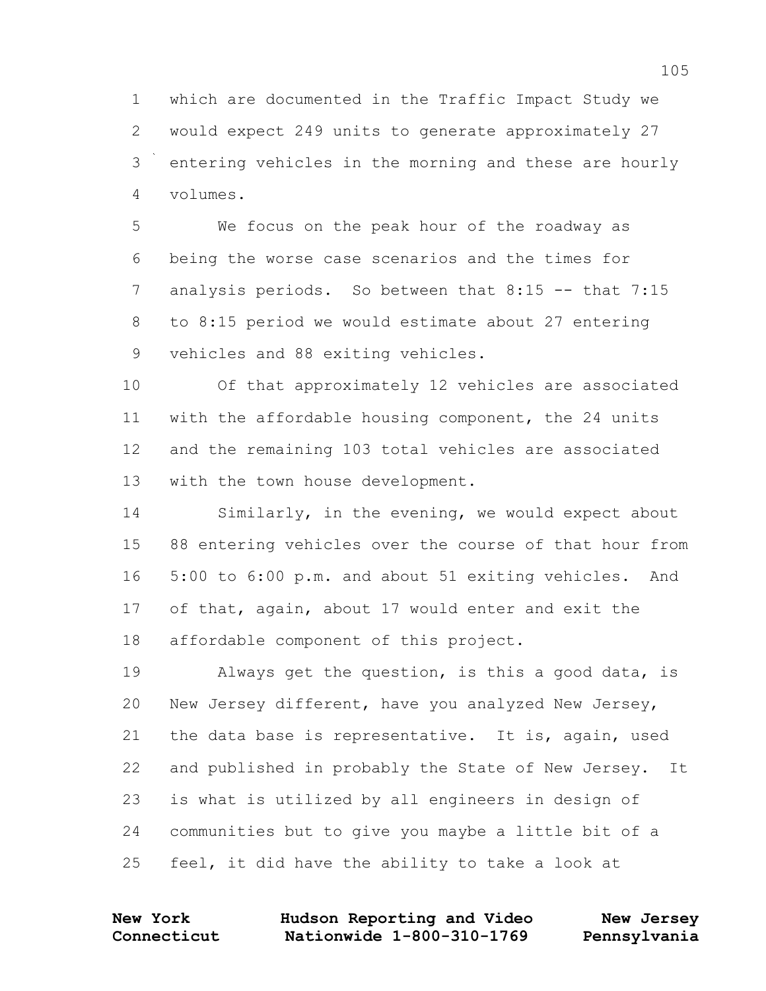which are documented in the Traffic Impact Study we would expect 249 units to generate approximately 27 entering vehicles in the morning and these are hourly volumes.

 We focus on the peak hour of the roadway as being the worse case scenarios and the times for 7 analysis periods. So between that 8:15 -- that 7:15 to 8:15 period we would estimate about 27 entering vehicles and 88 exiting vehicles.

 Of that approximately 12 vehicles are associated with the affordable housing component, the 24 units and the remaining 103 total vehicles are associated with the town house development.

 Similarly, in the evening, we would expect about 88 entering vehicles over the course of that hour from 5:00 to 6:00 p.m. and about 51 exiting vehicles. And of that, again, about 17 would enter and exit the affordable component of this project.

 Always get the question, is this a good data, is New Jersey different, have you analyzed New Jersey, the data base is representative. It is, again, used and published in probably the State of New Jersey. It is what is utilized by all engineers in design of communities but to give you maybe a little bit of a feel, it did have the ability to take a look at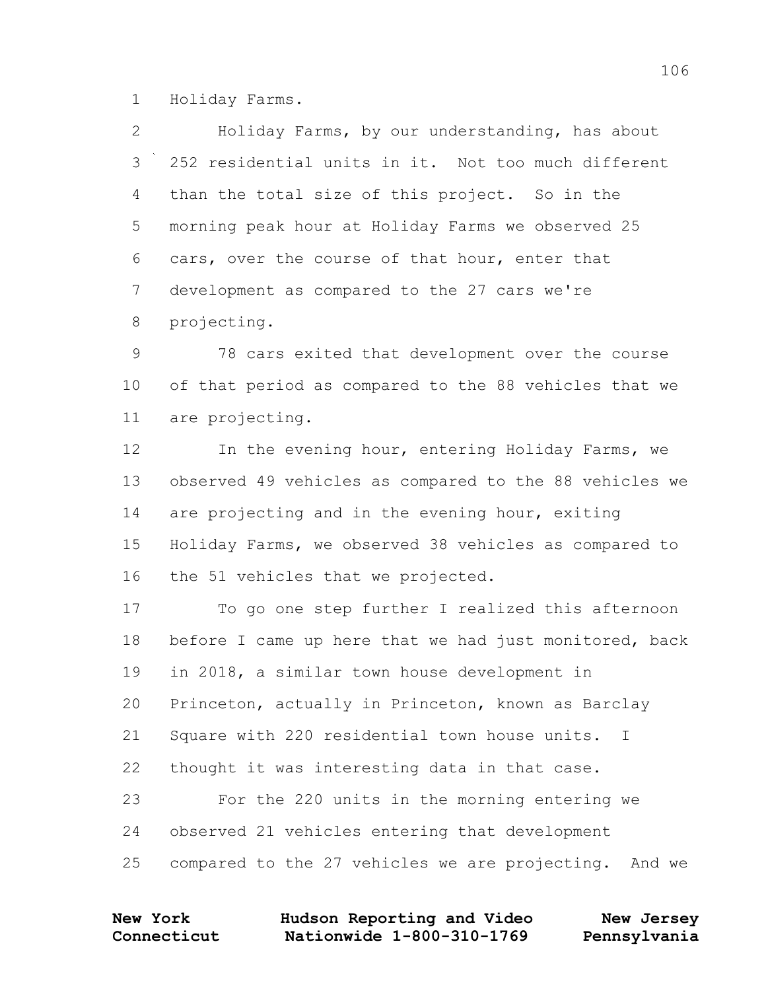Holiday Farms.

 Holiday Farms, by our understanding, has about 252 residential units in it. Not too much different than the total size of this project. So in the morning peak hour at Holiday Farms we observed 25 cars, over the course of that hour, enter that development as compared to the 27 cars we're projecting.

 78 cars exited that development over the course of that period as compared to the 88 vehicles that we are projecting.

12 In the evening hour, entering Holiday Farms, we observed 49 vehicles as compared to the 88 vehicles we 14 are projecting and in the evening hour, exiting Holiday Farms, we observed 38 vehicles as compared to the 51 vehicles that we projected.

 To go one step further I realized this afternoon 18 before I came up here that we had just monitored, back in 2018, a similar town house development in Princeton, actually in Princeton, known as Barclay Square with 220 residential town house units. I thought it was interesting data in that case. For the 220 units in the morning entering we observed 21 vehicles entering that development compared to the 27 vehicles we are projecting. And we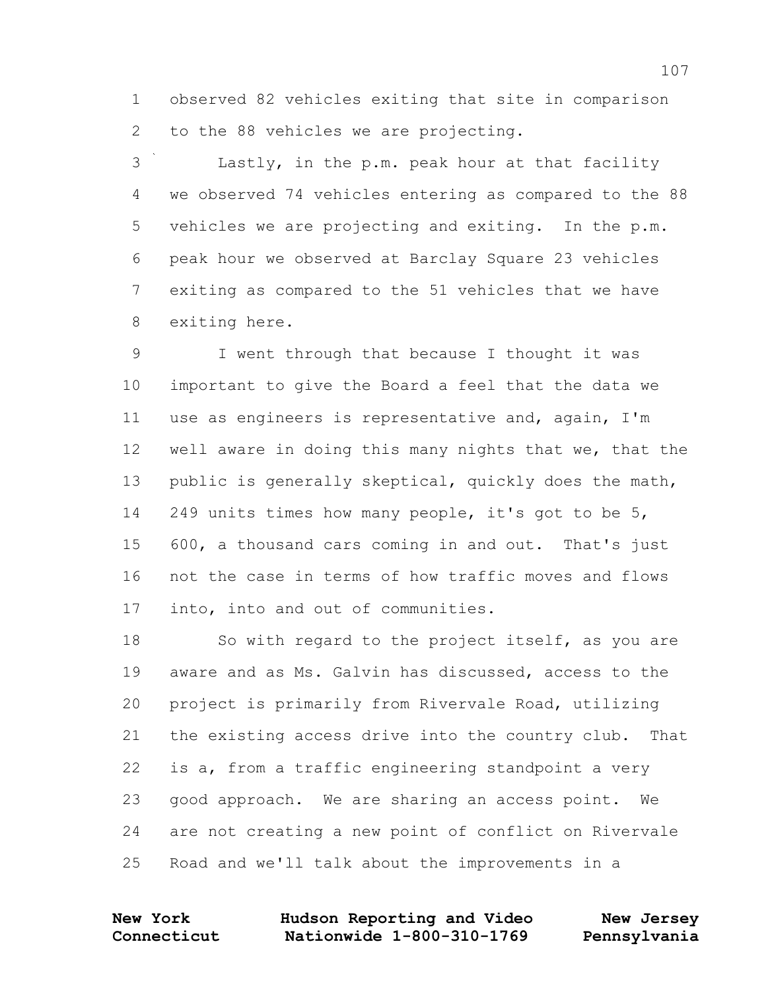observed 82 vehicles exiting that site in comparison to the 88 vehicles we are projecting.

 Lastly, in the p.m. peak hour at that facility we observed 74 vehicles entering as compared to the 88 vehicles we are projecting and exiting. In the p.m. peak hour we observed at Barclay Square 23 vehicles exiting as compared to the 51 vehicles that we have exiting here.

 I went through that because I thought it was important to give the Board a feel that the data we use as engineers is representative and, again, I'm well aware in doing this many nights that we, that the public is generally skeptical, quickly does the math, 249 units times how many people, it's got to be 5, 600, a thousand cars coming in and out. That's just not the case in terms of how traffic moves and flows into, into and out of communities.

18 So with regard to the project itself, as you are aware and as Ms. Galvin has discussed, access to the project is primarily from Rivervale Road, utilizing the existing access drive into the country club. That is a, from a traffic engineering standpoint a very good approach. We are sharing an access point. We are not creating a new point of conflict on Rivervale Road and we'll talk about the improvements in a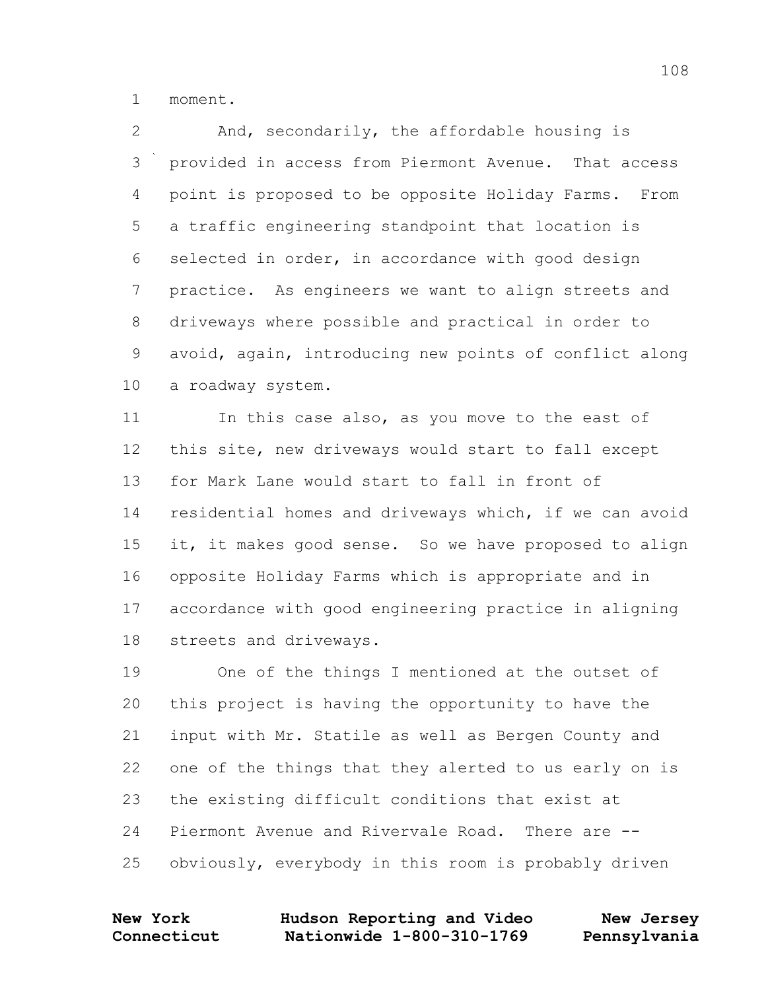moment.

 And, secondarily, the affordable housing is provided in access from Piermont Avenue. That access point is proposed to be opposite Holiday Farms. From a traffic engineering standpoint that location is selected in order, in accordance with good design practice. As engineers we want to align streets and driveways where possible and practical in order to avoid, again, introducing new points of conflict along a roadway system.

 In this case also, as you move to the east of this site, new driveways would start to fall except for Mark Lane would start to fall in front of residential homes and driveways which, if we can avoid it, it makes good sense. So we have proposed to align opposite Holiday Farms which is appropriate and in accordance with good engineering practice in aligning streets and driveways.

 One of the things I mentioned at the outset of this project is having the opportunity to have the input with Mr. Statile as well as Bergen County and one of the things that they alerted to us early on is the existing difficult conditions that exist at Piermont Avenue and Rivervale Road. There are -- obviously, everybody in this room is probably driven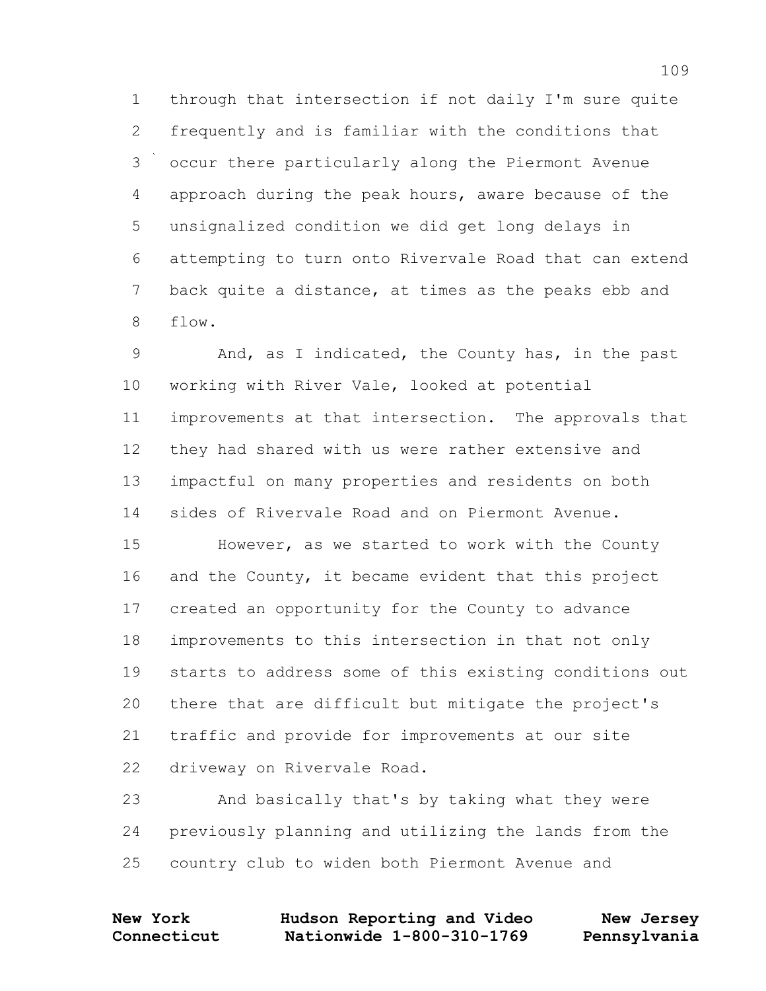through that intersection if not daily I'm sure quite frequently and is familiar with the conditions that occur there particularly along the Piermont Avenue approach during the peak hours, aware because of the unsignalized condition we did get long delays in attempting to turn onto Rivervale Road that can extend back quite a distance, at times as the peaks ebb and flow.

 And, as I indicated, the County has, in the past working with River Vale, looked at potential improvements at that intersection. The approvals that they had shared with us were rather extensive and impactful on many properties and residents on both sides of Rivervale Road and on Piermont Avenue.

15 However, as we started to work with the County and the County, it became evident that this project created an opportunity for the County to advance improvements to this intersection in that not only starts to address some of this existing conditions out there that are difficult but mitigate the project's traffic and provide for improvements at our site driveway on Rivervale Road.

 And basically that's by taking what they were previously planning and utilizing the lands from the country club to widen both Piermont Avenue and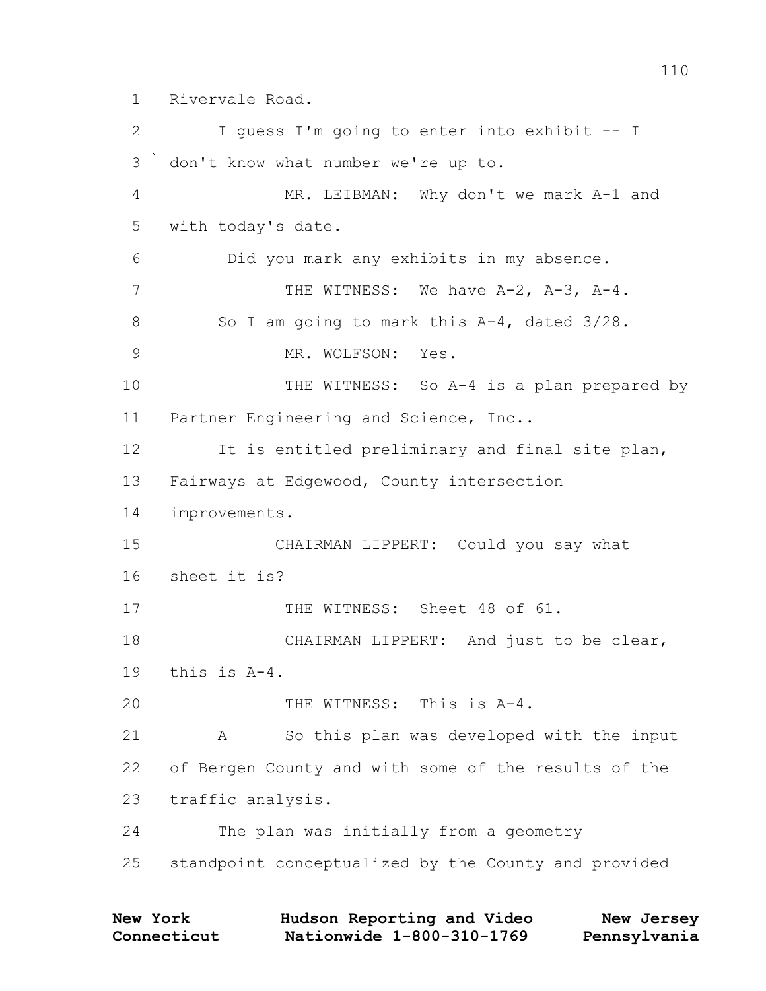Rivervale Road.

 I guess I'm going to enter into exhibit -- I don't know what number we're up to. MR. LEIBMAN: Why don't we mark A-1 and with today's date. Did you mark any exhibits in my absence. 7 THE WITNESS: We have A-2, A-3, A-4. 8 So I am going to mark this A-4, dated  $3/28$ . 9 MR. WOLFSON: Yes. 10 THE WITNESS: So A-4 is a plan prepared by Partner Engineering and Science, Inc.. It is entitled preliminary and final site plan, Fairways at Edgewood, County intersection improvements. CHAIRMAN LIPPERT: Could you say what sheet it is? THE WITNESS: Sheet 48 of 61. CHAIRMAN LIPPERT: And just to be clear, this is A-4. THE WITNESS: This is A-4. A So this plan was developed with the input of Bergen County and with some of the results of the traffic analysis. The plan was initially from a geometry standpoint conceptualized by the County and provided

| <b>New York</b> | Hudson Reporting and Video | New Jersey   |
|-----------------|----------------------------|--------------|
| Connecticut     | Nationwide 1-800-310-1769  | Pennsylvania |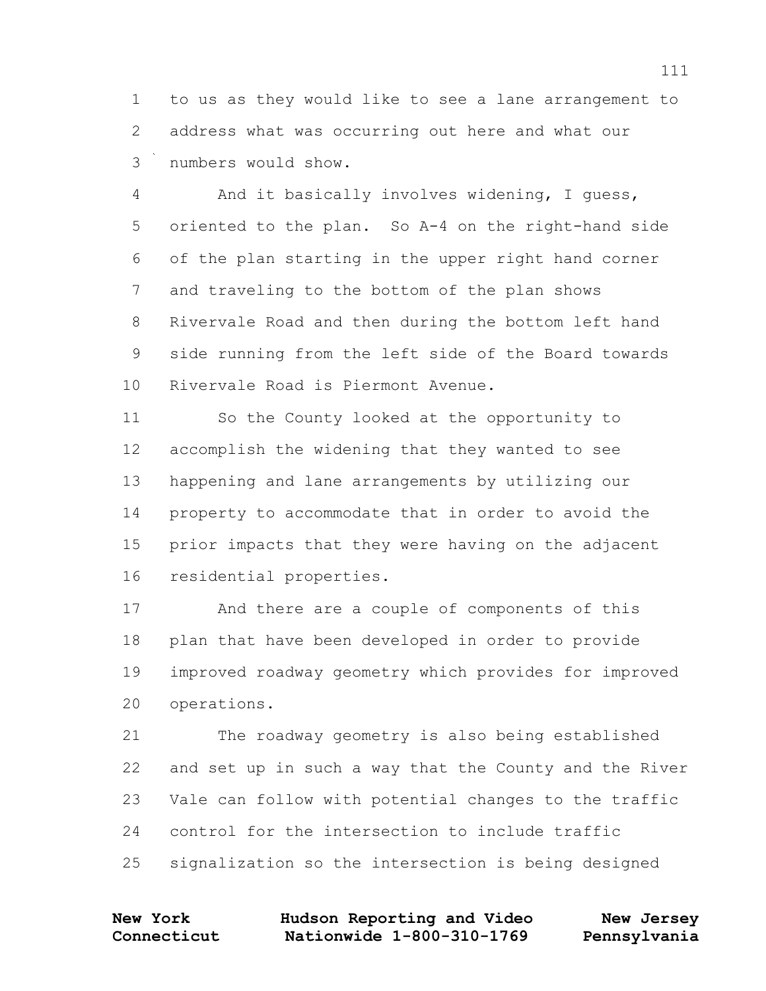to us as they would like to see a lane arrangement to address what was occurring out here and what our numbers would show.

 And it basically involves widening, I guess, oriented to the plan. So A-4 on the right-hand side of the plan starting in the upper right hand corner and traveling to the bottom of the plan shows Rivervale Road and then during the bottom left hand side running from the left side of the Board towards Rivervale Road is Piermont Avenue.

 So the County looked at the opportunity to accomplish the widening that they wanted to see happening and lane arrangements by utilizing our property to accommodate that in order to avoid the prior impacts that they were having on the adjacent residential properties.

 And there are a couple of components of this plan that have been developed in order to provide improved roadway geometry which provides for improved operations.

 The roadway geometry is also being established and set up in such a way that the County and the River Vale can follow with potential changes to the traffic control for the intersection to include traffic signalization so the intersection is being designed

| <b>New York</b> | Hudson Reporting and Video | New Jersey   |
|-----------------|----------------------------|--------------|
| Connecticut     | Nationwide 1-800-310-1769  | Pennsylvania |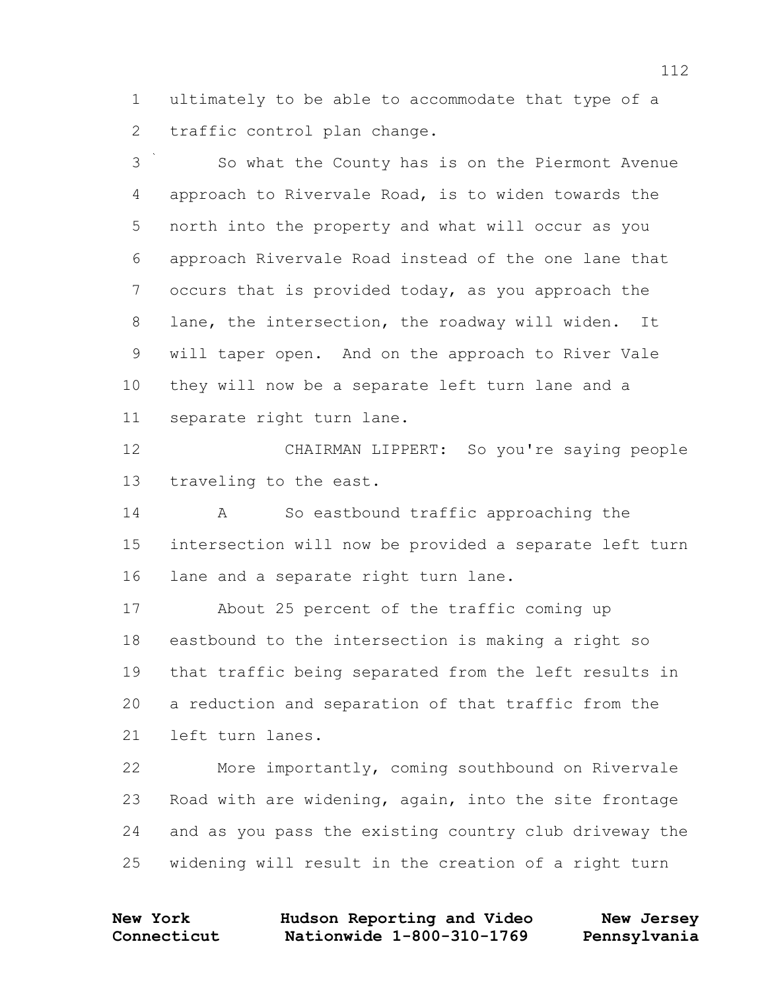ultimately to be able to accommodate that type of a traffic control plan change.

 So what the County has is on the Piermont Avenue approach to Rivervale Road, is to widen towards the north into the property and what will occur as you approach Rivervale Road instead of the one lane that occurs that is provided today, as you approach the lane, the intersection, the roadway will widen. It will taper open. And on the approach to River Vale they will now be a separate left turn lane and a separate right turn lane.

 CHAIRMAN LIPPERT: So you're saying people traveling to the east.

 A So eastbound traffic approaching the intersection will now be provided a separate left turn lane and a separate right turn lane.

 About 25 percent of the traffic coming up eastbound to the intersection is making a right so that traffic being separated from the left results in a reduction and separation of that traffic from the left turn lanes.

 More importantly, coming southbound on Rivervale Road with are widening, again, into the site frontage and as you pass the existing country club driveway the widening will result in the creation of a right turn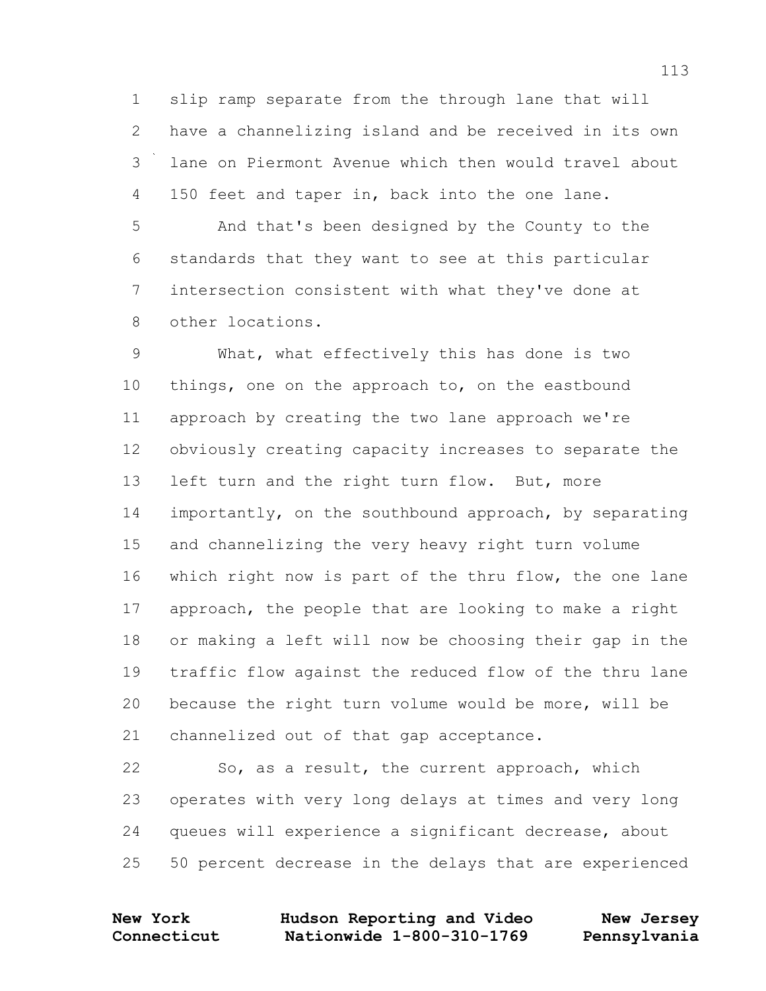slip ramp separate from the through lane that will have a channelizing island and be received in its own lane on Piermont Avenue which then would travel about 150 feet and taper in, back into the one lane.

 And that's been designed by the County to the standards that they want to see at this particular intersection consistent with what they've done at other locations.

 What, what effectively this has done is two things, one on the approach to, on the eastbound approach by creating the two lane approach we're obviously creating capacity increases to separate the 13 left turn and the right turn flow. But, more importantly, on the southbound approach, by separating and channelizing the very heavy right turn volume which right now is part of the thru flow, the one lane approach, the people that are looking to make a right or making a left will now be choosing their gap in the traffic flow against the reduced flow of the thru lane because the right turn volume would be more, will be channelized out of that gap acceptance.

 So, as a result, the current approach, which operates with very long delays at times and very long queues will experience a significant decrease, about 50 percent decrease in the delays that are experienced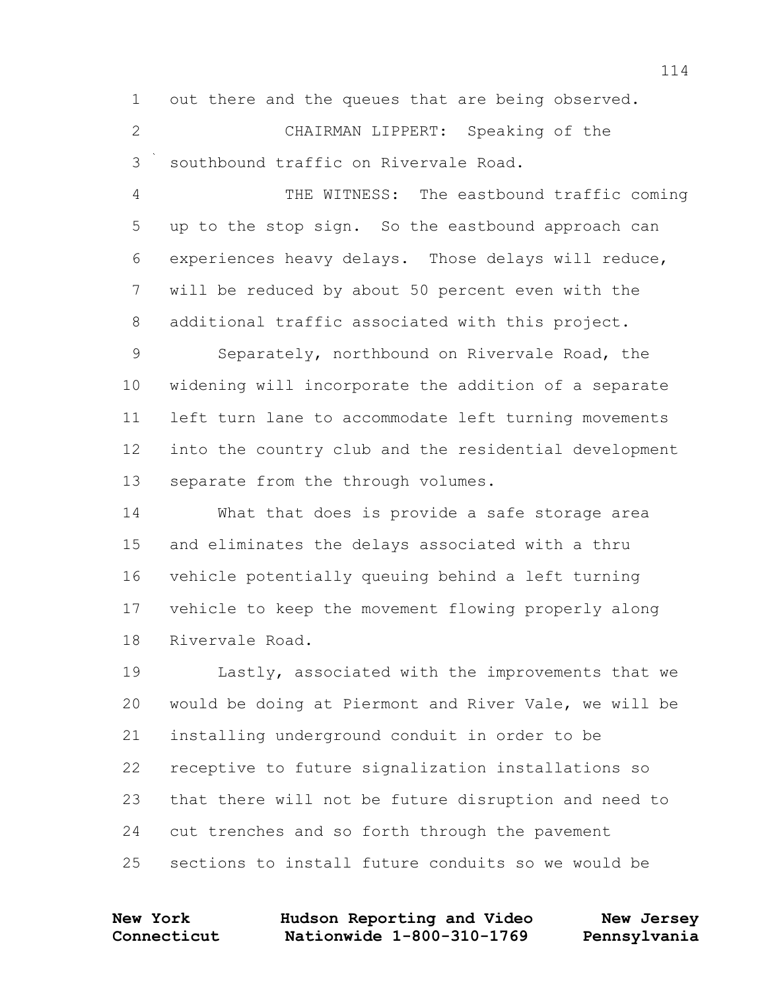out there and the queues that are being observed. CHAIRMAN LIPPERT: Speaking of the southbound traffic on Rivervale Road. THE WITNESS: The eastbound traffic coming up to the stop sign. So the eastbound approach can experiences heavy delays. Those delays will reduce, will be reduced by about 50 percent even with the additional traffic associated with this project.

 Separately, northbound on Rivervale Road, the widening will incorporate the addition of a separate left turn lane to accommodate left turning movements into the country club and the residential development separate from the through volumes.

 What that does is provide a safe storage area and eliminates the delays associated with a thru vehicle potentially queuing behind a left turning vehicle to keep the movement flowing properly along Rivervale Road.

 Lastly, associated with the improvements that we would be doing at Piermont and River Vale, we will be installing underground conduit in order to be receptive to future signalization installations so that there will not be future disruption and need to cut trenches and so forth through the pavement sections to install future conduits so we would be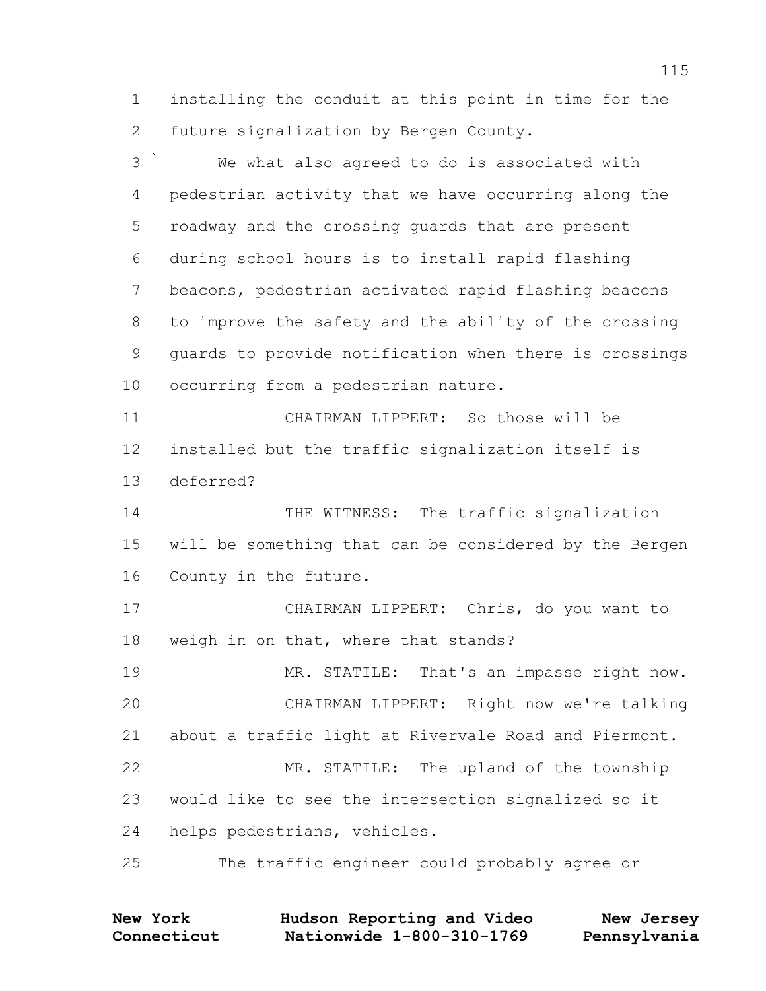installing the conduit at this point in time for the future signalization by Bergen County.

 We what also agreed to do is associated with pedestrian activity that we have occurring along the roadway and the crossing guards that are present during school hours is to install rapid flashing beacons, pedestrian activated rapid flashing beacons to improve the safety and the ability of the crossing guards to provide notification when there is crossings occurring from a pedestrian nature. CHAIRMAN LIPPERT: So those will be installed but the traffic signalization itself is deferred? 14 THE WITNESS: The traffic signalization will be something that can be considered by the Bergen County in the future. CHAIRMAN LIPPERT: Chris, do you want to weigh in on that, where that stands? 19 MR. STATILE: That's an impasse right now. CHAIRMAN LIPPERT: Right now we're talking about a traffic light at Rivervale Road and Piermont. MR. STATILE: The upland of the township would like to see the intersection signalized so it helps pedestrians, vehicles. The traffic engineer could probably agree or

| <b>New York</b> | Hudson Reporting and Video | New Jersey   |
|-----------------|----------------------------|--------------|
| Connecticut     | Nationwide 1-800-310-1769  | Pennsylvania |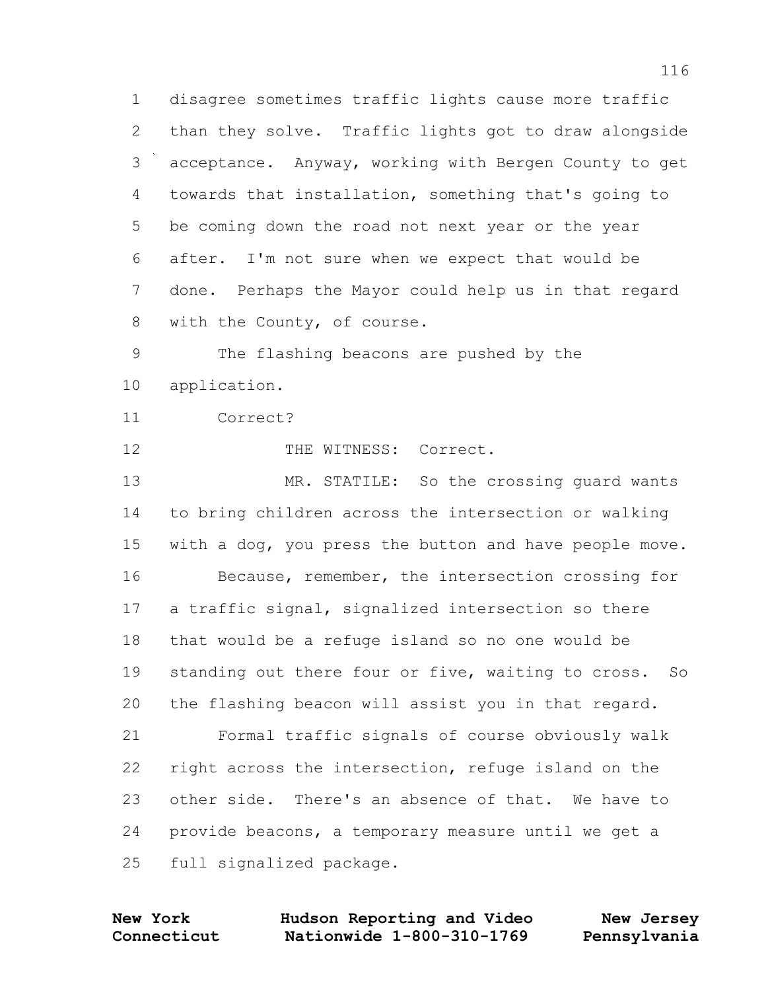disagree sometimes traffic lights cause more traffic than they solve. Traffic lights got to draw alongside acceptance. Anyway, working with Bergen County to get towards that installation, something that's going to be coming down the road not next year or the year after. I'm not sure when we expect that would be done. Perhaps the Mayor could help us in that regard with the County, of course.

 The flashing beacons are pushed by the application.

Correct?

12 THE WITNESS: Correct.

13 MR. STATILE: So the crossing guard wants to bring children across the intersection or walking with a dog, you press the button and have people move. Because, remember, the intersection crossing for a traffic signal, signalized intersection so there that would be a refuge island so no one would be standing out there four or five, waiting to cross. So the flashing beacon will assist you in that regard. Formal traffic signals of course obviously walk right across the intersection, refuge island on the other side. There's an absence of that. We have to provide beacons, a temporary measure until we get a

full signalized package.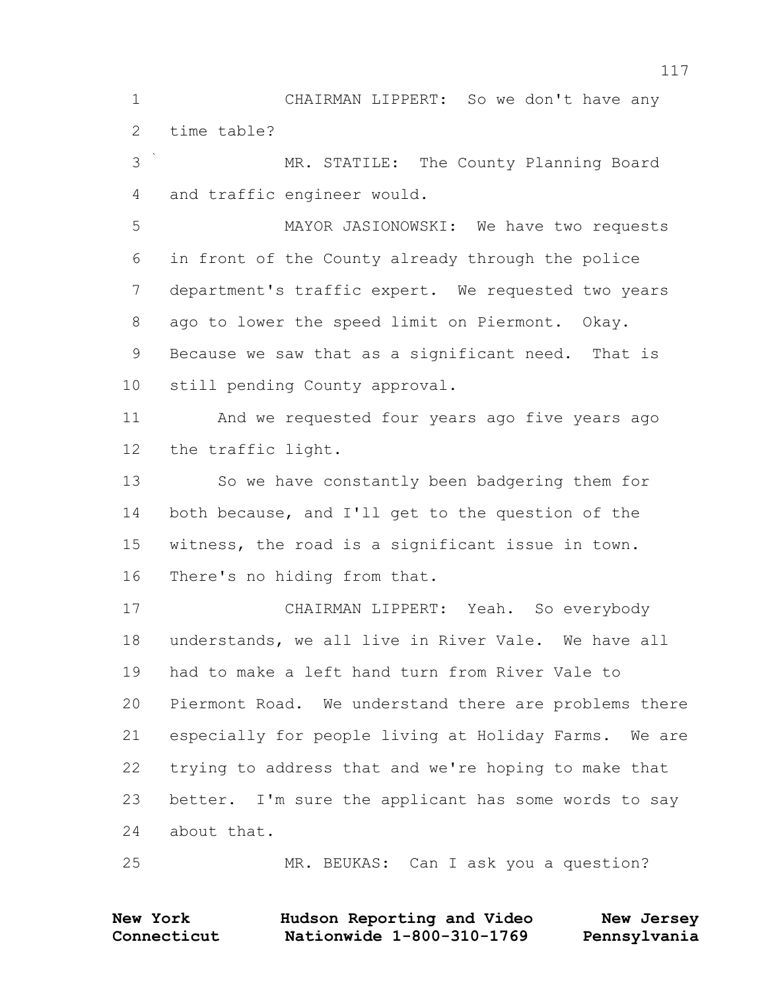CHAIRMAN LIPPERT: So we don't have any time table?

 MR. STATILE: The County Planning Board and traffic engineer would.

 MAYOR JASIONOWSKI: We have two requests in front of the County already through the police department's traffic expert. We requested two years ago to lower the speed limit on Piermont. Okay. Because we saw that as a significant need. That is still pending County approval.

 And we requested four years ago five years ago the traffic light.

 So we have constantly been badgering them for both because, and I'll get to the question of the witness, the road is a significant issue in town. There's no hiding from that.

 CHAIRMAN LIPPERT: Yeah. So everybody understands, we all live in River Vale. We have all had to make a left hand turn from River Vale to Piermont Road. We understand there are problems there especially for people living at Holiday Farms. We are trying to address that and we're hoping to make that better. I'm sure the applicant has some words to say about that.

MR. BEUKAS: Can I ask you a question?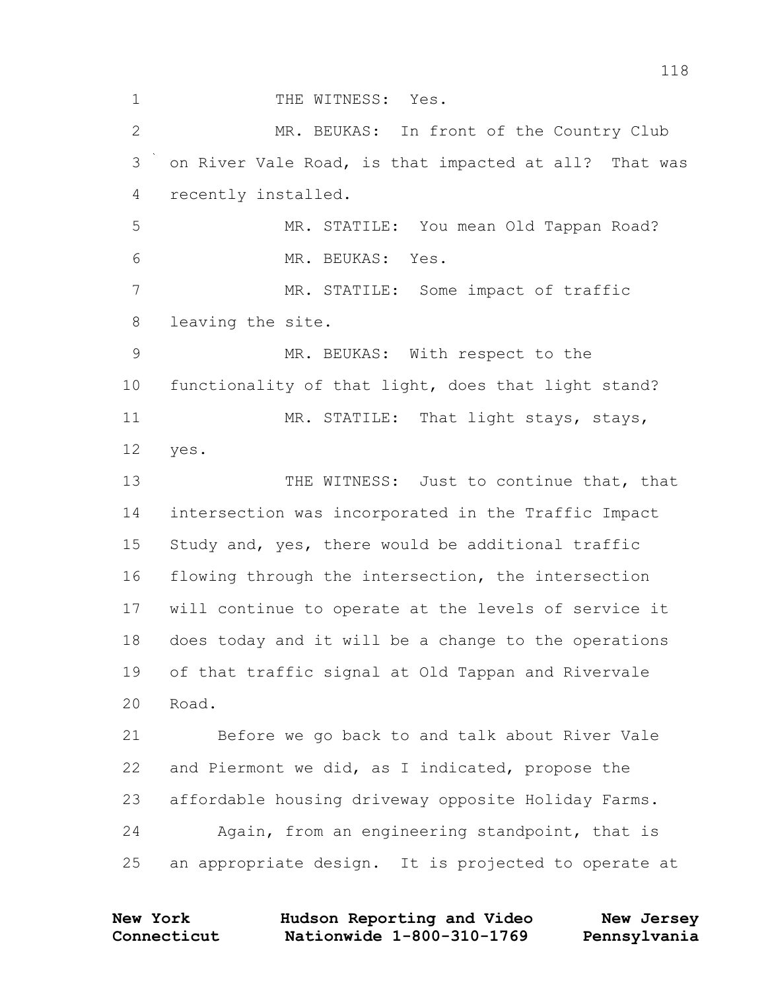1 THE WITNESS: Yes. MR. BEUKAS: In front of the Country Club on River Vale Road, is that impacted at all? That was recently installed. MR. STATILE: You mean Old Tappan Road? MR. BEUKAS: Yes. MR. STATILE: Some impact of traffic leaving the site. MR. BEUKAS: With respect to the functionality of that light, does that light stand? 11 MR. STATILE: That light stays, stays, yes. 13 THE WITNESS: Just to continue that, that intersection was incorporated in the Traffic Impact Study and, yes, there would be additional traffic flowing through the intersection, the intersection will continue to operate at the levels of service it does today and it will be a change to the operations of that traffic signal at Old Tappan and Rivervale Road. Before we go back to and talk about River Vale and Piermont we did, as I indicated, propose the affordable housing driveway opposite Holiday Farms. Again, from an engineering standpoint, that is an appropriate design. It is projected to operate at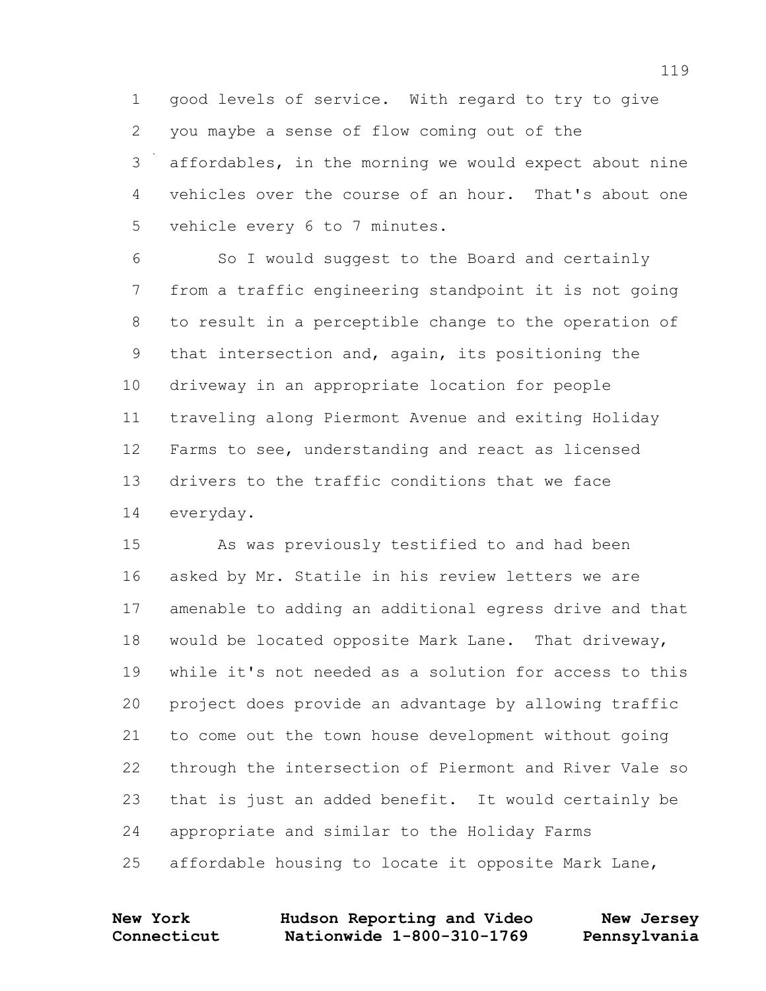good levels of service. With regard to try to give you maybe a sense of flow coming out of the affordables, in the morning we would expect about nine vehicles over the course of an hour. That's about one 5 vehicle every 6 to 7 minutes.

 So I would suggest to the Board and certainly from a traffic engineering standpoint it is not going to result in a perceptible change to the operation of that intersection and, again, its positioning the driveway in an appropriate location for people traveling along Piermont Avenue and exiting Holiday Farms to see, understanding and react as licensed drivers to the traffic conditions that we face everyday.

 As was previously testified to and had been asked by Mr. Statile in his review letters we are amenable to adding an additional egress drive and that would be located opposite Mark Lane. That driveway, while it's not needed as a solution for access to this project does provide an advantage by allowing traffic to come out the town house development without going through the intersection of Piermont and River Vale so that is just an added benefit. It would certainly be appropriate and similar to the Holiday Farms affordable housing to locate it opposite Mark Lane,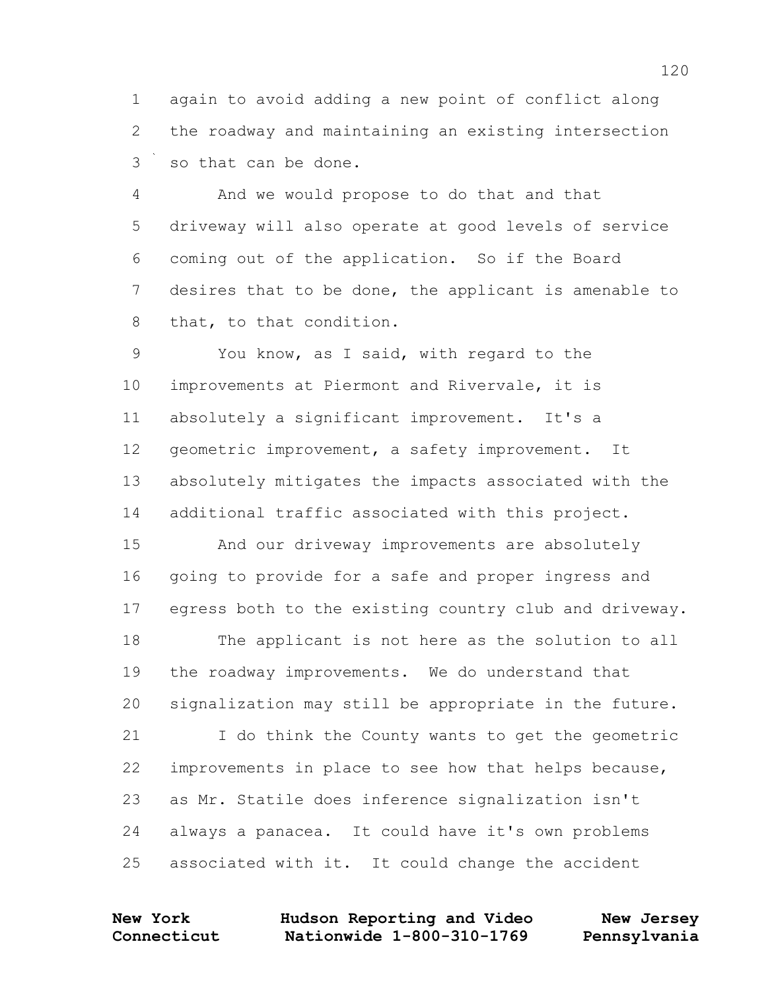again to avoid adding a new point of conflict along the roadway and maintaining an existing intersection so that can be done.

 And we would propose to do that and that driveway will also operate at good levels of service coming out of the application. So if the Board desires that to be done, the applicant is amenable to that, to that condition.

 You know, as I said, with regard to the improvements at Piermont and Rivervale, it is absolutely a significant improvement. It's a geometric improvement, a safety improvement. It absolutely mitigates the impacts associated with the additional traffic associated with this project.

 And our driveway improvements are absolutely going to provide for a safe and proper ingress and egress both to the existing country club and driveway.

 The applicant is not here as the solution to all the roadway improvements. We do understand that signalization may still be appropriate in the future.

 I do think the County wants to get the geometric improvements in place to see how that helps because, as Mr. Statile does inference signalization isn't always a panacea. It could have it's own problems associated with it. It could change the accident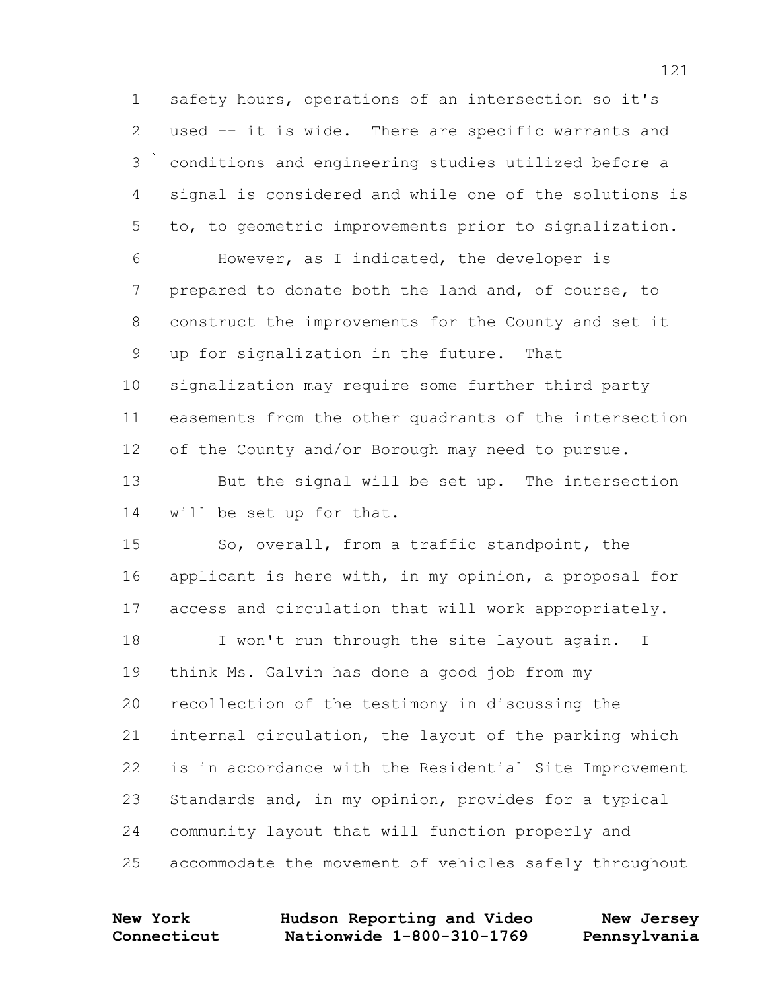safety hours, operations of an intersection so it's used -- it is wide. There are specific warrants and conditions and engineering studies utilized before a signal is considered and while one of the solutions is to, to geometric improvements prior to signalization. However, as I indicated, the developer is prepared to donate both the land and, of course, to construct the improvements for the County and set it up for signalization in the future. That signalization may require some further third party easements from the other quadrants of the intersection of the County and/or Borough may need to pursue. But the signal will be set up. The intersection will be set up for that.

 So, overall, from a traffic standpoint, the applicant is here with, in my opinion, a proposal for access and circulation that will work appropriately. 18 I won't run through the site layout again. I think Ms. Galvin has done a good job from my recollection of the testimony in discussing the internal circulation, the layout of the parking which is in accordance with the Residential Site Improvement Standards and, in my opinion, provides for a typical community layout that will function properly and

accommodate the movement of vehicles safely throughout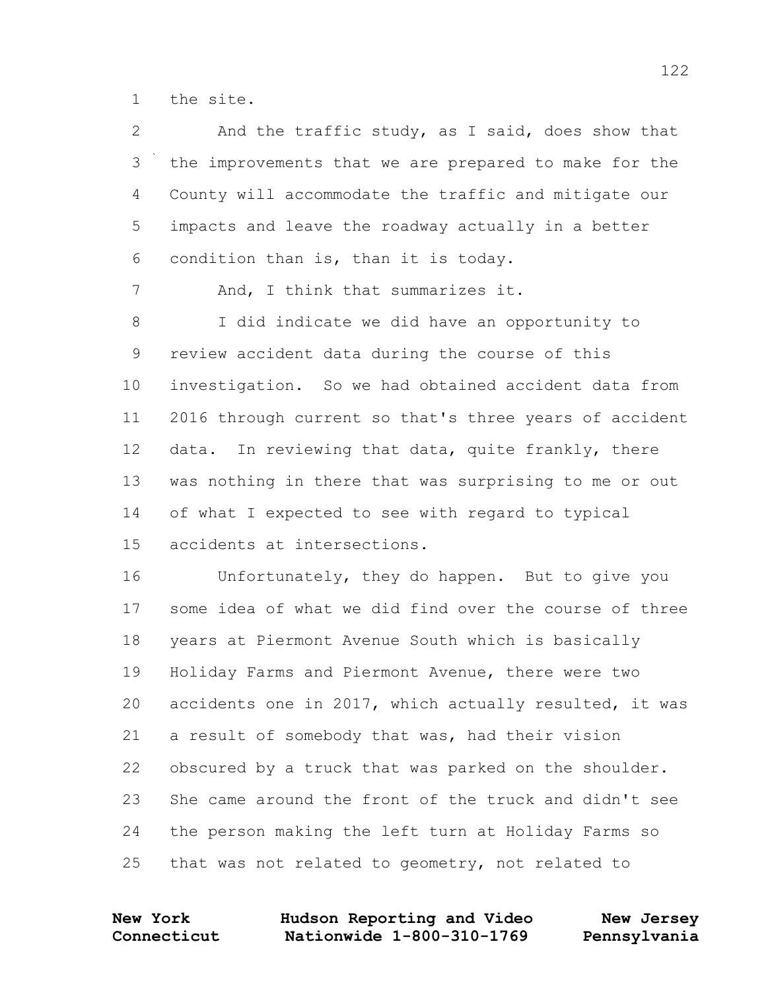the site.

| 2       | And the traffic study, as I said, does show that       |
|---------|--------------------------------------------------------|
| 3       | the improvements that we are prepared to make for the  |
| 4       | County will accommodate the traffic and mitigate our   |
| 5       | impacts and leave the roadway actually in a better     |
| 6       | condition than is, than it is today.                   |
| 7       | And, I think that summarizes it.                       |
| $\,8\,$ | I did indicate we did have an opportunity to           |
| 9       | review accident data during the course of this         |
| 10      | investigation. So we had obtained accident data from   |
| 11      | 2016 through current so that's three years of accident |
| 12      | data. In reviewing that data, quite frankly, there     |
| 13      | was nothing in there that was surprising to me or out  |
| 14      | of what I expected to see with regard to typical       |
| 15      | accidents at intersections.                            |
| 16      | Unfortunately, they do happen. But to give you         |
| 17      | some idea of what we did find over the course of three |
| 18      | years at Piermont Avenue South which is basically      |
| 19      | Holiday Farms and Piermont Avenue, there were two      |
| 20      | accidents one in 2017, which actually resulted, it was |
| 21      | a result of somebody that was, had their vision        |
| 22      | obscured by a truck that was parked on the shoulder.   |
| 23      | She came around the front of the truck and didn't see  |
| 24      | the person making the left turn at Holiday Farms so    |
| 25      | that was not related to geometry, not related to       |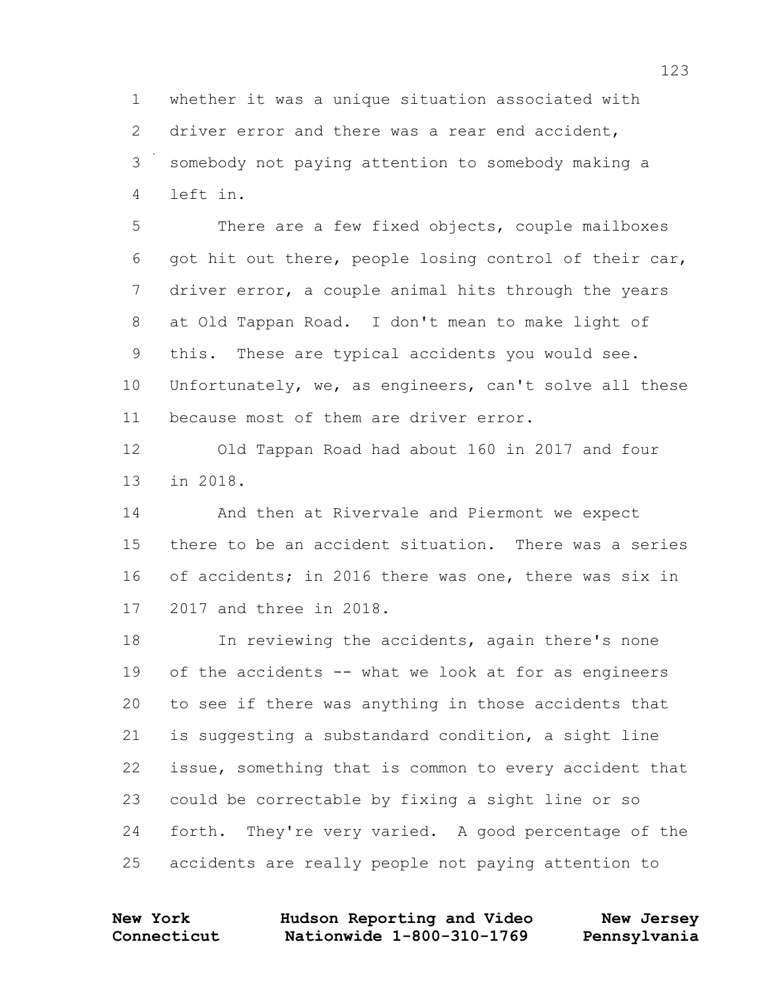whether it was a unique situation associated with driver error and there was a rear end accident, somebody not paying attention to somebody making a left in.

5 There are a few fixed objects, couple mailboxes got hit out there, people losing control of their car, driver error, a couple animal hits through the years at Old Tappan Road. I don't mean to make light of this. These are typical accidents you would see. Unfortunately, we, as engineers, can't solve all these because most of them are driver error.

 Old Tappan Road had about 160 in 2017 and four in 2018.

 And then at Rivervale and Piermont we expect there to be an accident situation. There was a series of accidents; in 2016 there was one, there was six in 2017 and three in 2018.

 In reviewing the accidents, again there's none of the accidents -- what we look at for as engineers to see if there was anything in those accidents that is suggesting a substandard condition, a sight line issue, something that is common to every accident that could be correctable by fixing a sight line or so forth. They're very varied. A good percentage of the accidents are really people not paying attention to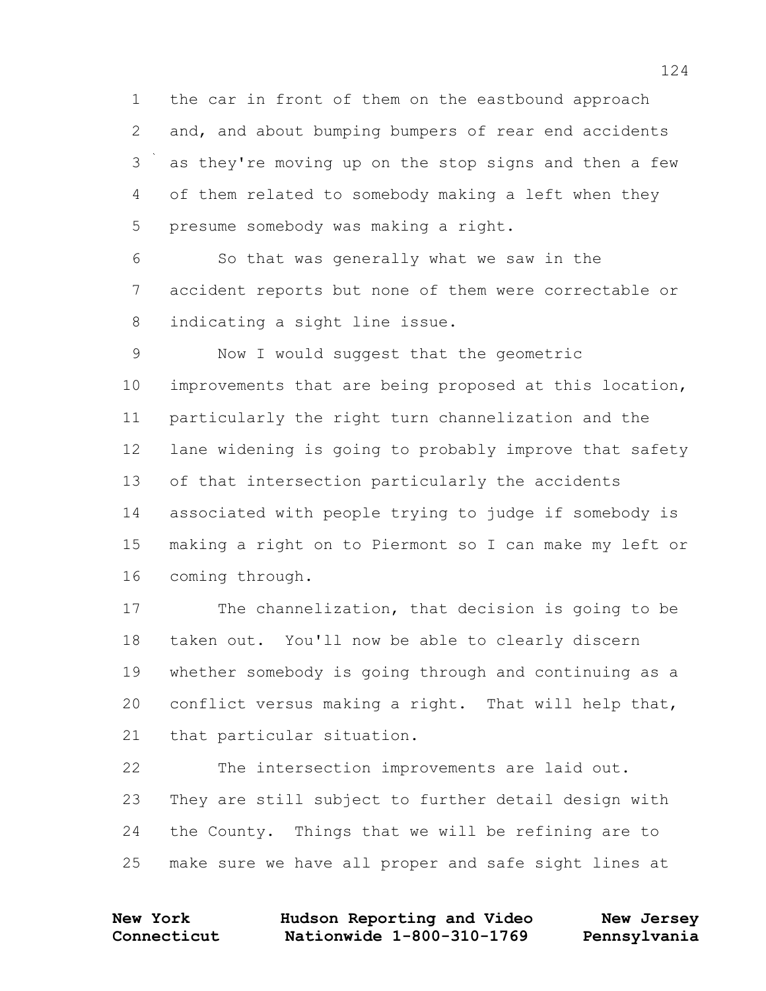the car in front of them on the eastbound approach and, and about bumping bumpers of rear end accidents as they're moving up on the stop signs and then a few of them related to somebody making a left when they presume somebody was making a right.

 So that was generally what we saw in the accident reports but none of them were correctable or indicating a sight line issue.

 Now I would suggest that the geometric improvements that are being proposed at this location, particularly the right turn channelization and the lane widening is going to probably improve that safety of that intersection particularly the accidents associated with people trying to judge if somebody is making a right on to Piermont so I can make my left or coming through.

 The channelization, that decision is going to be taken out. You'll now be able to clearly discern whether somebody is going through and continuing as a conflict versus making a right. That will help that, that particular situation.

 The intersection improvements are laid out. They are still subject to further detail design with the County. Things that we will be refining are to make sure we have all proper and safe sight lines at

| <b>New York</b> | Hudson Reporting and Video | New Jersey   |
|-----------------|----------------------------|--------------|
| Connecticut     | Nationwide 1-800-310-1769  | Pennsylvania |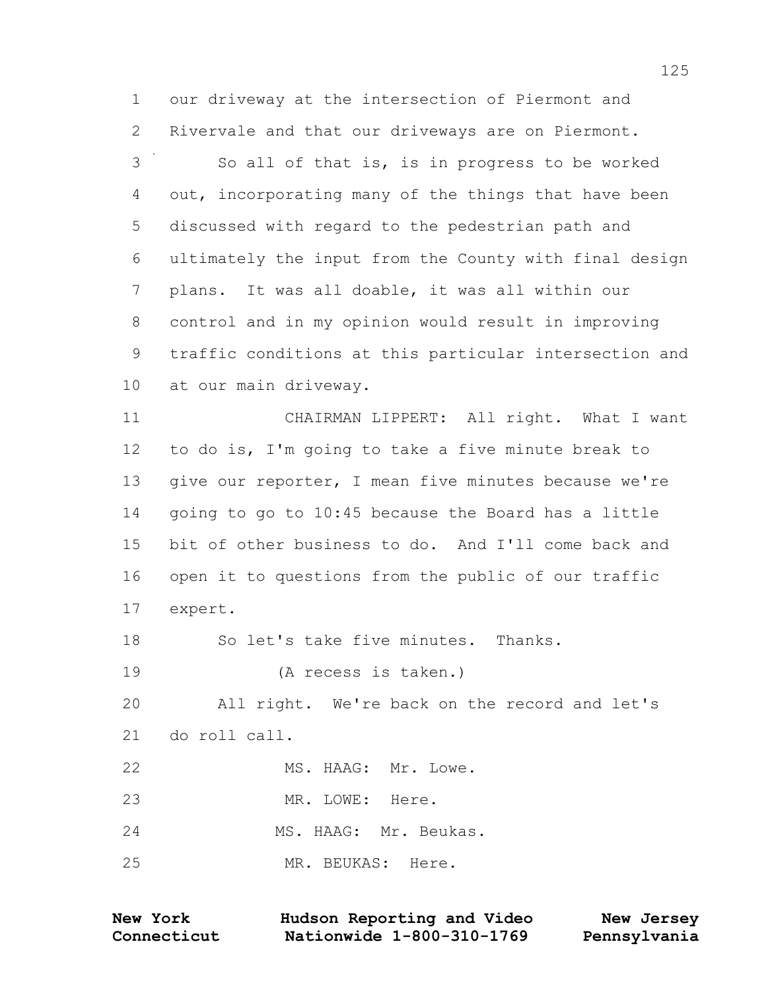our driveway at the intersection of Piermont and Rivervale and that our driveways are on Piermont.

 So all of that is, is in progress to be worked out, incorporating many of the things that have been discussed with regard to the pedestrian path and ultimately the input from the County with final design plans. It was all doable, it was all within our control and in my opinion would result in improving traffic conditions at this particular intersection and at our main driveway.

 CHAIRMAN LIPPERT: All right. What I want to do is, I'm going to take a five minute break to give our reporter, I mean five minutes because we're going to go to 10:45 because the Board has a little bit of other business to do. And I'll come back and open it to questions from the public of our traffic expert.

So let's take five minutes. Thanks.

(A recess is taken.)

 All right. We're back on the record and let's do roll call.

22 MS. HAAG: Mr. Lowe.

MR. LOWE: Here.

MS. HAAG: Mr. Beukas.

MR. BEUKAS: Here.

| <b>New York</b> | Hudson Reporting and Video | New Jersey   |
|-----------------|----------------------------|--------------|
| Connecticut     | Nationwide 1-800-310-1769  | Pennsylvania |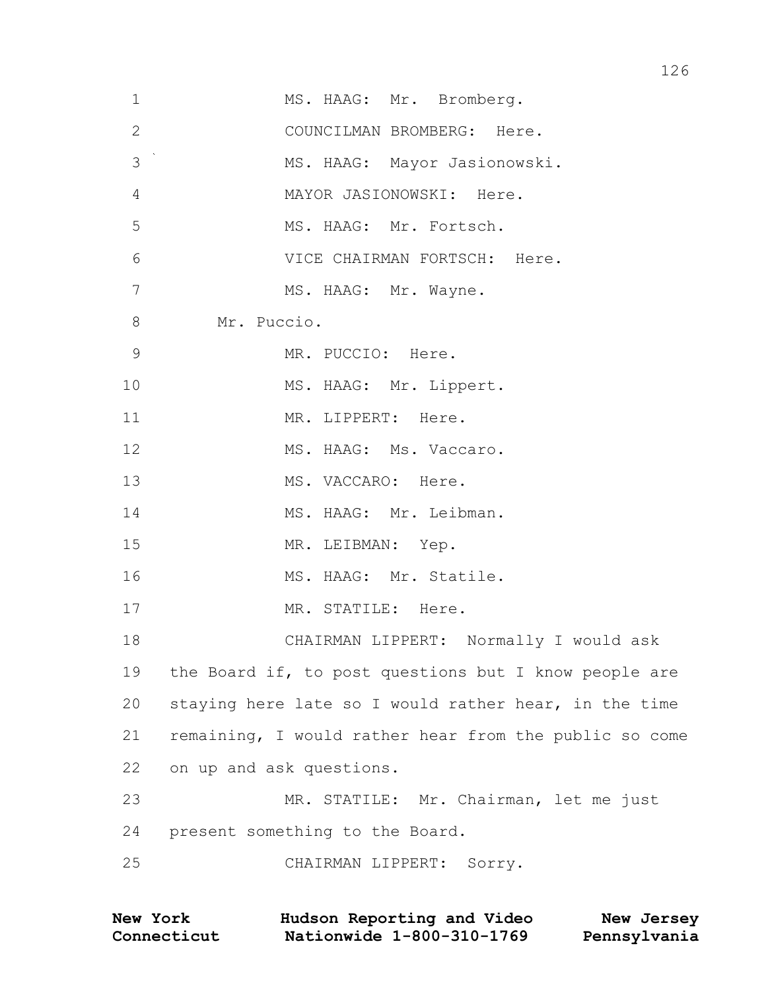| $\mathbf 1$    | MS. HAAG: Mr. Bromberg.                                |
|----------------|--------------------------------------------------------|
| $\overline{2}$ | COUNCILMAN BROMBERG: Here.                             |
| 3              | MS. HAAG: Mayor Jasionowski.                           |
| $\overline{4}$ | MAYOR JASIONOWSKI: Here.                               |
| 5              | MS. HAAG: Mr. Fortsch.                                 |
| 6              | VICE CHAIRMAN FORTSCH: Here.                           |
| 7              | MS. HAAG: Mr. Wayne.                                   |
| $8\,$          | Mr. Puccio.                                            |
| $\mathsf 9$    | MR. PUCCIO: Here.                                      |
| 10             | MS. HAAG: Mr. Lippert.                                 |
| 11             | MR. LIPPERT: Here.                                     |
| 12             | MS. HAAG: Ms. Vaccaro.                                 |
| 13             | MS. VACCARO: Here.                                     |
| 14             | MS. HAAG: Mr. Leibman.                                 |
| 15             | MR. LEIBMAN: Yep.                                      |
| 16             | MS. HAAG: Mr. Statile.                                 |
| 17             | MR. STATILE: Here.                                     |
| 18             | CHAIRMAN LIPPERT: Normally I would ask                 |
| 19             | the Board if, to post questions but I know people are  |
| 20             | staying here late so I would rather hear, in the time  |
| 21             | remaining, I would rather hear from the public so come |
| 22             | on up and ask questions.                               |
| 23             | MR. STATILE: Mr. Chairman, let me just                 |
| 24             | present something to the Board.                        |
| 25             | CHAIRMAN LIPPERT: Sorry.                               |
|                |                                                        |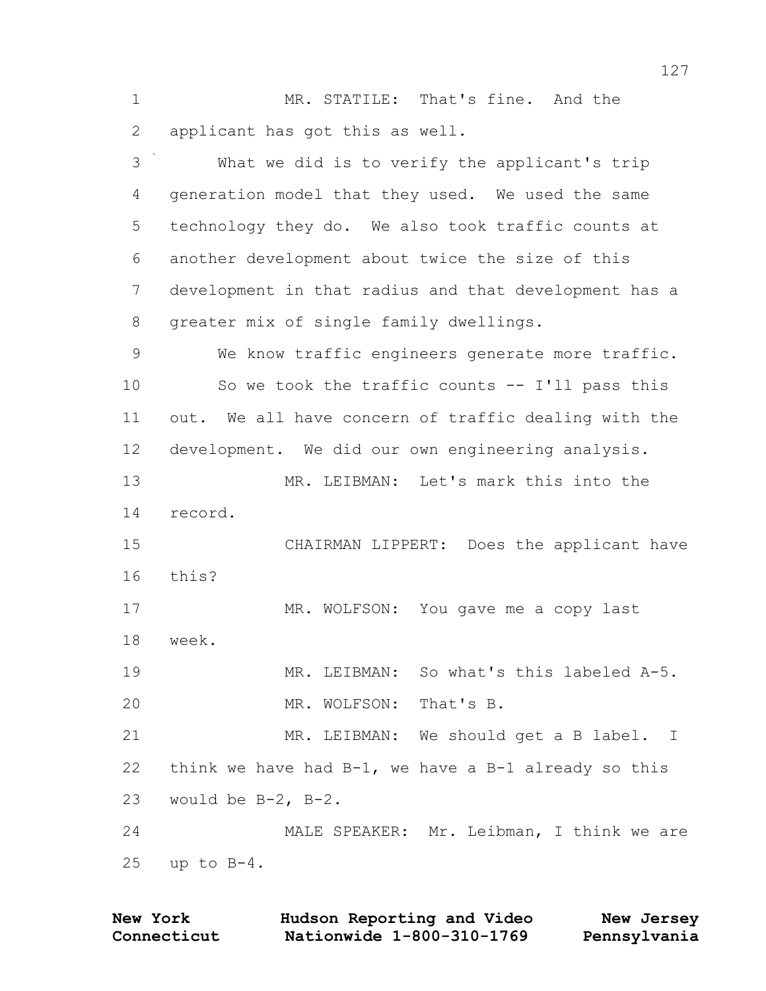MR. STATILE: That's fine. And the applicant has got this as well.

 What we did is to verify the applicant's trip generation model that they used. We used the same technology they do. We also took traffic counts at another development about twice the size of this development in that radius and that development has a greater mix of single family dwellings.

 We know traffic engineers generate more traffic. So we took the traffic counts -- I'll pass this out. We all have concern of traffic dealing with the development. We did our own engineering analysis.

 MR. LEIBMAN: Let's mark this into the record.

 CHAIRMAN LIPPERT: Does the applicant have this?

17 MR. WOLFSON: You gave me a copy last week.

 MR. LEIBMAN: So what's this labeled A-5. MR. WOLFSON: That's B.

 MR. LEIBMAN: We should get a B label. I think we have had B-1, we have a B-1 already so this would be B-2, B-2.

 MALE SPEAKER: Mr. Leibman, I think we are up to B-4.

| <b>New York</b> | Hudson Reporting and Video | New Jersey   |
|-----------------|----------------------------|--------------|
| Connecticut     | Nationwide 1-800-310-1769  | Pennsylvania |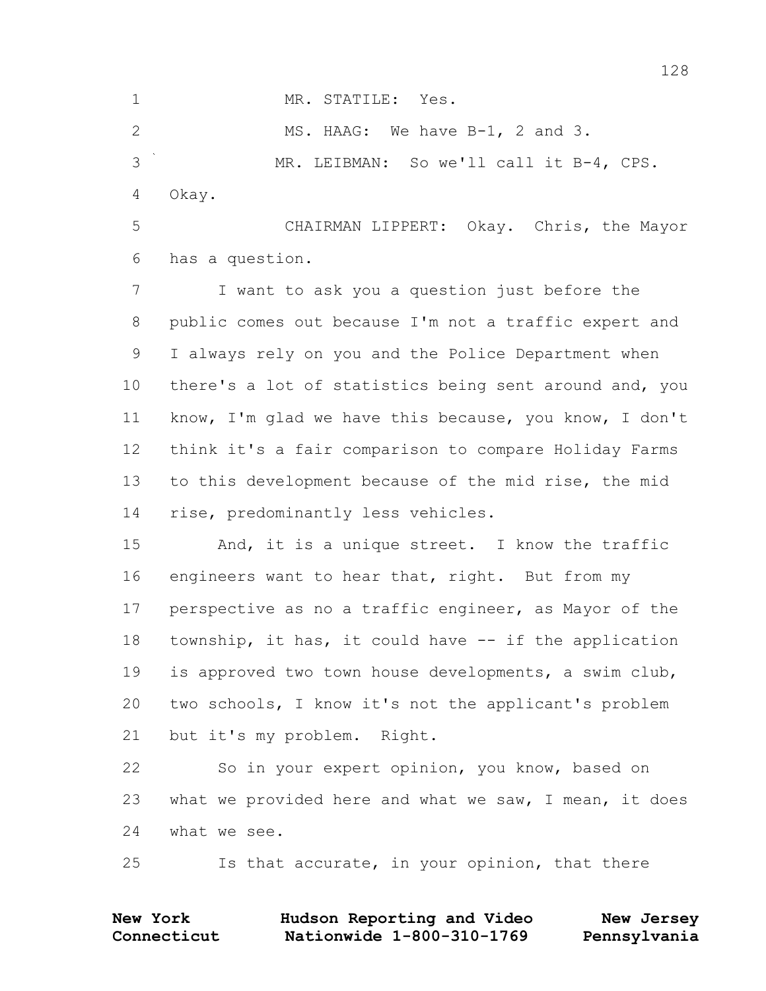MR. STATILE: Yes. 2 MS. HAAG: We have B-1, 2 and 3. MR. LEIBMAN: So we'll call it B-4, CPS. Okay. CHAIRMAN LIPPERT: Okay. Chris, the Mayor has a question. I want to ask you a question just before the public comes out because I'm not a traffic expert and I always rely on you and the Police Department when there's a lot of statistics being sent around and, you

 know, I'm glad we have this because, you know, I don't think it's a fair comparison to compare Holiday Farms to this development because of the mid rise, the mid rise, predominantly less vehicles.

 And, it is a unique street. I know the traffic 16 engineers want to hear that, right. But from my perspective as no a traffic engineer, as Mayor of the township, it has, it could have -- if the application is approved two town house developments, a swim club, two schools, I know it's not the applicant's problem but it's my problem. Right.

 So in your expert opinion, you know, based on what we provided here and what we saw, I mean, it does what we see.

Is that accurate, in your opinion, that there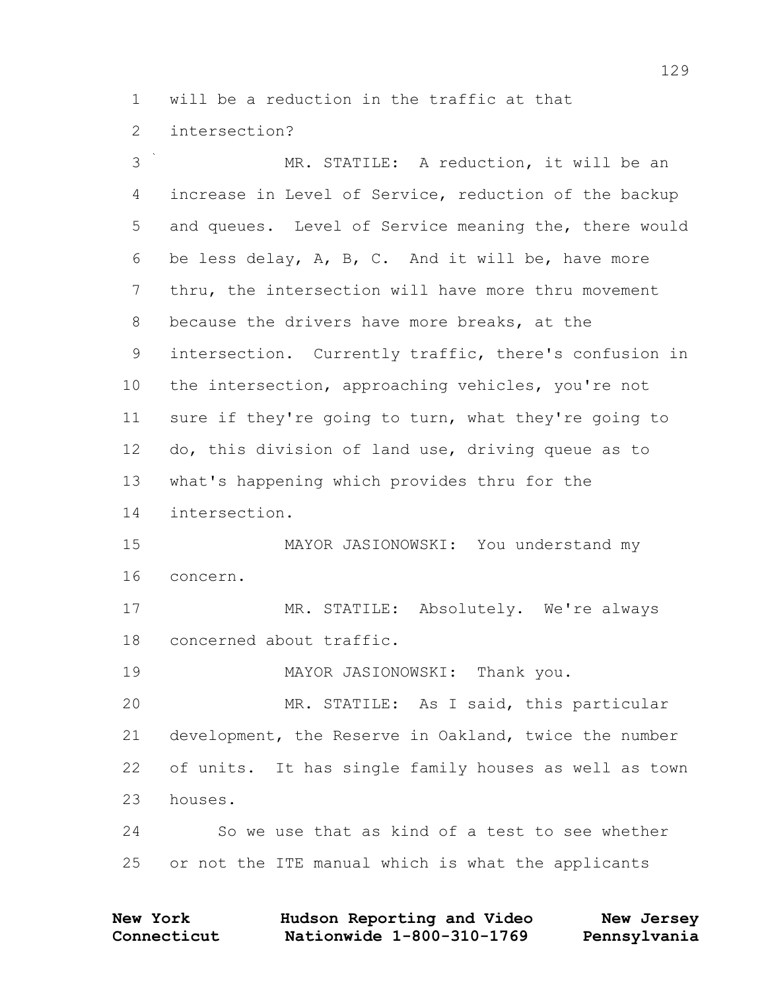will be a reduction in the traffic at that

intersection?

 MR. STATILE: A reduction, it will be an increase in Level of Service, reduction of the backup and queues. Level of Service meaning the, there would be less delay, A, B, C. And it will be, have more thru, the intersection will have more thru movement because the drivers have more breaks, at the intersection. Currently traffic, there's confusion in the intersection, approaching vehicles, you're not sure if they're going to turn, what they're going to do, this division of land use, driving queue as to what's happening which provides thru for the intersection. MAYOR JASIONOWSKI: You understand my concern. MR. STATILE: Absolutely. We're always concerned about traffic. MAYOR JASIONOWSKI: Thank you. MR. STATILE: As I said, this particular development, the Reserve in Oakland, twice the number of units. It has single family houses as well as town houses. So we use that as kind of a test to see whether or not the ITE manual which is what the applicants

| <b>New York</b> | Hudson Reporting and Video | New Jersey   |
|-----------------|----------------------------|--------------|
| Connecticut     | Nationwide 1-800-310-1769  | Pennsylvania |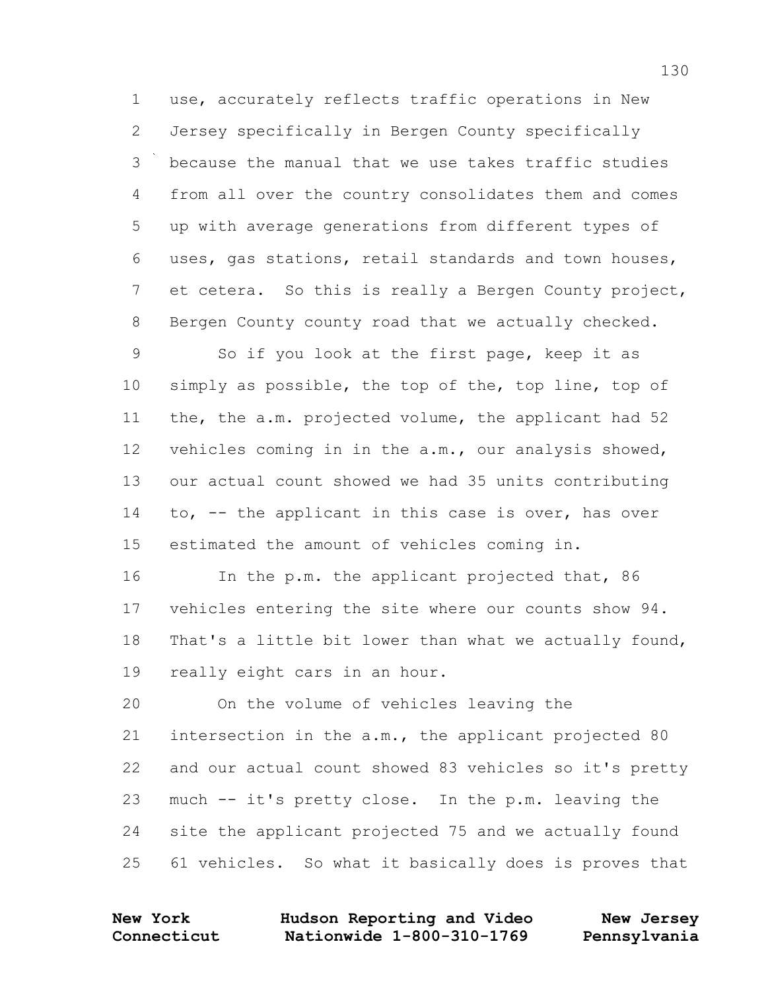use, accurately reflects traffic operations in New Jersey specifically in Bergen County specifically because the manual that we use takes traffic studies from all over the country consolidates them and comes up with average generations from different types of uses, gas stations, retail standards and town houses, et cetera. So this is really a Bergen County project, Bergen County county road that we actually checked.

 So if you look at the first page, keep it as simply as possible, the top of the, top line, top of the, the a.m. projected volume, the applicant had 52 vehicles coming in in the a.m., our analysis showed, our actual count showed we had 35 units contributing to, -- the applicant in this case is over, has over estimated the amount of vehicles coming in.

 In the p.m. the applicant projected that, 86 vehicles entering the site where our counts show 94. That's a little bit lower than what we actually found, really eight cars in an hour.

 On the volume of vehicles leaving the intersection in the a.m., the applicant projected 80 and our actual count showed 83 vehicles so it's pretty much -- it's pretty close. In the p.m. leaving the site the applicant projected 75 and we actually found 61 vehicles. So what it basically does is proves that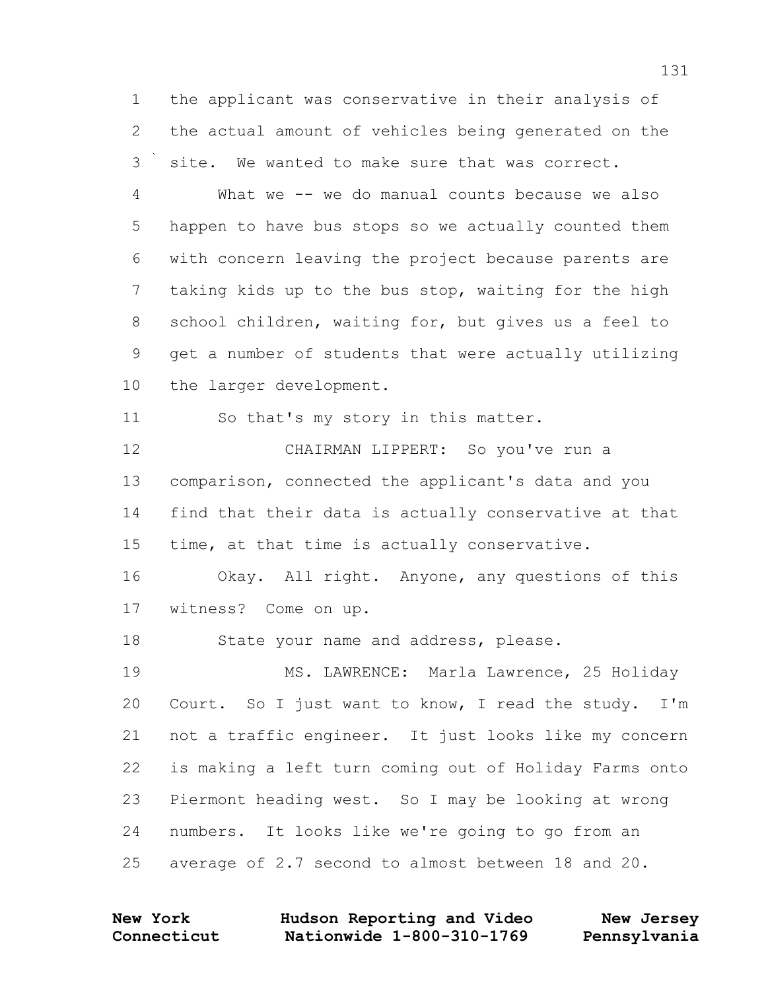the applicant was conservative in their analysis of the actual amount of vehicles being generated on the site. We wanted to make sure that was correct.

 What we -- we do manual counts because we also happen to have bus stops so we actually counted them with concern leaving the project because parents are taking kids up to the bus stop, waiting for the high school children, waiting for, but gives us a feel to get a number of students that were actually utilizing the larger development.

So that's my story in this matter.

 CHAIRMAN LIPPERT: So you've run a comparison, connected the applicant's data and you find that their data is actually conservative at that time, at that time is actually conservative.

 Okay. All right. Anyone, any questions of this witness? Come on up.

18 State your name and address, please.

 MS. LAWRENCE: Marla Lawrence, 25 Holiday Court. So I just want to know, I read the study. I'm not a traffic engineer. It just looks like my concern is making a left turn coming out of Holiday Farms onto Piermont heading west. So I may be looking at wrong numbers. It looks like we're going to go from an average of 2.7 second to almost between 18 and 20.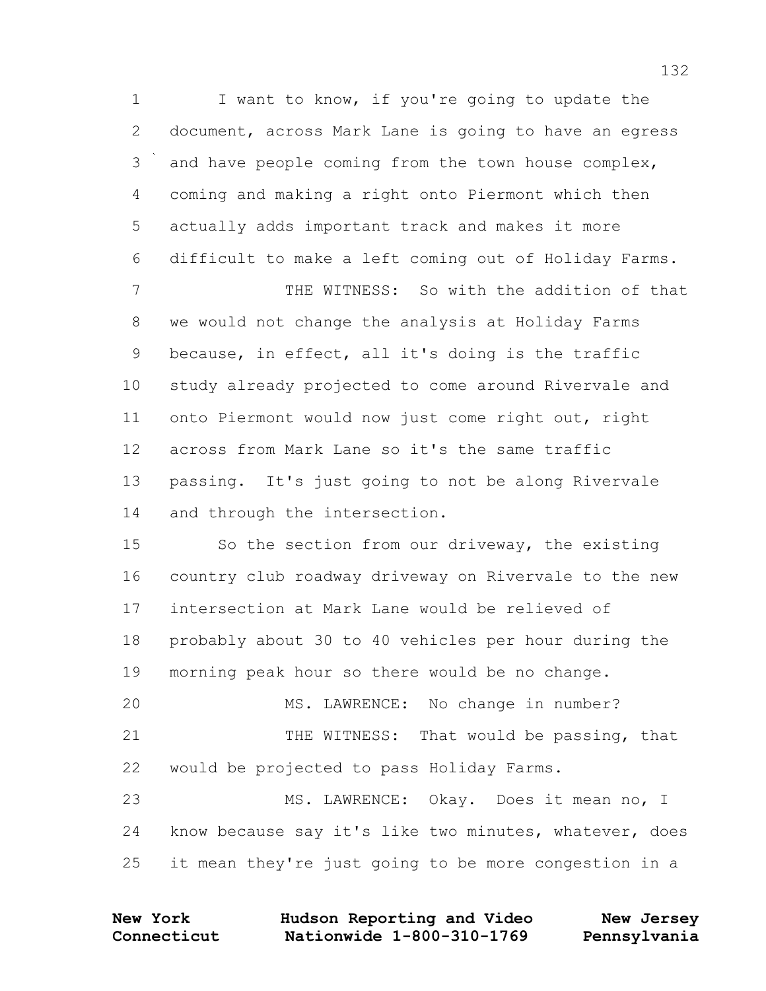1 I want to know, if you're going to update the document, across Mark Lane is going to have an egress and have people coming from the town house complex, coming and making a right onto Piermont which then actually adds important track and makes it more difficult to make a left coming out of Holiday Farms. THE WITNESS: So with the addition of that we would not change the analysis at Holiday Farms because, in effect, all it's doing is the traffic study already projected to come around Rivervale and onto Piermont would now just come right out, right across from Mark Lane so it's the same traffic passing. It's just going to not be along Rivervale and through the intersection.

 So the section from our driveway, the existing country club roadway driveway on Rivervale to the new intersection at Mark Lane would be relieved of probably about 30 to 40 vehicles per hour during the morning peak hour so there would be no change. MS. LAWRENCE: No change in number? 21 THE WITNESS: That would be passing, that would be projected to pass Holiday Farms. MS. LAWRENCE: Okay. Does it mean no, I know because say it's like two minutes, whatever, does

it mean they're just going to be more congestion in a

| <b>New York</b> | Hudson Reporting and Video | New Jersey   |
|-----------------|----------------------------|--------------|
| Connecticut     | Nationwide 1-800-310-1769  | Pennsylvania |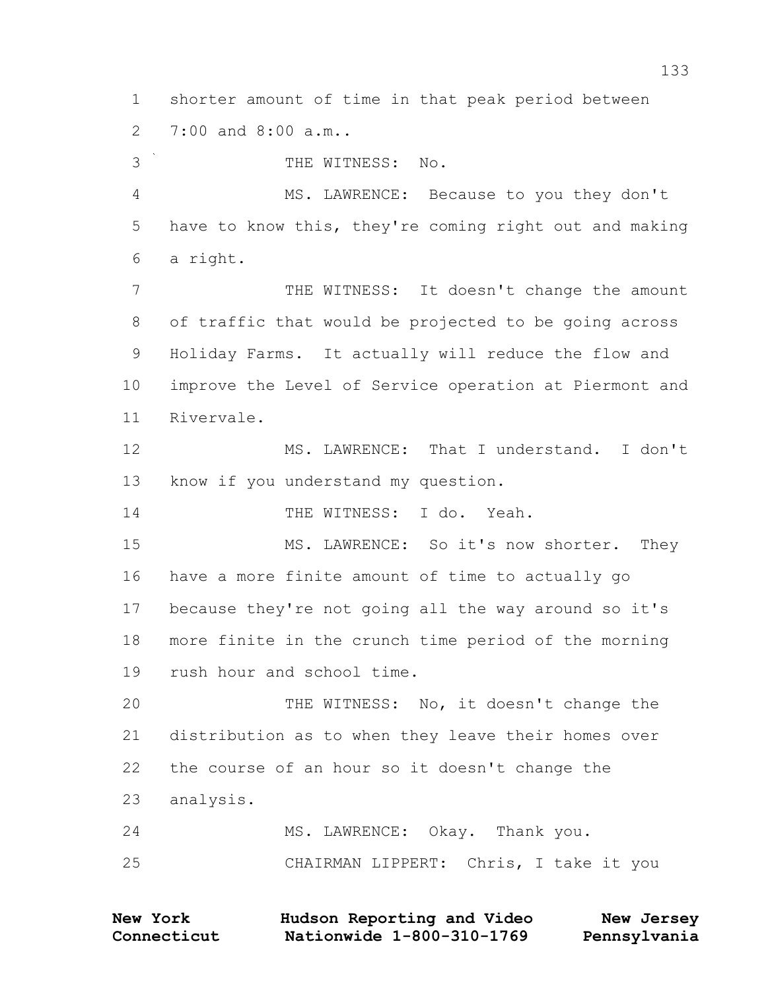shorter amount of time in that peak period between 7:00 and 8:00 a.m..

 THE WITNESS: No. MS. LAWRENCE: Because to you they don't have to know this, they're coming right out and making a right. 7 THE WITNESS: It doesn't change the amount of traffic that would be projected to be going across Holiday Farms. It actually will reduce the flow and improve the Level of Service operation at Piermont and Rivervale. MS. LAWRENCE: That I understand. I don't know if you understand my question. THE WITNESS: I do. Yeah. 15 MS. LAWRENCE: So it's now shorter. They have a more finite amount of time to actually go because they're not going all the way around so it's more finite in the crunch time period of the morning rush hour and school time. THE WITNESS: No, it doesn't change the distribution as to when they leave their homes over the course of an hour so it doesn't change the analysis. MS. LAWRENCE: Okay. Thank you.

CHAIRMAN LIPPERT: Chris, I take it you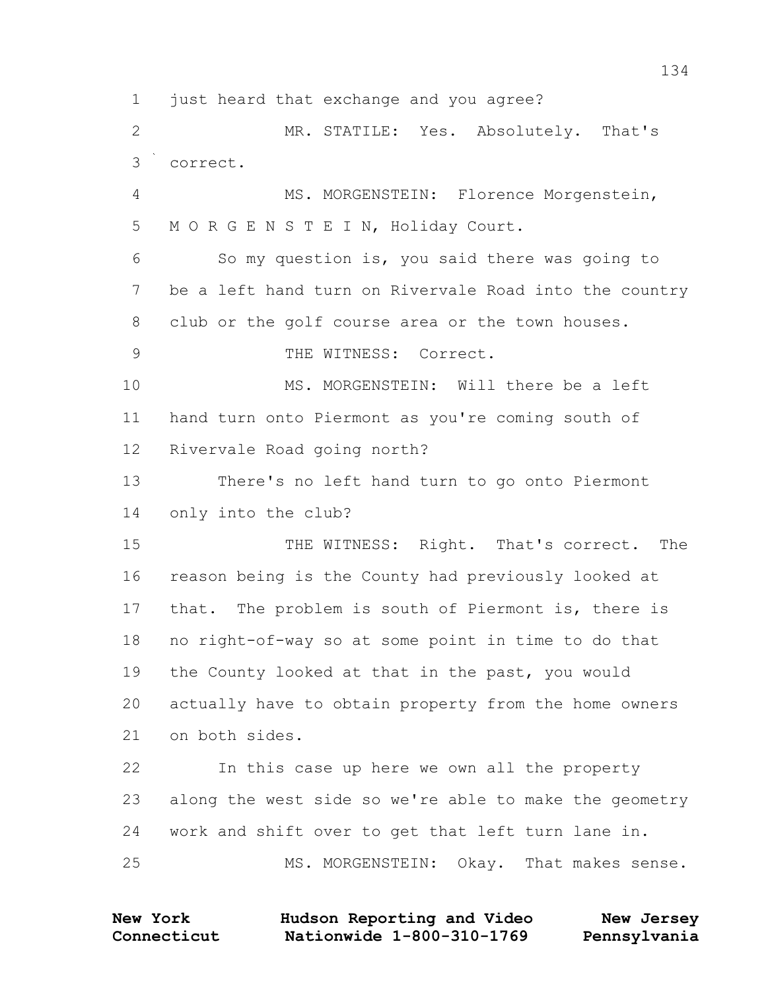just heard that exchange and you agree? MR. STATILE: Yes. Absolutely. That's correct. MS. MORGENSTEIN: Florence Morgenstein, M O R G E N S T E I N, Holiday Court. So my question is, you said there was going to be a left hand turn on Rivervale Road into the country club or the golf course area or the town houses. 9 THE WITNESS: Correct. MS. MORGENSTEIN: Will there be a left hand turn onto Piermont as you're coming south of Rivervale Road going north? There's no left hand turn to go onto Piermont only into the club? 15 THE WITNESS: Right. That's correct. The reason being is the County had previously looked at that. The problem is south of Piermont is, there is no right-of-way so at some point in time to do that the County looked at that in the past, you would actually have to obtain property from the home owners on both sides. In this case up here we own all the property along the west side so we're able to make the geometry work and shift over to get that left turn lane in. MS. MORGENSTEIN: Okay. That makes sense.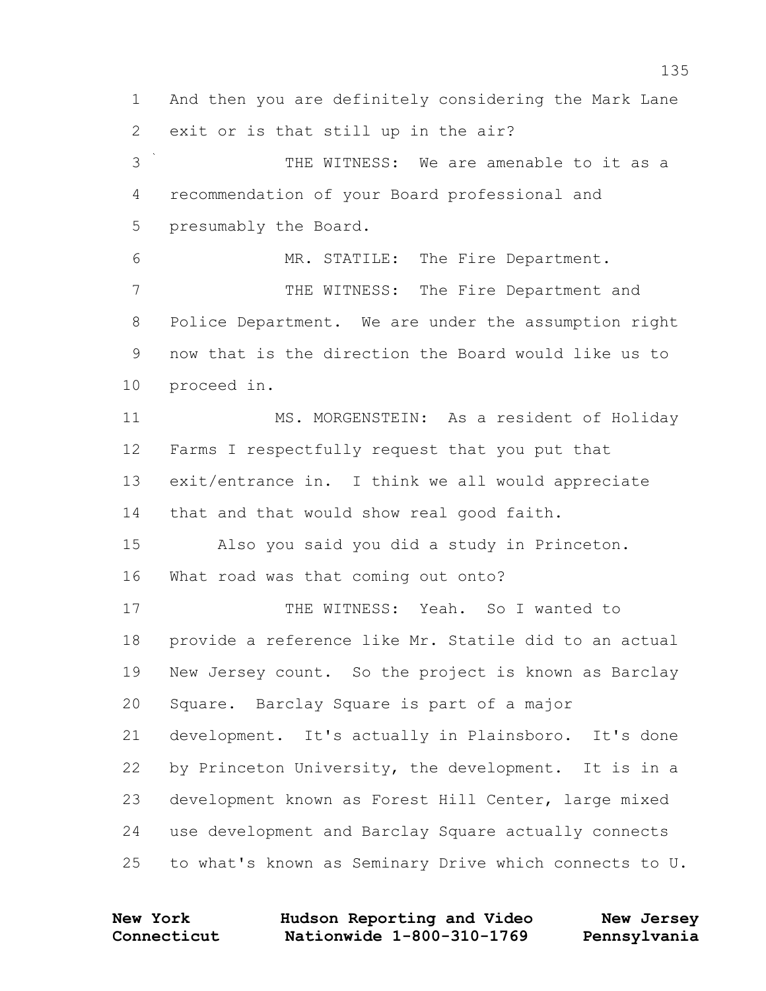And then you are definitely considering the Mark Lane exit or is that still up in the air?

 THE WITNESS: We are amenable to it as a recommendation of your Board professional and presumably the Board.

 MR. STATILE: The Fire Department. 7 THE WITNESS: The Fire Department and Police Department. We are under the assumption right now that is the direction the Board would like us to proceed in.

 MS. MORGENSTEIN: As a resident of Holiday Farms I respectfully request that you put that exit/entrance in. I think we all would appreciate that and that would show real good faith.

 Also you said you did a study in Princeton. What road was that coming out onto?

 THE WITNESS: Yeah. So I wanted to provide a reference like Mr. Statile did to an actual New Jersey count. So the project is known as Barclay Square. Barclay Square is part of a major development. It's actually in Plainsboro. It's done by Princeton University, the development. It is in a development known as Forest Hill Center, large mixed use development and Barclay Square actually connects to what's known as Seminary Drive which connects to U.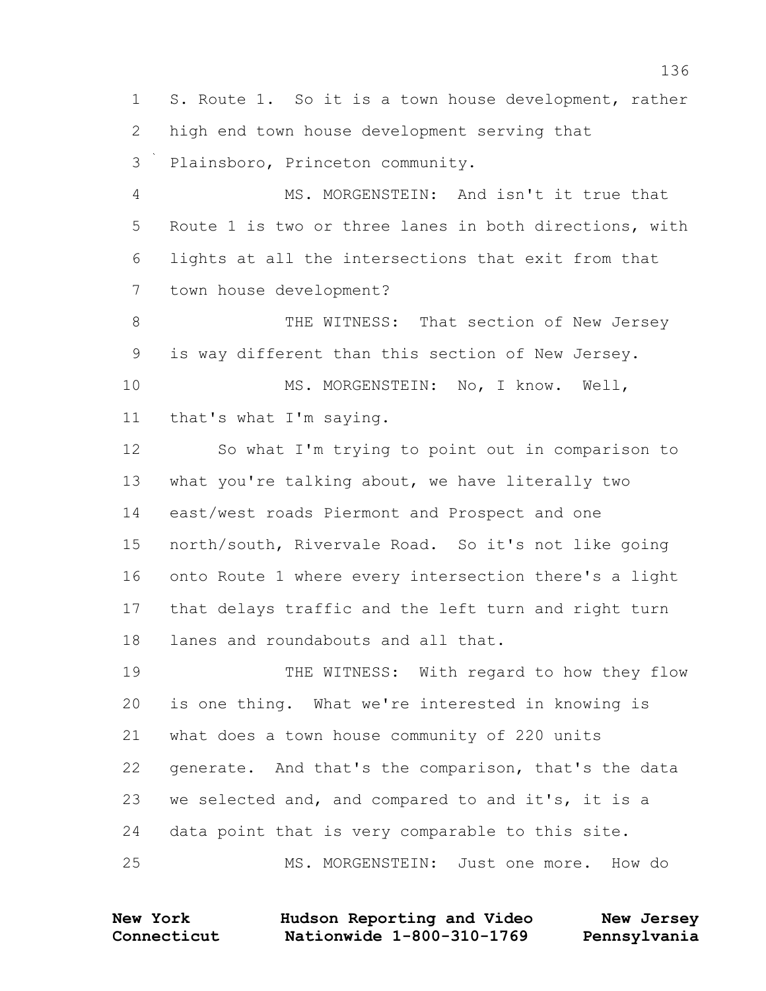S. Route 1. So it is a town house development, rather high end town house development serving that Plainsboro, Princeton community. MS. MORGENSTEIN: And isn't it true that Route 1 is two or three lanes in both directions, with lights at all the intersections that exit from that town house development? 8 THE WITNESS: That section of New Jersey is way different than this section of New Jersey. 10 MS. MORGENSTEIN: No, I know. Well, that's what I'm saying. So what I'm trying to point out in comparison to what you're talking about, we have literally two east/west roads Piermont and Prospect and one north/south, Rivervale Road. So it's not like going onto Route 1 where every intersection there's a light that delays traffic and the left turn and right turn lanes and roundabouts and all that. 19 THE WITNESS: With regard to how they flow is one thing. What we're interested in knowing is what does a town house community of 220 units generate. And that's the comparison, that's the data we selected and, and compared to and it's, it is a data point that is very comparable to this site.

MS. MORGENSTEIN: Just one more. How do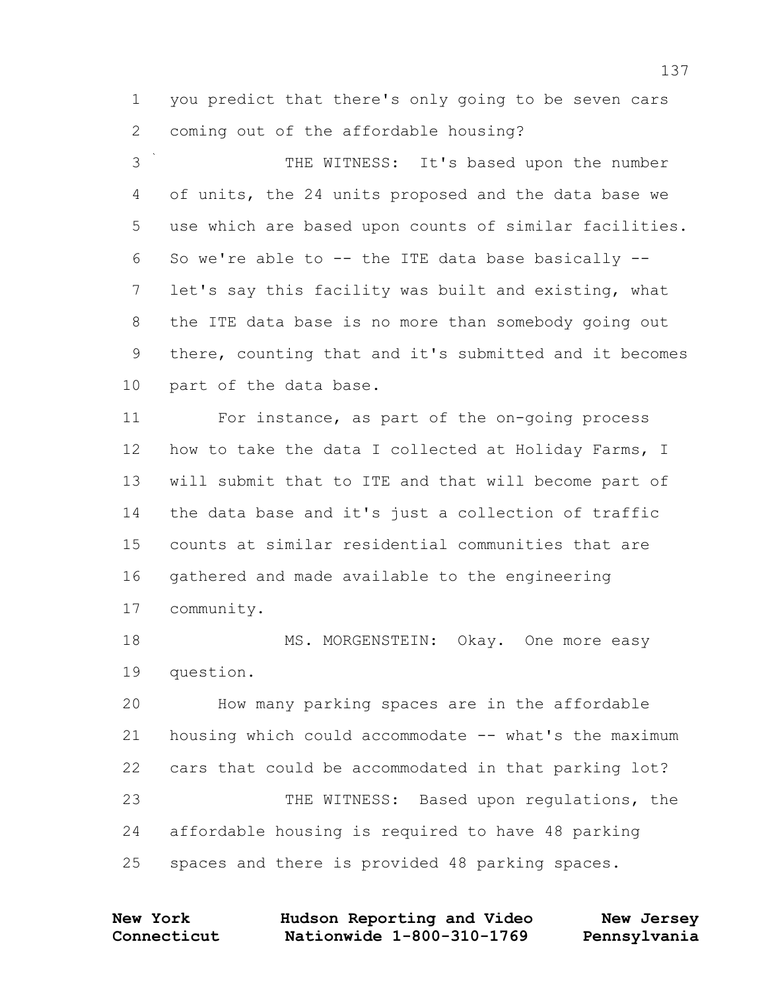you predict that there's only going to be seven cars coming out of the affordable housing?

 THE WITNESS: It's based upon the number of units, the 24 units proposed and the data base we use which are based upon counts of similar facilities. So we're able to -- the ITE data base basically -- let's say this facility was built and existing, what the ITE data base is no more than somebody going out there, counting that and it's submitted and it becomes part of the data base.

 For instance, as part of the on-going process 12 how to take the data I collected at Holiday Farms, I will submit that to ITE and that will become part of the data base and it's just a collection of traffic counts at similar residential communities that are gathered and made available to the engineering community.

18 MS. MORGENSTEIN: Okay. One more easy question.

 How many parking spaces are in the affordable housing which could accommodate -- what's the maximum cars that could be accommodated in that parking lot? THE WITNESS: Based upon regulations, the affordable housing is required to have 48 parking spaces and there is provided 48 parking spaces.

| <b>New York</b> | Hudson Reporting and Video | New Jersey   |
|-----------------|----------------------------|--------------|
| Connecticut     | Nationwide 1-800-310-1769  | Pennsylvania |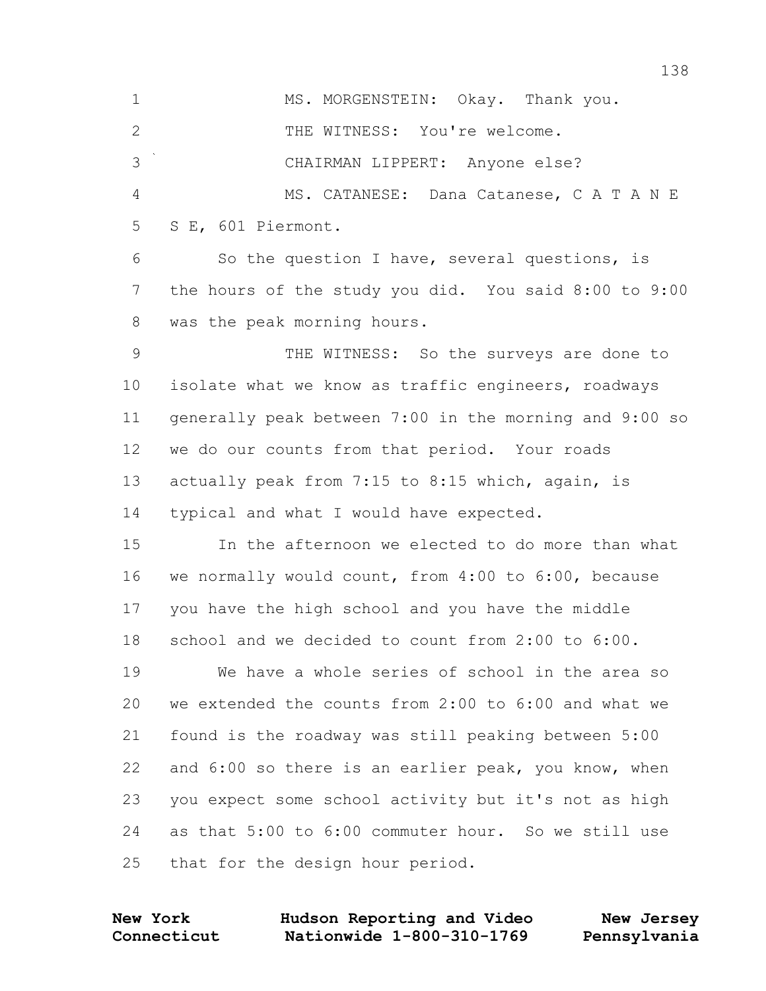1 MS. MORGENSTEIN: Okay. Thank you. 2 THE WITNESS: You're welcome. CHAIRMAN LIPPERT: Anyone else? MS. CATANESE: Dana Catanese, C A T A N E S E, 601 Piermont. So the question I have, several questions, is the hours of the study you did. You said 8:00 to 9:00 was the peak morning hours. THE WITNESS: So the surveys are done to isolate what we know as traffic engineers, roadways generally peak between 7:00 in the morning and 9:00 so we do our counts from that period. Your roads actually peak from 7:15 to 8:15 which, again, is typical and what I would have expected. In the afternoon we elected to do more than what we normally would count, from 4:00 to 6:00, because you have the high school and you have the middle school and we decided to count from 2:00 to 6:00. We have a whole series of school in the area so we extended the counts from 2:00 to 6:00 and what we found is the roadway was still peaking between 5:00 and 6:00 so there is an earlier peak, you know, when you expect some school activity but it's not as high as that 5:00 to 6:00 commuter hour. So we still use that for the design hour period.

**Connecticut Nationwide 1-800-310-1769 Pennsylvania New York Hudson Reporting and Video New Jersey**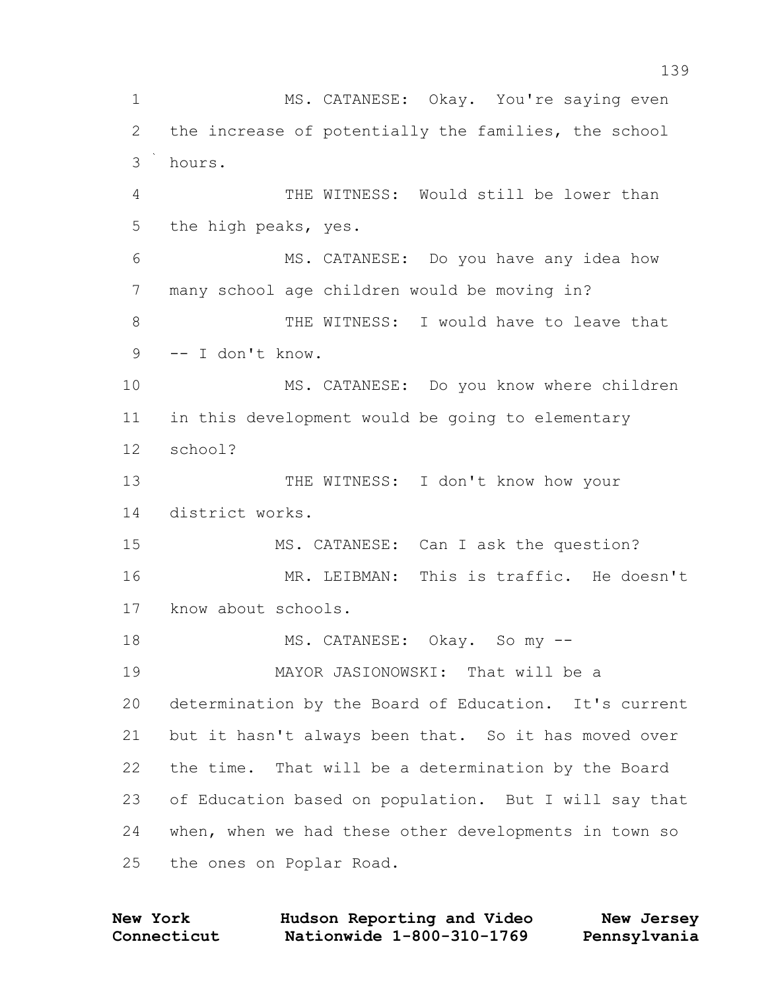MS. CATANESE: Okay. You're saying even the increase of potentially the families, the school hours. THE WITNESS: Would still be lower than the high peaks, yes. MS. CATANESE: Do you have any idea how many school age children would be moving in? 8 THE WITNESS: I would have to leave that -- I don't know. MS. CATANESE: Do you know where children in this development would be going to elementary school? 13 THE WITNESS: I don't know how your district works. MS. CATANESE: Can I ask the question? MR. LEIBMAN: This is traffic. He doesn't know about schools. 18 MS. CATANESE: Okay. So my -- MAYOR JASIONOWSKI: That will be a determination by the Board of Education. It's current but it hasn't always been that. So it has moved over the time. That will be a determination by the Board of Education based on population. But I will say that when, when we had these other developments in town so the ones on Poplar Road.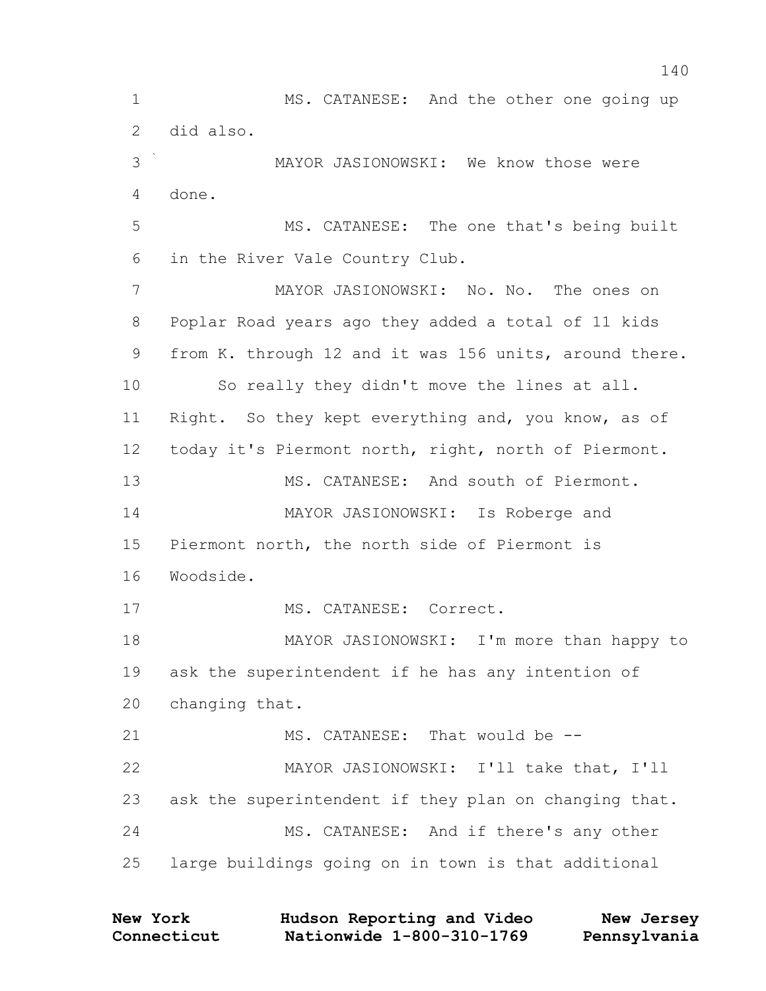MS. CATANESE: And the other one going up did also. MAYOR JASIONOWSKI: We know those were done. MS. CATANESE: The one that's being built in the River Vale Country Club. MAYOR JASIONOWSKI: No. No. The ones on Poplar Road years ago they added a total of 11 kids from K. through 12 and it was 156 units, around there. So really they didn't move the lines at all. 11 Right. So they kept everything and, you know, as of today it's Piermont north, right, north of Piermont. MS. CATANESE: And south of Piermont. MAYOR JASIONOWSKI: Is Roberge and Piermont north, the north side of Piermont is Woodside. MS. CATANESE: Correct. 18 MAYOR JASIONOWSKI: I'm more than happy to ask the superintendent if he has any intention of changing that. MS. CATANESE: That would be -- MAYOR JASIONOWSKI: I'll take that, I'll ask the superintendent if they plan on changing that. MS. CATANESE: And if there's any other large buildings going on in town is that additional

| New York    | Hudson Reporting and Video | New Jersey   |
|-------------|----------------------------|--------------|
| Connecticut | Nationwide 1-800-310-1769  | Pennsylvania |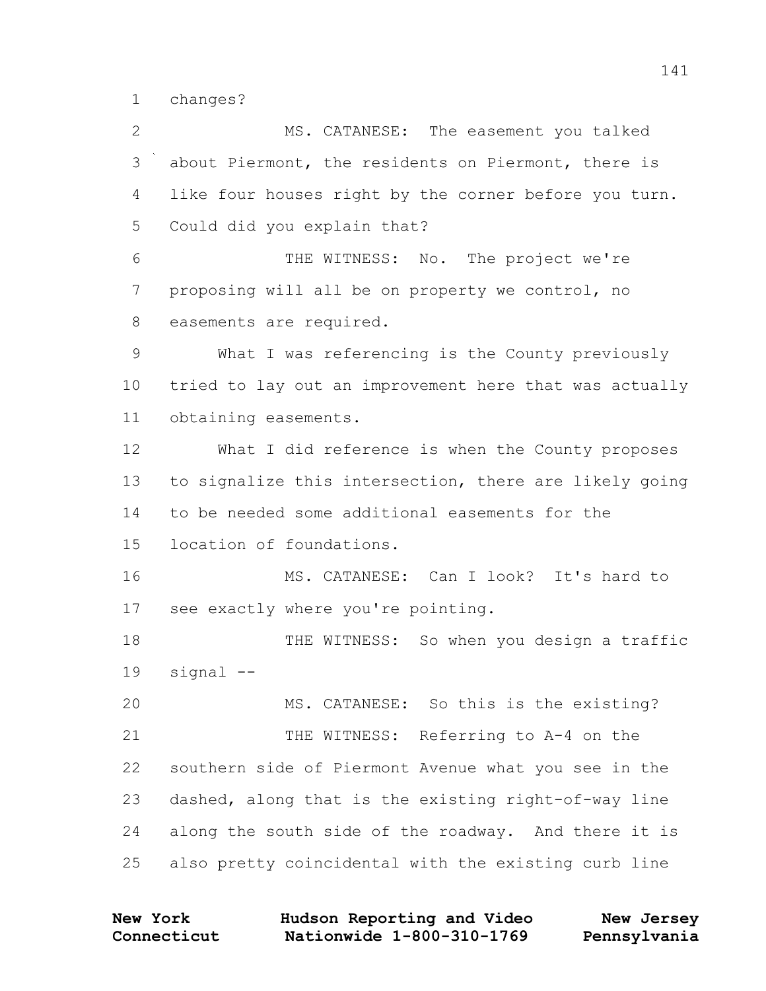changes?

 MS. CATANESE: The easement you talked about Piermont, the residents on Piermont, there is like four houses right by the corner before you turn. Could did you explain that? THE WITNESS: No. The project we're proposing will all be on property we control, no easements are required. What I was referencing is the County previously tried to lay out an improvement here that was actually obtaining easements. What I did reference is when the County proposes to signalize this intersection, there are likely going to be needed some additional easements for the location of foundations. MS. CATANESE: Can I look? It's hard to see exactly where you're pointing. 18 THE WITNESS: So when you design a traffic signal -- MS. CATANESE: So this is the existing? 21 THE WITNESS: Referring to A-4 on the southern side of Piermont Avenue what you see in the dashed, along that is the existing right-of-way line along the south side of the roadway. And there it is also pretty coincidental with the existing curb line

| <b>New York</b> | Hudson Reporting and Video | New Jersey   |
|-----------------|----------------------------|--------------|
| Connecticut     | Nationwide 1-800-310-1769  | Pennsylvania |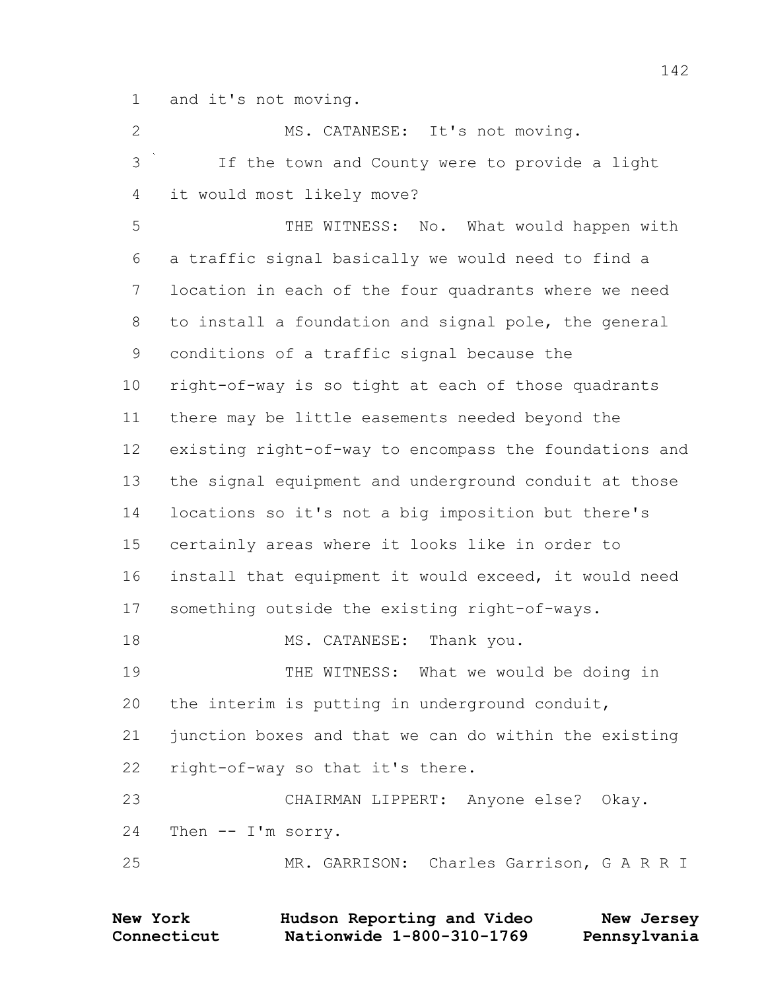and it's not moving.

2 MS. CATANESE: It's not moving. If the town and County were to provide a light it would most likely move? THE WITNESS: No. What would happen with a traffic signal basically we would need to find a location in each of the four quadrants where we need to install a foundation and signal pole, the general conditions of a traffic signal because the right-of-way is so tight at each of those quadrants there may be little easements needed beyond the existing right-of-way to encompass the foundations and the signal equipment and underground conduit at those locations so it's not a big imposition but there's certainly areas where it looks like in order to install that equipment it would exceed, it would need something outside the existing right-of-ways. 18 MS. CATANESE: Thank you. THE WITNESS: What we would be doing in the interim is putting in underground conduit, junction boxes and that we can do within the existing right-of-way so that it's there. CHAIRMAN LIPPERT: Anyone else? Okay. Then -- I'm sorry. MR. GARRISON: Charles Garrison, G A R R I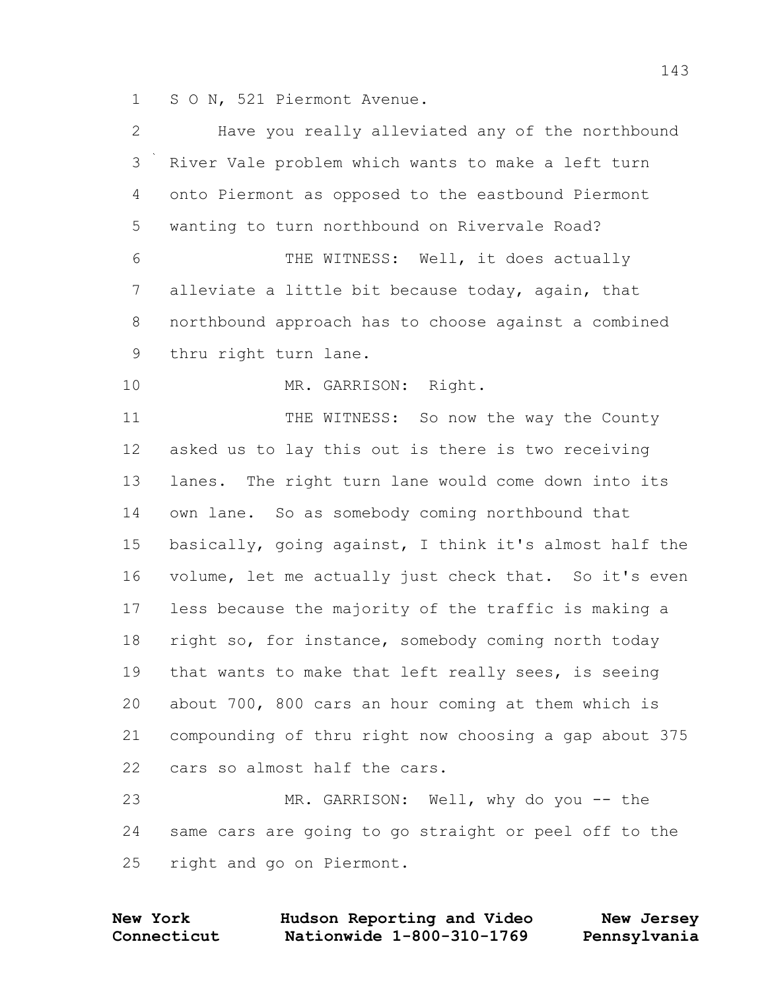S O N, 521 Piermont Avenue.

| $\overline{2}$ | Have you really alleviated any of the northbound       |
|----------------|--------------------------------------------------------|
| 3              | River Vale problem which wants to make a left turn     |
| 4              | onto Piermont as opposed to the eastbound Piermont     |
| 5              | wanting to turn northbound on Rivervale Road?          |
| 6              | THE WITNESS: Well, it does actually                    |
| 7              | alleviate a little bit because today, again, that      |
| $8\,$          | northbound approach has to choose against a combined   |
| $\mathsf 9$    | thru right turn lane.                                  |
| 10             | MR. GARRISON: Right.                                   |
| 11             | THE WITNESS: So now the way the County                 |
| 12             | asked us to lay this out is there is two receiving     |
| 13             | lanes. The right turn lane would come down into its    |
| 14             | own lane. So as somebody coming northbound that        |
| 15             | basically, going against, I think it's almost half the |
| 16             | volume, let me actually just check that. So it's even  |
| 17             | less because the majority of the traffic is making a   |
| 18             | right so, for instance, somebody coming north today    |
| 19             | that wants to make that left really sees, is seeing    |
| 20             | about 700, 800 cars an hour coming at them which is    |
| 21             | compounding of thru right now choosing a gap about 375 |
| 22             | cars so almost half the cars.                          |
| 23             | MR. GARRISON: Well, why do you -- the                  |
| 24             | same cars are going to go straight or peel off to the  |
| 25             | right and go on Piermont.                              |
|                |                                                        |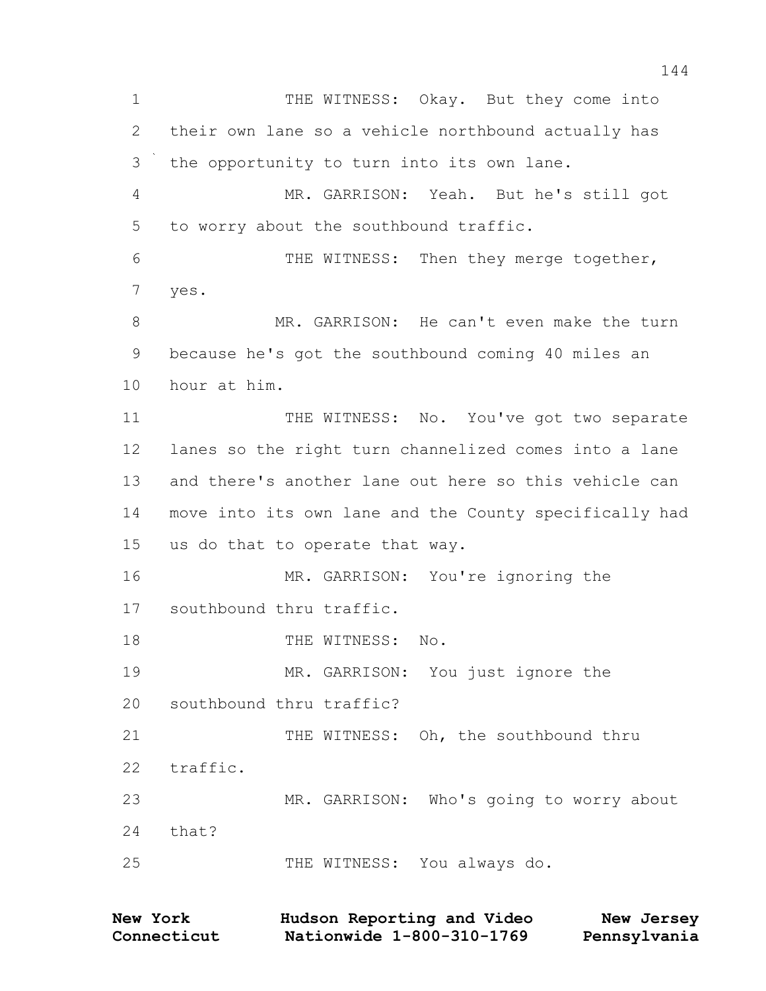1 THE WITNESS: Okay. But they come into their own lane so a vehicle northbound actually has the opportunity to turn into its own lane. MR. GARRISON: Yeah. But he's still got to worry about the southbound traffic. THE WITNESS: Then they merge together, yes. 8 MR. GARRISON: He can't even make the turn because he's got the southbound coming 40 miles an hour at him. 11 THE WITNESS: No. You've got two separate lanes so the right turn channelized comes into a lane and there's another lane out here so this vehicle can move into its own lane and the County specifically had us do that to operate that way. MR. GARRISON: You're ignoring the southbound thru traffic. 18 THE WITNESS: No. MR. GARRISON: You just ignore the southbound thru traffic? 21 THE WITNESS: Oh, the southbound thru traffic. MR. GARRISON: Who's going to worry about that? THE WITNESS: You always do.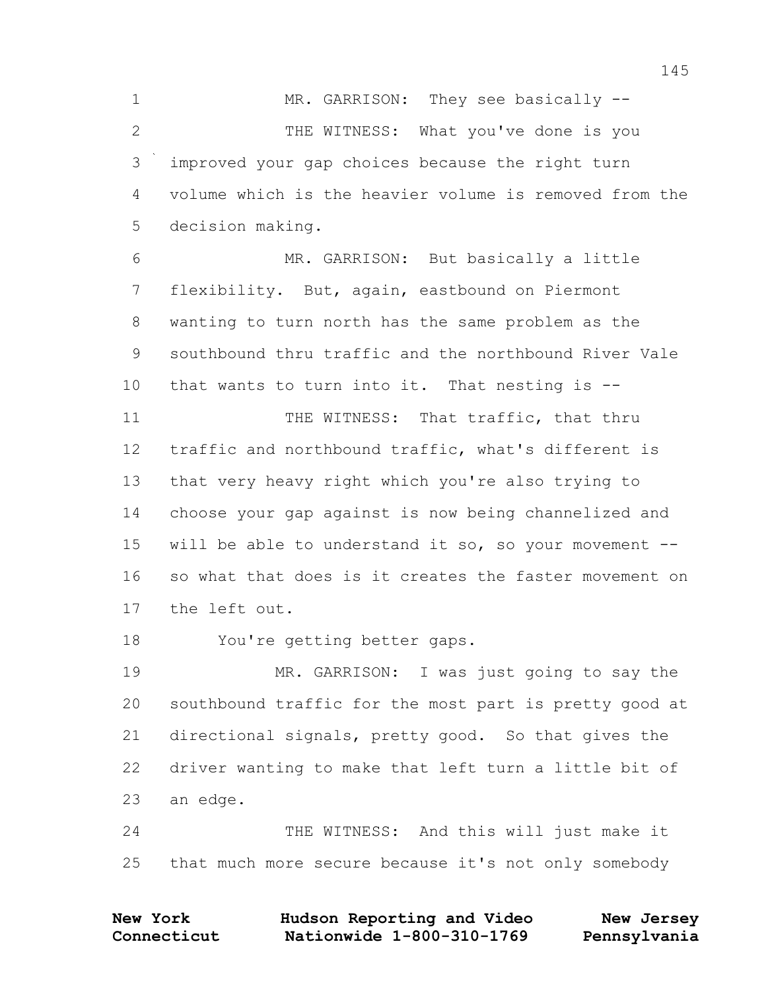1 MR. GARRISON: They see basically --2 THE WITNESS: What you've done is you improved your gap choices because the right turn volume which is the heavier volume is removed from the decision making. MR. GARRISON: But basically a little flexibility. But, again, eastbound on Piermont wanting to turn north has the same problem as the southbound thru traffic and the northbound River Vale that wants to turn into it. That nesting is -- 11 THE WITNESS: That traffic, that thru traffic and northbound traffic, what's different is that very heavy right which you're also trying to choose your gap against is now being channelized and will be able to understand it so, so your movement -- so what that does is it creates the faster movement on the left out. You're getting better gaps. MR. GARRISON: I was just going to say the southbound traffic for the most part is pretty good at directional signals, pretty good. So that gives the driver wanting to make that left turn a little bit of an edge. THE WITNESS: And this will just make it

that much more secure because it's not only somebody

| New York    | Hudson Reporting and Video | New Jersey   |
|-------------|----------------------------|--------------|
| Connecticut | Nationwide 1-800-310-1769  | Pennsylvania |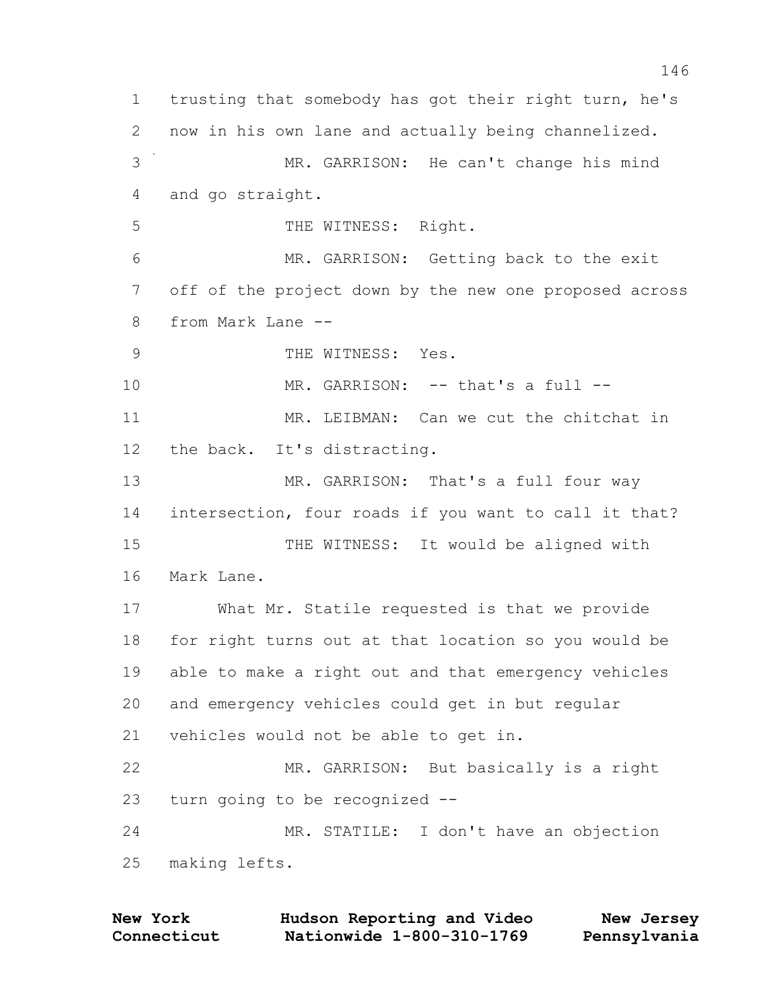trusting that somebody has got their right turn, he's now in his own lane and actually being channelized. MR. GARRISON: He can't change his mind and go straight. 5 THE WITNESS: Right. MR. GARRISON: Getting back to the exit off of the project down by the new one proposed across from Mark Lane -- 9 THE WITNESS: Yes. 10 MR. GARRISON: -- that's a full --11 MR. LEIBMAN: Can we cut the chitchat in the back. It's distracting. 13 MR. GARRISON: That's a full four way intersection, four roads if you want to call it that? THE WITNESS: It would be aligned with Mark Lane. What Mr. Statile requested is that we provide for right turns out at that location so you would be able to make a right out and that emergency vehicles and emergency vehicles could get in but regular vehicles would not be able to get in. MR. GARRISON: But basically is a right turn going to be recognized -- MR. STATILE: I don't have an objection making lefts.

| New York    | Hudson Reporting and Video | New Jersey   |
|-------------|----------------------------|--------------|
| Connecticut | Nationwide 1-800-310-1769  | Pennsylvania |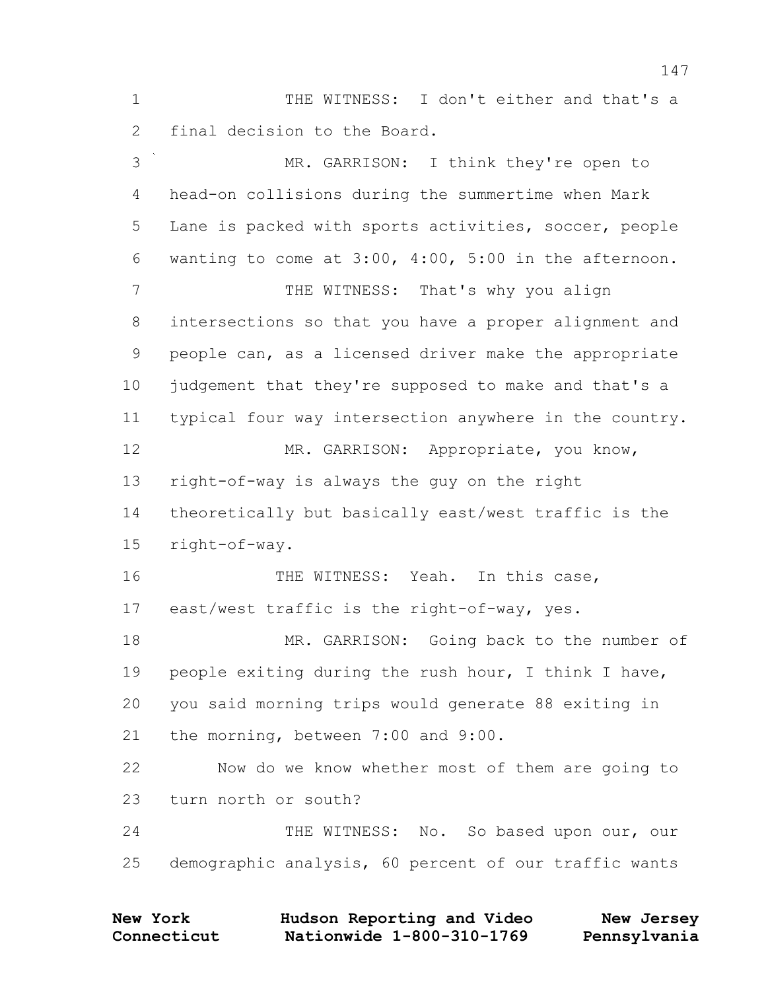1 THE WITNESS: I don't either and that's a final decision to the Board.

 MR. GARRISON: I think they're open to head-on collisions during the summertime when Mark Lane is packed with sports activities, soccer, people wanting to come at 3:00, 4:00, 5:00 in the afternoon. 7 THE WITNESS: That's why you align intersections so that you have a proper alignment and people can, as a licensed driver make the appropriate judgement that they're supposed to make and that's a typical four way intersection anywhere in the country. 12 MR. GARRISON: Appropriate, you know, right-of-way is always the guy on the right theoretically but basically east/west traffic is the right-of-way. 16 THE WITNESS: Yeah. In this case, east/west traffic is the right-of-way, yes. 18 MR. GARRISON: Going back to the number of people exiting during the rush hour, I think I have, you said morning trips would generate 88 exiting in the morning, between 7:00 and 9:00. Now do we know whether most of them are going to turn north or south? 24 THE WITNESS: No. So based upon our, our demographic analysis, 60 percent of our traffic wants

| <b>New York</b> | Hudson Reporting and Video | New Jersey   |
|-----------------|----------------------------|--------------|
| Connecticut     | Nationwide 1-800-310-1769  | Pennsylvania |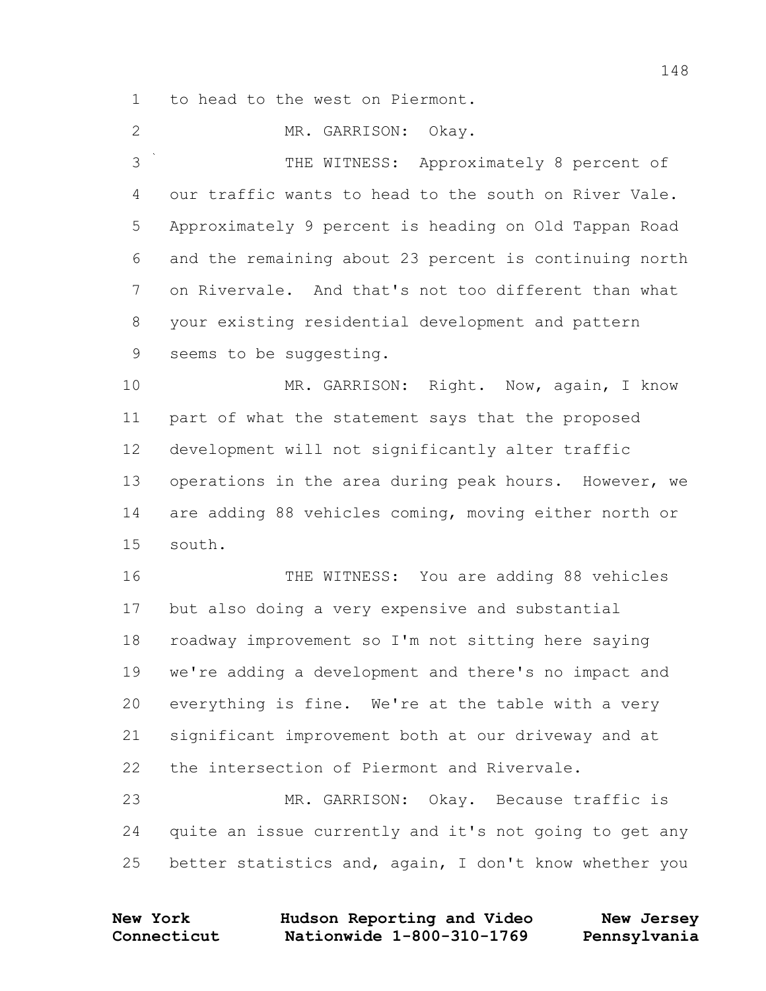to head to the west on Piermont.

MR. GARRISON: Okay.

 THE WITNESS: Approximately 8 percent of our traffic wants to head to the south on River Vale. Approximately 9 percent is heading on Old Tappan Road and the remaining about 23 percent is continuing north on Rivervale. And that's not too different than what your existing residential development and pattern seems to be suggesting.

10 MR. GARRISON: Right. Now, again, I know part of what the statement says that the proposed development will not significantly alter traffic operations in the area during peak hours. However, we are adding 88 vehicles coming, moving either north or south.

 THE WITNESS: You are adding 88 vehicles but also doing a very expensive and substantial roadway improvement so I'm not sitting here saying we're adding a development and there's no impact and everything is fine. We're at the table with a very significant improvement both at our driveway and at the intersection of Piermont and Rivervale.

 MR. GARRISON: Okay. Because traffic is quite an issue currently and it's not going to get any better statistics and, again, I don't know whether you

| <b>New York</b> | Hudson Reporting and Video | New Jersey   |
|-----------------|----------------------------|--------------|
| Connecticut     | Nationwide 1-800-310-1769  | Pennsylvania |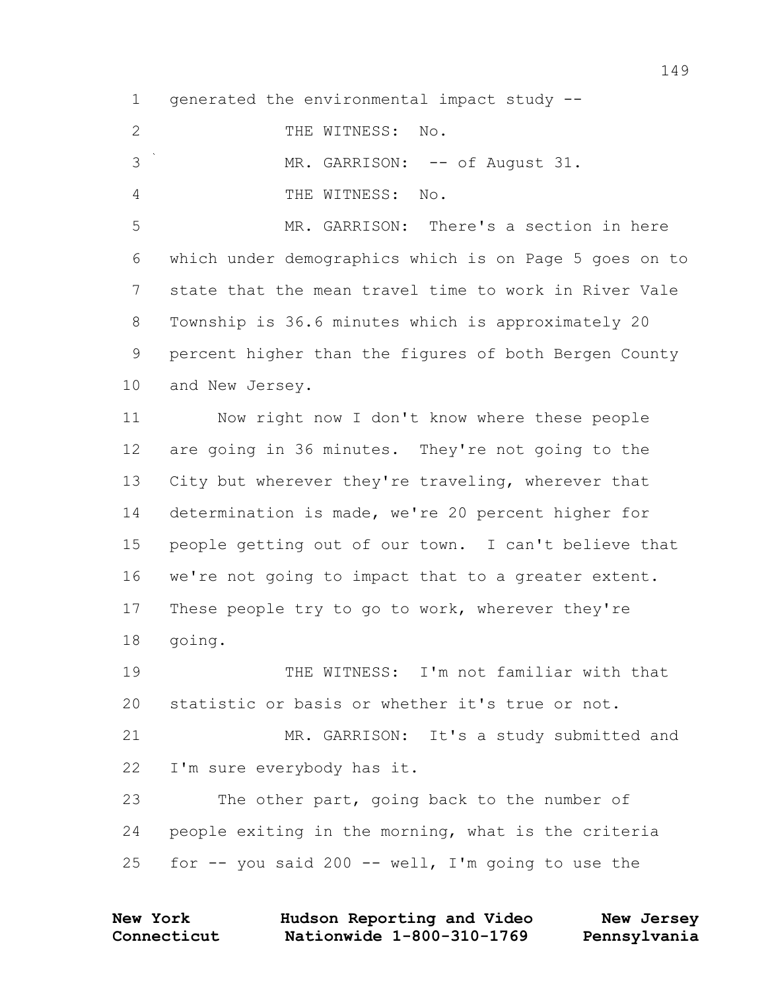generated the environmental impact study --

| $\sim$<br>WITNESS:<br>THE.<br>Νo |
|----------------------------------|
|----------------------------------|

- 3 MR. GARRISON: -- of August 31.
- THE WITNESS: No.

 MR. GARRISON: There's a section in here which under demographics which is on Page 5 goes on to state that the mean travel time to work in River Vale Township is 36.6 minutes which is approximately 20 percent higher than the figures of both Bergen County and New Jersey.

 Now right now I don't know where these people are going in 36 minutes. They're not going to the City but wherever they're traveling, wherever that determination is made, we're 20 percent higher for people getting out of our town. I can't believe that we're not going to impact that to a greater extent. These people try to go to work, wherever they're going.

 THE WITNESS: I'm not familiar with that statistic or basis or whether it's true or not. MR. GARRISON: It's a study submitted and I'm sure everybody has it. The other part, going back to the number of

 people exiting in the morning, what is the criteria 25 for  $-$  you said 200  $-$ - well, I'm going to use the

| <b>New York</b> | Hudson Reporting and Video | New Jersey   |
|-----------------|----------------------------|--------------|
| Connecticut     | Nationwide 1-800-310-1769  | Pennsylvania |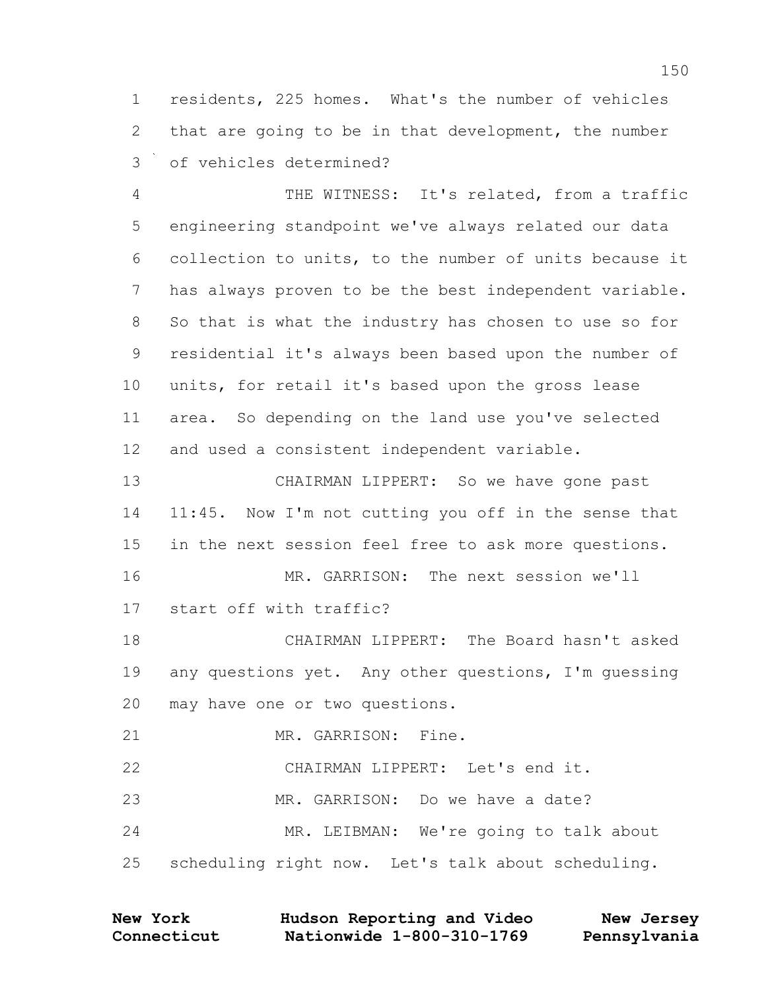residents, 225 homes. What's the number of vehicles that are going to be in that development, the number of vehicles determined?

 THE WITNESS: It's related, from a traffic engineering standpoint we've always related our data collection to units, to the number of units because it has always proven to be the best independent variable. So that is what the industry has chosen to use so for residential it's always been based upon the number of units, for retail it's based upon the gross lease area. So depending on the land use you've selected and used a consistent independent variable.

 CHAIRMAN LIPPERT: So we have gone past 11:45. Now I'm not cutting you off in the sense that in the next session feel free to ask more questions. MR. GARRISON: The next session we'll start off with traffic? CHAIRMAN LIPPERT: The Board hasn't asked 19 any questions yet. Any other questions, I'm quessing may have one or two questions.

MR. GARRISON: Fine.

CHAIRMAN LIPPERT: Let's end it.

MR. GARRISON: Do we have a date?

MR. LEIBMAN: We're going to talk about

scheduling right now. Let's talk about scheduling.

| <b>New York</b> | Hudson Reporting and Video | New Jersey   |
|-----------------|----------------------------|--------------|
| Connecticut     | Nationwide 1-800-310-1769  | Pennsylvania |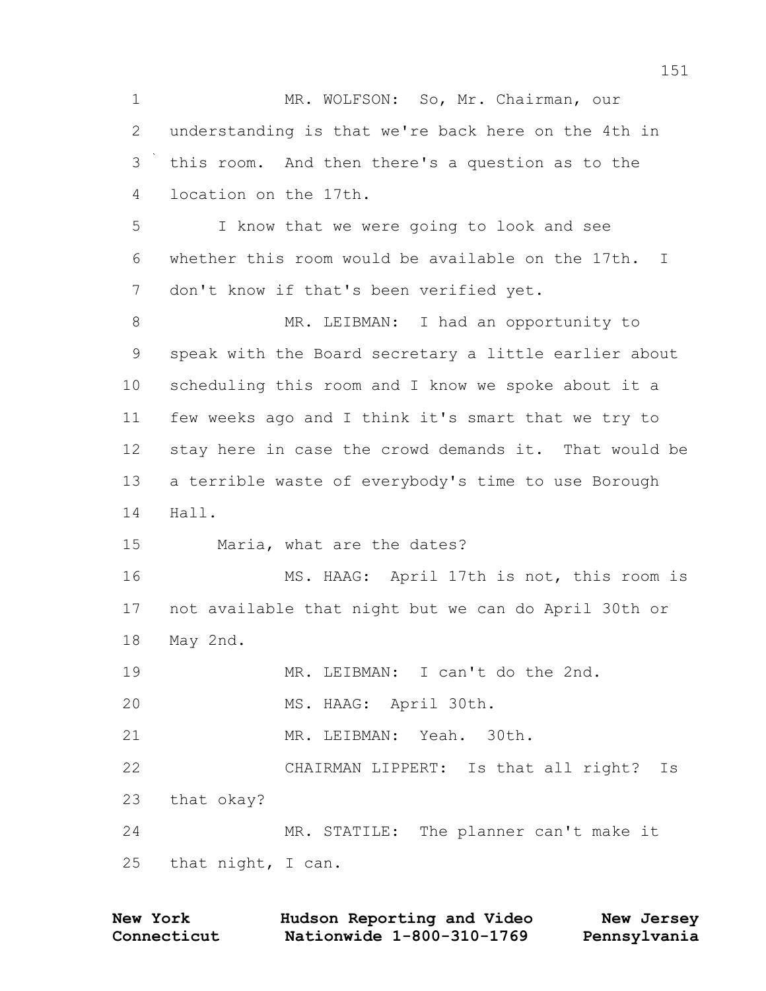1 MR. WOLFSON: So, Mr. Chairman, our understanding is that we're back here on the 4th in this room. And then there's a question as to the location on the 17th. I know that we were going to look and see whether this room would be available on the 17th. I don't know if that's been verified yet. 8 MR. LEIBMAN: I had an opportunity to speak with the Board secretary a little earlier about scheduling this room and I know we spoke about it a few weeks ago and I think it's smart that we try to stay here in case the crowd demands it. That would be a terrible waste of everybody's time to use Borough Hall. Maria, what are the dates? MS. HAAG: April 17th is not, this room is not available that night but we can do April 30th or May 2nd. MR. LEIBMAN: I can't do the 2nd. MS. HAAG: April 30th. MR. LEIBMAN: Yeah. 30th. CHAIRMAN LIPPERT: Is that all right? Is that okay? MR. STATILE: The planner can't make it that night, I can.

| <b>New York</b> | Hudson Reporting and Video | New Jersey   |
|-----------------|----------------------------|--------------|
| Connecticut     | Nationwide 1-800-310-1769  | Pennsylvania |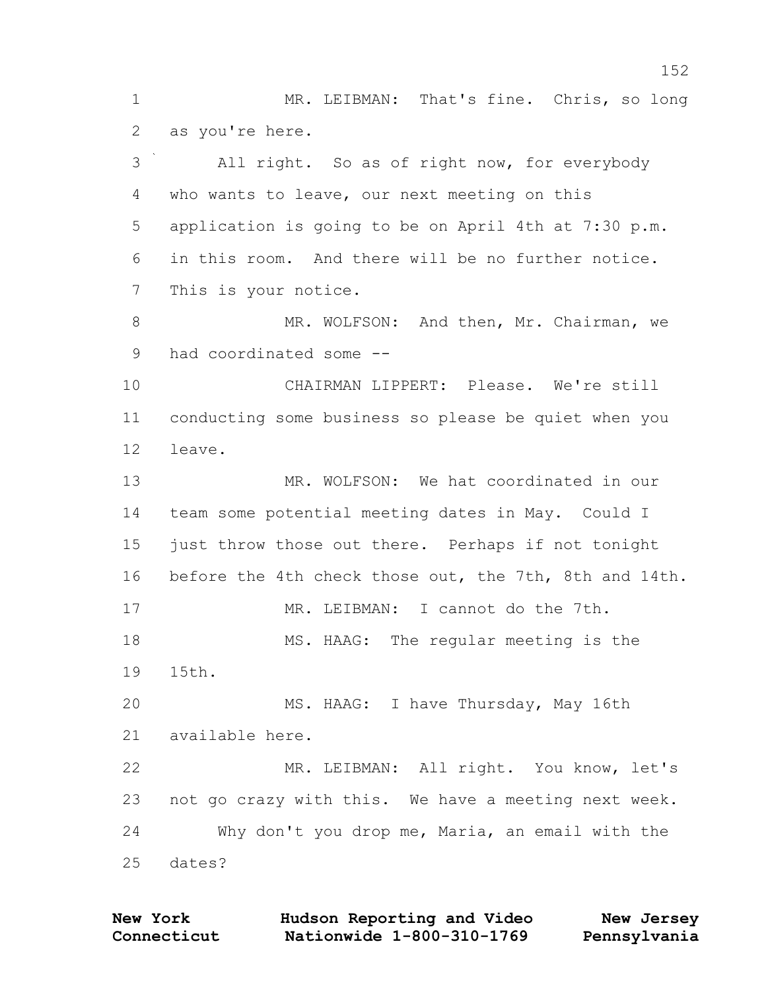1 MR. LEIBMAN: That's fine. Chris, so long as you're here. All right. So as of right now, for everybody who wants to leave, our next meeting on this application is going to be on April 4th at 7:30 p.m. in this room. And there will be no further notice. This is your notice. 8 MR. WOLFSON: And then, Mr. Chairman, we had coordinated some -- CHAIRMAN LIPPERT: Please. We're still conducting some business so please be quiet when you leave. MR. WOLFSON: We hat coordinated in our team some potential meeting dates in May. Could I just throw those out there. Perhaps if not tonight before the 4th check those out, the 7th, 8th and 14th. MR. LEIBMAN: I cannot do the 7th. 18 MS. HAAG: The regular meeting is the 15th. MS. HAAG: I have Thursday, May 16th available here. MR. LEIBMAN: All right. You know, let's not go crazy with this. We have a meeting next week. Why don't you drop me, Maria, an email with the dates?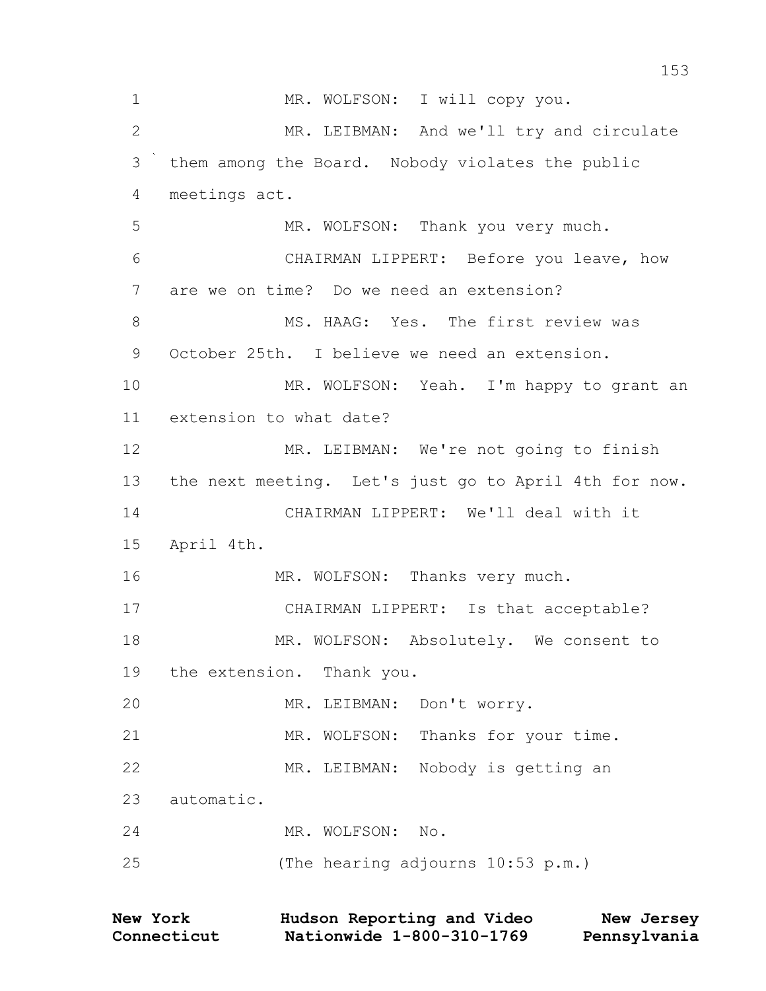| MR. LEIBMAN: And we'll try and circulate<br>CHAIRMAN LIPPERT: Before you leave, how |
|-------------------------------------------------------------------------------------|
|                                                                                     |
|                                                                                     |
|                                                                                     |
|                                                                                     |
|                                                                                     |
|                                                                                     |
|                                                                                     |
|                                                                                     |
| MR. WOLFSON: Yeah. I'm happy to grant an                                            |
|                                                                                     |
| MR. LEIBMAN: We're not going to finish                                              |
| the next meeting. Let's just go to April 4th for now.                               |
|                                                                                     |
|                                                                                     |
|                                                                                     |
| CHAIRMAN LIPPERT: Is that acceptable?                                               |
| MR. WOLFSON: Absolutely. We consent to                                              |
|                                                                                     |
|                                                                                     |
|                                                                                     |
|                                                                                     |
|                                                                                     |
|                                                                                     |
|                                                                                     |
|                                                                                     |
|                                                                                     |

| <b>New York</b> | Hudson Reporting and Video | New Jersey   |
|-----------------|----------------------------|--------------|
| Connecticut     | Nationwide 1-800-310-1769  | Pennsylvania |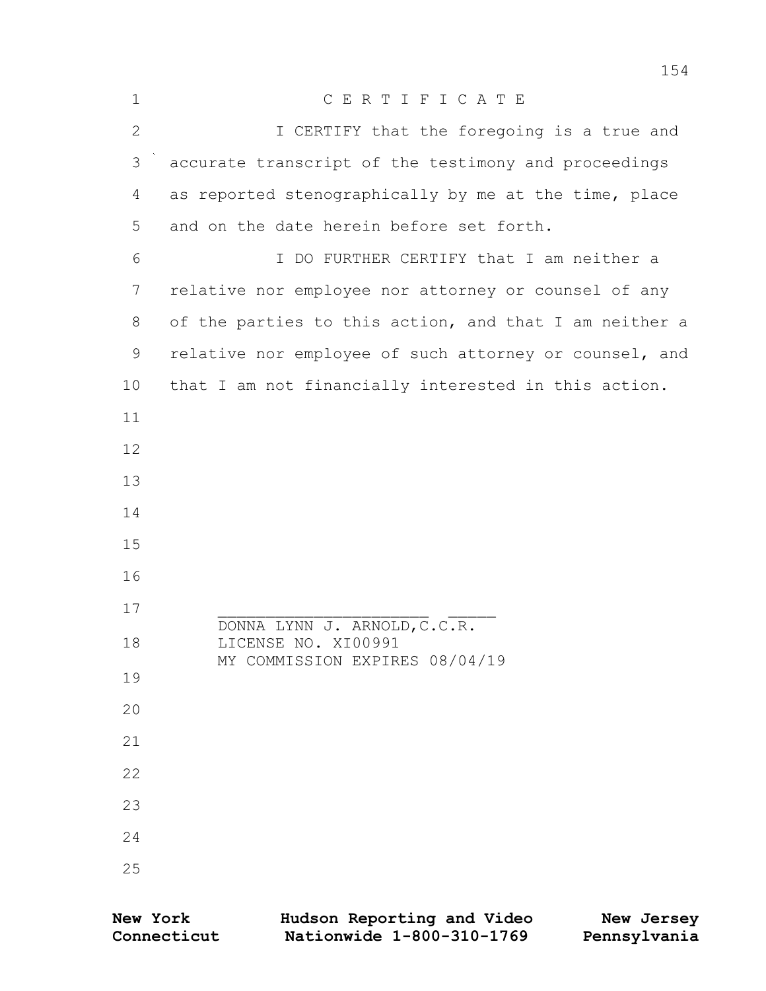| $\mathbf 1$  | CERTIFICATE                                            |
|--------------|--------------------------------------------------------|
| $\mathbf{2}$ | I CERTIFY that the foregoing is a true and             |
| 3            | accurate transcript of the testimony and proceedings   |
| 4            | as reported stenographically by me at the time, place  |
| 5            | and on the date herein before set forth.               |
| 6            | I DO FURTHER CERTIFY that I am neither a               |
| 7            | relative nor employee nor attorney or counsel of any   |
| 8            | of the parties to this action, and that I am neither a |
| 9            | relative nor employee of such attorney or counsel, and |
| 10           | that I am not financially interested in this action.   |
| 11           |                                                        |
| 12           |                                                        |
| 13           |                                                        |
| 14           |                                                        |
| 15           |                                                        |
| 16           |                                                        |
| 17           | DONNA LYNN J. ARNOLD, C.C.R.                           |
| 18           | LICENSE NO. XI00991                                    |
| 19           | MY COMMISSION EXPIRES 08/04/19                         |
| 20           |                                                        |
| 21           |                                                        |
| 22           |                                                        |
| 23           |                                                        |
| 24           |                                                        |
| 25           |                                                        |
|              |                                                        |

| <b>New York</b> | Hudson Reporting and Video | New Jersey   |
|-----------------|----------------------------|--------------|
| Connecticut     | Nationwide 1-800-310-1769  | Pennsylvania |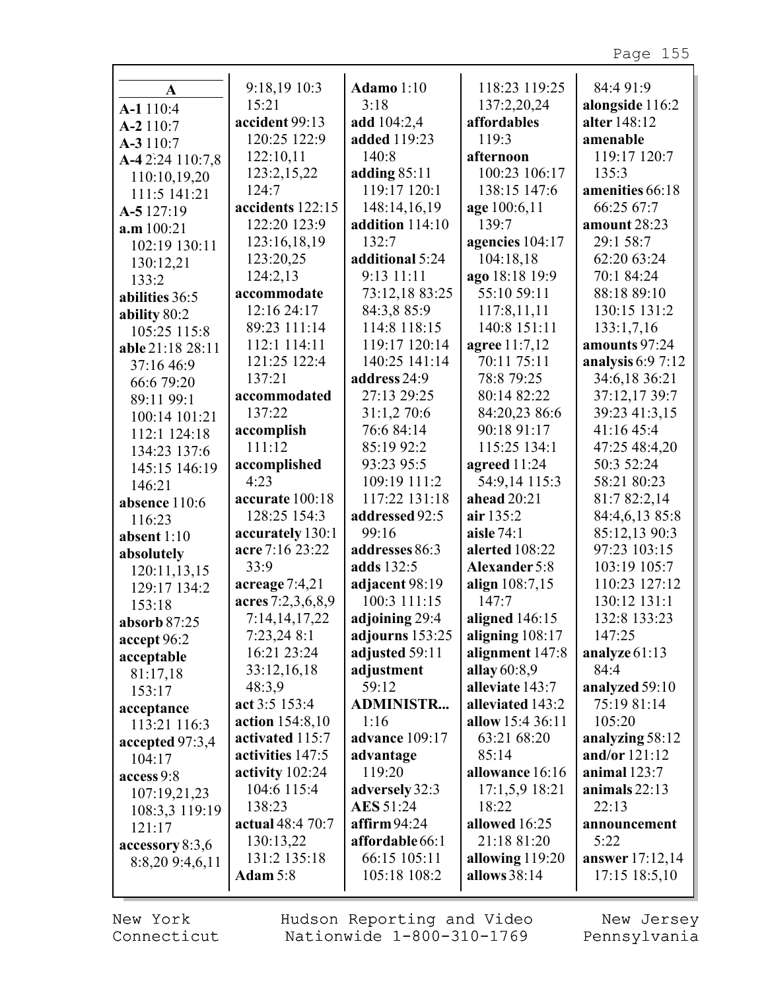| A                | 9:18,19 10:3           | <b>Adamo</b> 1:10 | 118:23 119:25        | 84:4 91:9              |
|------------------|------------------------|-------------------|----------------------|------------------------|
| A-1 110:4        | 15:21                  | 3:18              | 137:2,20,24          | alongside 116:2        |
| A-2 110:7        | accident 99:13         | add 104:2,4       | affordables          | alter 148:12           |
| A-3 110:7        | 120:25 122:9           | added 119:23      | 119:3                | amenable               |
| A-42:24 110:7,8  | 122:10,11              | 140:8             | afternoon            | 119:17 120:7           |
| 110:10,19,20     | 123:2,15,22            | adding 85:11      | 100:23 106:17        | 135:3                  |
| 111:5 141:21     | 124:7                  | 119:17 120:1      | 138:15 147:6         | amenities 66:18        |
| A-5 127:19       | accidents 122:15       | 148:14,16,19      | age 100:6,11         | 66:25 67:7             |
| a.m 100:21       | 122:20 123:9           | addition 114:10   | 139:7                | amount 28:23           |
| 102:19 130:11    | 123:16,18,19           | 132:7             | agencies 104:17      | 29:1 58:7              |
| 130:12,21        | 123:20,25              | additional 5:24   | 104:18,18            | 62:20 63:24            |
| 133:2            | 124:2,13               | 9:13 11:11        | ago 18:18 19:9       | 70:1 84:24             |
| abilities 36:5   | accommodate            | 73:12,18 83:25    | 55:10 59:11          | 88:18 89:10            |
| ability 80:2     | 12:16 24:17            | 84:3,8 85:9       | 117:8,11,11          | 130:15 131:2           |
| 105:25 115:8     | 89:23 111:14           | 114:8 118:15      | 140:8 151:11         | 133:1,7,16             |
| able 21:18 28:11 | 112:1 114:11           | 119:17 120:14     | agree 11:7,12        | amounts 97:24          |
| 37:16 46:9       | 121:25 122:4           | 140:25 141:14     | 70:11 75:11          | analysis $6:97:12$     |
| 66:6 79:20       | 137:21                 | address 24:9      | 78:8 79:25           | 34:6,18 36:21          |
| 89:11 99:1       | accommodated           | 27:13 29:25       | 80:14 82:22          | 37:12,17 39:7          |
| 100:14 101:21    | 137:22                 | 31:1,2 70:6       | 84:20,23 86:6        | 39:23 41:3,15          |
| 112:1 124:18     | accomplish             | 76:6 84:14        | 90:18 91:17          | 41:16 45:4             |
| 134:23 137:6     | 111:12                 | 85:19 92:2        | 115:25 134:1         | 47:25 48:4,20          |
| 145:15 146:19    | accomplished           | 93:23 95:5        | agreed 11:24         | 50:3 52:24             |
| 146:21           | 4:23                   | 109:19 111:2      | 54:9,14 115:3        | 58:21 80:23            |
| absence 110:6    | accurate 100:18        | 117:22 131:18     | ahead 20:21          | 81:7 82:2,14           |
| 116:23           | 128:25 154:3           | addressed 92:5    | air 135:2            | 84:4,6,13 85:8         |
| absent $1:10$    | accurately 130:1       | 99:16             | aisle 74:1           | 85:12,13 90:3          |
| absolutely       | acre 7:16 23:22        | addresses 86:3    | alerted 108:22       | 97:23 103:15           |
| 120:11,13,15     | 33:9                   | adds 132:5        | <b>Alexander</b> 5:8 | 103:19 105:7           |
| 129:17 134:2     | acreage $7:4,21$       | adjacent 98:19    | align 108:7,15       | 110:23 127:12          |
| 153:18           | acres 7:2,3,6,8,9      | 100:3 111:15      | 147:7                | 130:12 131:1           |
| absorb 87:25     | 7:14,14,17,22          | adjoining 29:4    | aligned 146:15       | 132:8 133:23           |
| accept 96:2      | 7:23,24 8:1            | adjourns $153:25$ | aligning $108:17$    | 147:25                 |
| acceptable       | 16:21 23:24            | adjusted 59:11    | alignment 147:8      | analyze 61:13          |
| 81:17,18         | 33:12,16,18            | adjustment        | allay $60:8,9$       | 84:4                   |
| 153:17           | 48:3,9                 | 59:12             | alleviate 143:7      | analyzed 59:10         |
| acceptance       | act 3:5 153:4          | <b>ADMINISTR</b>  | alleviated 143:2     | 75:19 81:14            |
| 113:21 116:3     | <b>action</b> 154:8,10 | 1:16              | allow 15:4 36:11     | 105:20                 |
| accepted 97:3,4  | activated 115:7        | advance 109:17    | 63:21 68:20          | analyzing 58:12        |
| 104:17           | activities 147:5       | advantage         | 85:14                | and/or $121:12$        |
| access 9:8       | activity $102:24$      | 119:20            | allowance 16:16      | animal $123:7$         |
| 107:19,21,23     | 104:6 115:4            | adversely 32:3    | $17:1,5,9$ 18:21     | animals $22:13$        |
| 108:3,3 119:19   | 138:23                 | AES 51:24         | 18:22                | 22:13                  |
| 121:17           | actual 48:4 70:7       | affirm $94:24$    | allowed 16:25        | announcement           |
| accessory 8:3,6  | 130:13,22              | affordable 66:1   | 21:18 81:20          | 5:22                   |
| 8:8,20 9:4,6,11  | 131:2 135:18           | 66:15 105:11      | allowing 119:20      | <b>answer</b> 17:12,14 |
|                  | Adam 5:8               | 105:18 108:2      | allows 38:14         | 17:15 18:5,10          |
|                  |                        |                   |                      |                        |

New York Connecticut Hudson Reporting and Video Nationwide 1-800-310-1769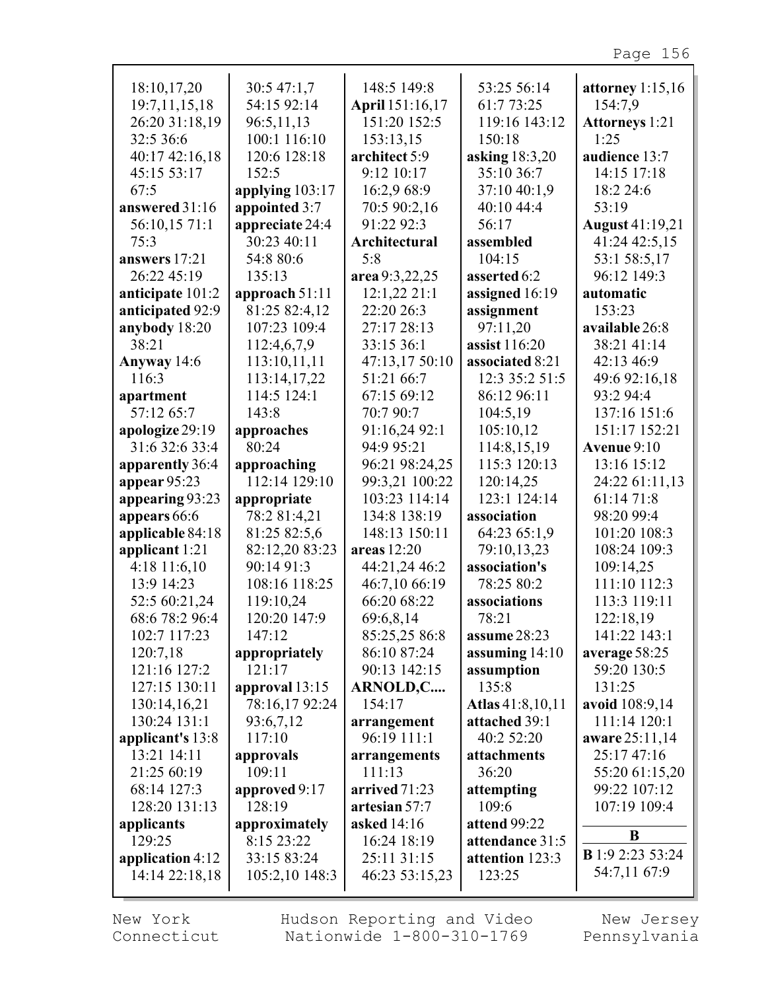| 18:10,17,20      | 30:5 47:1,7      | 148:5 149:8          | 53:25 56:14      | attorney $1:15,16$      |
|------------------|------------------|----------------------|------------------|-------------------------|
| 19:7,11,15,18    | 54:15 92:14      | April 151:16,17      | 61:7 73:25       | 154:7,9                 |
| 26:20 31:18,19   | 96:5,11,13       | 151:20 152:5         | 119:16 143:12    | <b>Attorneys</b> 1:21   |
| 32:5 36:6        | 100:1 116:10     | 153:13,15            | 150:18           | 1:25                    |
| 40:17 42:16,18   | 120:6 128:18     | architect 5:9        | asking 18:3,20   | audience 13:7           |
|                  |                  |                      |                  |                         |
| 45:15 53:17      | 152:5            | 9:12 10:17           | 35:10 36:7       | 14:15 17:18             |
| 67:5             | applying 103:17  | 16:2,9 68:9          | 37:10 40:1,9     | 18:2 24:6               |
| answered 31:16   | appointed 3:7    | 70:5 90:2,16         | 40:10 44:4       | 53:19                   |
| 56:10,15 71:1    | appreciate 24:4  | 91:22 92:3           | 56:17            | <b>August</b> 41:19,21  |
| 75:3             | 30:23 40:11      | <b>Architectural</b> | assembled        | 41:24 42:5,15           |
| answers 17:21    | 54:8 80:6        | 5:8                  | 104:15           | 53:1 58:5,17            |
| 26:22 45:19      | 135:13           | area 9:3,22,25       | asserted 6:2     | 96:12 149:3             |
| anticipate 101:2 | approach 51:11   | 12:1,22 21:1         | assigned 16:19   | automatic               |
| anticipated 92:9 | 81:25 82:4,12    | 22:20 26:3           | assignment       | 153:23                  |
|                  | 107:23 109:4     |                      |                  |                         |
| anybody 18:20    |                  | 27:17 28:13          | 97:11,20         | available 26:8          |
| 38:21            | 112:4,6,7,9      | 33:15 36:1           | assist 116:20    | 38:21 41:14             |
| Anyway 14:6      | 113:10,11,11     | 47:13,17 50:10       | associated 8:21  | 42:13 46:9              |
| 116:3            | 113:14,17,22     | 51:21 66:7           | 12:3 35:2 51:5   | 49:6 92:16,18           |
| apartment        | 114:5 124:1      | 67:15 69:12          | 86:12 96:11      | 93:2 94:4               |
| 57:12 65:7       | 143:8            | 70:7 90:7            | 104:5,19         | 137:16 151:6            |
| apologize 29:19  | approaches       | 91:16,24 92:1        | 105:10,12        | 151:17 152:21           |
| 31:6 32:6 33:4   | 80:24            | 94:9 95:21           | 114:8,15,19      | Avenue $9:10$           |
| apparently 36:4  | approaching      | 96:21 98:24,25       | 115:3 120:13     | 13:16 15:12             |
| appear 95:23     | 112:14 129:10    | 99:3,21 100:22       | 120:14,25        | 24:22 61:11,13          |
|                  |                  | 103:23 114:14        | 123:1 124:14     | 61:14 71:8              |
| appearing 93:23  | appropriate      |                      |                  |                         |
| appears 66:6     | 78:2 81:4,21     | 134:8 138:19         | association      | 98:20 99:4              |
| applicable 84:18 | 81:25 82:5,6     | 148:13 150:11        | 64:23 65:1,9     | 101:20 108:3            |
| applicant 1:21   | 82:12,20 83:23   | areas 12:20          | 79:10,13,23      | 108:24 109:3            |
| $4:18$ 11:6,10   | 90:14 91:3       | 44:21,24 46:2        | association's    | 109:14,25               |
| 13:9 14:23       | 108:16 118:25    | 46:7,10 66:19        | 78:25 80:2       | 111:10 112:3            |
| 52:5 60:21,24    | 119:10,24        | 66:20 68:22          | associations     | 113:3 119:11            |
| 68:6 78:2 96:4   | 120:20 147:9     | 69:6,8,14            | 78:21            | 122:18,19               |
| 102:7 117:23     | 147:12           | 85:25,25 86:8        | assume 28:23     | 141:22 143:1            |
| 120:7,18         | appropriately    | 86:10 87:24          | assuming $14:10$ | average 58:25           |
| 121:16 127:2     | 121:17           | 90:13 142:15         | assumption       | 59:20 130:5             |
| 127:15 130:11    | approval $13:15$ | ARNOLD,C             | 135:8            | 131:25                  |
|                  | 78:16,17 92:24   | 154:17               | Atlas 41:8,10,11 |                         |
| 130:14,16,21     |                  |                      |                  | avoid 108:9,14          |
| 130:24 131:1     | 93:6,7,12        | arrangement          | attached 39:1    | 111:14 120:1            |
| applicant's 13:8 | 117:10           | 96:19 111:1          | 40:2 52:20       | aware 25:11,14          |
| 13:21 14:11      | approvals        | arrangements         | attachments      | 25:17 47:16             |
| 21:25 60:19      | 109:11           | 111:13               | 36:20            | 55:20 61:15,20          |
| 68:14 127:3      | approved 9:17    | arrived 71:23        | attempting       | 99:22 107:12            |
| 128:20 131:13    | 128:19           | artesian 57:7        | 109:6            | 107:19 109:4            |
| applicants       | approximately    | asked 14:16          | attend 99:22     |                         |
| 129:25           | 8:15 23:22       | 16:24 18:19          | attendance 31:5  | B                       |
| application 4:12 | 33:15 83:24      | 25:11 31:15          | attention 123:3  | <b>B</b> 1:9 2:23 53:24 |
| 14:14 22:18,18   | 105:2,10 148:3   | 46:23 53:15,23       | 123:25           | 54:7,11 67:9            |
|                  |                  |                      |                  |                         |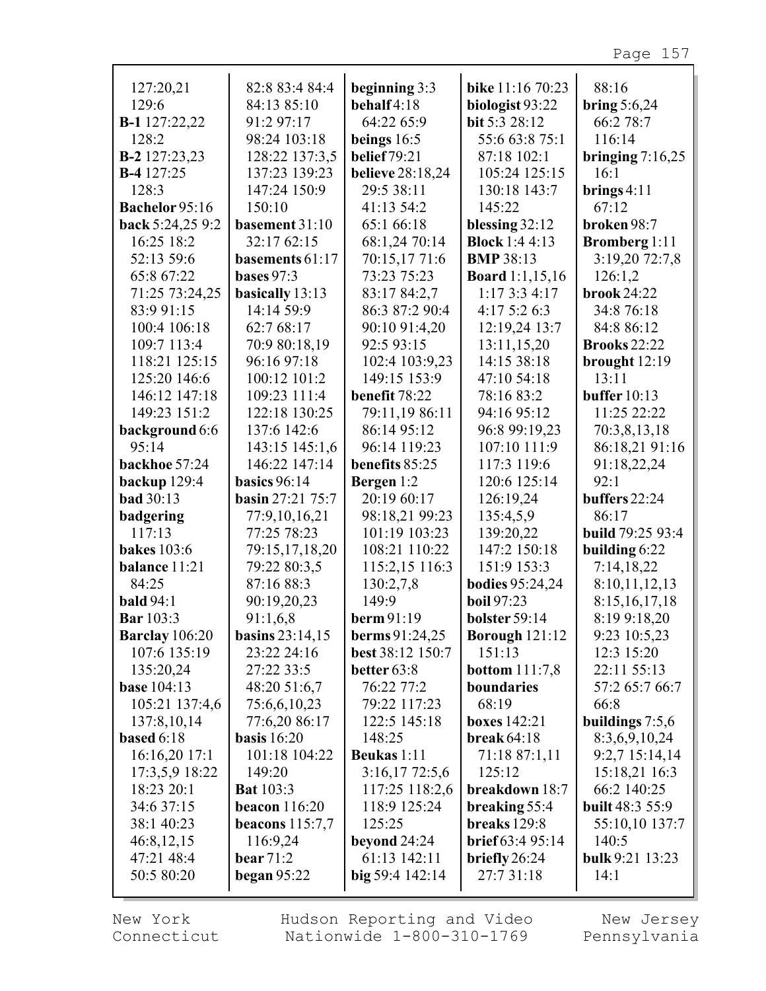| 127:20,21             | 82:8 83:4 84:4          | beginning 3:3           | bike 11:16 70:23        | 88:16                   |
|-----------------------|-------------------------|-------------------------|-------------------------|-------------------------|
| 129:6                 | 84:13 85:10             | behalf4:18              | biologist 93:22         | bring $5:6,24$          |
| B-1 127:22,22         | 91:2 97:17              | 64:22 65:9              | bit 5:3 28:12           | 66:2 78:7               |
| 128:2                 | 98:24 103:18            | beings $16:5$           | 55:6 63:8 75:1          | 116:14                  |
| <b>B-2</b> 127:23,23  | 128:22 137:3,5          | <b>belief</b> 79:21     | 87:18 102:1             | bringing $7:16,25$      |
| <b>B-4</b> 127:25     | 137:23 139:23           | <b>believe</b> 28:18,24 | 105:24 125:15           | 16:1                    |
| 128:3                 | 147:24 150:9            | 29:5 38:11              | 130:18 143:7            | brings $4:11$           |
| <b>Bachelor</b> 95:16 | 150:10                  | 41:13 54:2              | 145:22                  | 67:12                   |
| back 5:24,25 9:2      | basement 31:10          | 65:1 66:18              | blessing $32:12$        | broken 98:7             |
| 16:25 18:2            | 32:17 62:15             | 68:1,24 70:14           | <b>Block</b> 1:4 4:13   | <b>Bromberg</b> 1:11    |
| 52:13 59:6            | basements 61:17         | 70:15,17 71:6           | <b>BMP</b> 38:13        | 3:19,20 72:7,8          |
| 65:8 67:22            | <b>bases</b> 97:3       | 73:23 75:23             | <b>Board</b> 1:1,15,16  | 126:1,2                 |
| 71:25 73:24,25        | basically 13:13         | 83:17 84:2,7            | 1:173:34:17             | <b>brook</b> 24:22      |
| 83:9 91:15            | 14:14 59:9              | 86:3 87:2 90:4          | 4:175:26:3              | 34:8 76:18              |
| 100:4 106:18          | 62:7 68:17              | 90:10 91:4,20           | 12:19,24 13:7           | 84:8 86:12              |
| 109:7 113:4           | 70:9 80:18,19           | 92:5 93:15              | 13:11,15,20             | <b>Brooks</b> 22:22     |
| 118:21 125:15         | 96:16 97:18             | 102:4 103:9,23          | 14:15 38:18             | brought 12:19           |
| 125:20 146:6          | 100:12 101:2            | 149:15 153:9            | 47:10 54:18             | 13:11                   |
| 146:12 147:18         | 109:23 111:4            | benefit 78:22           | 78:16 83:2              | buffer $10:13$          |
| 149:23 151:2          | 122:18 130:25           | 79:11,19 86:11          | 94:16 95:12             | 11:25 22:22             |
| background 6:6        | 137:6 142:6             | 86:14 95:12             | 96:8 99:19,23           | 70:3,8,13,18            |
| 95:14                 | 143:15 145:1,6          | 96:14 119:23            | 107:10 111:9            | 86:18,21 91:16          |
| backhoe 57:24         | 146:22 147:14           | benefits 85:25          | 117:3 119:6             | 91:18,22,24             |
| backup 129:4          | basics $96:14$          | Bergen 1:2              | 120:6 125:14            | 92:1                    |
| <b>bad</b> 30:13      | <b>basin</b> 27:21 75:7 | 20:19 60:17             | 126:19,24               | buffers 22:24           |
| badgering             | 77:9,10,16,21           | 98:18,21 99:23          | 135:4,5,9               | 86:17                   |
| 117:13                | 77:25 78:23             | 101:19 103:23           | 139:20,22               | <b>build</b> 79:25 93:4 |
| <b>bakes</b> 103:6    | 79:15,17,18,20          | 108:21 110:22           | 147:2 150:18            | building 6:22           |
| balance 11:21         | 79:22 80:3,5            | 115:2,15 116:3          | 151:9 153:3             | 7:14,18,22              |
| 84:25                 | 87:16 88:3              | 130:2,7,8               | <b>bodies</b> 95:24,24  | 8:10,11,12,13           |
| bald $94:1$           | 90:19,20,23             | 149:9                   | <b>boil</b> 97:23       | 8:15,16,17,18           |
| <b>Bar</b> 103:3      | 91:1,6,8                | berm 91:19              | bolster 59:14           | 8:19 9:18,20            |
| <b>Barclay</b> 106:20 | basins $23:14,15$       | berms 91:24,25          | <b>Borough 121:12</b>   | 9:23 10:5,23            |
| 107:6 135:19          | 23:22 24:16             | best 38:12 150:7        | 151:13                  | 12:3 15:20              |
| 135:20,24             | 27:22 33:5              | better $63:8$           | <b>bottom</b> $111:7,8$ | 22:11 55:13             |
| <b>base</b> 104:13    | 48:20 51:6,7            | 76:22 77:2              | boundaries              | 57:2 65:7 66:7          |
| 105:21 137:4,6        | 75:6,6,10,23            | 79:22 117:23            | 68:19                   | 66:8                    |
| 137:8,10,14           | 77:6,20 86:17           | 122:5 145:18            | <b>boxes</b> 142:21     | buildings $7:5,6$       |
| based 6:18            | basis $16:20$           | 148:25                  | <b>break</b> 64:18      | 8:3,6,9,10,24           |
| 16:16,20 17:1         | 101:18 104:22           | Beukas 1:11             | 71:18 87:1,11           | $9:2,7$ 15:14,14        |
| 17:3,5,9 18:22        | 149:20                  | 3:16,1772:5,6           | 125:12                  | 15:18,21 16:3           |
| 18:23 20:1            | <b>Bat</b> 103:3        | 117:25 118:2,6          | breakdown 18:7          | 66:2 140:25             |
| 34:6 37:15            | beacon $116:20$         | 118:9 125:24            | breaking 55:4           | <b>built 48:3 55:9</b>  |
| 38:1 40:23            | beacons $115:7,7$       | 125:25                  | breaks 129:8            | 55:10,10 137:7          |
| 46:8,12,15            | 116:9,24                | beyond $24:24$          | <b>brief</b> 63:4 95:14 | 140:5                   |
| 47:21 48:4            | bear $71:2$             | 61:13 142:11            | briefly $26:24$         | bulk 9:21 13:23         |
| 50:5 80:20            | began $95:22$           | big 59:4 142:14         | 27:7 31:18              | 14:1                    |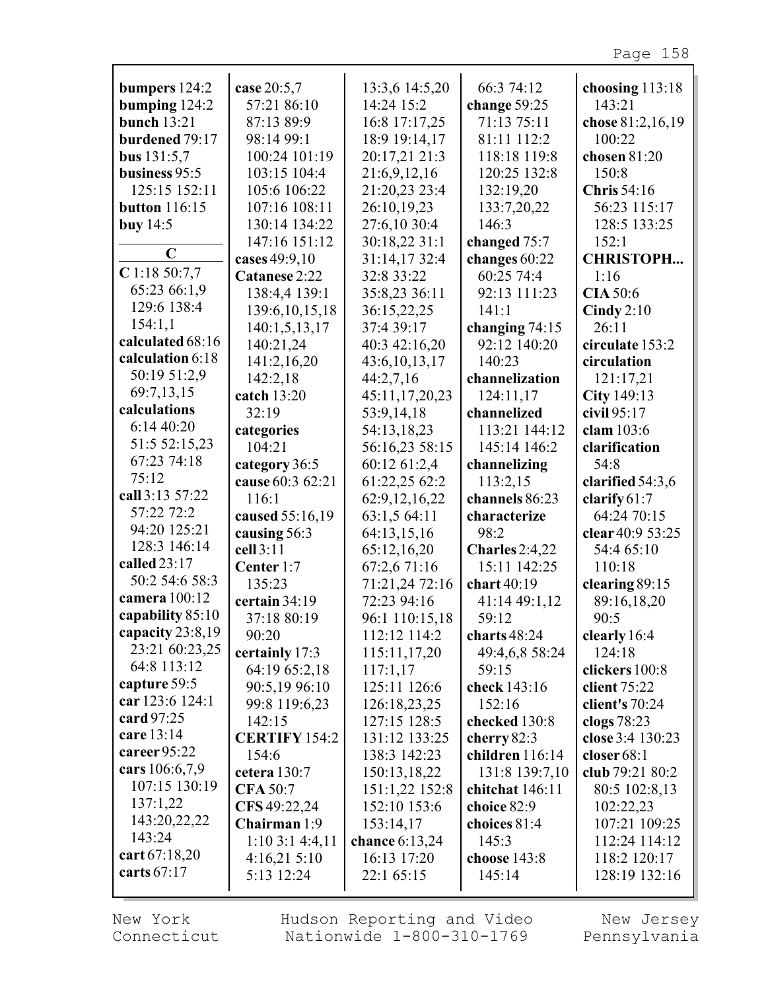| case 20:5,7<br>13:3,6 14:5,20<br>66:3 74:12<br>bumpers $124:2$<br>choosing $113:18$<br>57:21 86:10<br>14:24 15:2<br>bumping 124:2<br>change $59:25$<br>143:21<br><b>bunch</b> 13:21<br>87:13 89:9<br>16:8 17:17,25<br>71:13 75:11<br>chose 81:2,16,19<br>burdened 79:17<br>98:14 99:1<br>18:9 19:14,17<br>81:11 112:2<br>100:22<br>20:17,21 21:3<br>118:18 119:8<br>bus $131:5,7$<br>100:24 101:19<br>chosen 81:20<br>120:25 132:8<br>business 95:5<br>103:15 104:4<br>21:6,9,12,16<br>150:8<br>21:20,23 23:4<br>132:19,20<br>125:15 152:11<br>105:6 106:22<br><b>Chris</b> 54:16<br>107:16 108:11<br>26:10,19,23<br>133:7,20,22<br>56:23 115:17<br><b>button</b> 116:15<br>130:14 134:22<br>27:6,10 30:4<br>128:5 133:25<br>buy $14:5$<br>146:3<br>147:16 151:12<br>30:18,22 31:1<br>changed 75:7<br>152:1<br>C<br><b>CHRISTOPH</b><br>31:14,17 32:4<br>changes 60:22<br>cases 49:9,10<br>$C$ 1:18 50:7,7<br>32:8 33:22<br>Catanese 2:22<br>60:25 74:4<br>1:16<br>65:23 66:1,9<br>35:8,23 36:11<br>138:4,4 139:1<br><b>CIA</b> 50:6<br>92:13 111:23<br>129:6 138:4<br>139:6, 10, 15, 18<br>36:15,22,25<br>141:1<br>Cindy $2:10$<br>154:1,1<br>140:1,5,13,17<br>37:4 39:17<br>changing $74:15$<br>26:11<br>calculated 68:16<br>140:21,24<br>40:3 42:16,20<br>92:12 140:20<br>circulate 153:2<br>calculation 6:18<br>141:2,16,20<br>43:6, 10, 13, 17<br>140:23<br>circulation<br>50:19 51:2,9<br>142:2,18<br>44:2,7,16<br>channelization<br>121:17,21<br>69:7,13,15<br>City 149:13<br>45:11,17,20,23<br>catch 13:20<br>124:11,17<br>calculations<br>civil 95:17<br>32:19<br>53:9,14,18<br>channelized<br>6:1440:20<br>54:13,18,23<br>clam 103:6<br>categories<br>113:21 144:12<br>51:5 52:15,23<br>56:16,23 58:15<br>104:21<br>145:14 146:2<br>clarification<br>67:23 74:18<br>60:12 61:2,4<br>category 36:5<br>channelizing<br>54:8<br>75:12<br>cause 60:3 62:21<br>61:22,25 62:2<br>113:2,15<br>clarified $54:3,6$<br>call 3:13 57:22<br>116:1<br>62:9,12,16,22<br>channels 86:23<br>clarify $61:7$<br>57:22 72:2<br>63:1,5 64:11<br>64:24 70:15<br>caused 55:16,19<br>characterize<br>94:20 125:21<br>64:13,15,16<br>98:2<br>clear 40:9 53:25<br>causing 56:3<br>128:3 146:14<br>cell 3:11<br>65:12,16,20<br>54:4 65:10<br>Charles $2:4,22$<br>called 23:17<br>67:2,6 71:16<br>15:11 142:25<br>110:18<br>Center 1:7<br>50:2 54:6 58:3<br>71:21,24 72:16<br>135:23<br>chart 40:19<br>clearing 89:15<br>camera 100:12<br>certain 34:19<br>72:23 94:16<br>41:14 49:1,12<br>89:16,18,20<br>capability 85:10<br>37:18 80:19<br>59:12<br>90:5<br>96:1 110:15,18<br>capacity 23:8,19<br>112:12 114:2<br>charts 48:24<br>90:20<br>clearly 16:4<br>23:21 60:23,25<br>124:18<br>certainly 17:3<br>115:11,17,20<br>49:4,6,8 58:24<br>64:8 113:12<br>64:19 65:2,18<br>117:1,17<br>59:15<br>clickers 100:8<br>capture 59:5<br>90:5,19 96:10<br>125:11 126:6<br>check 143:16<br>client $75:22$<br>car 123:6 124:1<br>99:8 119:6,23<br>126:18,23,25<br>152:16<br>client's 70:24<br>card 97:25<br>clogs 78:23<br>142:15<br>127:15 128:5<br>checked 130:8<br>care 13:14<br><b>CERTIFY 154:2</b><br>close 3:4 130:23<br>131:12 133:25<br>cherry $82:3$<br>career $95:22$<br>children 116:14<br>154:6<br>138:3 142:23<br>closer $68:1$<br>cars 106:6,7,9<br>150:13,18,22<br>131:8 139:7,10<br>club 79:21 80:2<br>cetera $130:7$<br>107:15 130:19<br><b>CFA 50:7</b><br>151:1,22 152:8<br>chitchat 146:11<br>80:5 102:8,13<br>137:1,22<br>152:10 153:6<br>102:22,23<br>CFS 49:22,24<br>choice 82:9<br>143:20,22,22<br>Chairman 1:9<br>107:21 109:25<br>153:14,17<br>choices 81:4<br>143:24<br>$1:10$ 3:1 4:4,11<br>chance $6:13,24$<br>145:3<br>112:24 114:12<br>cart 67:18,20<br>16:13 17:20<br>4:16,215:10<br>choose 143:8<br>118:2 120:17<br>carts 67:17 |            |            |        |               |
|-------------------------------------------------------------------------------------------------------------------------------------------------------------------------------------------------------------------------------------------------------------------------------------------------------------------------------------------------------------------------------------------------------------------------------------------------------------------------------------------------------------------------------------------------------------------------------------------------------------------------------------------------------------------------------------------------------------------------------------------------------------------------------------------------------------------------------------------------------------------------------------------------------------------------------------------------------------------------------------------------------------------------------------------------------------------------------------------------------------------------------------------------------------------------------------------------------------------------------------------------------------------------------------------------------------------------------------------------------------------------------------------------------------------------------------------------------------------------------------------------------------------------------------------------------------------------------------------------------------------------------------------------------------------------------------------------------------------------------------------------------------------------------------------------------------------------------------------------------------------------------------------------------------------------------------------------------------------------------------------------------------------------------------------------------------------------------------------------------------------------------------------------------------------------------------------------------------------------------------------------------------------------------------------------------------------------------------------------------------------------------------------------------------------------------------------------------------------------------------------------------------------------------------------------------------------------------------------------------------------------------------------------------------------------------------------------------------------------------------------------------------------------------------------------------------------------------------------------------------------------------------------------------------------------------------------------------------------------------------------------------------------------------------------------------------------------------------------------------------------------------------------------------------------------------------------------------------------------------------------------------------------------------------------------------------------------------------------------------------------------------------------------------------------------------------------------------------------------------------------------------------------------------------------------------------------------------------------------------------------------------------------------------------------------------------------------------------------------------------------|------------|------------|--------|---------------|
|                                                                                                                                                                                                                                                                                                                                                                                                                                                                                                                                                                                                                                                                                                                                                                                                                                                                                                                                                                                                                                                                                                                                                                                                                                                                                                                                                                                                                                                                                                                                                                                                                                                                                                                                                                                                                                                                                                                                                                                                                                                                                                                                                                                                                                                                                                                                                                                                                                                                                                                                                                                                                                                                                                                                                                                                                                                                                                                                                                                                                                                                                                                                                                                                                                                                                                                                                                                                                                                                                                                                                                                                                                                                                                                                           |            |            |        |               |
|                                                                                                                                                                                                                                                                                                                                                                                                                                                                                                                                                                                                                                                                                                                                                                                                                                                                                                                                                                                                                                                                                                                                                                                                                                                                                                                                                                                                                                                                                                                                                                                                                                                                                                                                                                                                                                                                                                                                                                                                                                                                                                                                                                                                                                                                                                                                                                                                                                                                                                                                                                                                                                                                                                                                                                                                                                                                                                                                                                                                                                                                                                                                                                                                                                                                                                                                                                                                                                                                                                                                                                                                                                                                                                                                           |            |            |        |               |
|                                                                                                                                                                                                                                                                                                                                                                                                                                                                                                                                                                                                                                                                                                                                                                                                                                                                                                                                                                                                                                                                                                                                                                                                                                                                                                                                                                                                                                                                                                                                                                                                                                                                                                                                                                                                                                                                                                                                                                                                                                                                                                                                                                                                                                                                                                                                                                                                                                                                                                                                                                                                                                                                                                                                                                                                                                                                                                                                                                                                                                                                                                                                                                                                                                                                                                                                                                                                                                                                                                                                                                                                                                                                                                                                           |            |            |        |               |
|                                                                                                                                                                                                                                                                                                                                                                                                                                                                                                                                                                                                                                                                                                                                                                                                                                                                                                                                                                                                                                                                                                                                                                                                                                                                                                                                                                                                                                                                                                                                                                                                                                                                                                                                                                                                                                                                                                                                                                                                                                                                                                                                                                                                                                                                                                                                                                                                                                                                                                                                                                                                                                                                                                                                                                                                                                                                                                                                                                                                                                                                                                                                                                                                                                                                                                                                                                                                                                                                                                                                                                                                                                                                                                                                           |            |            |        |               |
|                                                                                                                                                                                                                                                                                                                                                                                                                                                                                                                                                                                                                                                                                                                                                                                                                                                                                                                                                                                                                                                                                                                                                                                                                                                                                                                                                                                                                                                                                                                                                                                                                                                                                                                                                                                                                                                                                                                                                                                                                                                                                                                                                                                                                                                                                                                                                                                                                                                                                                                                                                                                                                                                                                                                                                                                                                                                                                                                                                                                                                                                                                                                                                                                                                                                                                                                                                                                                                                                                                                                                                                                                                                                                                                                           |            |            |        |               |
|                                                                                                                                                                                                                                                                                                                                                                                                                                                                                                                                                                                                                                                                                                                                                                                                                                                                                                                                                                                                                                                                                                                                                                                                                                                                                                                                                                                                                                                                                                                                                                                                                                                                                                                                                                                                                                                                                                                                                                                                                                                                                                                                                                                                                                                                                                                                                                                                                                                                                                                                                                                                                                                                                                                                                                                                                                                                                                                                                                                                                                                                                                                                                                                                                                                                                                                                                                                                                                                                                                                                                                                                                                                                                                                                           |            |            |        |               |
|                                                                                                                                                                                                                                                                                                                                                                                                                                                                                                                                                                                                                                                                                                                                                                                                                                                                                                                                                                                                                                                                                                                                                                                                                                                                                                                                                                                                                                                                                                                                                                                                                                                                                                                                                                                                                                                                                                                                                                                                                                                                                                                                                                                                                                                                                                                                                                                                                                                                                                                                                                                                                                                                                                                                                                                                                                                                                                                                                                                                                                                                                                                                                                                                                                                                                                                                                                                                                                                                                                                                                                                                                                                                                                                                           |            |            |        |               |
|                                                                                                                                                                                                                                                                                                                                                                                                                                                                                                                                                                                                                                                                                                                                                                                                                                                                                                                                                                                                                                                                                                                                                                                                                                                                                                                                                                                                                                                                                                                                                                                                                                                                                                                                                                                                                                                                                                                                                                                                                                                                                                                                                                                                                                                                                                                                                                                                                                                                                                                                                                                                                                                                                                                                                                                                                                                                                                                                                                                                                                                                                                                                                                                                                                                                                                                                                                                                                                                                                                                                                                                                                                                                                                                                           |            |            |        |               |
|                                                                                                                                                                                                                                                                                                                                                                                                                                                                                                                                                                                                                                                                                                                                                                                                                                                                                                                                                                                                                                                                                                                                                                                                                                                                                                                                                                                                                                                                                                                                                                                                                                                                                                                                                                                                                                                                                                                                                                                                                                                                                                                                                                                                                                                                                                                                                                                                                                                                                                                                                                                                                                                                                                                                                                                                                                                                                                                                                                                                                                                                                                                                                                                                                                                                                                                                                                                                                                                                                                                                                                                                                                                                                                                                           |            |            |        |               |
|                                                                                                                                                                                                                                                                                                                                                                                                                                                                                                                                                                                                                                                                                                                                                                                                                                                                                                                                                                                                                                                                                                                                                                                                                                                                                                                                                                                                                                                                                                                                                                                                                                                                                                                                                                                                                                                                                                                                                                                                                                                                                                                                                                                                                                                                                                                                                                                                                                                                                                                                                                                                                                                                                                                                                                                                                                                                                                                                                                                                                                                                                                                                                                                                                                                                                                                                                                                                                                                                                                                                                                                                                                                                                                                                           |            |            |        |               |
|                                                                                                                                                                                                                                                                                                                                                                                                                                                                                                                                                                                                                                                                                                                                                                                                                                                                                                                                                                                                                                                                                                                                                                                                                                                                                                                                                                                                                                                                                                                                                                                                                                                                                                                                                                                                                                                                                                                                                                                                                                                                                                                                                                                                                                                                                                                                                                                                                                                                                                                                                                                                                                                                                                                                                                                                                                                                                                                                                                                                                                                                                                                                                                                                                                                                                                                                                                                                                                                                                                                                                                                                                                                                                                                                           |            |            |        |               |
|                                                                                                                                                                                                                                                                                                                                                                                                                                                                                                                                                                                                                                                                                                                                                                                                                                                                                                                                                                                                                                                                                                                                                                                                                                                                                                                                                                                                                                                                                                                                                                                                                                                                                                                                                                                                                                                                                                                                                                                                                                                                                                                                                                                                                                                                                                                                                                                                                                                                                                                                                                                                                                                                                                                                                                                                                                                                                                                                                                                                                                                                                                                                                                                                                                                                                                                                                                                                                                                                                                                                                                                                                                                                                                                                           |            |            |        |               |
|                                                                                                                                                                                                                                                                                                                                                                                                                                                                                                                                                                                                                                                                                                                                                                                                                                                                                                                                                                                                                                                                                                                                                                                                                                                                                                                                                                                                                                                                                                                                                                                                                                                                                                                                                                                                                                                                                                                                                                                                                                                                                                                                                                                                                                                                                                                                                                                                                                                                                                                                                                                                                                                                                                                                                                                                                                                                                                                                                                                                                                                                                                                                                                                                                                                                                                                                                                                                                                                                                                                                                                                                                                                                                                                                           |            |            |        |               |
|                                                                                                                                                                                                                                                                                                                                                                                                                                                                                                                                                                                                                                                                                                                                                                                                                                                                                                                                                                                                                                                                                                                                                                                                                                                                                                                                                                                                                                                                                                                                                                                                                                                                                                                                                                                                                                                                                                                                                                                                                                                                                                                                                                                                                                                                                                                                                                                                                                                                                                                                                                                                                                                                                                                                                                                                                                                                                                                                                                                                                                                                                                                                                                                                                                                                                                                                                                                                                                                                                                                                                                                                                                                                                                                                           |            |            |        |               |
|                                                                                                                                                                                                                                                                                                                                                                                                                                                                                                                                                                                                                                                                                                                                                                                                                                                                                                                                                                                                                                                                                                                                                                                                                                                                                                                                                                                                                                                                                                                                                                                                                                                                                                                                                                                                                                                                                                                                                                                                                                                                                                                                                                                                                                                                                                                                                                                                                                                                                                                                                                                                                                                                                                                                                                                                                                                                                                                                                                                                                                                                                                                                                                                                                                                                                                                                                                                                                                                                                                                                                                                                                                                                                                                                           |            |            |        |               |
|                                                                                                                                                                                                                                                                                                                                                                                                                                                                                                                                                                                                                                                                                                                                                                                                                                                                                                                                                                                                                                                                                                                                                                                                                                                                                                                                                                                                                                                                                                                                                                                                                                                                                                                                                                                                                                                                                                                                                                                                                                                                                                                                                                                                                                                                                                                                                                                                                                                                                                                                                                                                                                                                                                                                                                                                                                                                                                                                                                                                                                                                                                                                                                                                                                                                                                                                                                                                                                                                                                                                                                                                                                                                                                                                           |            |            |        |               |
|                                                                                                                                                                                                                                                                                                                                                                                                                                                                                                                                                                                                                                                                                                                                                                                                                                                                                                                                                                                                                                                                                                                                                                                                                                                                                                                                                                                                                                                                                                                                                                                                                                                                                                                                                                                                                                                                                                                                                                                                                                                                                                                                                                                                                                                                                                                                                                                                                                                                                                                                                                                                                                                                                                                                                                                                                                                                                                                                                                                                                                                                                                                                                                                                                                                                                                                                                                                                                                                                                                                                                                                                                                                                                                                                           |            |            |        |               |
|                                                                                                                                                                                                                                                                                                                                                                                                                                                                                                                                                                                                                                                                                                                                                                                                                                                                                                                                                                                                                                                                                                                                                                                                                                                                                                                                                                                                                                                                                                                                                                                                                                                                                                                                                                                                                                                                                                                                                                                                                                                                                                                                                                                                                                                                                                                                                                                                                                                                                                                                                                                                                                                                                                                                                                                                                                                                                                                                                                                                                                                                                                                                                                                                                                                                                                                                                                                                                                                                                                                                                                                                                                                                                                                                           |            |            |        |               |
|                                                                                                                                                                                                                                                                                                                                                                                                                                                                                                                                                                                                                                                                                                                                                                                                                                                                                                                                                                                                                                                                                                                                                                                                                                                                                                                                                                                                                                                                                                                                                                                                                                                                                                                                                                                                                                                                                                                                                                                                                                                                                                                                                                                                                                                                                                                                                                                                                                                                                                                                                                                                                                                                                                                                                                                                                                                                                                                                                                                                                                                                                                                                                                                                                                                                                                                                                                                                                                                                                                                                                                                                                                                                                                                                           |            |            |        |               |
|                                                                                                                                                                                                                                                                                                                                                                                                                                                                                                                                                                                                                                                                                                                                                                                                                                                                                                                                                                                                                                                                                                                                                                                                                                                                                                                                                                                                                                                                                                                                                                                                                                                                                                                                                                                                                                                                                                                                                                                                                                                                                                                                                                                                                                                                                                                                                                                                                                                                                                                                                                                                                                                                                                                                                                                                                                                                                                                                                                                                                                                                                                                                                                                                                                                                                                                                                                                                                                                                                                                                                                                                                                                                                                                                           |            |            |        |               |
|                                                                                                                                                                                                                                                                                                                                                                                                                                                                                                                                                                                                                                                                                                                                                                                                                                                                                                                                                                                                                                                                                                                                                                                                                                                                                                                                                                                                                                                                                                                                                                                                                                                                                                                                                                                                                                                                                                                                                                                                                                                                                                                                                                                                                                                                                                                                                                                                                                                                                                                                                                                                                                                                                                                                                                                                                                                                                                                                                                                                                                                                                                                                                                                                                                                                                                                                                                                                                                                                                                                                                                                                                                                                                                                                           |            |            |        |               |
|                                                                                                                                                                                                                                                                                                                                                                                                                                                                                                                                                                                                                                                                                                                                                                                                                                                                                                                                                                                                                                                                                                                                                                                                                                                                                                                                                                                                                                                                                                                                                                                                                                                                                                                                                                                                                                                                                                                                                                                                                                                                                                                                                                                                                                                                                                                                                                                                                                                                                                                                                                                                                                                                                                                                                                                                                                                                                                                                                                                                                                                                                                                                                                                                                                                                                                                                                                                                                                                                                                                                                                                                                                                                                                                                           |            |            |        |               |
|                                                                                                                                                                                                                                                                                                                                                                                                                                                                                                                                                                                                                                                                                                                                                                                                                                                                                                                                                                                                                                                                                                                                                                                                                                                                                                                                                                                                                                                                                                                                                                                                                                                                                                                                                                                                                                                                                                                                                                                                                                                                                                                                                                                                                                                                                                                                                                                                                                                                                                                                                                                                                                                                                                                                                                                                                                                                                                                                                                                                                                                                                                                                                                                                                                                                                                                                                                                                                                                                                                                                                                                                                                                                                                                                           |            |            |        |               |
|                                                                                                                                                                                                                                                                                                                                                                                                                                                                                                                                                                                                                                                                                                                                                                                                                                                                                                                                                                                                                                                                                                                                                                                                                                                                                                                                                                                                                                                                                                                                                                                                                                                                                                                                                                                                                                                                                                                                                                                                                                                                                                                                                                                                                                                                                                                                                                                                                                                                                                                                                                                                                                                                                                                                                                                                                                                                                                                                                                                                                                                                                                                                                                                                                                                                                                                                                                                                                                                                                                                                                                                                                                                                                                                                           |            |            |        |               |
|                                                                                                                                                                                                                                                                                                                                                                                                                                                                                                                                                                                                                                                                                                                                                                                                                                                                                                                                                                                                                                                                                                                                                                                                                                                                                                                                                                                                                                                                                                                                                                                                                                                                                                                                                                                                                                                                                                                                                                                                                                                                                                                                                                                                                                                                                                                                                                                                                                                                                                                                                                                                                                                                                                                                                                                                                                                                                                                                                                                                                                                                                                                                                                                                                                                                                                                                                                                                                                                                                                                                                                                                                                                                                                                                           |            |            |        |               |
|                                                                                                                                                                                                                                                                                                                                                                                                                                                                                                                                                                                                                                                                                                                                                                                                                                                                                                                                                                                                                                                                                                                                                                                                                                                                                                                                                                                                                                                                                                                                                                                                                                                                                                                                                                                                                                                                                                                                                                                                                                                                                                                                                                                                                                                                                                                                                                                                                                                                                                                                                                                                                                                                                                                                                                                                                                                                                                                                                                                                                                                                                                                                                                                                                                                                                                                                                                                                                                                                                                                                                                                                                                                                                                                                           |            |            |        |               |
|                                                                                                                                                                                                                                                                                                                                                                                                                                                                                                                                                                                                                                                                                                                                                                                                                                                                                                                                                                                                                                                                                                                                                                                                                                                                                                                                                                                                                                                                                                                                                                                                                                                                                                                                                                                                                                                                                                                                                                                                                                                                                                                                                                                                                                                                                                                                                                                                                                                                                                                                                                                                                                                                                                                                                                                                                                                                                                                                                                                                                                                                                                                                                                                                                                                                                                                                                                                                                                                                                                                                                                                                                                                                                                                                           |            |            |        |               |
|                                                                                                                                                                                                                                                                                                                                                                                                                                                                                                                                                                                                                                                                                                                                                                                                                                                                                                                                                                                                                                                                                                                                                                                                                                                                                                                                                                                                                                                                                                                                                                                                                                                                                                                                                                                                                                                                                                                                                                                                                                                                                                                                                                                                                                                                                                                                                                                                                                                                                                                                                                                                                                                                                                                                                                                                                                                                                                                                                                                                                                                                                                                                                                                                                                                                                                                                                                                                                                                                                                                                                                                                                                                                                                                                           |            |            |        |               |
|                                                                                                                                                                                                                                                                                                                                                                                                                                                                                                                                                                                                                                                                                                                                                                                                                                                                                                                                                                                                                                                                                                                                                                                                                                                                                                                                                                                                                                                                                                                                                                                                                                                                                                                                                                                                                                                                                                                                                                                                                                                                                                                                                                                                                                                                                                                                                                                                                                                                                                                                                                                                                                                                                                                                                                                                                                                                                                                                                                                                                                                                                                                                                                                                                                                                                                                                                                                                                                                                                                                                                                                                                                                                                                                                           |            |            |        |               |
|                                                                                                                                                                                                                                                                                                                                                                                                                                                                                                                                                                                                                                                                                                                                                                                                                                                                                                                                                                                                                                                                                                                                                                                                                                                                                                                                                                                                                                                                                                                                                                                                                                                                                                                                                                                                                                                                                                                                                                                                                                                                                                                                                                                                                                                                                                                                                                                                                                                                                                                                                                                                                                                                                                                                                                                                                                                                                                                                                                                                                                                                                                                                                                                                                                                                                                                                                                                                                                                                                                                                                                                                                                                                                                                                           |            |            |        |               |
|                                                                                                                                                                                                                                                                                                                                                                                                                                                                                                                                                                                                                                                                                                                                                                                                                                                                                                                                                                                                                                                                                                                                                                                                                                                                                                                                                                                                                                                                                                                                                                                                                                                                                                                                                                                                                                                                                                                                                                                                                                                                                                                                                                                                                                                                                                                                                                                                                                                                                                                                                                                                                                                                                                                                                                                                                                                                                                                                                                                                                                                                                                                                                                                                                                                                                                                                                                                                                                                                                                                                                                                                                                                                                                                                           |            |            |        |               |
|                                                                                                                                                                                                                                                                                                                                                                                                                                                                                                                                                                                                                                                                                                                                                                                                                                                                                                                                                                                                                                                                                                                                                                                                                                                                                                                                                                                                                                                                                                                                                                                                                                                                                                                                                                                                                                                                                                                                                                                                                                                                                                                                                                                                                                                                                                                                                                                                                                                                                                                                                                                                                                                                                                                                                                                                                                                                                                                                                                                                                                                                                                                                                                                                                                                                                                                                                                                                                                                                                                                                                                                                                                                                                                                                           |            |            |        |               |
|                                                                                                                                                                                                                                                                                                                                                                                                                                                                                                                                                                                                                                                                                                                                                                                                                                                                                                                                                                                                                                                                                                                                                                                                                                                                                                                                                                                                                                                                                                                                                                                                                                                                                                                                                                                                                                                                                                                                                                                                                                                                                                                                                                                                                                                                                                                                                                                                                                                                                                                                                                                                                                                                                                                                                                                                                                                                                                                                                                                                                                                                                                                                                                                                                                                                                                                                                                                                                                                                                                                                                                                                                                                                                                                                           |            |            |        |               |
|                                                                                                                                                                                                                                                                                                                                                                                                                                                                                                                                                                                                                                                                                                                                                                                                                                                                                                                                                                                                                                                                                                                                                                                                                                                                                                                                                                                                                                                                                                                                                                                                                                                                                                                                                                                                                                                                                                                                                                                                                                                                                                                                                                                                                                                                                                                                                                                                                                                                                                                                                                                                                                                                                                                                                                                                                                                                                                                                                                                                                                                                                                                                                                                                                                                                                                                                                                                                                                                                                                                                                                                                                                                                                                                                           |            |            |        |               |
|                                                                                                                                                                                                                                                                                                                                                                                                                                                                                                                                                                                                                                                                                                                                                                                                                                                                                                                                                                                                                                                                                                                                                                                                                                                                                                                                                                                                                                                                                                                                                                                                                                                                                                                                                                                                                                                                                                                                                                                                                                                                                                                                                                                                                                                                                                                                                                                                                                                                                                                                                                                                                                                                                                                                                                                                                                                                                                                                                                                                                                                                                                                                                                                                                                                                                                                                                                                                                                                                                                                                                                                                                                                                                                                                           |            |            |        |               |
|                                                                                                                                                                                                                                                                                                                                                                                                                                                                                                                                                                                                                                                                                                                                                                                                                                                                                                                                                                                                                                                                                                                                                                                                                                                                                                                                                                                                                                                                                                                                                                                                                                                                                                                                                                                                                                                                                                                                                                                                                                                                                                                                                                                                                                                                                                                                                                                                                                                                                                                                                                                                                                                                                                                                                                                                                                                                                                                                                                                                                                                                                                                                                                                                                                                                                                                                                                                                                                                                                                                                                                                                                                                                                                                                           |            |            |        |               |
|                                                                                                                                                                                                                                                                                                                                                                                                                                                                                                                                                                                                                                                                                                                                                                                                                                                                                                                                                                                                                                                                                                                                                                                                                                                                                                                                                                                                                                                                                                                                                                                                                                                                                                                                                                                                                                                                                                                                                                                                                                                                                                                                                                                                                                                                                                                                                                                                                                                                                                                                                                                                                                                                                                                                                                                                                                                                                                                                                                                                                                                                                                                                                                                                                                                                                                                                                                                                                                                                                                                                                                                                                                                                                                                                           |            |            |        |               |
|                                                                                                                                                                                                                                                                                                                                                                                                                                                                                                                                                                                                                                                                                                                                                                                                                                                                                                                                                                                                                                                                                                                                                                                                                                                                                                                                                                                                                                                                                                                                                                                                                                                                                                                                                                                                                                                                                                                                                                                                                                                                                                                                                                                                                                                                                                                                                                                                                                                                                                                                                                                                                                                                                                                                                                                                                                                                                                                                                                                                                                                                                                                                                                                                                                                                                                                                                                                                                                                                                                                                                                                                                                                                                                                                           |            |            |        |               |
|                                                                                                                                                                                                                                                                                                                                                                                                                                                                                                                                                                                                                                                                                                                                                                                                                                                                                                                                                                                                                                                                                                                                                                                                                                                                                                                                                                                                                                                                                                                                                                                                                                                                                                                                                                                                                                                                                                                                                                                                                                                                                                                                                                                                                                                                                                                                                                                                                                                                                                                                                                                                                                                                                                                                                                                                                                                                                                                                                                                                                                                                                                                                                                                                                                                                                                                                                                                                                                                                                                                                                                                                                                                                                                                                           |            |            |        |               |
|                                                                                                                                                                                                                                                                                                                                                                                                                                                                                                                                                                                                                                                                                                                                                                                                                                                                                                                                                                                                                                                                                                                                                                                                                                                                                                                                                                                                                                                                                                                                                                                                                                                                                                                                                                                                                                                                                                                                                                                                                                                                                                                                                                                                                                                                                                                                                                                                                                                                                                                                                                                                                                                                                                                                                                                                                                                                                                                                                                                                                                                                                                                                                                                                                                                                                                                                                                                                                                                                                                                                                                                                                                                                                                                                           |            |            |        |               |
|                                                                                                                                                                                                                                                                                                                                                                                                                                                                                                                                                                                                                                                                                                                                                                                                                                                                                                                                                                                                                                                                                                                                                                                                                                                                                                                                                                                                                                                                                                                                                                                                                                                                                                                                                                                                                                                                                                                                                                                                                                                                                                                                                                                                                                                                                                                                                                                                                                                                                                                                                                                                                                                                                                                                                                                                                                                                                                                                                                                                                                                                                                                                                                                                                                                                                                                                                                                                                                                                                                                                                                                                                                                                                                                                           |            |            |        |               |
|                                                                                                                                                                                                                                                                                                                                                                                                                                                                                                                                                                                                                                                                                                                                                                                                                                                                                                                                                                                                                                                                                                                                                                                                                                                                                                                                                                                                                                                                                                                                                                                                                                                                                                                                                                                                                                                                                                                                                                                                                                                                                                                                                                                                                                                                                                                                                                                                                                                                                                                                                                                                                                                                                                                                                                                                                                                                                                                                                                                                                                                                                                                                                                                                                                                                                                                                                                                                                                                                                                                                                                                                                                                                                                                                           |            |            |        |               |
|                                                                                                                                                                                                                                                                                                                                                                                                                                                                                                                                                                                                                                                                                                                                                                                                                                                                                                                                                                                                                                                                                                                                                                                                                                                                                                                                                                                                                                                                                                                                                                                                                                                                                                                                                                                                                                                                                                                                                                                                                                                                                                                                                                                                                                                                                                                                                                                                                                                                                                                                                                                                                                                                                                                                                                                                                                                                                                                                                                                                                                                                                                                                                                                                                                                                                                                                                                                                                                                                                                                                                                                                                                                                                                                                           |            |            |        |               |
|                                                                                                                                                                                                                                                                                                                                                                                                                                                                                                                                                                                                                                                                                                                                                                                                                                                                                                                                                                                                                                                                                                                                                                                                                                                                                                                                                                                                                                                                                                                                                                                                                                                                                                                                                                                                                                                                                                                                                                                                                                                                                                                                                                                                                                                                                                                                                                                                                                                                                                                                                                                                                                                                                                                                                                                                                                                                                                                                                                                                                                                                                                                                                                                                                                                                                                                                                                                                                                                                                                                                                                                                                                                                                                                                           |            |            |        |               |
|                                                                                                                                                                                                                                                                                                                                                                                                                                                                                                                                                                                                                                                                                                                                                                                                                                                                                                                                                                                                                                                                                                                                                                                                                                                                                                                                                                                                                                                                                                                                                                                                                                                                                                                                                                                                                                                                                                                                                                                                                                                                                                                                                                                                                                                                                                                                                                                                                                                                                                                                                                                                                                                                                                                                                                                                                                                                                                                                                                                                                                                                                                                                                                                                                                                                                                                                                                                                                                                                                                                                                                                                                                                                                                                                           |            |            |        |               |
|                                                                                                                                                                                                                                                                                                                                                                                                                                                                                                                                                                                                                                                                                                                                                                                                                                                                                                                                                                                                                                                                                                                                                                                                                                                                                                                                                                                                                                                                                                                                                                                                                                                                                                                                                                                                                                                                                                                                                                                                                                                                                                                                                                                                                                                                                                                                                                                                                                                                                                                                                                                                                                                                                                                                                                                                                                                                                                                                                                                                                                                                                                                                                                                                                                                                                                                                                                                                                                                                                                                                                                                                                                                                                                                                           |            |            |        |               |
|                                                                                                                                                                                                                                                                                                                                                                                                                                                                                                                                                                                                                                                                                                                                                                                                                                                                                                                                                                                                                                                                                                                                                                                                                                                                                                                                                                                                                                                                                                                                                                                                                                                                                                                                                                                                                                                                                                                                                                                                                                                                                                                                                                                                                                                                                                                                                                                                                                                                                                                                                                                                                                                                                                                                                                                                                                                                                                                                                                                                                                                                                                                                                                                                                                                                                                                                                                                                                                                                                                                                                                                                                                                                                                                                           |            |            |        |               |
|                                                                                                                                                                                                                                                                                                                                                                                                                                                                                                                                                                                                                                                                                                                                                                                                                                                                                                                                                                                                                                                                                                                                                                                                                                                                                                                                                                                                                                                                                                                                                                                                                                                                                                                                                                                                                                                                                                                                                                                                                                                                                                                                                                                                                                                                                                                                                                                                                                                                                                                                                                                                                                                                                                                                                                                                                                                                                                                                                                                                                                                                                                                                                                                                                                                                                                                                                                                                                                                                                                                                                                                                                                                                                                                                           |            |            |        |               |
|                                                                                                                                                                                                                                                                                                                                                                                                                                                                                                                                                                                                                                                                                                                                                                                                                                                                                                                                                                                                                                                                                                                                                                                                                                                                                                                                                                                                                                                                                                                                                                                                                                                                                                                                                                                                                                                                                                                                                                                                                                                                                                                                                                                                                                                                                                                                                                                                                                                                                                                                                                                                                                                                                                                                                                                                                                                                                                                                                                                                                                                                                                                                                                                                                                                                                                                                                                                                                                                                                                                                                                                                                                                                                                                                           |            |            |        |               |
|                                                                                                                                                                                                                                                                                                                                                                                                                                                                                                                                                                                                                                                                                                                                                                                                                                                                                                                                                                                                                                                                                                                                                                                                                                                                                                                                                                                                                                                                                                                                                                                                                                                                                                                                                                                                                                                                                                                                                                                                                                                                                                                                                                                                                                                                                                                                                                                                                                                                                                                                                                                                                                                                                                                                                                                                                                                                                                                                                                                                                                                                                                                                                                                                                                                                                                                                                                                                                                                                                                                                                                                                                                                                                                                                           | 5:13 12:24 | 22:1 65:15 | 145:14 | 128:19 132:16 |

New York Connecticut

Г

Hudson Reporting and Video Nationwide 1-800-310-1769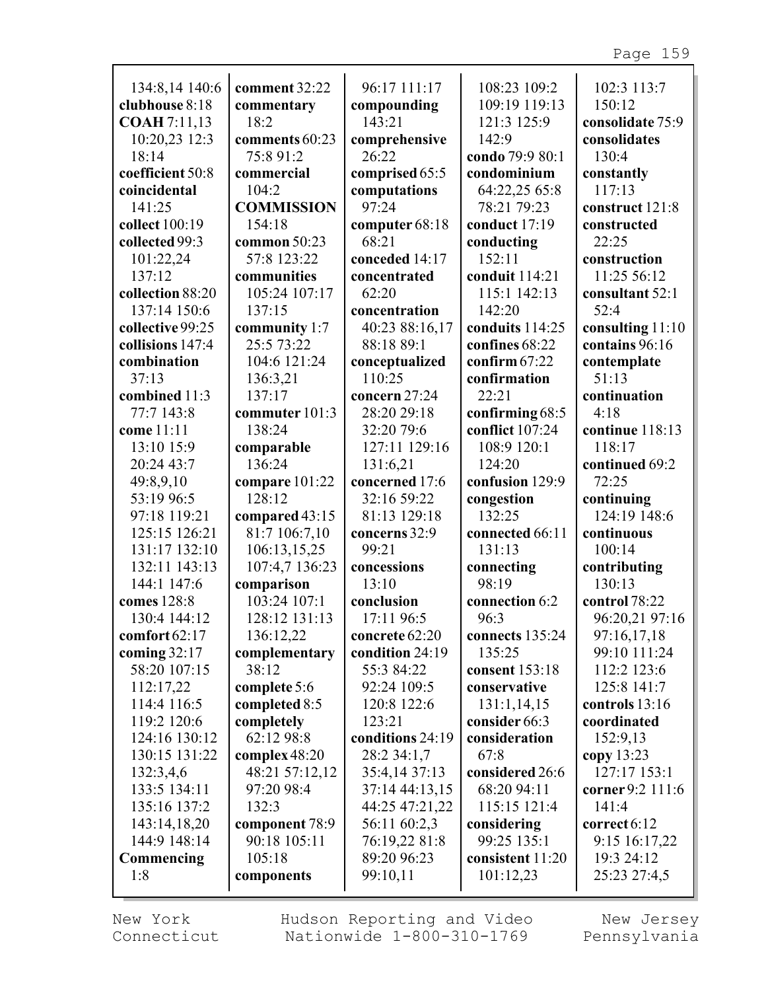| 134:8,14 140:6                 | comment 32:22              | 96:17 111:17                  | 108:23 109:2           | 102:3 113:7                 |
|--------------------------------|----------------------------|-------------------------------|------------------------|-----------------------------|
| clubhouse 8:18                 | commentary                 | compounding                   | 109:19 119:13          | 150:12                      |
| <b>COAH</b> 7:11,13            | 18:2                       | 143:21                        | 121:3 125:9            | consolidate 75:9            |
| 10:20,23 12:3                  | comments 60:23             | comprehensive                 | 142:9                  | consolidates                |
| 18:14                          | 75:8 91:2                  | 26:22                         | condo 79:9 80:1        | 130:4                       |
| coefficient 50:8               | commercial                 | comprised 65:5                | condominium            | constantly                  |
| coincidental                   | 104:2                      | computations                  | 64:22,25 65:8          | 117:13                      |
| 141:25                         | <b>COMMISSION</b>          | 97:24                         | 78:21 79:23            | construct 121:8             |
| collect 100:19                 | 154:18                     | computer 68:18                | conduct 17:19          | constructed                 |
| collected 99:3                 | common $50:23$             | 68:21                         | conducting             | 22:25                       |
| 101:22,24                      | 57:8 123:22                | conceded 14:17                | 152:11                 | construction                |
| 137:12                         | communities                | concentrated                  | conduit 114:21         | 11:25 56:12                 |
| collection 88:20               | 105:24 107:17              | 62:20                         | 115:1 142:13           | consultant 52:1             |
| 137:14 150:6                   | 137:15                     | concentration                 | 142:20                 | 52:4                        |
| collective 99:25               | community 1:7              | 40:23 88:16,17                | conduits 114:25        | consulting 11:10            |
| collisions 147:4               | 25:5 73:22                 | 88:18 89:1                    | confines 68:22         | contains 96:16              |
| combination                    | 104:6 121:24               | conceptualized                | confirm $67:22$        | contemplate                 |
| 37:13                          | 136:3,21                   | 110:25                        | confirmation           | 51:13                       |
| combined 11:3                  | 137:17                     | concern 27:24                 | 22:21                  | continuation                |
| 77:7 143:8                     | commuter 101:3             | 28:20 29:18                   | confirming 68:5        | 4:18                        |
| come 11:11                     | 138:24                     | 32:20 79:6                    | conflict 107:24        | continue 118:13             |
| 13:10 15:9                     | comparable                 | 127:11 129:16                 | 108:9 120:1            | 118:17                      |
| 20:24 43:7                     | 136:24                     | 131:6,21                      | 124:20                 | continued 69:2              |
| 49:8,9,10                      | compare 101:22             | concerned 17:6                | confusion 129:9        | 72:25                       |
| 53:19 96:5                     | 128:12                     | 32:16 59:22                   | congestion             | continuing                  |
| 97:18 119:21                   | compared 43:15             | 81:13 129:18                  | 132:25                 | 124:19 148:6                |
| 125:15 126:21                  | 81:7 106:7,10              | concerns 32:9                 | connected 66:11        | continuous                  |
| 131:17 132:10                  | 106:13,15,25               | 99:21                         | 131:13                 | 100:14                      |
| 132:11 143:13                  | 107:4,7 136:23             | concessions                   | connecting             | contributing                |
| 144:1 147:6                    | comparison<br>103:24 107:1 | 13:10                         | 98:19                  | 130:13                      |
| comes 128:8<br>130:4 144:12    |                            | conclusion<br>17:11 96:5      | connection 6:2<br>96:3 | control 78:22               |
| comfort 62:17                  | 128:12 131:13              | concrete 62:20                | connects 135:24        | 96:20,21 97:16              |
|                                | 136:12,22                  |                               | 135:25                 | 97:16,17,18                 |
| coming $32:17$<br>58:20 107:15 | complementary<br>38:12     | condition 24:19<br>55:3 84:22 | consent 153:18         | 99:10 111:24<br>112:2 123:6 |
| 112:17,22                      | complete 5:6               | 92:24 109:5                   | conservative           | 125:8 141:7                 |
| 114:4 116:5                    | completed 8:5              | 120:8 122:6                   | 131:1,14,15            | controls $13:16$            |
| 119:2 120:6                    | completely                 | 123:21                        | consider 66:3          | coordinated                 |
| 124:16 130:12                  | 62:12 98:8                 | conditions 24:19              | consideration          | 152:9,13                    |
| 130:15 131:22                  | complex 48:20              | 28:2 34:1,7                   | 67:8                   | copy 13:23                  |
| 132:3,4,6                      | 48:21 57:12,12             | 35:4,14 37:13                 | considered 26:6        | 127:17 153:1                |
| 133:5 134:11                   | 97:20 98:4                 | 37:14 44:13,15                | 68:20 94:11            | corner 9:2 111:6            |
| 135:16 137:2                   | 132:3                      | 44:25 47:21,22                | 115:15 121:4           | 141:4                       |
| 143:14,18,20                   | component 78:9             | 56:11 60:2,3                  | considering            | correct $6:12$              |
| 144:9 148:14                   | 90:18 105:11               | 76:19,22 81:8                 | 99:25 135:1            | 9:15 16:17,22               |
| Commencing                     | 105:18                     | 89:20 96:23                   | consistent 11:20       | 19:3 24:12                  |
| 1:8                            | components                 | 99:10,11                      | 101:12,23              | 25:23 27:4,5                |
|                                |                            |                               |                        |                             |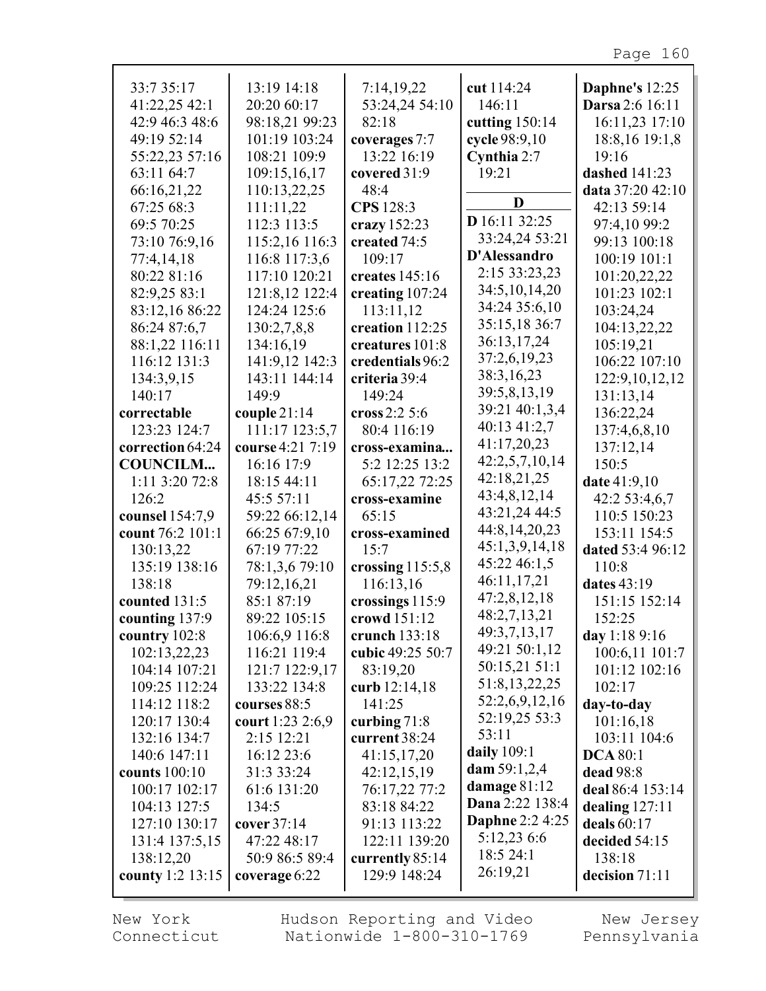| 33:7 35:17                  | 13:19 14:18                      | 7:14,19,22                      | cut 114:24             | Daphne's 12:25                 |
|-----------------------------|----------------------------------|---------------------------------|------------------------|--------------------------------|
| 41:22,25 42:1               | 20:20 60:17                      | 53:24,24 54:10                  | 146:11                 | Darsa 2:6 16:11                |
| 42:9 46:3 48:6              | 98:18,21 99:23                   | 82:18                           | cutting $150:14$       | 16:11,23 17:10                 |
| 49:19 52:14                 | 101:19 103:24                    | coverages 7:7                   | cycle 98:9,10          | 18:8,16 19:1,8                 |
| 55:22,23 57:16              | 108:21 109:9                     | 13:22 16:19                     | Cynthia 2:7            | 19:16                          |
| 63:11 64:7                  | 109:15,16,17                     | covered 31:9                    | 19:21                  | dashed 141:23                  |
| 66:16,21,22                 | 110:13,22,25                     | 48:4                            |                        | data 37:20 42:10               |
| 67:25 68:3                  | 111:11,22                        | CPS 128:3                       | D                      | 42:13 59:14                    |
| 69:5 70:25                  | 112:3 113:5                      | crazy $152:23$                  | D 16:11 32:25          | 97:4,10 99:2                   |
| 73:10 76:9,16               | 115:2,16 116:3                   | created 74:5                    | 33:24,24 53:21         | 99:13 100:18                   |
| 77:4,14,18                  | 116:8 117:3,6                    | 109:17                          | D'Alessandro           | 100:19 101:1                   |
| 80:22 81:16                 | 117:10 120:21                    | creates 145:16                  | 2:15 33:23,23          | 101:20,22,22                   |
| 82:9,25 83:1                | 121:8,12 122:4                   | creating 107:24                 | 34:5, 10, 14, 20       | 101:23 102:1                   |
| 83:12,16 86:22              | 124:24 125:6                     | 113:11,12                       | 34:24 35:6,10          | 103:24,24                      |
| 86:24 87:6,7                | 130:2,7,8,8                      | creation 112:25                 | 35:15,18 36:7          | 104:13,22,22                   |
| 88:1,22 116:11              | 134:16,19                        | creatures 101:8                 | 36:13,17,24            | 105:19,21                      |
| 116:12 131:3                | 141:9,12 142:3                   | credentials 96:2                | 37:2,6,19,23           | 106:22 107:10                  |
| 134:3,9,15                  | 143:11 144:14                    | criteria 39:4                   | 38:3,16,23             |                                |
| 140:17                      | 149:9                            | 149:24                          | 39:5,8,13,19           | 122:9, 10, 12, 12<br>131:13,14 |
|                             |                                  | cross $2:2\,5:6$                | 39:21 40:1,3,4         | 136:22,24                      |
| correctable<br>123:23 124:7 | couple $21:14$<br>111:17 123:5,7 | 80:4 116:19                     | 40:13 41:2,7           | 137:4,6,8,10                   |
| correction 64:24            | course 4:21 7:19                 |                                 | 41:17,20,23            |                                |
| <b>COUNCILM</b>             | 16:16 17:9                       | cross-examina<br>5:2 12:25 13:2 | 42:2,5,7,10,14         | 137:12,14<br>150:5             |
| 1:11 3:20 72:8              | 18:15 44:11                      | 65:17,22 72:25                  | 42:18,21,25            | date 41:9,10                   |
| 126:2                       | 45:5 57:11                       | cross-examine                   | 43:4,8,12,14           | 42:2 53:4,6,7                  |
| counsel 154:7,9             | 59:22 66:12,14                   | 65:15                           | 43:21,24 44:5          | 110:5 150:23                   |
| count 76:2 101:1            | 66:25 67:9,10                    | cross-examined                  | 44:8,14,20,23          | 153:11 154:5                   |
| 130:13,22                   | 67:19 77:22                      | 15:7                            | 45:1,3,9,14,18         | dated 53:4 96:12               |
| 135:19 138:16               | 78:1,3,6 79:10                   | crossing $115:5,8$              | 45:22 46:1,5           | 110:8                          |
| 138:18                      | 79:12,16,21                      | 116:13,16                       | 46:11,17,21            | dates 43:19                    |
| counted 131:5               | 85:1 87:19                       | crossings 115:9                 | 47:2,8,12,18           | 151:15 152:14                  |
| counting 137:9              | 89:22 105:15                     | crowd 151:12                    | 48:2,7,13,21           | 152:25                         |
| country 102:8               | 106:6,9 116:8                    | crunch 133:18                   | 49:3,7,13,17           | day 1:18 9:16                  |
| 102:13,22,23                | 116:21 119:4                     | cubic 49:25 50:7                | 49:21 50:1,12          | 100:6,11 101:7                 |
| 104:14 107:21               | 121:7 122:9,17                   | 83:19,20                        | 50:15,21 51:1          | 101:12 102:16                  |
| 109:25 112:24               | 133:22 134:8                     | curb 12:14,18                   | 51:8,13,22,25          | 102:17                         |
| 114:12 118:2                | courses 88:5                     | 141:25                          | 52:2,6,9,12,16         | day-to-day                     |
| 120:17 130:4                | court 1:23 2:6,9                 | curbing 71:8                    | 52:19,25 53:3          | 101:16,18                      |
| 132:16 134:7                | 2:15 12:21                       | current 38:24                   | 53:11                  | 103:11 104:6                   |
| 140:6 147:11                | 16:12 23:6                       | 41:15,17,20                     | daily 109:1            | <b>DCA 80:1</b>                |
| counts 100:10               | 31:3 33:24                       | 42:12,15,19                     | dam $59:1,2,4$         | dead 98:8                      |
| 100:17 102:17               | 61:6 131:20                      | 76:17,22 77:2                   | damage $81:12$         | deal 86:4 153:14               |
| 104:13 127:5                | 134:5                            | 83:18 84:22                     | Dana 2:22 138:4        | dealing $127:11$               |
| 127:10 130:17               | cover 37:14                      | 91:13 113:22                    | <b>Daphne 2:2 4:25</b> | deals 60:17                    |
| 131:4 137:5,15              | 47:22 48:17                      | 122:11 139:20                   | 5:12,23 6:6            | decided 54:15                  |
| 138:12,20                   | 50:9 86:5 89:4                   | currently 85:14                 | 18:5 24:1              | 138:18                         |
| county 1:2 13:15            |                                  | 129:9 148:24                    | 26:19,21               | decision 71:11                 |
|                             | coverage 6:22                    |                                 |                        |                                |

г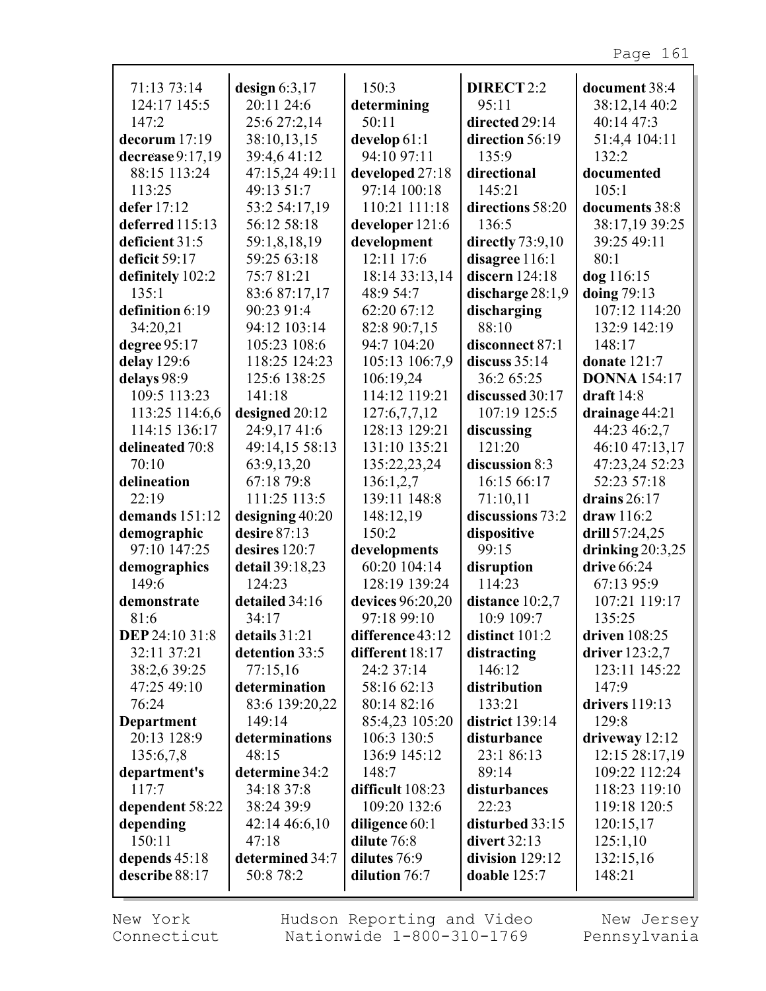| 71:13 73:14                 | design $6:3,17$                   | 150:3                           | DIRECT 2:2                   | document 38:4                     |
|-----------------------------|-----------------------------------|---------------------------------|------------------------------|-----------------------------------|
| 124:17 145:5                | 20:11 24:6                        | determining                     | 95:11                        | 38:12,14 40:2                     |
| 147:2                       | 25:6 27:2,14                      | 50:11                           | directed 29:14               | 40:14 47:3                        |
| decorum 17:19               | 38:10,13,15                       | develop 61:1                    | direction 56:19              | 51:4,4 104:11                     |
| decrease 9:17,19            | 39:4,641:12                       | 94:10 97:11                     | 135:9                        | 132:2                             |
| 88:15 113:24                | 47:15,24 49:11                    | developed 27:18                 | directional                  | documented                        |
| 113:25                      | 49:13 51:7                        | 97:14 100:18                    | 145:21                       | 105:1                             |
| defer 17:12                 | 53:2 54:17,19                     | 110:21 111:18                   | directions 58:20             | documents 38:8                    |
| deferred 115:13             | 56:12 58:18                       | developer 121:6                 | 136:5                        | 38:17,19 39:25                    |
| deficient 31:5              | 59:1,8,18,19                      | development                     | directly $73:9,10$           | 39:25 49:11                       |
| deficit 59:17               | 59:25 63:18                       | 12:11 17:6                      | disagree 116:1               | 80:1                              |
| definitely 102:2            | 75:781:21                         | 18:14 33:13,14                  | discern $124:18$             | dog 116:15                        |
| 135:1                       | 83:6 87:17,17                     | 48:9 54:7                       | discharge 28:1,9             | doing 79:13                       |
| definition 6:19             | 90:23 91:4                        | 62:20 67:12                     | discharging                  | 107:12 114:20                     |
| 34:20,21                    | 94:12 103:14                      | 82:8 90:7,15                    | 88:10                        | 132:9 142:19                      |
| degree 95:17                | 105:23 108:6                      | 94:7 104:20                     | disconnect 87:1              | 148:17                            |
| delay 129:6                 | 118:25 124:23                     | 105:13 106:7,9                  | discuss $35:14$              | donate 121:7                      |
| delays 98:9                 | 125:6 138:25                      | 106:19,24                       | 36:2 65:25                   | <b>DONNA</b> 154:17               |
| 109:5 113:23                | 141:18                            | 114:12 119:21                   | discussed 30:17              | draft $14:8$                      |
| 113:25 114:6,6              | designed 20:12                    | 127:6,7,7,12                    | 107:19 125:5                 | drainage 44:21                    |
| 114:15 136:17               | 24:9,1741:6                       | 128:13 129:21                   | discussing                   | 44:23 46:2,7                      |
| delineated 70:8             | 49:14,15 58:13                    | 131:10 135:21                   | 121:20                       | 46:10 47:13,17                    |
| 70:10                       | 63:9,13,20                        | 135:22,23,24                    | discussion 8:3               | 47:23,24 52:23                    |
| delineation                 | 67:18 79:8                        | 136:1,2,7                       | 16:15 66:17                  | 52:23 57:18                       |
| 22:19                       | 111:25 113:5                      | 139:11 148:8                    | 71:10,11                     | drains $26:17$                    |
| demands 151:12              |                                   |                                 | discussions 73:2             | draw 116:2                        |
|                             | designing 40:20<br>desire $87:13$ | 148:12,19<br>150:2              |                              |                                   |
| demographic<br>97:10 147:25 |                                   |                                 | dispositive<br>99:15         | drill 57:24,25                    |
|                             | desires 120:7                     | developments<br>60:20 104:14    |                              | drinking $20:3,25$<br>drive 66:24 |
| demographics                | detail 39:18,23<br>124:23         |                                 | disruption                   |                                   |
| 149:6<br>demonstrate        | detailed 34:16                    | 128:19 139:24                   | 114:23                       | 67:13 95:9<br>107:21 119:17       |
|                             |                                   | devices 96:20,20                | distance $10:2,7$            |                                   |
| 81:6<br>DEP 24:10 31:8      | 34:17<br>details 31:21            | 97:18 99:10<br>difference 43:12 | 10:9 109:7<br>distinct 101:2 | 135:25<br>driven 108:25           |
|                             | detention 33:5                    |                                 |                              |                                   |
| 32:11 37:21                 |                                   | different 18:17<br>24:2 37:14   | distracting<br>146:12        | driver $123:2,7$                  |
| 38:2,6 39:25                | 77:15,16                          |                                 |                              | 123:11 145:22                     |
| 47:25 49:10                 | determination                     | 58:16 62:13                     | distribution                 | 147:9<br>drivers 119:13           |
| 76:24                       | 83:6 139:20,22                    | 80:14 82:16                     | 133:21                       |                                   |
| <b>Department</b>           | 149:14                            | 85:4,23 105:20                  | district 139:14              | 129:8                             |
| 20:13 128:9                 | determinations                    | 106:3 130:5                     | disturbance                  | driveway 12:12                    |
| 135:6,7,8                   | 48:15                             | 136:9 145:12                    | 23:1 86:13                   | 12:15 28:17,19                    |
| department's                | determine 34:2                    | 148:7                           | 89:14                        | 109:22 112:24                     |
| 117:7                       | 34:18 37:8                        | difficult 108:23                | disturbances                 | 118:23 119:10                     |
| dependent 58:22             | 38:24 39:9                        | 109:20 132:6                    | 22:23                        | 119:18 120:5                      |
| depending                   | 42:14 46:6,10                     | diligence $60:1$                | disturbed 33:15              | 120:15,17                         |
| 150:11                      | 47:18                             | dilute 76:8                     | divert 32:13                 | 125:1,10                          |
| depends 45:18               | determined 34:7                   | dilutes 76:9                    | division 129:12              | 132:15,16                         |
| describe 88:17              | 50:8 78:2                         | dilution 76:7                   | doable 125:7                 | 148:21                            |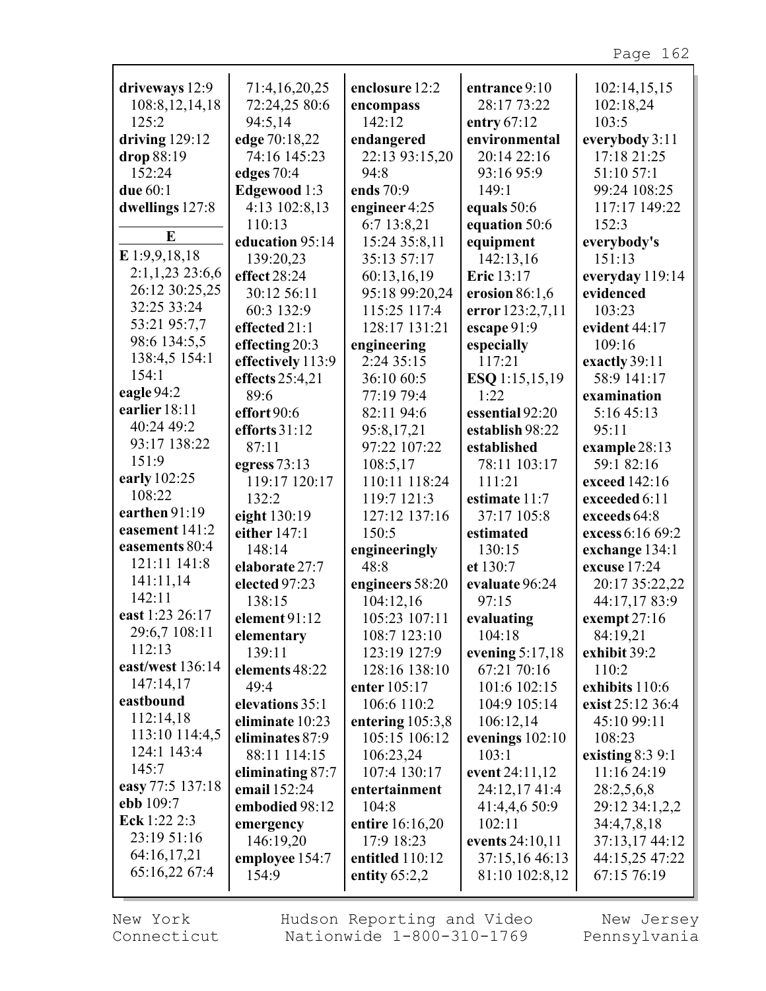| driveways 12:9               | 71:4,16,20,25      | enclosure 12:2     | entrance 9:10     | 102:14,15,15      |
|------------------------------|--------------------|--------------------|-------------------|-------------------|
| 108:8, 12, 14, 18            | 72:24,25 80:6      | encompass          | 28:17 73:22       | 102:18,24         |
| 125:2                        | 94:5,14            | 142:12             | entry $67:12$     | 103:5             |
| driving $129:12$             | edge 70:18,22      | endangered         | environmental     | everybody 3:11    |
| drop 88:19                   | 74:16 145:23       | 22:13 93:15,20     | 20:14 22:16       | 17:18 21:25       |
| 152:24                       | edges 70:4         | 94:8               | 93:16 95:9        | 51:10 57:1        |
| due 60:1                     | Edgewood 1:3       | ends 70:9          | 149:1             | 99:24 108:25      |
| dwellings 127:8              | 4:13 102:8,13      | engineer 4:25      | equals 50:6       | 117:17 149:22     |
|                              | 110:13             | 6:7 13:8,21        | equation 50:6     | 152:3             |
| E                            | education 95:14    | 15:24 35:8,11      | equipment         | everybody's       |
| E 1:9,9,18,18                | 139:20,23          | 35:13 57:17        | 142:13,16         | 151:13            |
| $2:1,1,23$ 23:6,6            | effect 28:24       | 60:13,16,19        | Eric 13:17        | everyday 119:14   |
| 26:12 30:25,25               | 30:12 56:11        | 95:18 99:20,24     | erosion $86:1,6$  | evidenced         |
| 32:25 33:24                  | 60:3 132:9         | 115:25 117:4       | error 123:2,7,11  | 103:23            |
| 53:21 95:7,7                 | effected 21:1      | 128:17 131:21      | escape 91:9       | evident 44:17     |
| 98:6 134:5,5                 | effecting 20:3     | engineering        | especially        | 109:16            |
| 138:4,5 154:1                | effectively 113:9  | 2:24 35:15         | 117:21            | exactly 39:11     |
| 154:1                        | effects 25:4,21    | 36:10 60:5         | ESQ 1:15,15,19    | 58:9 141:17       |
| eagle 94:2                   | 89:6               | 77:19 79:4         | 1:22              | examination       |
| earlier 18:11                | effort 90:6        | 82:11 94:6         | essential 92:20   | 5:16 45:13        |
| 40:24 49:2                   | efforts $31:12$    | 95:8,17,21         | establish 98:22   | 95:11             |
| 93:17 138:22                 | 87:11              | 97:22 107:22       | established       | example 28:13     |
| 151:9                        | egress $73:13$     | 108:5,17           | 78:11 103:17      | 59:1 82:16        |
| early 102:25                 | 119:17 120:17      | 110:11 118:24      | 111:21            | exceed 142:16     |
| 108:22                       | 132:2              | 119:7 121:3        | estimate 11:7     | exceeded 6:11     |
| earthen 91:19                | eight 130:19       | 127:12 137:16      | 37:17 105:8       | exceeds 64:8      |
| easement 141:2               | either 147:1       | 150:5              | estimated         | excess 6:16 69:2  |
| easements 80:4               | 148:14             | engineeringly      | 130:15            | exchange 134:1    |
| 121:11 141:8                 | elaborate 27:7     | 48:8               | et 130:7          | excuse 17:24      |
| 141:11,14                    | elected 97:23      | engineers 58:20    | evaluate 96:24    | 20:17 35:22,22    |
| 142:11                       | 138:15             | 104:12,16          | 97:15             | 44:17,17 83:9     |
| east 1:23 26:17              | element 91:12      | 105:23 107:11      | evaluating        | exempt $27:16$    |
| 29:6,7 108:11                | elementary         | 108:7 123:10       | 104:18            | 84:19,21          |
| 112:13                       | 139:11             | 123:19 127:9       | evening $5:17,18$ | exhibit 39:2      |
| east/west 136:14             | elements 48:22     | 128:16 138:10      | 67:21 70:16       | 110:2             |
| 147:14,17                    | 49:4               | enter 105:17       | 101:6 102:15      | exhibits 110:6    |
| eastbound                    | elevations 35:1    | 106:6 110:2        | 104:9 105:14      | exist 25:12 36:4  |
| 112:14,18                    | eliminate 10:23    | entering $105:3,8$ | 106:12,14         | 45:10 99:11       |
| 113:10 114:4,5               | eliminates 87:9    | 105:15 106:12      | evenings $102:10$ | 108:23            |
| 124:1 143:4                  | 88:11 114:15       | 106:23,24          | 103:1             | existing $8:39:1$ |
| 145:7                        | eliminating $87:7$ | 107:4 130:17       | event 24:11,12    | 11:16 24:19       |
| easy 77:5 137:18             | email 152:24       | entertainment      | 24:12,17 41:4     | 28:2,5,6,8        |
| ebb 109:7                    | embodied 98:12     | 104:8              | 41:4,4,6 50:9     | 29:12 34:1,2,2    |
| Eck 1:22 2:3                 | emergency          | entire 16:16,20    | 102:11            | 34:4,7,8,18       |
| 23:19 51:16                  | 146:19,20          | 17:9 18:23         | events 24:10,11   | 37:13,17 44:12    |
| 64:16,17,21<br>65:16,22 67:4 | employee 154:7     | entitled 110:12    | 37:15,16 46:13    | 44:15,25 47:22    |
|                              | 154:9              | entity $65:2,2$    | 81:10 102:8,12    | 67:15 76:19       |
|                              |                    |                    |                   |                   |

New York Connecticut Hudson Reporting and Video Nationwide 1-800-310-1769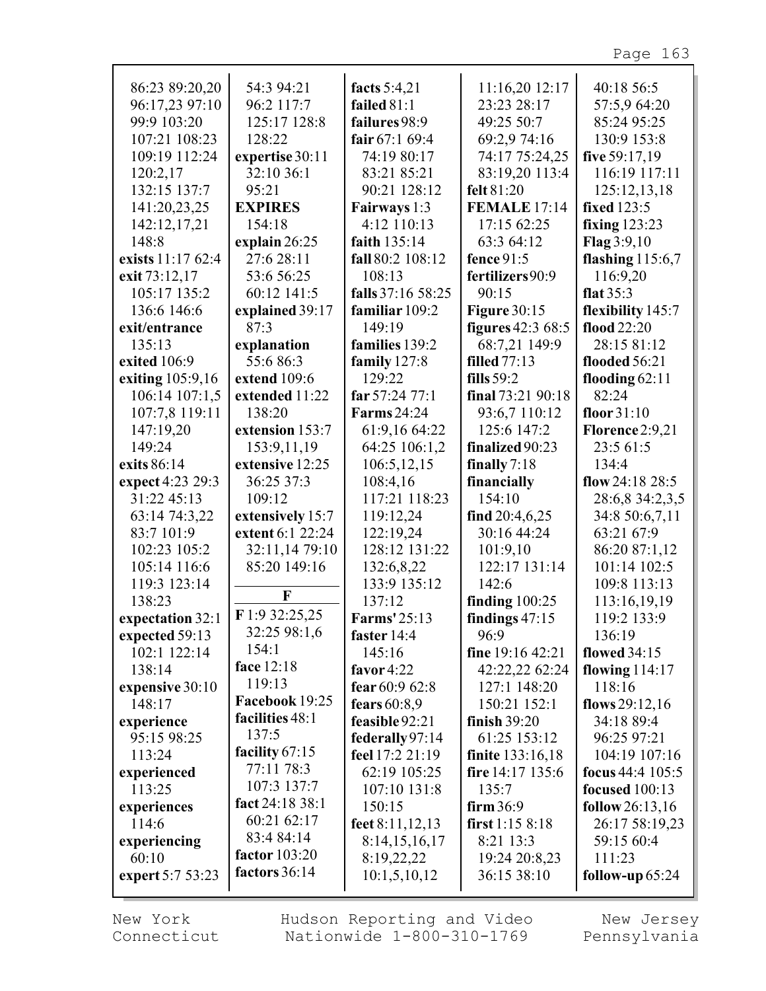| 86:23 89:20,20<br>96:17,23 97:10 | 54:3 94:21           | facts 5:4,21<br>failed 81:1 | 11:16,20 12:17<br>23:23 28:17 | 40:18 56:5<br>57:5,9 64:20 |
|----------------------------------|----------------------|-----------------------------|-------------------------------|----------------------------|
| 99:9 103:20                      | 96:2 117:7           |                             |                               |                            |
|                                  | 125:17 128:8         | failures 98:9               | 49:25 50:7                    | 85:24 95:25                |
| 107:21 108:23                    | 128:22               | fair $67:169:4$             | 69:2,9 74:16                  | 130:9 153:8                |
| 109:19 112:24                    | expertise 30:11      | 74:19 80:17                 | 74:17 75:24,25                | five 59:17,19              |
| 120:2,17                         | 32:10 36:1           | 83:21 85:21                 | 83:19,20 113:4                | 116:19 117:11              |
| 132:15 137:7                     | 95:21                | 90:21 128:12                | felt 81:20                    | 125:12,13,18               |
| 141:20,23,25                     | <b>EXPIRES</b>       | Fairways 1:3                | <b>FEMALE 17:14</b>           | <b>fixed</b> 123:5         |
| 142:12,17,21                     | 154:18               | 4:12 110:13                 | 17:15 62:25                   | fixing $123:23$            |
| 148:8                            | explain $26:25$      | faith 135:14                | 63:3 64:12                    | Flag 3:9,10                |
| exists 11:17 62:4                | 27:6 28:11           | fall 80:2 108:12            | fence 91:5                    | flashing $115:6,7$         |
| exit 73:12,17                    | 53:6 56:25           | 108:13                      | fertilizers90:9               | 116:9,20                   |
| 105:17 135:2                     | 60:12 141:5          | falls 37:16 58:25           | 90:15                         | flat $35:3$                |
| 136:6 146:6                      | explained 39:17      | familiar 109:2              | <b>Figure 30:15</b>           | flexibility 145:7          |
| exit/entrance                    | 87:3                 | 149:19                      | figures 42:3 68:5             | flood 22:20                |
| 135:13                           | explanation          | families 139:2              | 68:7,21 149:9                 | 28:15 81:12                |
| exited 106:9                     | 55:686:3             | family $127:8$              | <b>filled</b> 77:13           | flooded 56:21              |
| exiting 105:9,16                 | extend 109:6         | 129:22                      | fills $59:2$                  | flooding $62:11$           |
| 106:14 107:1,5                   | extended 11:22       | far 57:24 77:1              | final 73:21 90:18             | 82:24                      |
| 107:7,8 119:11                   | 138:20               | <b>Farms</b> 24:24          | 93:6,7 110:12                 | floor $31:10$              |
| 147:19,20                        | extension 153:7      | 61:9,16 64:22               | 125:6 147:2                   | Florence $2:9,21$          |
| 149:24                           | 153:9,11,19          | 64:25 106:1,2               | finalized 90:23               | 23:5 61:5                  |
| exits 86:14                      | extensive 12:25      | 106:5,12,15                 | finally $7:18$                | 134:4                      |
| expect 4:23 29:3                 | 36:25 37:3           | 108:4,16                    | financially                   | flow $24:1828:5$           |
| 31:22 45:13                      | 109:12               | 117:21 118:23               | 154:10                        | 28:6,8 34:2,3,5            |
| 63:14 74:3,22                    | extensively 15:7     | 119:12,24                   | find $20:4,6,25$              | 34:8 50:6,7,11             |
| 83:7 101:9                       | extent 6:1 22:24     | 122:19,24                   | 30:16 44:24                   | 63:21 67:9                 |
| 102:23 105:2                     | 32:11,14 79:10       | 128:12 131:22               | 101:9,10                      | 86:20 87:1,12              |
| 105:14 116:6                     | 85:20 149:16         | 132:6,8,22                  | 122:17 131:14                 | 101:14 102:5               |
| 119:3 123:14                     |                      | 133:9 135:12                | 142:6                         | 109:8 113:13               |
| 138:23                           | F                    | 137:12                      | finding $100:25$              | 113:16,19,19               |
| expectation 32:1                 | F 1:9 32:25,25       | Farms' 25:13                | findings $47:15$              | 119:2 133:9                |
| expected 59:13                   | 32:25 98:1,6         | faster $14:4$               | 96:9                          | 136:19                     |
| 102:1 122:14                     | 154:1                | 145:16                      | fine 19:16 42:21              | flowed 34:15               |
| 138:14                           | face 12:18           | favor $4:22$                | 42:22,22 62:24                | flowing $114:17$           |
| expensive 30:10                  | 119:13               | fear $60:962:8$             | 127:1 148:20                  | 118:16                     |
| 148:17                           | Facebook 19:25       | fears $60:8,9$              | 150:21 152:1                  | flows $29:12,16$           |
| experience                       | facilities 48:1      | feasible 92:21              | finish $39:20$                | 34:18 89:4                 |
| 95:15 98:25                      | 137:5                | federally 97:14             | 61:25 153:12                  | 96:25 97:21                |
| 113:24                           | facility $67:15$     | feel 17:2 21:19             | finite 133:16,18              | 104:19 107:16              |
| experienced                      | 77:11 78:3           | 62:19 105:25                | fire 14:17 135:6              | focus 44:4 105:5           |
| 113:25                           | 107:3 137:7          | 107:10 131:8                | 135:7                         | <b>focused</b> 100:13      |
| experiences                      | fact 24:18 38:1      | 150:15                      | firm $36:9$                   | follow $26:13,16$          |
| 114:6                            | 60:21 62:17          | feet 8:11,12,13             | first $1:158:18$              | 26:17 58:19,23             |
| experiencing                     | 83:4 84:14           | 8:14,15,16,17               | 8:21 13:3                     | 59:15 60:4                 |
| 60:10                            | <b>factor</b> 103:20 | 8:19,22,22                  | 19:24 20:8,23                 | 111:23                     |
| expert 5:7 53:23                 | factors 36:14        | 10:1, 5, 10, 12             | 36:15 38:10                   | follow-up $65:24$          |
|                                  |                      |                             |                               |                            |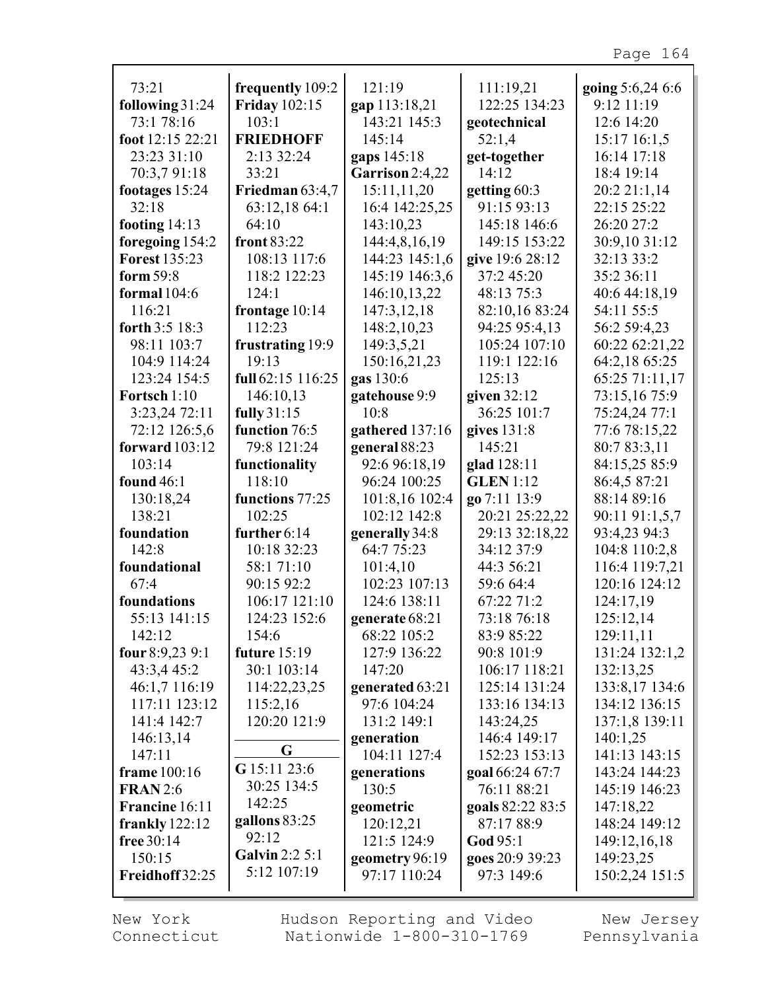| 73:21                 | frequently 109:2         | 121:19                    | 111:19,21               | going 5:6,24 6:6                |
|-----------------------|--------------------------|---------------------------|-------------------------|---------------------------------|
| following 31:24       | <b>Friday</b> 102:15     | gap 113:18,21             | 122:25 134:23           | 9:12 11:19                      |
| 73:1 78:16            | 103:1                    | 143:21 145:3              | geotechnical            | 12:6 14:20                      |
| foot 12:15 22:21      | <b>FRIEDHOFF</b>         | 145:14                    | 52:1,4                  | 15:17 16:1,5                    |
| 23:23 31:10           | 2:13 32:24               | gaps 145:18               | get-together            | 16:14 17:18                     |
| 70:3,7 91:18          | 33:21                    | Garrison 2:4,22           | 14:12                   | 18:4 19:14                      |
| footages 15:24        | Friedman 63:4,7          | 15:11,11,20               | getting $60:3$          | 20:2 21:1,14                    |
| 32:18                 | 63:12,18 64:1            | 16:4 142:25,25            | 91:15 93:13             | 22:15 25:22                     |
| footing $14:13$       | 64:10                    | 143:10,23                 | 145:18 146:6            | 26:20 27:2                      |
| foregoing 154:2       | front $83:22$            | 144:4,8,16,19             | 149:15 153:22           | 30:9,10 31:12                   |
| <b>Forest 135:23</b>  | 108:13 117:6             | 144:23 145:1,6            | give 19:6 28:12         | 32:13 33:2                      |
| form $59:8$           | 118:2 122:23             | 145:19 146:3,6            | 37:2 45:20              | 35:2 36:11                      |
| formal $104:6$        | 124:1                    | 146:10,13,22              | 48:13 75:3              | 40:6 44:18,19                   |
| 116:21                | frontage 10:14           | 147:3,12,18               | 82:10,16 83:24          | 54:11 55:5                      |
| forth 3:5 18:3        | 112:23                   | 148:2,10,23               | 94:25 95:4,13           | 56:2 59:4,23                    |
| 98:11 103:7           | frustrating 19:9         | 149:3,5,21                | 105:24 107:10           | 60:22 62:21,22                  |
| 104:9 114:24          | 19:13                    | 150:16,21,23              | 119:1 122:16            | 64:2,18 65:25                   |
| 123:24 154:5          | full 62:15 116:25        | gas 130:6                 | 125:13                  | 65:25 71:11,17                  |
| Fortsch 1:10          | 146:10,13                | gatehouse 9:9             | given $32:12$           | 73:15,16 75:9                   |
| 3:23,24 72:11         | fully 31:15              | 10:8                      | 36:25 101:7             | 75:24,24 77:1                   |
| 72:12 126:5,6         | function 76:5            | gathered 137:16           | gives $131:8$           | 77:6 78:15,22                   |
| forward $103:12$      | 79:8 121:24              | general 88:23             | 145:21                  | 80:7 83:3,11                    |
| 103:14                | functionality            | 92:6 96:18,19             | glad 128:11             | 84:15,25 85:9                   |
| found $46:1$          | 118:10                   | 96:24 100:25              | <b>GLEN</b> 1:12        | 86:4,5 87:21                    |
| 130:18,24             | functions 77:25          | 101:8,16 102:4            | go 7:11 13:9            | 88:14 89:16                     |
| 138:21                | 102:25                   | 102:12 142:8              | 20:21 25:22,22          | 90:11 91:1,5,7                  |
| foundation            | further $6:14$           | generally 34:8            | 29:13 32:18,22          | 93:4,23 94:3                    |
| 142:8<br>foundational | 10:18 32:23              | 64:7 75:23                | 34:12 37:9              | 104:8 110:2,8                   |
| 67:4                  | 58:1 71:10<br>90:15 92:2 | 101:4,10<br>102:23 107:13 | 44:3 56:21<br>59:6 64:4 | 116:4 119:7,21<br>120:16 124:12 |
| foundations           | 106:17 121:10            | 124:6 138:11              | 67:22 71:2              | 124:17,19                       |
| 55:13 141:15          | 124:23 152:6             | generate 68:21            | 73:18 76:18             | 125:12,14                       |
| 142:12                | 154:6                    | 68:22 105:2               | 83:9 85:22              | 129:11,11                       |
| four $8:9,239:1$      | future $15:19$           | 127:9 136:22              | 90:8 101:9              | 131:24 132:1,2                  |
| 43:3,4 45:2           | 30:1 103:14              | 147:20                    | 106:17 118:21           | 132:13,25                       |
| 46:1,7 116:19         | 114:22,23,25             | generated 63:21           | 125:14 131:24           | 133:8,17 134:6                  |
| 117:11 123:12         | 115:2,16                 | 97:6 104:24               | 133:16 134:13           | 134:12 136:15                   |
| 141:4 142:7           | 120:20 121:9             | 131:2 149:1               | 143:24,25               | 137:1,8 139:11                  |
| 146:13,14             |                          | generation                | 146:4 149:17            | 140:1,25                        |
| 147:11                | G                        | 104:11 127:4              | 152:23 153:13           | 141:13 143:15                   |
| frame 100:16          | G 15:11 23:6             | generations               | goal 66:24 67:7         | 143:24 144:23                   |
| <b>FRAN2:6</b>        | 30:25 134:5              | 130:5                     | 76:11 88:21             | 145:19 146:23                   |
| Francine 16:11        | 142:25                   | geometric                 | goals 82:22 83:5        | 147:18,22                       |
| frankly $122:12$      | gallons $83:25$          | 120:12,21                 | 87:17 88:9              | 148:24 149:12                   |
| free $30:14$          | 92:12                    | 121:5 124:9               | God 95:1                | 149:12,16,18                    |
| 150:15                | <b>Galvin 2:2 5:1</b>    | geometry 96:19            | goes 20:9 39:23         | 149:23,25                       |
| Freidhoff 32:25       | 5:12 107:19              | 97:17 110:24              | 97:3 149:6              | 150:2,24 151:5                  |
|                       |                          |                           |                         |                                 |

New York Connecticut Hudson Reporting and Video Nationwide 1-800-310-1769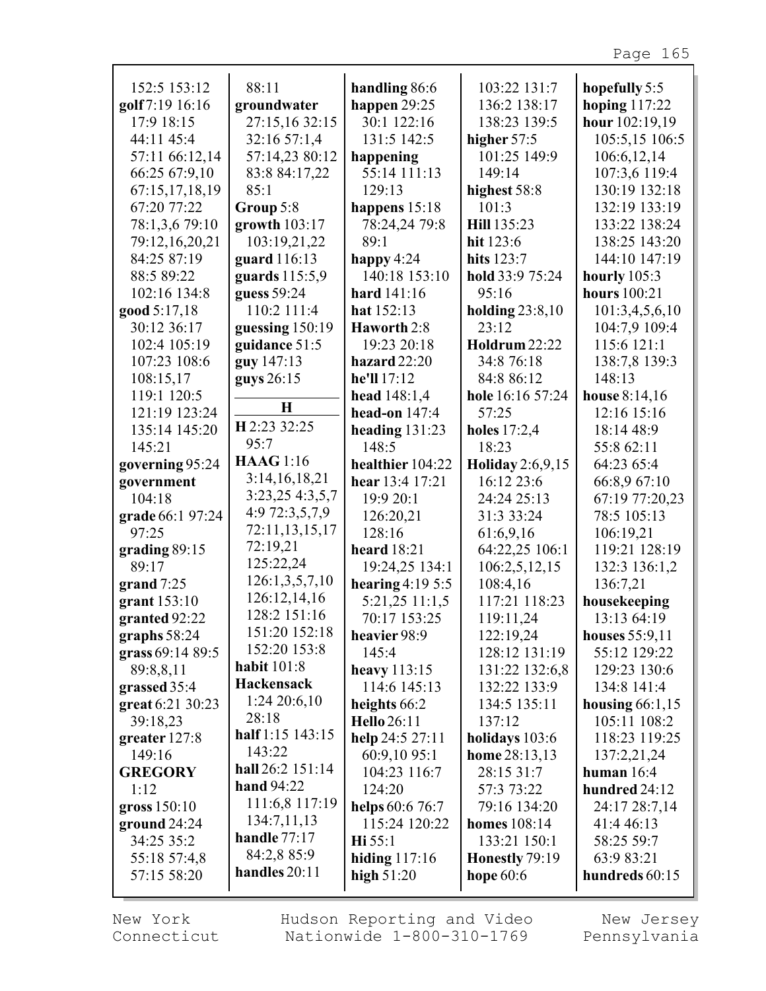| 152:5 153:12             | 88:11              | handling 86:6          | 103:22 131:7         | hopefully 5:5       |
|--------------------------|--------------------|------------------------|----------------------|---------------------|
| golf 7:19 16:16          | groundwater        | happen $29:25$         | 136:2 138:17         | hoping $117:22$     |
| 17:9 18:15               | 27:15,16 32:15     | 30:1 122:16            | 138:23 139:5         | hour 102:19,19      |
| 44:11 45:4               | 32:16 57:1,4       | 131:5 142:5            | higher 57:5          | 105:5,15 106:5      |
| 57:11 66:12,14           | 57:14,23 80:12     | happening              | 101:25 149:9         | 106:6,12,14         |
| 66:25 67:9,10            | 83:8 84:17,22      | 55:14 111:13           | 149:14               | 107:3,6 119:4       |
| 67:15,17,18,19           | 85:1               | 129:13                 | highest 58:8         | 130:19 132:18       |
| 67:20 77:22              | Group 5:8          | happens 15:18          | 101:3                | 132:19 133:19       |
| 78:1,3,6 79:10           | growth 103:17      | 78:24,24 79:8          | Hill 135:23          | 133:22 138:24       |
| 79:12,16,20,21           | 103:19,21,22       | 89:1                   | hit 123:6            | 138:25 143:20       |
| 84:25 87:19              | guard 116:13       | happy $4:24$           | hits 123:7           | 144:10 147:19       |
| 88:5 89:22               | guards 115:5,9     | 140:18 153:10          | hold 33:9 75:24      | hourly $105:3$      |
| 102:16 134:8             | guess 59:24        | hard $141:16$          | 95:16                | <b>hours</b> 100:21 |
| good 5:17,18             | 110:2 111:4        | hat $152:13$           | holding $23:8,10$    | 101:3,4,5,6,10      |
| 30:12 36:17              | guessing 150:19    | Haworth 2:8            | 23:12                | 104:7,9 109:4       |
| 102:4 105:19             | guidance 51:5      | 19:23 20:18            | <b>Holdrum</b> 22:22 | 115:6 121:1         |
| 107:23 108:6             | guy 147:13         | hazard 22:20           | 34:8 76:18           | 138:7,8 139:3       |
| 108:15,17                | guys 26:15         | he'll 17:12            | 84:8 86:12           | 148:13              |
| 119:1 120:5              |                    | head $148:1,4$         | hole 16:16 57:24     | house 8:14,16       |
| 121:19 123:24            | $\bf H$            | head-on $147:4$        | 57:25                | 12:16 15:16         |
| 135:14 145:20            | H 2:23 32:25       | heading $131:23$       | holes $17:2,4$       | 18:14 48:9          |
| 145:21                   | 95:7               | 148:5                  | 18:23                | 55:8 62:11          |
| governing 95:24          | <b>HAAG</b> 1:16   | healthier 104:22       | Holiday 2:6,9,15     | 64:23 65:4          |
| government               | 3:14,16,18,21      | hear 13:4 17:21        | 16:12 23:6           | 66:8,9 67:10        |
| 104:18                   | 3:23,254:3,5,7     | 19:9 20:1              | 24:24 25:13          | 67:19 77:20,23      |
| grade 66:1 97:24         | 4:9 72:3,5,7,9     | 126:20,21              | 31:3 33:24           | 78:5 105:13         |
| 97:25                    | 72:11,13,15,17     | 128:16                 | 61:6,9,16            | 106:19,21           |
|                          | 72:19,21           | <b>heard</b> 18:21     | 64:22,25 106:1       | 119:21 128:19       |
| grading $89:15$<br>89:17 | 125:22,24          |                        |                      |                     |
|                          | 126:1,3,5,7,10     | 19:24,25 134:1         | 106:2,5,12,15        | 132:3 136:1,2       |
| grand $7:25$             | 126:12,14,16       | hearing $4:195:5$      | 108:4,16             | 136:7,21            |
| grant 153:10             | 128:2 151:16       | 5:21,25 11:1,5         | 117:21 118:23        | housekeeping        |
| granted 92:22            | 151:20 152:18      | 70:17 153:25           | 119:11,24            | 13:13 64:19         |
| graphs $58:24$           | 152:20 153:8       | heavier 98:9           | 122:19,24            | houses 55:9,11      |
| grass 69:14 89:5         |                    | 145:4                  | 128:12 131:19        | 55:12 129:22        |
| 89:8,8,11                | <b>habit</b> 101:8 | heavy $113:15$         | 131:22 132:6,8       | 129:23 130:6        |
| grassed 35:4             | <b>Hackensack</b>  | 114:6 145:13           | 132:22 133:9         | 134:8 141:4         |
| great 6:21 30:23         | $1:24\,20:6,10$    | heights 66:2           | 134:5 135:11         | housing $66:1,15$   |
| 39:18,23                 | 28:18              | <b>Hello</b> 26:11     | 137:12               | 105:11 108:2        |
| greater 127:8            | half 1:15 143:15   | help 24:5 27:11        | holidays 103:6       | 118:23 119:25       |
| 149:16                   | 143:22             | 60:9,10 95:1           | home 28:13,13        | 137:2,21,24         |
| <b>GREGORY</b>           | hall 26:2 151:14   | 104:23 116:7           | 28:15 31:7           | human $16:4$        |
| 1:12                     | hand 94:22         | 124:20                 | 57:3 73:22           | hundred 24:12       |
| gross $150:10$           | 111:6,8 117:19     | <b>helps</b> 60:6 76:7 | 79:16 134:20         | 24:17 28:7,14       |
| ground $24:24$           | 134:7,11,13        | 115:24 120:22          | <b>homes</b> 108:14  | 41:4 46:13          |
| 34:25 35:2               | handle $77:17$     | $\textbf{Hi} 55:1$     | 133:21 150:1         | 58:25 59:7          |
| 55:18 57:4,8             | 84:2,8 85:9        | hiding $117:16$        | Honestly 79:19       | 63:9 83:21          |
| 57:15 58:20              | handles 20:11      | high $51:20$           | hope $60:6$          | hundreds 60:15      |
|                          |                    |                        |                      |                     |

New York Connecticut

г

Hudson Reporting and Video Nationwide 1-800-310-1769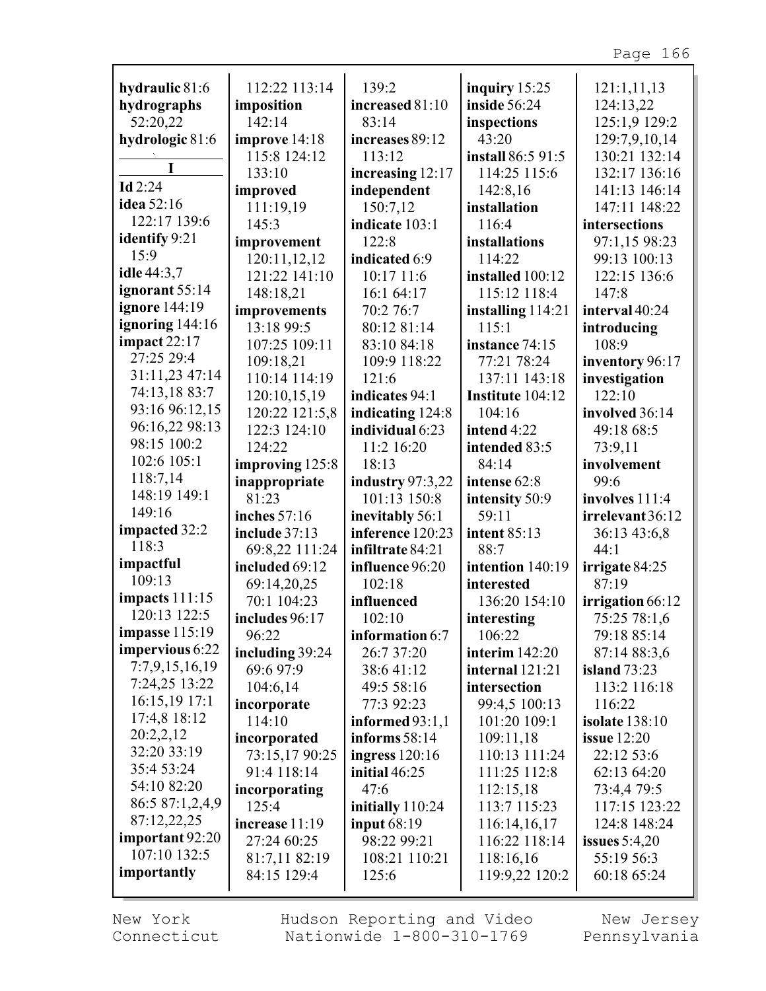| hydraulic 81:6            | 112:22 113:14   | 139:2              | inquiry $15:25$   | 121:1,11,13           |
|---------------------------|-----------------|--------------------|-------------------|-----------------------|
| hydrographs               | imposition      | increased 81:10    | inside 56:24      | 124:13,22             |
| 52:20,22                  | 142:14          | 83:14              | inspections       | 125:1,9 129:2         |
| hydrologic 81:6           | improve 14:18   | increases 89:12    | 43:20             | 129:7,9,10,14         |
|                           | 115:8 124:12    | 113:12             | install 86:5 91:5 | 130:21 132:14         |
| I                         | 133:10          | increasing 12:17   | 114:25 115:6      | 132:17 136:16         |
| Id $2:24$                 | improved        | independent        | 142:8,16          | 141:13 146:14         |
| idea 52:16                | 111:19,19       | 150:7,12           | installation      | 147:11 148:22         |
| 122:17 139:6              | 145:3           | indicate 103:1     | 116:4             | intersections         |
| <b>identify</b> 9:21      | improvement     | 122:8              | installations     | 97:1,15 98:23         |
| 15:9                      | 120:11,12,12    | indicated 6:9      | 114:22            | 99:13 100:13          |
| idle 44:3,7               | 121:22 141:10   | 10:17 11:6         | installed 100:12  | 122:15 136:6          |
| ignorant 55:14            | 148:18,21       | 16:1 64:17         | 115:12 118:4      | 147:8                 |
| ignore 144:19             | improvements    | 70:2 76:7          | installing 114:21 | interval 40:24        |
| ignoring 144:16           | 13:18 99:5      | 80:12 81:14        | 115:1             | introducing           |
| impact 22:17              | 107:25 109:11   | 83:10 84:18        | instance 74:15    | 108:9                 |
| 27:25 29:4                | 109:18,21       | 109:9 118:22       | 77:21 78:24       | inventory 96:17       |
| 31:11,23 47:14            | 110:14 114:19   | 121:6              | 137:11 143:18     | investigation         |
| 74:13,18 83:7             | 120:10,15,19    | indicates 94:1     | Institute 104:12  | 122:10                |
| 93:16 96:12,15            | 120:22 121:5,8  | indicating 124:8   | 104:16            | involved 36:14        |
| 96:16,22 98:13            | 122:3 124:10    | individual 6:23    | intend 4:22       | 49:18 68:5            |
| 98:15 100:2               | 124:22          | 11:2 16:20         | intended 83:5     | 73:9,11               |
| 102:6 105:1               | improving 125:8 | 18:13              | 84:14             | involvement           |
| 118:7,14                  | inappropriate   | industry $97:3,22$ | intense 62:8      | 99:6                  |
| 148:19 149:1              | 81:23           | 101:13 150:8       | intensity 50:9    | involves $111:4$      |
| 149:16                    | inches 57:16    | inevitably 56:1    | 59:11             | irrelevant 36:12      |
| impacted 32:2             | include 37:13   | inference 120:23   | intent 85:13      | 36:13 43:6,8          |
| 118:3                     | 69:8,22 111:24  | infiltrate 84:21   | 88:7              | 44:1                  |
| impactful                 | included 69:12  | influence 96:20    | intention 140:19  | irrigate 84:25        |
| 109:13                    | 69:14,20,25     | 102:18             | interested        | 87:19                 |
| <b>impacts</b> 111:15     | 70:1 104:23     | influenced         | 136:20 154:10     | irrigation 66:12      |
| 120:13 122:5              | includes 96:17  | 102:10             | interesting       | 75:25 78:1,6          |
| <b>impasse</b> 115:19     | 96:22           | information 6:7    | 106:22            | 79:18 85:14           |
| impervious 6:22           | including 39:24 | 26:7 37:20         | interim $142:20$  | 87:14 88:3,6          |
| 7:7,9,15,16,19            | 69:6 97:9       | 38:641:12          | internal 121:21   | island $73:23$        |
| 7:24,25 13:22             | 104:6,14        | 49:5 58:16         | intersection      | 113:2 116:18          |
| 16:15,19 17:1             | incorporate     | 77:3 92:23         | 99:4,5 100:13     | 116:22                |
| 17:4,8 18:12              | 114:10          | informed $93:1,1$  | 101:20 109:1      | <b>isolate</b> 138:10 |
| 20:2,2,12<br>32:20 33:19  | incorporated    | informs $58:14$    | 109:11,18         | issue $12:20$         |
|                           | 73:15,17 90:25  | ingress $120:16$   | 110:13 111:24     | 22:12 53:6            |
| 35:4 53:24<br>54:10 82:20 | 91:4 118:14     | initial $46:25$    | 111:25 112:8      | 62:13 64:20           |
| 86:5 87:1,2,4,9           | incorporating   | 47:6               | 112:15,18         | 73:4,4 79:5           |
| 87:12,22,25               | 125:4           | initially 110:24   | 113:7 115:23      | 117:15 123:22         |
| important 92:20           | increase 11:19  | <b>input 68:19</b> | 116:14,16,17      | 124:8 148:24          |
| 107:10 132:5              | 27:24 60:25     | 98:22 99:21        | 116:22 118:14     | issues $5:4,20$       |
| importantly               | 81:7,11 82:19   | 108:21 110:21      | 118:16,16         | 55:19 56:3            |
|                           | 84:15 129:4     | 125:6              | 119:9,22 120:2    | 60:18 65:24           |

New York Connecticut Hudson Reporting and Video Nationwide 1-800-310-1769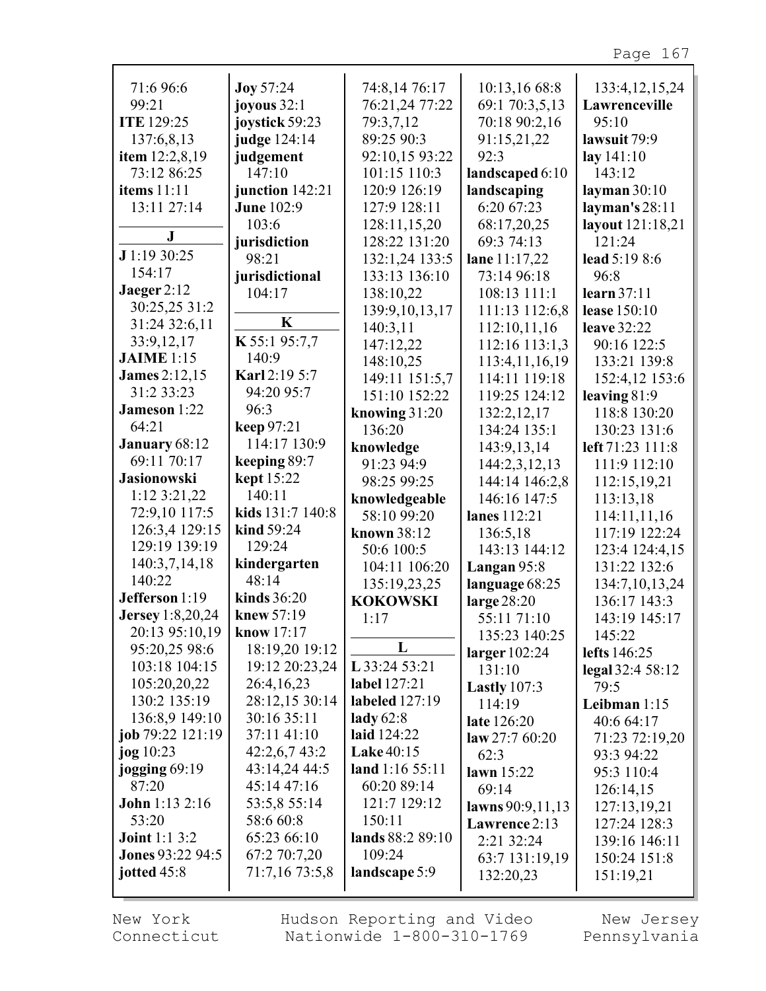| 71:6 96:6               | <b>Joy 57:24</b>  | 74:8,14 76:17     | 10:13,16 68:8           | 133:4, 12, 15, 24             |
|-------------------------|-------------------|-------------------|-------------------------|-------------------------------|
| 99:21                   | joyous $32:1$     | 76:21,24 77:22    | 69:1 70:3,5,13          | Lawrenceville                 |
| <b>ITE</b> 129:25       | joystick 59:23    | 79:3,7,12         | 70:18 90:2,16           | 95:10                         |
| 137:6,8,13              | judge 124:14      | 89:25 90:3        | 91:15,21,22             | lawsuit 79:9                  |
| item $12:2,8,19$        | judgement         | 92:10,15 93:22    | 92:3                    | lay 141:10                    |
| 73:12 86:25             | 147:10            | 101:15 110:3      | landscaped 6:10         | 143:12                        |
| <b>items</b> 11:11      | junction 142:21   | 120:9 126:19      | landscaping             | layman $30:10$                |
| 13:11 27:14             | <b>June 102:9</b> | 127:9 128:11      | 6:20 67:23              | layman's 28:11                |
|                         | 103:6             | 128:11,15,20      | 68:17,20,25             | layout 121:18,21              |
| J                       | jurisdiction      | 128:22 131:20     | 69:3 74:13              | 121:24                        |
| J 1:19 30:25            | 98:21             | 132:1,24 133:5    | lane 11:17,22           | lead 5:19 8:6                 |
| 154:17                  | jurisdictional    | 133:13 136:10     | 73:14 96:18             | 96:8                          |
| Jaeger $2:12$           | 104:17            | 138:10,22         | 108:13 111:1            | learn $37:11$                 |
| 30:25,25 31:2           |                   | 139:9, 10, 13, 17 | 111:13 112:6,8          | lease $150:10$                |
| 31:24 32:6,11           | K                 | 140:3,11          | 112:10,11,16            | <b>leave</b> 32:22            |
| 33:9,12,17              | K 55:1 95:7,7     | 147:12,22         | 112:16 113:1,3          | 90:16 122:5                   |
| <b>JAIME</b> 1:15       | 140:9             | 148:10,25         | 113:4, 11, 16, 19       | 133:21 139:8                  |
| <b>James</b> 2:12,15    | Karl 2:19 5:7     | 149:11 151:5,7    | 114:11 119:18           | 152:4,12 153:6                |
| 31:2 33:23              | 94:20 95:7        | 151:10 152:22     | 119:25 124:12           | leaving $81:9$                |
| <b>Jameson</b> 1:22     | 96:3              | knowing $31:20$   | 132:2,12,17             | 118:8 130:20                  |
| 64:21                   | keep 97:21        | 136:20            | 134:24 135:1            | 130:23 131:6                  |
| January 68:12           | 114:17 130:9      | knowledge         | 143:9,13,14             | left 71:23 111:8              |
| 69:11 70:17             | keeping 89:7      | 91:23 94:9        | 144:2,3,12,13           | 111:9 112:10                  |
| <b>Jasionowski</b>      | kept 15:22        | 98:25 99:25       | 144:14 146:2,8          | 112:15,19,21                  |
| $1:12$ 3:21,22          | 140:11            | knowledgeable     | 146:16 147:5            | 113:13,18                     |
| 72:9,10 117:5           | kids 131:7 140:8  | 58:10 99:20       | lanes 112:21            | 114:11,11,16                  |
| 126:3,4 129:15          | kind 59:24        | known 38:12       | 136:5,18                | 117:19 122:24                 |
| 129:19 139:19           | 129:24            | 50:6 100:5        | 143:13 144:12           | 123:4 124:4,15                |
| 140:3,7,14,18           | kindergarten      | 104:11 106:20     | Langan 95:8             | 131:22 132:6                  |
| 140:22                  | 48:14             | 135:19,23,25      | language 68:25          | 134:7,10,13,24                |
| Jefferson 1:19          | kinds $36:20$     | <b>KOKOWSKI</b>   | large 28:20             | 136:17 143:3                  |
| <b>Jersey</b> 1:8,20,24 | knew 57:19        | 1:17              | 55:11 71:10             | 143:19 145:17                 |
| 20:13 95:10,19          | know 17:17        |                   | 135:23 140:25           | 145:22                        |
| 95:20,25 98:6           | 18:19,20 19:12    | L                 | larger $102:24$         | lefts 146:25                  |
| 103:18 104:15           | 19:12 20:23,24    | L 33:24 53:21     | 131:10                  | $\text{legal } 32:4 \, 58:12$ |
| 105:20,20,22            | 26:4,16,23        | label 127:21      | Lastly $107:3$          | 79:5                          |
| 130:2 135:19            | 28:12,15 30:14    | labeled $127:19$  | 114:19                  | Leibman 1:15                  |
| 136:8,9 149:10          | 30:16 35:11       | lady $62:8$       | late 126:20             | 40:6 64:17                    |
| job $79:22$ $121:19$    | 37:11 41:10       | laid 124:22       | $\text{law } 27:760:20$ | 71:23 72:19,20                |
| jog $10:23$             | 42:2,6,743:2      | <b>Lake 40:15</b> | 62:3                    | 93:3 94:22                    |
| jogging $69:19$         | 43:14,24 44:5     | land 1:16 55:11   | lawn $15:22$            | 95:3 110:4                    |
| 87:20                   | 45:14 47:16       | 60:20 89:14       | 69:14                   | 126:14,15                     |
| John 1:13 2:16          | 53:5,8 55:14      | 121:7 129:12      | lawns 90:9,11,13        | 127:13,19,21                  |
| 53:20                   | 58:6 60:8         | 150:11            | Lawrence 2:13           | 127:24 128:3                  |
| <b>Joint 1:1 3:2</b>    | 65:23 66:10       | lands 88:2 89:10  | 2:21 32:24              | 139:16 146:11                 |
| <b>Jones 93:22 94:5</b> | 67:2 70:7,20      | 109:24            | 63:7 131:19,19          | 150:24 151:8                  |
| jotted 45:8             | 71:7,16 73:5,8    | landscape 5:9     | 132:20,23               | 151:19,21                     |
|                         |                   |                   |                         |                               |

г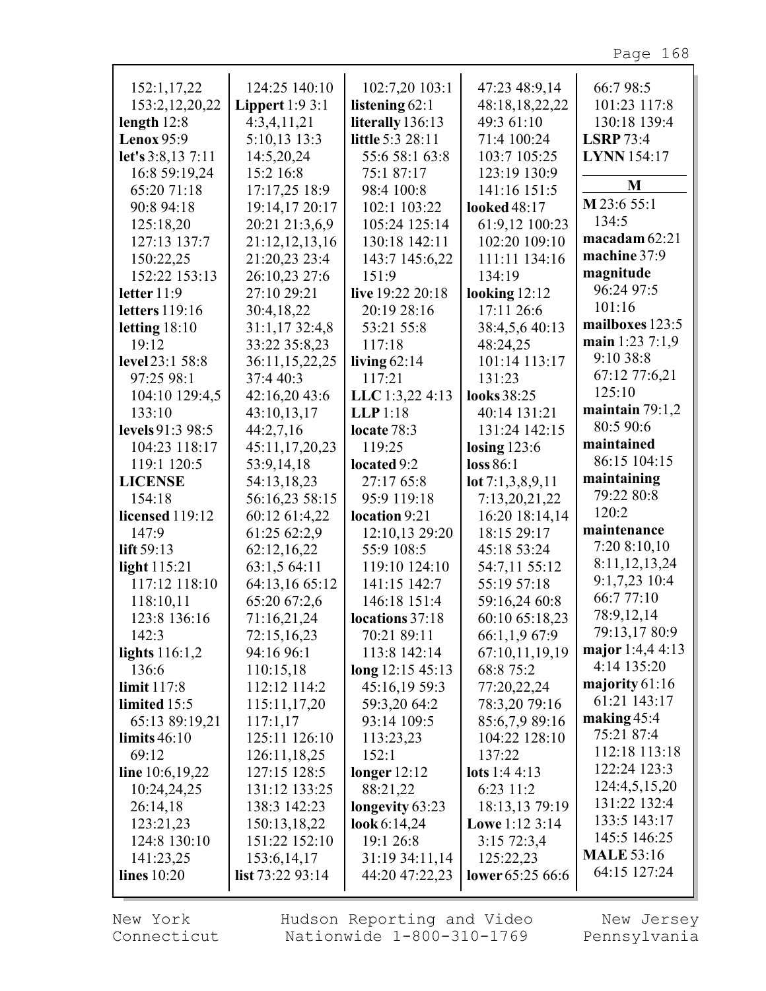| 152:1,17,22           | 124:25 140:10     | 102:7,20 103:1      | 47:23 48:9,14         | 66:798:5             |
|-----------------------|-------------------|---------------------|-----------------------|----------------------|
| 153:2, 12, 20, 22     | Lippert $1:93:1$  | listening $62:1$    | 48:18,18,22,22        | 101:23 117:8         |
| length $12:8$         | 4:3,4,11,21       | literally 136:13    | 49:3 61:10            | 130:18 139:4         |
| Lenox $95:9$          | 5:10,13 13:3      | little 5:3 28:11    | 71:4 100:24           | <b>LSRP</b> 73:4     |
| let's 3:8,13 7:11     | 14:5,20,24        | 55:6 58:1 63:8      | 103:7 105:25          | <b>LYNN</b> 154:17   |
| 16:8 59:19,24         | 15:2 16:8         | 75:1 87:17          | 123:19 130:9          |                      |
| 65:20 71:18           | 17:17,25 18:9     | 98:4 100:8          | 141:16 151:5          | M                    |
| 90:8 94:18            | 19:14,17 20:17    | 102:1 103:22        | looked 48:17          | M 23:6 55:1          |
| 125:18,20             | 20:21 21:3,6,9    | 105:24 125:14       | 61:9,12 100:23        | 134:5                |
| 127:13 137:7          | 21:12,12,13,16    | 130:18 142:11       | 102:20 109:10         | macadam 62:21        |
| 150:22,25             | 21:20,23 23:4     | 143:7 145:6,22      | 111:11 134:16         | machine 37:9         |
| 152:22 153:13         | 26:10,23 27:6     | 151:9               | 134:19                | magnitude            |
| letter $11:9$         | 27:10 29:21       | live 19:22 20:18    | looking $12:12$       | 96:24 97:5           |
| <b>letters</b> 119:16 | 30:4,18,22        | 20:19 28:16         | 17:11 26:6            | 101:16               |
| letting $18:10$       | 31:1,17 32:4,8    | 53:21 55:8          | 38:4,5,6 40:13        | mailboxes 123:5      |
| 19:12                 | 33:22 35:8,23     | 117:18              | 48:24,25              | main $1:23 \, 7:1,9$ |
| level 23:1 58:8       | 36:11,15,22,25    | living $62:14$      | 101:14 113:17         | 9:10 38:8            |
| 97:25 98:1            | 37:4 40:3         | 117:21              | 131:23                | 67:12 77:6,21        |
| 104:10 129:4,5        | 42:16,20 43:6     | LLC 1:3,22 4:13     | looks 38:25           | 125:10               |
| 133:10                | 43:10,13,17       | LLP1:18             | 40:14 131:21          | maintain $79:1,2$    |
| levels 91:3 98:5      | 44:2,7,16         | locate 78:3         | 131:24 142:15         | 80:5 90:6            |
| 104:23 118:17         | 45:11,17,20,23    | 119:25              | losing $123:6$        | maintained           |
| 119:1 120:5           | 53:9,14,18        | located 9:2         | loss 86:1             | 86:15 104:15         |
| <b>LICENSE</b>        | 54:13,18,23       | 27:17 65:8          | lot 7:1,3,8,9,11      | maintaining          |
| 154:18                | 56:16,23 58:15    | 95:9 119:18         | 7:13,20,21,22         | 79:22 80:8           |
| licensed 119:12       | 60:12 61:4,22     | location 9:21       | 16:20 18:14,14        | 120:2                |
| 147:9                 | 61:25 62:2,9      | 12:10,13 29:20      | 18:15 29:17           | maintenance          |
| lift $59:13$          | 62:12,16,22       | 55:9 108:5          | 45:18 53:24           | 7:208:10,10          |
| light $115:21$        | 63:1,5 64:11      | 119:10 124:10       | 54:7,11 55:12         | 8:11,12,13,24        |
| 117:12 118:10         | 64:13,16 65:12    | 141:15 142:7        | 55:19 57:18           | 9:1,7,23 10:4        |
| 118:10,11             | 65:20 67:2,6      | 146:18 151:4        | 59:16,24 60:8         | 66:7 77:10           |
| 123:8 136:16          | 71:16,21,24       | locations 37:18     | 60:10 65:18,23        | 78:9,12,14           |
| 142:3                 | 72:15,16,23       | 70:21 89:11         | 66:1,1,9 67:9         | 79:13,17 80:9        |
| lights $116:1,2$      | 94:16 96:1        | 113:8 142:14        | 67:10,11,19,19        | major 1:4,4 4:13     |
| 136:6                 | 110:15,18         | $\log 12:15\,45:13$ | 68:8 75:2             | 4:14 135:20          |
| limit $117:8$         | 112:12 114:2      | 45:16,19 59:3       | 77:20,22,24           | majority 61:16       |
| limited $15:5$        | 115:11,17,20      | 59:3,20 64:2        | 78:3,20 79:16         | 61:21 143:17         |
| 65:13 89:19,21        | 117:1,17          | 93:14 109:5         | 85:6,7,9 89:16        | making $45:4$        |
| limits $46:10$        | 125:11 126:10     | 113:23,23           | 104:22 128:10         | 75:21 87:4           |
| 69:12                 | 126:11,18,25      | 152:1               | 137:22                | 112:18 113:18        |
| line $10:6,19,22$     | 127:15 128:5      | longer $12:12$      | lots $1:44:13$        | 122:24 123:3         |
| 10:24,24,25           | 131:12 133:25     | 88:21,22            | $6:23$ 11:2           | 124:4,5,15,20        |
| 26:14,18              | 138:3 142:23      | longevity 63:23     | 18:13,13 79:19        | 131:22 132:4         |
| 123:21,23             | 150:13,18,22      | look $6:14,24$      | <b>Lowe</b> 1:12 3:14 | 133:5 143:17         |
| 124:8 130:10          | 151:22 152:10     | 19:1 26:8           | 3:1572:3,4            | 145:5 146:25         |
| 141:23,25             | 153:6, 14, 17     | 31:19 34:11,14      | 125:22,23             | <b>MALE</b> 53:16    |
| lines $10:20$         | list $73:2293:14$ | 44:20 47:22,23      | lower 65:25 66:6      | 64:15 127:24         |
|                       |                   |                     |                       |                      |

г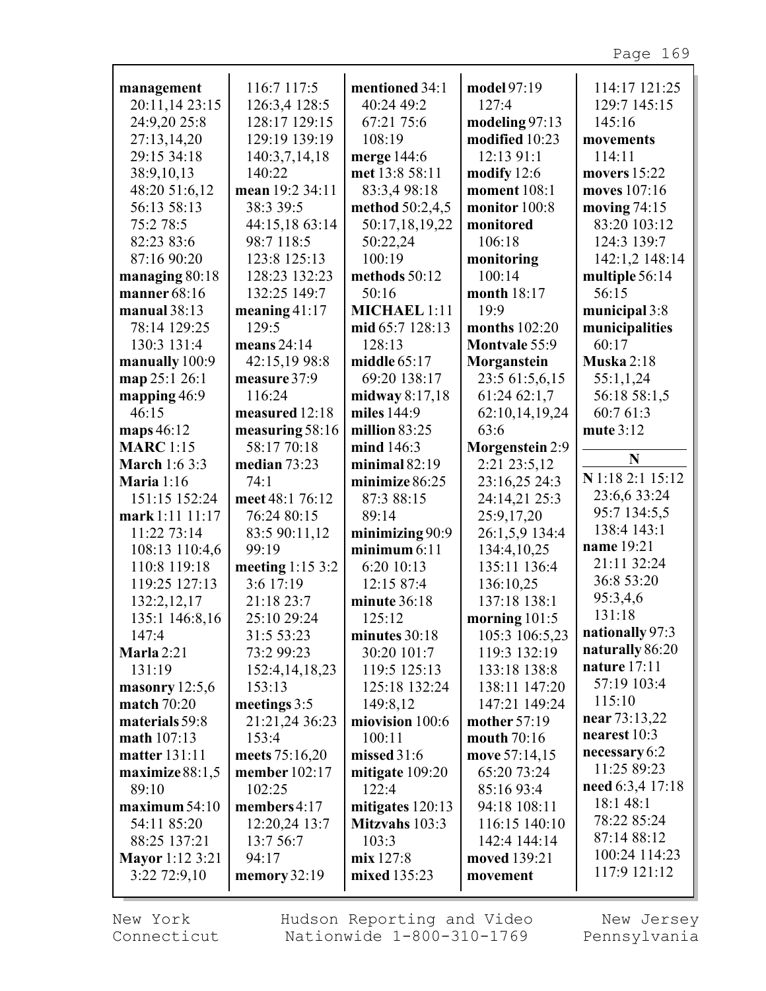| management                    | 116:7 117:5               | mentioned 34:1          | model 97:19                    | 114:17 121:25     |
|-------------------------------|---------------------------|-------------------------|--------------------------------|-------------------|
| 20:11,14 23:15                | 126:3,4 128:5             | 40:24 49:2              | 127:4                          | 129:7 145:15      |
| 24:9,20 25:8                  | 128:17 129:15             | 67:21 75:6              | modeling $97:13$               | 145:16            |
| 27:13,14,20                   | 129:19 139:19             | 108:19                  | modified 10:23                 | movements         |
| 29:15 34:18                   | 140:3,7,14,18             | merge 144:6             | 12:13 91:1                     | 114:11            |
| 38:9,10,13                    | 140:22                    | met 13:8 58:11          | modify $12:6$                  | movers 15:22      |
| 48:20 51:6,12                 | mean 19:2 34:11           | 83:3,4 98:18            | moment 108:1                   | moves 107:16      |
| 56:13 58:13                   | 38:3 39:5                 | method 50:2,4,5         | monitor 100:8                  | moving $74:15$    |
| 75:2 78:5                     | 44:15,18 63:14            | 50:17,18,19,22          | monitored                      | 83:20 103:12      |
| 82:23 83:6                    | 98:7 118:5                | 50:22,24                | 106:18                         | 124:3 139:7       |
| 87:16 90:20                   | 123:8 125:13              | 100:19                  | monitoring                     | 142:1,2 148:14    |
| managing 80:18                | 128:23 132:23             | methods 50:12           | 100:14                         | multiple 56:14    |
| manner $68:16$                | 132:25 149:7              | 50:16                   | month 18:17                    | 56:15             |
| manual $38:13$                | meaning $41:17$           | <b>MICHAEL 1:11</b>     | 19:9                           | municipal 3:8     |
| 78:14 129:25                  | 129:5                     | mid 65:7 128:13         | months $102:20$                | municipalities    |
| 130:3 131:4                   | means $24:14$             | 128:13                  | <b>Montvale 55:9</b>           | 60:17             |
| manually 100:9                | 42:15,19 98:8             | middle $65:17$          | Morganstein                    | <b>Muska</b> 2:18 |
| map 25:1 26:1                 | measure 37:9              | 69:20 138:17            | 23:5 61:5,6,15                 | 55:1,1,24         |
| mapping $46:9$                | 116:24                    | midway 8:17,18          | 61:24 62:1,7                   | 56:18 58:1,5      |
| 46:15                         | measured 12:18            | miles 144:9             | 62:10,14,19,24                 | 60:7 61:3         |
| maps 46:12                    | measuring 58:16           | million 83:25           | 63:6                           | mute 3:12         |
| <b>MARC</b> 1:15              | 58:17 70:18               | mind 146:3              | Morgenstein 2:9                | N                 |
| <b>March</b> 1:6 3:3          | median 73:23              | minimal $82:19$         | 2:21 23:5,12                   | N 1:18 2:1 15:12  |
| <b>Maria</b> 1:16             | 74:1                      | minimize 86:25          | 23:16,25 24:3                  | 23:6,6 33:24      |
| 151:15 152:24                 | meet 48:1 76:12           | 87:3 88:15              | 24:14,21 25:3                  | 95:7 134:5,5      |
| mark 1:11 11:17               | 76:24 80:15               | 89:14                   | 25:9,17,20                     | 138:4 143:1       |
| 11:22 73:14                   | 83:5 90:11,12             | minimizing 90:9         | 26:1,5,9 134:4                 | name 19:21        |
| 108:13 110:4,6                | 99:19                     | minimum $6:11$          | 134:4,10,25                    | 21:11 32:24       |
| 110:8 119:18                  | meeting 1:15 3:2          | 6:20 10:13              | 135:11 136:4                   | 36:8 53:20        |
| 119:25 127:13                 | 3:6 17:19                 | 12:15 87:4              | 136:10,25<br>137:18 138:1      | 95:3,4,6          |
| 132:2,12,17<br>135:1 146:8,16 | 21:18 23:7<br>25:10 29:24 | minute 36:18            |                                | 131:18            |
| 147:4                         | 31:5 53:23                | 125:12<br>minutes 30:18 | morning $101:5$                | nationally 97:3   |
| Marla $2:21$                  | 73:2 99:23                | 30:20 101:7             | 105:3 106:5,23<br>119:3 132:19 | naturally 86:20   |
| 131:19                        | 152:4, 14, 18, 23         | 119:5 125:13            | 133:18 138:8                   | nature $17:11$    |
| masonry $12:5,6$              | 153:13                    | 125:18 132:24           | 138:11 147:20                  | 57:19 103:4       |
| <b>match</b> 70:20            | meetings 3:5              | 149:8,12                | 147:21 149:24                  | 115:10            |
| materials 59:8                | 21:21,24 36:23            | miovision 100:6         | mother 57:19                   | near 73:13,22     |
| math 107:13                   | 153:4                     | 100:11                  | mouth 70:16                    | nearest 10:3      |
| matter 131:11                 | meets 75:16,20            | missed $31:6$           | move 57:14,15                  | necessary 6:2     |
| maximize $88:1,5$             | member 102:17             | mitigate 109:20         | 65:20 73:24                    | 11:25 89:23       |
| 89:10                         | 102:25                    | 122:4                   | 85:16 93:4                     | need 6:3,4 17:18  |
| maximum 54:10                 | members $4:17$            | mitigates 120:13        | 94:18 108:11                   | 18:1 48:1         |
| 54:11 85:20                   | 12:20,24 13:7             | Mitzvahs 103:3          | 116:15 140:10                  | 78:22 85:24       |
| 88:25 137:21                  | 13:7 56:7                 | 103:3                   | 142:4 144:14                   | 87:14 88:12       |
| <b>Mayor</b> 1:12 3:21        | 94:17                     | mix 127:8               | moved 139:21                   | 100:24 114:23     |
| $3:22$ 72:9,10                | memory 32:19              | mixed 135:23            | movement                       | 117:9 121:12      |
|                               |                           |                         |                                |                   |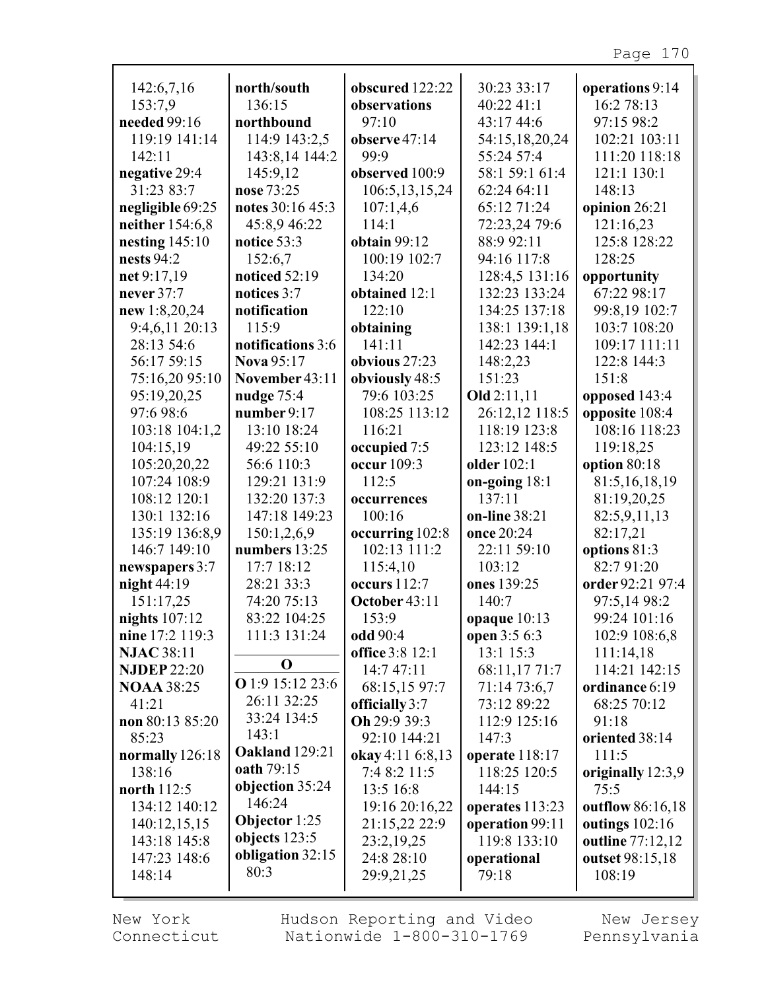| 142:6,7,16         | north/south           | obscured 122:22        | 30:23 33:17     | operations 9:14   |
|--------------------|-----------------------|------------------------|-----------------|-------------------|
| 153:7,9            | 136:15                | observations           | 40:22 41:1      | 16:2 78:13        |
| needed 99:16       | northbound            | 97:10                  | 43:17 44:6      | 97:15 98:2        |
| 119:19 141:14      | 114:9 143:2,5         | observe 47:14          | 54:15,18,20,24  | 102:21 103:11     |
| 142:11             | 143:8,14 144:2        | 99.9                   | 55:24 57:4      | 111:20 118:18     |
| negative 29:4      | 145:9,12              | observed 100:9         | 58:1 59:1 61:4  | 121:1 130:1       |
| 31:23 83:7         | nose 73:25            | 106:5, 13, 15, 24      | 62:24 64:11     | 148:13            |
| negligible 69:25   | notes 30:16 45:3      | 107:1,4,6              | 65:12 71:24     | opinion 26:21     |
|                    |                       | 114:1                  |                 |                   |
| neither 154:6,8    | 45:8,9 46:22          |                        | 72:23,24 79:6   | 121:16,23         |
| nesting $145:10$   | notice 53:3           | <b>obtain</b> 99:12    | 88:9 92:11      | 125:8 128:22      |
| nests 94:2         | 152:6,7               | 100:19 102:7           | 94:16 117:8     | 128:25            |
| net 9:17,19        | noticed 52:19         | 134:20                 | 128:4,5 131:16  | opportunity       |
| never 37:7         | notices 3:7           | obtained 12:1          | 132:23 133:24   | 67:22 98:17       |
| new 1:8,20,24      | notification          | 122:10                 | 134:25 137:18   | 99:8,19 102:7     |
| 9:4,6,11 20:13     | 115:9                 | obtaining              | 138:1 139:1,18  | 103:7 108:20      |
| 28:13 54:6         | notifications 3:6     | 141:11                 | 142:23 144:1    | 109:17 111:11     |
| 56:17 59:15        | <b>Nova</b> 95:17     | obvious 27:23          | 148:2,23        | 122:8 144:3       |
| 75:16,20 95:10     | November 43:11        | obviously 48:5         | 151:23          | 151:8             |
| 95:19,20,25        | nudge $75:4$          | 79:6 103:25            | Old $2:11,11$   | opposed 143:4     |
| 97:6 98:6          | number $9:17$         | 108:25 113:12          | 26:12,12 118:5  | opposite 108:4    |
|                    |                       |                        |                 |                   |
| 103:18 104:1,2     | 13:10 18:24           | 116:21                 | 118:19 123:8    | 108:16 118:23     |
| 104:15,19          | 49:22 55:10           | occupied 7:5           | 123:12 148:5    | 119:18,25         |
| 105:20,20,22       | 56:6 110:3            | occur 109:3            | older 102:1     | option 80:18      |
| 107:24 108:9       | 129:21 131:9          | 112:5                  | on-going $18:1$ | 81:5, 16, 18, 19  |
| 108:12 120:1       | 132:20 137:3          | occurrences            | 137:11          | 81:19,20,25       |
| 130:1 132:16       | 147:18 149:23         | 100:16                 | on-line 38:21   | 82:5,9,11,13      |
| 135:19 136:8,9     | 150:1,2,6,9           | occurring 102:8        | once 20:24      | 82:17,21          |
| 146:7 149:10       | numbers 13:25         | 102:13 111:2           | 22:11 59:10     | options 81:3      |
| newspapers 3:7     | 17:7 18:12            | 115:4,10               | 103:12          | 82:791:20         |
| night $44:19$      | 28:21 33:3            | occurs 112:7           | ones 139:25     | order 92:21 97:4  |
| 151:17,25          | 74:20 75:13           | October 43:11          | 140:7           | 97:5,14 98:2      |
| nights $107:12$    | 83:22 104:25          | 153:9                  | opaque $10:13$  | 99:24 101:16      |
| nine 17:2 119:3    | 111:3 131:24          | odd 90:4               | open 3:5 6:3    | 102:9 108:6,8     |
| <b>NJAC 38:11</b>  |                       |                        | 13:1 15:3       |                   |
|                    | O                     | <b>office</b> 3:8 12:1 |                 | 111:14,18         |
| <b>NJDEP 22:20</b> | O 1:9 15:12 23:6      | 14:7 47:11             | 68:11,17 71:7   | 114:21 142:15     |
| <b>NOAA 38:25</b>  |                       | 68:15,15 97:7          | 71:14 73:6,7    | ordinance 6:19    |
| 41:21              | 26:11 32:25           | officially 3:7         | 73:12 89:22     | 68:25 70:12       |
| non $80:1385:20$   | 33:24 134:5           | Oh 29:9 39:3           | 112:9 125:16    | 91:18             |
| 85:23              | 143:1                 | 92:10 144:21           | 147:3           | oriented 38:14    |
| normally 126:18    | <b>Oakland</b> 129:21 | okay 4:11 6:8,13       | operate 118:17  | 111:5             |
| 138:16             | oath 79:15            | 7:4 8:2 11:5           | 118:25 120:5    | originally 12:3,9 |
| north 112:5        | objection 35:24       | 13:5 16:8              | 144:15          | 75:5              |
| 134:12 140:12      | 146:24                | 19:16 20:16,22         | operates 113:23 | outflow 86:16,18  |
| 140:12,15,15       | Objector $1:25$       | 21:15,22 22:9          | operation 99:11 | outings 102:16    |
| 143:18 145:8       | objects $123:5$       | 23:2,19,25             | 119:8 133:10    | outline 77:12,12  |
| 147:23 148:6       | obligation 32:15      | 24:8 28:10             | operational     | outset 98:15,18   |
| 148:14             | 80:3                  | 29:9,21,25             | 79:18           | 108:19            |
|                    |                       |                        |                 |                   |

New York Connecticut

г

Hudson Reporting and Video Nationwide 1-800-310-1769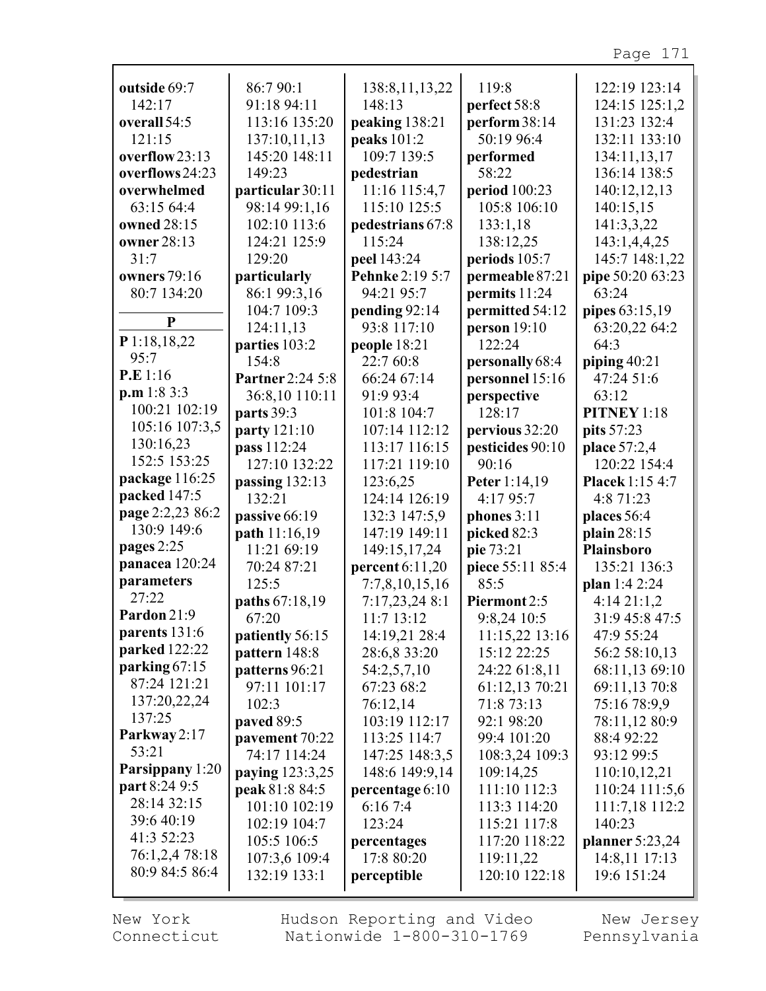| outside 69:7        | 86:7 90:1               | 138:8, 11, 13, 22 | 119:8            | 122:19 123:14          |
|---------------------|-------------------------|-------------------|------------------|------------------------|
| 142:17              | 91:18 94:11             | 148:13            | perfect 58:8     | 124:15 125:1,2         |
| overall 54:5        | 113:16 135:20           | peaking 138:21    | perform 38:14    | 131:23 132:4           |
| 121:15              | 137:10,11,13            | peaks 101:2       | 50:19 96:4       | 132:11 133:10          |
| overflow 23:13      | 145:20 148:11           | 109:7 139:5       | performed        | 134:11,13,17           |
| overflows 24:23     | 149:23                  | pedestrian        | 58:22            | 136:14 138:5           |
| overwhelmed         | particular 30:11        | 11:16 115:4,7     | period 100:23    | 140:12,12,13           |
| 63:15 64:4          | 98:14 99:1,16           | 115:10 125:5      | 105:8 106:10     | 140:15,15              |
| owned 28:15         | 102:10 113:6            | pedestrians 67:8  | 133:1,18         | 141:3,3,22             |
| owner 28:13         | 124:21 125:9            | 115:24            | 138:12,25        | 143:1,4,4,25           |
| 31:7                | 129:20                  | peel 143:24       | periods 105:7    | 145:7 148:1,22         |
| <b>owners</b> 79:16 | particularly            | Pehnke 2:19 5:7   | permeable 87:21  | pipe 50:20 63:23       |
| 80:7 134:20         | 86:1 99:3,16            | 94:21 95:7        | permits 11:24    | 63:24                  |
|                     | 104:7 109:3             | pending 92:14     | permitted 54:12  | pipes 63:15,19         |
| $\mathbf{P}$        | 124:11,13               | 93:8 117:10       | person $19:10$   | 63:20,22 64:2          |
| P 1:18,18,22        | parties 103:2           | people 18:21      | 122:24           | 64:3                   |
| 95:7                | 154:8                   | 22:7 60:8         | personally 68:4  | piping 40:21           |
| P.E 1:16            | <b>Partner</b> 2:24 5:8 | 66:24 67:14       | personnel 15:16  | 47:24 51:6             |
| p.m 1:8 3:3         | 36:8,10 110:11          | 91:9 93:4         | perspective      | 63:12                  |
| 100:21 102:19       | parts 39:3              | 101:8 104:7       | 128:17           | PITNEY 1:18            |
| 105:16 107:3,5      | party 121:10            | 107:14 112:12     | pervious 32:20   | pits 57:23             |
| 130:16,23           | pass 112:24             | 113:17 116:15     | pesticides 90:10 | place 57:2,4           |
| 152:5 153:25        | 127:10 132:22           | 117:21 119:10     | 90:16            | 120:22 154:4           |
| package 116:25      | passing 132:13          | 123:6,25          | Peter 1:14,19    | <b>Placek</b> 1:15 4:7 |
| packed 147:5        | 132:21                  | 124:14 126:19     | 4:17 95:7        | 4:8 71:23              |
| page 2:2,23 86:2    | passive 66:19           | 132:3 147:5,9     | phones $3:11$    | places 56:4            |
| 130:9 149:6         | path 11:16,19           | 147:19 149:11     | picked 82:3      | plain 28:15            |
| pages 2:25          | 11:21 69:19             | 149:15,17,24      | pie 73:21        | <b>Plainsboro</b>      |
| panacea 120:24      | 70:24 87:21             | percent 6:11,20   | piece 55:11 85:4 | 135:21 136:3           |
| parameters          | 125:5                   | 7:7,8,10,15,16    | 85:5             | plan 1:4 2:24          |
| 27:22               | paths 67:18,19          | 7:17,23,24 8:1    | Piermont 2:5     | 4:1421:1,2             |
| Pardon 21:9         | 67:20                   | 11:7 13:12        | 9:8,24 10:5      | 31:9 45:8 47:5         |
| parents 131:6       | patiently 56:15         | 14:19,21 28:4     | 11:15,22 13:16   | 47:9 55:24             |
| parked 122:22       | pattern 148:8           | 28:6,8 33:20      | 15:12 22:25      | 56:2 58:10,13          |
| parking $67:15$     | patterns 96:21          | 54:2,5,7,10       | 24:22 61:8,11    | 68:11,13 69:10         |
| 87:24 121:21        | 97:11 101:17            | 67:23 68:2        | 61:12,13 70:21   | 69:11,13 70:8          |
| 137:20,22,24        | 102:3                   | 76:12,14          | 71:8 73:13       | 75:16 78:9,9           |
| 137:25              | paved 89:5              | 103:19 112:17     | 92:1 98:20       | 78:11,12 80:9          |
| Parkway 2:17        | pavement 70:22          | 113:25 114:7      | 99:4 101:20      | 88:4 92:22             |
| 53:21               | 74:17 114:24            | 147:25 148:3,5    | 108:3,24 109:3   | 93:12 99:5             |
| Parsippany 1:20     | <b>paying</b> 123:3,25  | 148:6 149:9,14    | 109:14,25        | 110:10,12,21           |
| part 8:24 9:5       | peak 81:8 84:5          | percentage 6:10   | 111:10 112:3     | 110:24 111:5,6         |
| 28:14 32:15         | 101:10 102:19           | 6:167:4           | 113:3 114:20     | 111:7,18 112:2         |
| 39:6 40:19          | 102:19 104:7            | 123:24            | 115:21 117:8     | 140:23                 |
| 41:3 52:23          | 105:5 106:5             | percentages       | 117:20 118:22    | planner 5:23,24        |
| 76:1,2,4 78:18      | 107:3,6 109:4           | 17:8 80:20        | 119:11,22        | 14:8,11 17:13          |
| 80:9 84:5 86:4      | 132:19 133:1            | perceptible       | 120:10 122:18    | 19:6 151:24            |
|                     |                         |                   |                  |                        |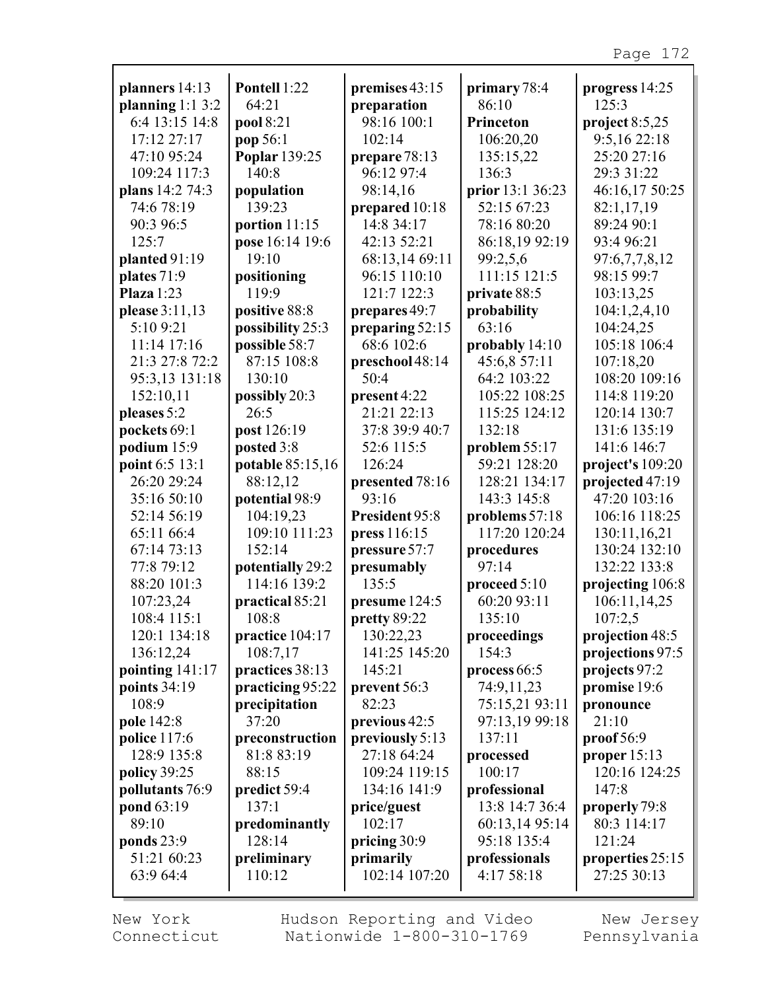| planners 14:13      | Pontell 1:22            | premises 43:15  | primary 78:4     | progress 14:25   |
|---------------------|-------------------------|-----------------|------------------|------------------|
| planning $1:1\,3:2$ | 64:21                   | preparation     | 86:10            | 125:3            |
| 6:4 13:15 14:8      | pool 8:21               | 98:16 100:1     | Princeton        | project $8:5,25$ |
| 17:12 27:17         | pop 56:1                | 102:14          | 106:20,20        | 9:5,16 22:18     |
| 47:10 95:24         | <b>Poplar</b> 139:25    | prepare 78:13   | 135:15,22        | 25:20 27:16      |
| 109:24 117:3        | 140:8                   | 96:12 97:4      | 136:3            | 29:3 31:22       |
| plans 14:2 74:3     | population              | 98:14,16        | prior 13:1 36:23 | 46:16,17 50:25   |
| 74:6 78:19          | 139:23                  | prepared 10:18  | 52:15 67:23      | 82:1,17,19       |
| 90:3 96:5           | portion 11:15           | 14:8 34:17      | 78:16 80:20      | 89:24 90:1       |
| 125:7               | pose 16:14 19:6         | 42:13 52:21     | 86:18,19 92:19   | 93:4 96:21       |
| planted $91:19$     | 19:10                   | 68:13,14 69:11  | 99:2,5,6         | 97:6,7,7,8,12    |
| plates 71:9         | positioning             | 96:15 110:10    | 111:15 121:5     | 98:15 99:7       |
| Plaza $1:23$        | 119:9                   | 121:7 122:3     | private 88:5     | 103:13,25        |
| please 3:11,13      | positive 88:8           | prepares 49:7   | probability      | 104:1,2,4,10     |
| 5:10 9:21           | possibility 25:3        | preparing 52:15 | 63:16            | 104:24,25        |
| 11:14 17:16         | possible 58:7           | 68:6 102:6      | probably 14:10   | 105:18 106:4     |
| 21:3 27:8 72:2      | 87:15 108:8             | preschool 48:14 | 45:6,8 57:11     | 107:18,20        |
| 95:3,13 131:18      | 130:10                  | 50:4            | 64:2 103:22      | 108:20 109:16    |
| 152:10,11           | possibly 20:3           | present 4:22    | 105:22 108:25    | 114:8 119:20     |
| pleases 5:2         | 26:5                    | 21:21 22:13     | 115:25 124:12    | 120:14 130:7     |
| pockets 69:1        | post 126:19             | 37:8 39:9 40:7  | 132:18           | 131:6 135:19     |
| podium 15:9         | posted 3:8              | 52:6 115:5      | problem 55:17    | 141:6 146:7      |
| point 6:5 13:1      | <b>potable</b> 85:15,16 | 126:24          | 59:21 128:20     | project's 109:20 |
| 26:20 29:24         | 88:12,12                | presented 78:16 | 128:21 134:17    | projected 47:19  |
| 35:16 50:10         | potential 98:9          | 93:16           | 143:3 145:8      | 47:20 103:16     |
| 52:14 56:19         | 104:19,23               | President 95:8  | problems 57:18   | 106:16 118:25    |
| 65:11 66:4          | 109:10 111:23           | press 116:15    | 117:20 120:24    | 130:11,16,21     |
| 67:14 73:13         | 152:14                  | pressure 57:7   | procedures       | 130:24 132:10    |
| 77:8 79:12          | potentially 29:2        | presumably      | 97:14            | 132:22 133:8     |
| 88:20 101:3         | 114:16 139:2            | 135:5           | proceed 5:10     | projecting 106:8 |
| 107:23,24           | practical 85:21         | presume 124:5   | 60:20 93:11      | 106:11,14,25     |
| 108:4 115:1         | 108:8                   | pretty 89:22    | 135:10           | 107:2,5          |
| 120:1 134:18        | practice 104:17         | 130:22,23       | proceedings      | projection 48:5  |
| 136:12,24           | 108:7,17                | 141:25 145:20   | 154:3            | projections 97:5 |
| pointing 141:17     | practices 38:13         | 145:21          | process $66:5$   | projects 97:2    |
| points 34:19        | practicing 95:22        | prevent 56:3    | 74:9,11,23       | promise 19:6     |
| 108:9               | precipitation           | 82:23           | 75:15,21 93:11   | pronounce        |
| pole 142:8          | 37:20                   | previous 42:5   | 97:13,19 99:18   | 21:10            |
| police 117:6        | preconstruction         | previously 5:13 | 137:11           | proof 56:9       |
| 128:9 135:8         | 81:8 83:19              | 27:18 64:24     | processed        | proper $15:13$   |
| policy 39:25        | 88:15                   | 109:24 119:15   | 100:17           | 120:16 124:25    |
| pollutants 76:9     | predict 59:4            | 134:16 141:9    | professional     | 147:8            |
| pond 63:19          | 137:1                   | price/guest     | 13:8 14:7 36:4   | properly 79:8    |
| 89:10               | predominantly           | 102:17          | 60:13,14 95:14   | 80:3 114:17      |
| ponds 23:9          | 128:14                  | pricing 30:9    | 95:18 135:4      | 121:24           |
| 51:21 60:23         | preliminary             | primarily       | professionals    | properties 25:15 |
| 63:9 64:4           | 110:12                  | 102:14 107:20   | 4:17 58:18       | 27:25 30:13      |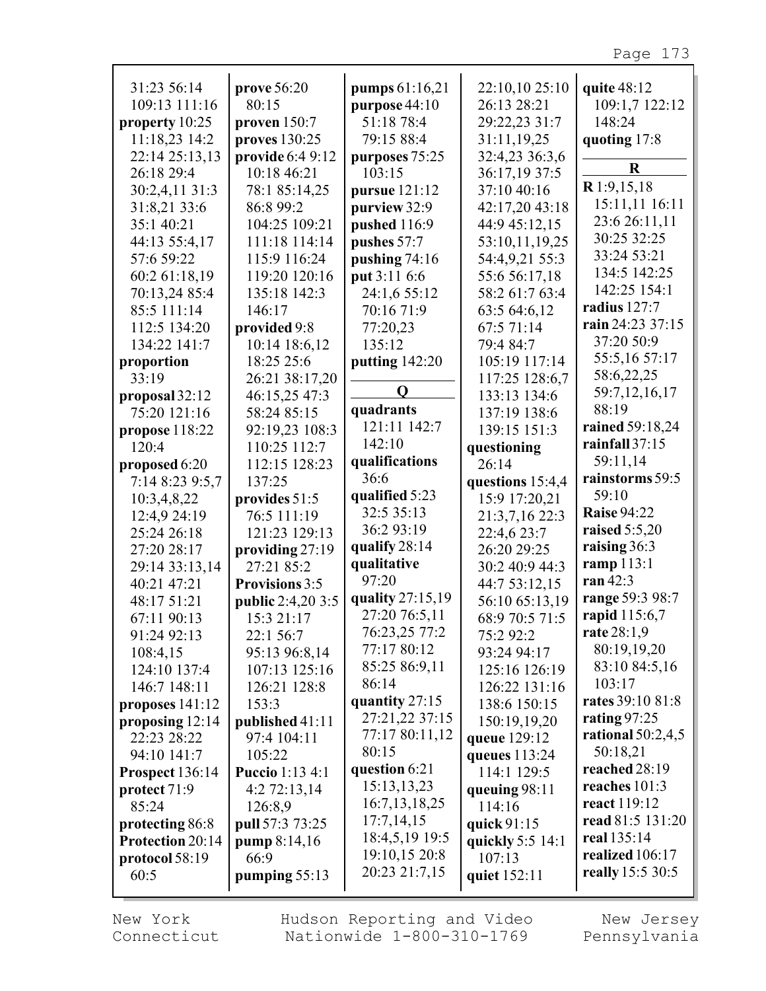| 31:23 56:14       | prove 56:20              | pumps 61:16,21   | 22:10,10 25:10   | quite 48:12         |
|-------------------|--------------------------|------------------|------------------|---------------------|
| 109:13 111:16     | 80:15                    | purpose $44:10$  | 26:13 28:21      | 109:1,7 122:12      |
| property $10:25$  | proven $150:7$           | 51:18 78:4       | 29:22,23 31:7    | 148:24              |
| 11:18,23 14:2     | proves 130:25            | 79:15 88:4       | 31:11,19,25      |                     |
|                   |                          |                  |                  | quoting 17:8        |
| 22:14 25:13,13    | provide 6:4 9:12         | purposes 75:25   | 32:4,23 36:3,6   | $\bf R$             |
| 26:18 29:4        | 10:18 46:21              | 103:15           | 36:17,19 37:5    |                     |
| 30:2,4,11 31:3    | 78:1 85:14,25            | pursue 121:12    | 37:10 40:16      | $R$ 1:9,15,18       |
| 31:8,21 33:6      | 86:8 99:2                | purview 32:9     | 42:17,20 43:18   | 15:11,11 16:11      |
| 35:1 40:21        | 104:25 109:21            | pushed 116:9     | 44:9 45:12,15    | 23:6 26:11,11       |
| 44:13 55:4,17     | 111:18 114:14            | pushes 57:7      | 53:10,11,19,25   | 30:25 32:25         |
| 57:6 59:22        | 115:9 116:24             | pushing 74:16    | 54:4,9,21 55:3   | 33:24 53:21         |
|                   | 119:20 120:16            |                  |                  | 134:5 142:25        |
| 60:2 61:18,19     |                          | put 3:11 6:6     | 55:6 56:17,18    | 142:25 154:1        |
| 70:13,24 85:4     | 135:18 142:3             | 24:1,6 55:12     | 58:2 61:7 63:4   | radius 127:7        |
| 85:5 111:14       | 146:17                   | 70:16 71:9       | 63:5 64:6,12     |                     |
| 112:5 134:20      | provided 9:8             | 77:20,23         | 67:5 71:14       | rain 24:23 37:15    |
| 134:22 141:7      | 10:14 18:6,12            | 135:12           | 79:4 84:7        | 37:20 50:9          |
| proportion        | 18:25 25:6               | putting 142:20   | 105:19 117:14    | 55:5,16 57:17       |
| 33:19             | 26:21 38:17,20           |                  | 117:25 128:6,7   | 58:6,22,25          |
| proposal $32:12$  | 46:15,25 47:3            | Q                | 133:13 134:6     | 59:7,12,16,17       |
| 75:20 121:16      | 58:24 85:15              | quadrants        | 137:19 138:6     | 88:19               |
| propose 118:22    | 92:19,23 108:3           | 121:11 142:7     | 139:15 151:3     | rained 59:18,24     |
|                   |                          | 142:10           |                  | rainfall 37:15      |
| 120:4             | 110:25 112:7             | qualifications   | questioning      | 59:11,14            |
| proposed 6:20     | 112:15 128:23            |                  | 26:14            |                     |
| 7:14 8:23 9:5,7   | 137:25                   | 36:6             | questions 15:4,4 | rainstorms 59:5     |
| 10:3,4,8,22       | provides 51:5            | qualified 5:23   | 15:9 17:20,21    | 59:10               |
| 12:4,9 24:19      | 76:5 111:19              | 32:5 35:13       | 21:3,7,16 22:3   | <b>Raise 94:22</b>  |
| 25:24 26:18       | 121:23 129:13            | 36:2 93:19       | 22:4,6 23:7      | raised 5:5,20       |
| 27:20 28:17       | providing 27:19          | qualify 28:14    | 26:20 29:25      | raising 36:3        |
| 29:14 33:13,14    | 27:21 85:2               | qualitative      | 30:2 40:9 44:3   | ramp 113:1          |
| 40:21 47:21       | <b>Provisions</b> 3:5    | 97:20            | 44:7 53:12,15    | ran 42:3            |
| 48:17 51:21       | <b>public</b> 2:4,20 3:5 | quality 27:15,19 | 56:10 65:13,19   | range 59:3 98:7     |
|                   |                          | 27:20 76:5,11    |                  | rapid 115:6,7       |
| 67:11 90:13       | 15:3 21:17               | 76:23,25 77:2    | 68:9 70:5 71:5   | rate 28:1,9         |
| 91:24 92:13       | 22:1 56:7                |                  | 75:2 92:2        |                     |
| 108:4,15          | 95:13 96:8,14            | 77:17 80:12      | 93:24 94:17      | 80:19,19,20         |
| 124:10 137:4      | 107:13 125:16            | 85:25 86:9,11    | 125:16 126:19    | 83:10 84:5,16       |
| 146:7 148:11      | 126:21 128:8             | 86:14            | 126:22 131:16    | 103:17              |
| proposes $141:12$ | 153:3                    | quantity 27:15   | 138:6 150:15     | rates 39:10 81:8    |
| proposing $12:14$ | published 41:11          | 27:21,22 37:15   | 150:19,19,20     | rating $97:25$      |
| 22:23 28:22       | 97:4 104:11              | 77:17 80:11,12   | queue 129:12     | rational $50:2,4,5$ |
| 94:10 141:7       | 105:22                   | 80:15            | queues 113:24    | 50:18,21            |
| Prospect 136:14   | <b>Puccio</b> 1:13 4:1   | question 6:21    | 114:1 129:5      | reached 28:19       |
|                   |                          | 15:13,13,23      |                  | reaches 101:3       |
| protect 71:9      | 4:272:13,14              | 16:7, 13, 18, 25 | queuing 98:11    | react 119:12        |
| 85:24             | 126:8,9                  | 17:7,14,15       | 114:16           | read 81:5 131:20    |
| protecting 86:8   | pull 57:3 73:25          |                  | quick 91:15      |                     |
| Protection 20:14  | <b>pump</b> $8:14,16$    | 18:4,5,19 19:5   | quickly 5:5 14:1 | real 135:14         |
| protocol 58:19    |                          | 19:10,15 20:8    |                  | realized 106:17     |
|                   | 66:9                     |                  | 107:13           |                     |
| 60:5              | pumping $55:13$          | 20:23 21:7,15    | quiet 152:11     | really 15:5 30:5    |

New York Connecticut

г

Hudson Reporting and Video Nationwide 1-800-310-1769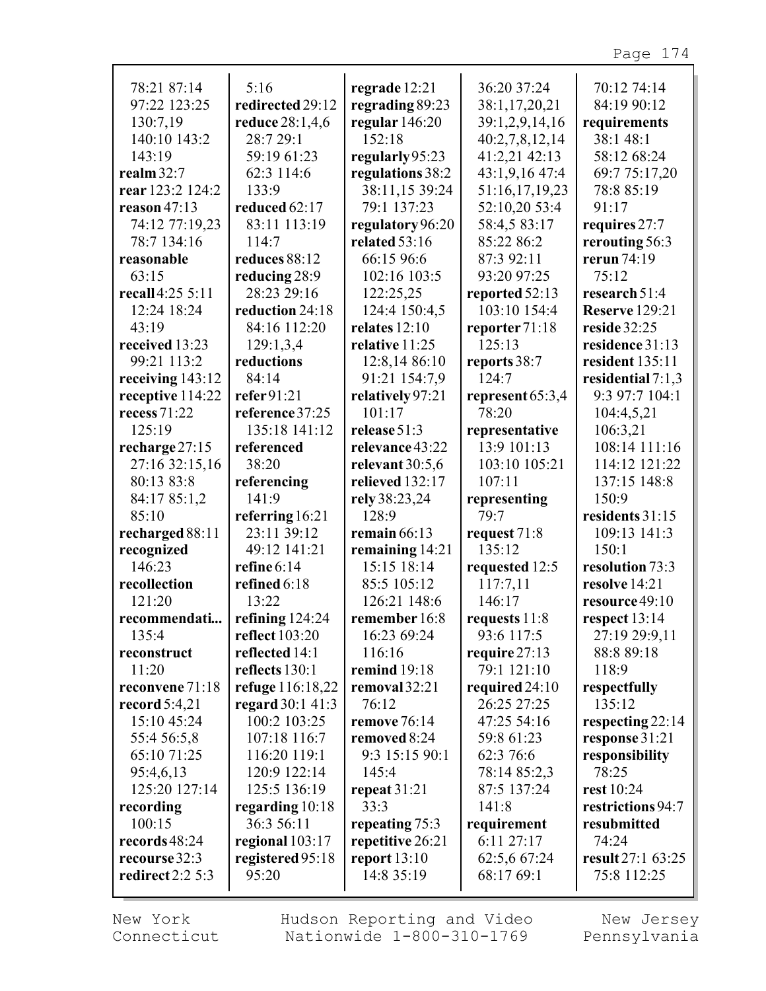| 78:21 87:14<br>97:22 123:25 | 5:16<br>redirected 29:12 | regrade 12:21     | 36:20 37:24      | 70:12 74:14<br>84:19 90:12 |
|-----------------------------|--------------------------|-------------------|------------------|----------------------------|
|                             |                          | regrading 89:23   | 38:1,17,20,21    |                            |
| 130:7,19                    | reduce 28:1,4,6          | regular 146:20    | 39:1,2,9,14,16   | requirements               |
| 140:10 143:2                | 28:7 29:1                | 152:18            | 40:2,7,8,12,14   | 38:1 48:1                  |
| 143:19                      | 59:19 61:23              | regularly 95:23   | 41:2,21 42:13    | 58:12 68:24                |
| realm $32:7$                | 62:3 114:6               | regulations 38:2  | 43:1,9,16 47:4   | 69:7 75:17,20              |
| rear 123:2 124:2            | 133:9                    | 38:11,15 39:24    | 51:16,17,19,23   | 78:8 85:19                 |
| reason $47:13$              | reduced 62:17            | 79:1 137:23       | 52:10,20 53:4    | 91:17                      |
| 74:12 77:19,23              | 83:11 113:19             | regulatory 96:20  | 58:4,5 83:17     | requires 27:7              |
| 78:7 134:16                 | 114:7                    | related 53:16     | 85:22 86:2       | rerouting 56:3             |
| reasonable                  | reduces 88:12            | 66:15 96:6        | 87:3 92:11       | rerun 74:19                |
| 63:15                       | reducing 28:9            | 102:16 103:5      | 93:20 97:25      | 75:12                      |
| recall 4:25 5:11            | 28:23 29:16              | 122:25,25         | reported 52:13   | research $51:4$            |
| 12:24 18:24                 | reduction 24:18          | 124:4 150:4,5     | 103:10 154:4     | <b>Reserve</b> 129:21      |
| 43:19                       | 84:16 112:20             | relates $12:10$   | reporter71:18    | reside 32:25               |
| received 13:23              | 129:1,3,4                | relative 11:25    | 125:13           | residence 31:13            |
| 99:21 113:2                 | reductions               | 12:8,14 86:10     | reports 38:7     | resident 135:11            |
| receiving 143:12            | 84:14                    | 91:21 154:7,9     | 124:7            | residential $7:1,3$        |
| receptive 114:22            | refer $91:21$            | relatively 97:21  | represent 65:3,4 | 9:3 97:7 104:1             |
| recess 71:22                | reference 37:25          | 101:17            | 78:20            | 104:4,5,21                 |
| 125:19                      | 135:18 141:12            | release 51:3      | representative   | 106:3,21                   |
| recharge 27:15              | referenced               | relevance 43:22   | 13:9 101:13      | 108:14 111:16              |
| 27:16 32:15,16              | 38:20                    | relevant $30:5,6$ | 103:10 105:21    | 114:12 121:22              |
| 80:13 83:8                  | referencing              | relieved 132:17   | 107:11           | 137:15 148:8               |
| 84:17 85:1,2                | 141:9                    | rely 38:23,24     | representing     | 150:9                      |
| 85:10                       | referring 16:21          | 128:9             | 79:7             | residents 31:15            |
| recharged 88:11             | 23:11 39:12              | remain $66:13$    | request 71:8     | 109:13 141:3               |
| recognized                  | 49:12 141:21             | remaining 14:21   | 135:12           | 150:1                      |
| 146:23                      | refine 6:14              | 15:15 18:14       | requested 12:5   | resolution 73:3            |
| recollection                | refined 6:18             | 85:5 105:12       | 117:7,11         | resolve 14:21              |
| $121 \cdot 20$              | 13:22                    | 126:21 148:6      | 146:17           | resource 49:10             |
| recommendati                | refining $124:24$        | remember 16:8     | requests $11:8$  | respect $13:14$            |
| 135:4                       | <b>reflect</b> 103:20    | 16:23 69:24       | 93:6 117:5       | 27:19 29:9,11              |
| reconstruct                 | reflected 14:1           | 116:16            | require $27:13$  | 88:8 89:18                 |
| 11:20                       | reflects 130:1           | remind 19:18      | 79:1 121:10      | 118:9                      |
| reconvene 71:18             | refuge 116:18,22         | removal 32:21     | required $24:10$ | respectfully               |
| record $5:4,21$             | regard 30:1 41:3         | 76:12             | 26:25 27:25      | 135:12                     |
| 15:10 45:24                 | 100:2 103:25             | remove 76:14      | 47:25 54:16      | respecting 22:14           |
| 55:4 56:5,8                 | 107:18 116:7             | removed 8:24      | 59:8 61:23       | response 31:21             |
| 65:10 71:25                 | 116:20 119:1             | 9:3 15:15 90:1    | 62:3 76:6        | responsibility             |
| 95:4,6,13                   | 120:9 122:14             | 145:4             | 78:14 85:2,3     | 78:25                      |
| 125:20 127:14               | 125:5 136:19             | repeat $31:21$    | 87:5 137:24      | rest 10:24                 |
| recording                   | regarding $10:18$        | 33:3              | 141:8            | restrictions 94:7          |
| 100:15                      | 36:3 56:11               | repeating 75:3    | requirement      | resubmitted                |
| records 48:24               | regional $103:17$        | repetitive 26:21  | 6:11 27:17       | 74:24                      |
| recourse 32:3               | registered 95:18         | report $13:10$    | 62:5,6 67:24     | result 27:1 63:25          |
| redirect $2:2 5:3$          | 95:20                    | 14:8 35:19        | 68:17 69:1       | 75:8 112:25                |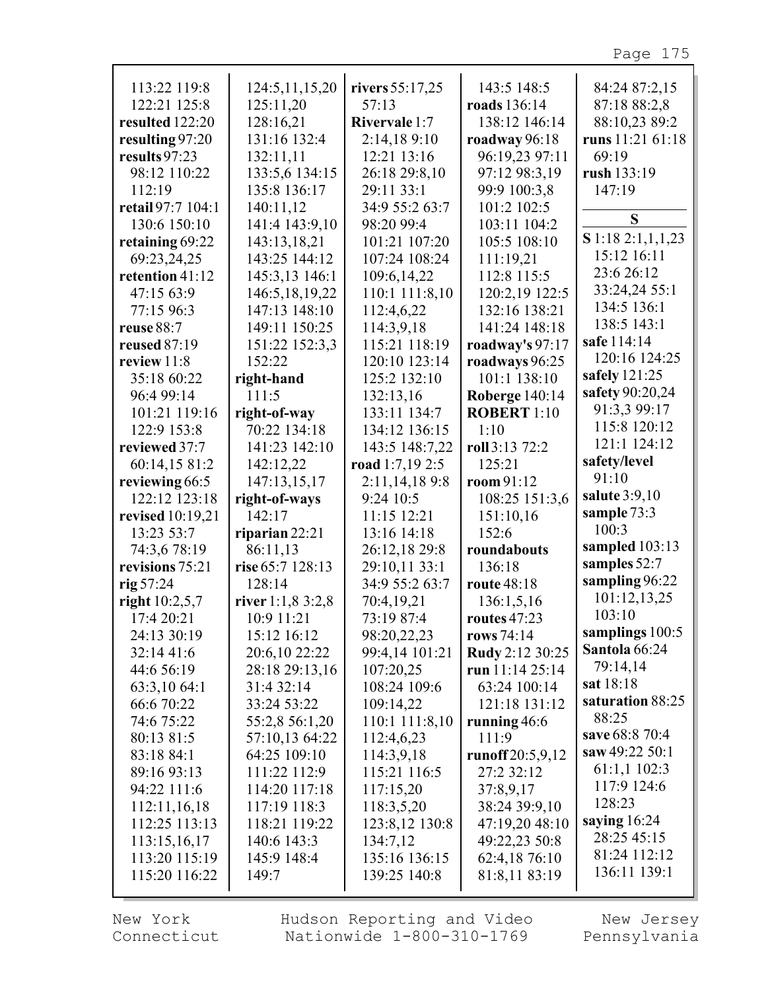| 113:22 119:8      | 124:5, 11, 15, 20   | rivers 55:17,25      | 143:5 148:5           | 84:24 87:2,15    |
|-------------------|---------------------|----------------------|-----------------------|------------------|
| 122:21 125:8      | 125:11,20           | 57:13                | <b>roads</b> 136:14   | 87:18 88:2,8     |
| resulted 122:20   | 128:16,21           | <b>Rivervale 1:7</b> | 138:12 146:14         | 88:10,23 89:2    |
| resulting 97:20   | 131:16 132:4        | 2:14,189:10          | roadway 96:18         | runs 11:21 61:18 |
| results 97:23     | 132:11,11           | 12:21 13:16          | 96:19,23 97:11        | 69:19            |
| 98:12 110:22      | 133:5,6 134:15      | 26:18 29:8,10        | 97:12 98:3,19         | rush 133:19      |
| 112:19            | 135:8 136:17        | 29:11 33:1           | 99:9 100:3,8          | 147:19           |
| retail 97:7 104:1 | 140:11,12           | 34:9 55:2 63:7       | 101:2 102:5           |                  |
| 130:6 150:10      | 141:4 143:9,10      | 98:20 99:4           | 103:11 104:2          | S                |
| retaining 69:22   | 143:13,18,21        | 101:21 107:20        | 105:5 108:10          | S1:182:1,1,1,23  |
| 69:23,24,25       | 143:25 144:12       | 107:24 108:24        | 111:19,21             | 15:12 16:11      |
| retention 41:12   | 145:3,13 146:1      | 109:6,14,22          | 112:8 115:5           | 23:6 26:12       |
| 47:15 63:9        | 146:5, 18, 19, 22   | 110:1 111:8,10       | 120:2,19 122:5        | 33:24,24 55:1    |
| 77:15 96:3        | 147:13 148:10       | 112:4,6,22           | 132:16 138:21         | 134:5 136:1      |
| reuse 88:7        | 149:11 150:25       | 114:3,9,18           | 141:24 148:18         | 138:5 143:1      |
| reused 87:19      | 151:22 152:3,3      | 115:21 118:19        | roadway's 97:17       | safe 114:14      |
| review 11:8       | 152:22              | 120:10 123:14        | roadways 96:25        | 120:16 124:25    |
| 35:18 60:22       | right-hand          | 125:2 132:10         | 101:1 138:10          | safely 121:25    |
| 96:4 99:14        | 111:5               | 132:13,16            | <b>Roberge 140:14</b> | safety 90:20,24  |
| 101:21 119:16     | right-of-way        | 133:11 134:7         | <b>ROBERT</b> 1:10    | 91:3,3 99:17     |
| 122:9 153:8       | 70:22 134:18        | 134:12 136:15        | 1:10                  | 115:8 120:12     |
| reviewed 37:7     | 141:23 142:10       | 143:5 148:7,22       | roll 3:13 72:2        | 121:1 124:12     |
| 60:14,15 81:2     | 142:12,22           | road $1:7,19$ 2:5    | 125:21                | safety/level     |
| reviewing 66:5    | 147:13,15,17        | 2:11,14,189:8        | room 91:12            | 91:10            |
| 122:12 123:18     | right-of-ways       | 9:24 10:5            | 108:25 151:3,6        | salute $3:9,10$  |
| revised 10:19,21  | 142:17              | 11:15 12:21          | 151:10,16             | sample 73:3      |
| 13:23 53:7        | riparian $22:21$    | 13:16 14:18          | 152:6                 | 100:3            |
| 74:3,6 78:19      | 86:11,13            | 26:12,18 29:8        | roundabouts           | sampled 103:13   |
| revisions 75:21   | rise 65:7 128:13    | 29:10,11 33:1        | 136:18                | samples 52:7     |
|                   | 128:14              | 34:9 55:2 63:7       | route 48:18           | sampling 96:22   |
| rig $57:24$       |                     |                      |                       | 101:12,13,25     |
| right $10:2,5,7$  | river $1:1,8,3:2,8$ | 70:4,19,21           | 136:1,5,16            | 103:10           |
| 17:4 20:21        | 10:9 11:21          | 73:19 87:4           | routes 47:23          | samplings 100:5  |
| 24:13 30:19       | 15:12 16:12         | 98:20,22,23          | rows 74:14            | Santola 66:24    |
| 32:14 41:6        | 20:6,10 22:22       | 99:4,14 101:21       | Rudy 2:12 30:25       | 79:14,14         |
| 44:6 56:19        | 28:18 29:13,16      | 107:20,25            | run 11:14 $25:14$     | sat 18:18        |
| 63:3,10 64:1      | 31:4 32:14          | 108:24 109:6         | 63:24 100:14          | saturation 88:25 |
| 66:6 70:22        | 33:24 53:22         | 109:14,22            | 121:18 131:12         | 88:25            |
| 74:6 75:22        | 55:2,8 56:1,20      | 110:1 111:8,10       | running $46:6$        |                  |
| 80:13 81:5        | 57:10,13 64:22      | 112:4,6,23           | 111:9                 | save 68:8 70:4   |
| 83:18 84:1        | 64:25 109:10        | 114:3,9,18           | runoff $20:5,9,12$    | saw 49:22 50:1   |
| 89:16 93:13       | 111:22 112:9        | 115:21 116:5         | 27:2 32:12            | 61:1,1 102:3     |
| 94:22 111:6       | 114:20 117:18       | 117:15,20            | 37:8,9,17             | 117:9 124:6      |
| 112:11,16,18      | 117:19 118:3        | 118:3,5,20           | 38:24 39:9,10         | 128:23           |
| 112:25 113:13     | 118:21 119:22       | 123:8,12 130:8       | 47:19,20 48:10        | saying $16:24$   |
| 113:15,16,17      | 140:6 143:3         | 134:7,12             | 49:22,23 50:8         | 28:25 45:15      |
| 113:20 115:19     | 145:9 148:4         | 135:16 136:15        | 62:4,18 76:10         | 81:24 112:12     |
| 115:20 116:22     | 149:7               | 139:25 140:8         | 81:8,11 83:19         | 136:11 139:1     |
|                   |                     |                      |                       |                  |

г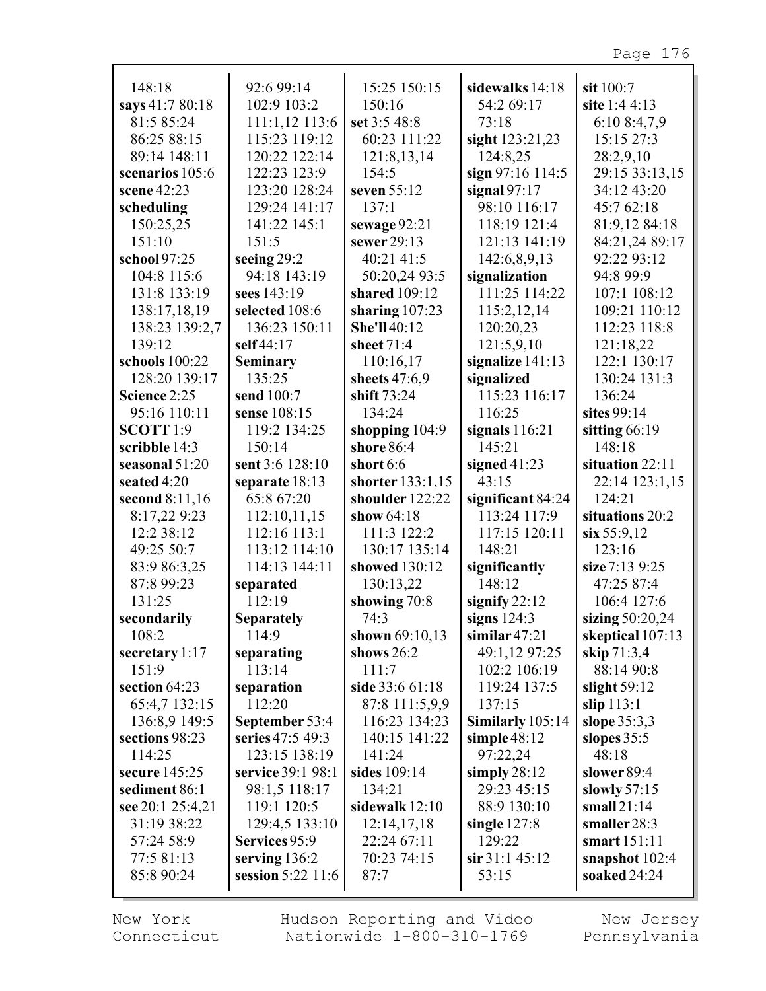| 148:18               | 92:6 99:14        | 15:25 150:15           | sidewalks 14:18    | sit 100:7         |
|----------------------|-------------------|------------------------|--------------------|-------------------|
| says 41:7 80:18      | 102:9 103:2       | 150:16                 | 54:2 69:17         | site 1:4 4:13     |
| 81:5 85:24           | 111:1,12 113:6    | set 3:5 48:8           | 73:18              | 6:10 8:4,7,9      |
| 86:25 88:15          | 115:23 119:12     | 60:23 111:22           | sight 123:21,23    | 15:15 27:3        |
| 89:14 148:11         | 120:22 122:14     | 121:8,13,14            | 124:8,25           | 28:2,9,10         |
| scenarios 105:6      | 122:23 123:9      | 154:5                  | sign 97:16 114:5   | 29:15 33:13,15    |
| scene 42:23          | 123:20 128:24     | seven 55:12            | signal $97:17$     | 34:12 43:20       |
|                      |                   | 137:1                  |                    |                   |
| scheduling           | 129:24 141:17     |                        | 98:10 116:17       | 45:7 62:18        |
| 150:25,25            | 141:22 145:1      | sewage 92:21           | 118:19 121:4       | 81:9,12 84:18     |
| 151:10               | 151:5             | sewer 29:13            | 121:13 141:19      | 84:21,24 89:17    |
| school 97:25         | seeing 29:2       | 40:21 41:5             | 142:6,8,9,13       | 92:22 93:12       |
| 104:8 115:6          | 94:18 143:19      | 50:20,24 93:5          | signalization      | 94:8 99:9         |
| 131:8 133:19         | sees 143:19       | shared 109:12          | 111:25 114:22      | 107:1 108:12      |
| 138:17,18,19         | selected 108:6    | sharing $107:23$       | 115:2,12,14        | 109:21 110:12     |
| 138:23 139:2,7       | 136:23 150:11     | She'll 40:12           | 120:20,23          | 112:23 118:8      |
| 139:12               | self 44:17        | sheet 71:4             | 121:5,9,10         | 121:18,22         |
| schools 100:22       | <b>Seminary</b>   | 110:16,17              | signalize $141:13$ | 122:1 130:17      |
| 128:20 139:17        | 135:25            | sheets 47:6,9          | signalized         | 130:24 131:3      |
| Science 2:25         | send 100:7        | shift 73:24            | 115:23 116:17      | 136:24            |
| 95:16 110:11         | sense 108:15      | 134:24                 | 116:25             | sites 99:14       |
| SCOTT <sub>1:9</sub> | 119:2 134:25      | shopping $104:9$       | signals $116:21$   | sitting $66:19$   |
|                      | 150:14            | shore 86:4             | 145:21             | 148:18            |
| scribble 14:3        |                   |                        |                    |                   |
| seasonal 51:20       | sent 3:6 128:10   | short $6:6$            | signed $41:23$     | situation 22:11   |
| seated 4:20          | separate 18:13    | shorter 133:1,15       | 43:15              | 22:14 123:1,15    |
| second 8:11,16       | 65:8 67:20        | shoulder 122:22        | significant 84:24  | 124:21            |
| 8:17,22 9:23         | 112:10,11,15      | show 64:18             | 113:24 117:9       | situations 20:2   |
| 12:2 38:12           | 112:16 113:1      | 111:3 122:2            | 117:15 120:11      | $\sin 55:9,12$    |
| 49:25 50:7           | 113:12 114:10     | 130:17 135:14          | 148:21             | 123:16            |
| 83:9 86:3,25         | 114:13 144:11     | showed 130:12          | significantly      | size 7:13 9:25    |
| 87:8 99:23           | separated         | 130:13,22              | 148:12             | 47:25 87:4        |
| 131:25               | 112:19            | showing 70:8           | signify $22:12$    | 106:4 127:6       |
| secondarily          | <b>Separately</b> | 74:3                   | signs $124:3$      | sizing $50:20,24$ |
| 108:2                | 114:9             | shown 69:10,13         | similar $47:21$    | skeptical 107:13  |
| secretary $1:17$     | separating        | shows $26:2$           | 49:1,12 97:25      | skip 71:3,4       |
| 151:9                | 113:14            | 111:7                  | 102:2 106:19       | 88:14 90:8        |
| section 64:23        | separation        | <b>side</b> 33:6 61:18 | 119:24 137:5       | slight $59:12$    |
| 65:4,7 132:15        | 112:20            | 87:8 111:5,9,9         | 137:15             | slip 113:1        |
|                      |                   |                        |                    |                   |
| 136:8,9 149:5        | September 53:4    | 116:23 134:23          | Similarly 105:14   | slope $35:3,3$    |
| sections 98:23       | series 47:5 49:3  | 140:15 141:22          | simple $48:12$     | slopes $35:5$     |
| 114:25               | 123:15 138:19     | 141:24                 | 97:22,24           | 48:18             |
| secure 145:25        | service 39:1 98:1 | sides 109:14           | simply $28:12$     | slower 89:4       |
| sediment 86:1        | 98:1,5 118:17     | 134:21                 | 29:23 45:15        | slowly $57:15$    |
| see 20:1 25:4,21     | 119:1 120:5       | sidewalk $12:10$       | 88:9 130:10        | small $21:14$     |
| 31:19 38:22          | 129:4,5 133:10    | 12:14,17,18            | single $127:8$     | smaller28:3       |
| 57:24 58:9           | Services 95:9     | 22:24 67:11            | 129:22             | smart 151:11      |
| 77:5 81:13           | serving $136:2$   | 70:23 74:15            | $\sin 31:145:12$   | snapshot $102:4$  |
| 85:8 90:24           | session 5:22 11:6 | 87:7                   | 53:15              | soaked 24:24      |
|                      |                   |                        |                    |                   |

г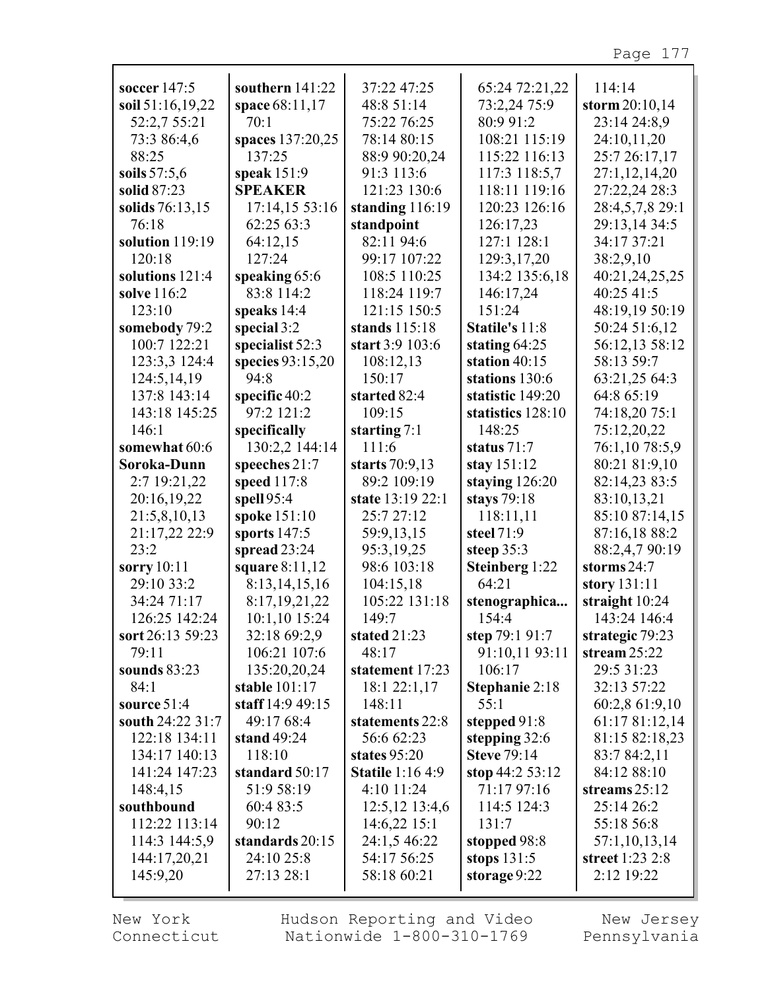| soccer 147:5      | southern 141:22    | 37:22 47:25                | 65:24 72:21,22        | 114:14           |
|-------------------|--------------------|----------------------------|-----------------------|------------------|
| soil 51:16,19,22  | space 68:11,17     | 48:8 51:14                 | 73:2,24 75:9          | storm $20:10,14$ |
|                   |                    |                            |                       |                  |
| 52:2,7 55:21      | 70:1               | 75:22 76:25                | 80:9 91:2             | 23:14 24:8,9     |
| 73:3 86:4,6       | spaces 137:20,25   | 78:14 80:15                | 108:21 115:19         | 24:10,11,20      |
| 88:25             | 137:25             | 88:9 90:20,24              | 115:22 116:13         | 25:7 26:17,17    |
| soils $57:5,6$    | speak 151:9        | 91:3 113:6                 | 117:3 118:5,7         | 27:1,12,14,20    |
| solid 87:23       | <b>SPEAKER</b>     | 121:23 130:6               | 118:11 119:16         | 27:22,24 28:3    |
| solids 76:13,15   | 17:14,15 53:16     | standing $116:19$          | 120:23 126:16         | 28:4,5,7,8 29:1  |
| 76:18             | 62:25 63:3         | standpoint                 | 126:17,23             | 29:13,14 34:5    |
| solution 119:19   | 64:12,15           | 82:11 94:6                 | 127:1 128:1           | 34:17 37:21      |
| 120:18            | 127:24             | 99:17 107:22               | 129:3,17,20           | 38:2,9,10        |
| solutions $121:4$ | speaking 65:6      | 108:5 110:25               | 134:2 135:6,18        | 40:21,24,25,25   |
| solve 116:2       | 83:8 114:2         | 118:24 119:7               | 146:17,24             | 40:25 41:5       |
| 123:10            | speaks $14:4$      | 121:15 150:5               | 151:24                | 48:19,19 50:19   |
| somebody 79:2     | special 3:2        | stands $115:18$            | <b>Statile's 11:8</b> | 50:24 51:6,12    |
| 100:7 122:21      | specialist 52:3    | start 3:9 103:6            | stating $64:25$       | 56:12,13 58:12   |
| 123:3,3 124:4     | species $93:15,20$ | 108:12,13                  | station $40:15$       | 58:13 59:7       |
| 124:5,14,19       | 94:8               | 150:17                     | stations 130:6        | 63:21,25 64:3    |
| 137:8 143:14      | specific 40:2      | started 82:4               | statistic 149:20      | 64:8 65:19       |
| 143:18 145:25     | 97:2 121:2         | 109:15                     | statistics 128:10     | 74:18,20 75:1    |
| 146:1             | specifically       | starting $7:1$             | 148:25                | 75:12,20,22      |
| somewhat 60:6     | 130:2,2 144:14     | 111:6                      | status 71:7           | 76:1,10 78:5,9   |
| Soroka-Dunn       | speeches 21:7      | starts 70:9,13             | stay 151:12           | 80:21 81:9,10    |
| 2:7 19:21,22      | speed 117:8        | 89:2 109:19                | staying $126:20$      | 82:14,23 83:5    |
| 20:16,19,22       | spell 95:4         | state 13:19 22:1           | stays $79:18$         | 83:10,13,21      |
| 21:5,8,10,13      | spoke 151:10       | 25:7 27:12                 | 118:11,11             | 85:10 87:14,15   |
| 21:17,22 22:9     | sports 147:5       | 59:9,13,15                 | steel 71:9            | 87:16,18 88:2    |
| 23:2              | spread 23:24       | 95:3,19,25                 | steep $35:3$          | 88:2,4,7 90:19   |
| sorry 10:11       | square 8:11,12     | 98:6 103:18                | <b>Steinberg 1:22</b> | storms $24:7$    |
| 29:10 33:2        |                    |                            | 64:21                 | story 131:11     |
|                   | 8:13,14,15,16      | 104:15,18<br>105:22 131:18 |                       |                  |
| 34:24 71:17       | 8:17,19,21,22      |                            | stenographica         | straight 10:24   |
| 126:25 142:24     | 10:1,10 15:24      | 149:7                      | 154:4                 | 143:24 146:4     |
| sort 26:13 59:23  | 32:18 69:2,9       | stated 21:23               | step $79:191:7$       | strategic 79:23  |
| 79:11             | 106:21 107:6       | 48:17                      | 91:10,11 93:11        | stream $25:22$   |
| sounds $83:23$    | 135:20,20,24       | statement 17:23            | 106:17                | 29:5 31:23       |
| 84:1              | stable 101:17      | 18:1 22:1,17               | Stephanie 2:18        | 32:13 57:22      |
| source $51:4$     | staff 14:9 49:15   | 148:11                     | 55:1                  | 60:2,8 61:9,10   |
| south 24:22 31:7  | 49:17 68:4         | statements 22:8            | stepped $91:8$        | 61:17 81:12,14   |
| 122:18 134:11     | stand 49:24        | 56:6 62:23                 | stepping $32:6$       | 81:15 82:18,23   |
| 134:17 140:13     | 118:10             | states $95:20$             | <b>Steve 79:14</b>    | 83:7 84:2,11     |
| 141:24 147:23     | standard 50:17     | <b>Statile</b> 1:16 4:9    | stop $44:253:12$      | 84:12 88:10      |
| 148:4,15          | 51:9 58:19         | 4:10 11:24                 | 71:17 97:16           | streams $25:12$  |
| southbound        | 60:4 83:5          | 12:5,12 13:4,6             | 114:5 124:3           | 25:14 26:2       |
| 112:22 113:14     | 90:12              | $14:6,22$ 15:1             | 131:7                 | 55:18 56:8       |
| 114:3 144:5,9     | standards 20:15    | 24:1,5 46:22               | stopped 98:8          | 57:1,10,13,14    |
| 144:17,20,21      | 24:10 25:8         | 54:17 56:25                | stops $131:5$         | street 1:23 2:8  |
| 145:9,20          | 27:13 28:1         | 58:18 60:21                | storage 9:22          | 2:12 19:22       |
|                   |                    |                            |                       |                  |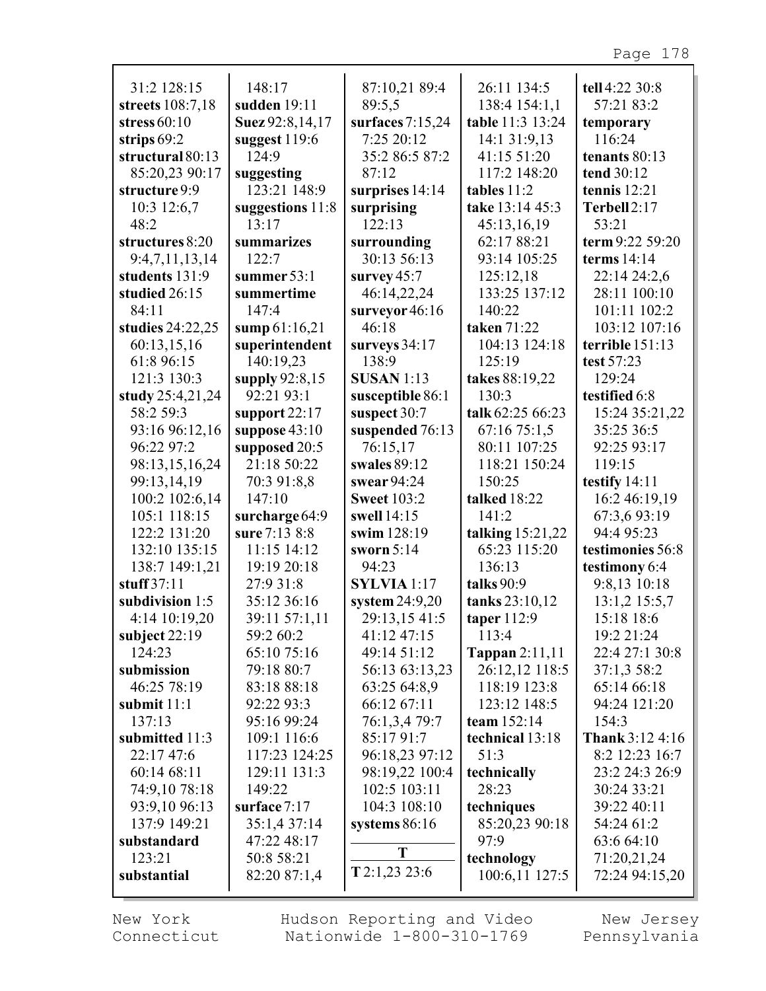| 31:2 128:15      | 148:17           | 87:10,21 89:4      | 26:11 134:5        | tell 4:22 30:8          |
|------------------|------------------|--------------------|--------------------|-------------------------|
| streets 108:7,18 | sudden 19:11     | 89:5,5             | 138:4 154:1,1      | 57:21 83:2              |
| stress $60:10$   | Suez 92:8,14,17  | surfaces $7:15,24$ | table 11:3 13:24   | temporary               |
| strips $69:2$    | suggest $119:6$  | 7:25 20:12         | 14:1 31:9,13       | 116:24                  |
| structural 80:13 | 124:9            | 35:2 86:5 87:2     | 41:15 51:20        | tenants 80:13           |
| 85:20,23 90:17   | suggesting       | 87:12              | 117:2 148:20       | tend 30:12              |
| structure 9:9    | 123:21 148:9     | surprises 14:14    | tables 11:2        | tennis $12:21$          |
| 10:3 12:6,7      | suggestions 11:8 | surprising         | take 13:14 45:3    | Terbell2:17             |
| 48:2             | 13:17            | 122:13             | 45:13,16,19        | 53:21                   |
| structures 8:20  | summarizes       | surrounding        | 62:17 88:21        | term 9:22 59:20         |
| 9:4,7,11,13,14   | 122:7            | 30:13 56:13        | 93:14 105:25       | terms $14:14$           |
| students 131:9   | summer 53:1      | survey $45:7$      | 125:12,18          | 22:14 24:2,6            |
| studied 26:15    | summertime       | 46:14,22,24        | 133:25 137:12      | 28:11 100:10            |
| 84:11            | 147:4            | surveyor 46:16     | 140:22             | 101:11 102:2            |
| studies 24:22,25 | sump $61:16,21$  | 46:18              | taken 71:22        | 103:12 107:16           |
| 60:13,15,16      | superintendent   | surveys $34:17$    | 104:13 124:18      | terrible 151:13         |
| 61:8 96:15       | 140:19,23        | 138:9              | 125:19             | test 57:23              |
| 121:3 130:3      | supply 92:8,15   | <b>SUSAN</b> 1:13  | takes 88:19,22     | 129:24                  |
| study 25:4,21,24 | 92:21 93:1       | susceptible 86:1   | 130:3              | testified 6:8           |
| 58:2 59:3        | support $22:17$  | suspect 30:7       | talk 62:25 66:23   | 15:24 35:21,22          |
| 93:16 96:12,16   | suppose $43:10$  | suspended 76:13    | 67:16 75:1,5       | 35:25 36:5              |
| 96:22 97:2       | supposed 20:5    | 76:15,17           | 80:11 107:25       | 92:25 93:17             |
| 98:13,15,16,24   | 21:18 50:22      | swales 89:12       | 118:21 150:24      | 119:15                  |
| 99:13,14,19      | 70:3 91:8,8      | swear 94:24        | 150:25             | testify 14:11           |
| 100:2 102:6,14   | 147:10           | <b>Sweet 103:2</b> | talked 18:22       | 16:2 46:19,19           |
| 105:1 118:15     | surcharge 64:9   | swell 14:15        | 141:2              | 67:3,6 93:19            |
| 122:2 131:20     | sure 7:13 8:8    | swim 128:19        | talking $15:21,22$ | 94:4 95:23              |
| 132:10 135:15    | 11:15 14:12      | sworn $5:14$       | 65:23 115:20       | testimonies 56:8        |
| 138:7 149:1,21   | 19:19 20:18      | 94:23              | 136:13             | testimony 6:4           |
| stuff $37:11$    | 27:9 31:8        | <b>SYLVIA</b> 1:17 | talks 90:9         | 9:8,13 10:18            |
| subdivision 1:5  | 35:12 36:16      | system $24:9,20$   | tanks 23:10,12     | 13:1,2 15:5,7           |
| 4:14 10:19,20    | 39:11 57:1,11    | 29:13,15 41:5      | taper $112:9$      | 15:18 18:6              |
| subject $22:19$  | 59:2 60:2        | 41:12 47:15        | 113:4              | 19:2 21:24              |
| 124:23           | 65:10 75:16      | 49:14 51:12        | Tappan $2:11,11$   | 22:4 27:1 30:8          |
| submission       | 79:18 80:7       | 56:13 63:13,23     | 26:12,12 118:5     | 37:1,3 58:2             |
| 46:25 78:19      | 83:18 88:18      | 63:25 64:8,9       | 118:19 123:8       | 65:14 66:18             |
| submit $11:1$    | 92:22 93:3       | 66:12 67:11        | 123:12 148:5       | 94:24 121:20            |
| 137:13           | 95:16 99:24      | 76:1,3,4 79:7      | team $152:14$      | 154:3                   |
| submitted 11:3   | 109:1 116:6      | 85:17 91:7         | technical 13:18    | <b>Thank</b> $3:124:16$ |
| 22:17 47:6       | 117:23 124:25    | 96:18,23 97:12     | 51:3               | 8:2 12:23 16:7          |
| 60:14 68:11      | 129:11 131:3     | 98:19,22 100:4     | technically        | 23:2 24:3 26:9          |
| 74:9,10 78:18    | 149:22           | 102:5 103:11       | 28:23              | 30:24 33:21             |
| 93:9,10 96:13    | surface 7:17     | 104:3 108:10       | techniques         | 39:22 40:11             |
| 137:9 149:21     | 35:1,4 37:14     | systems $86:16$    | 85:20,23 90:18     | 54:24 61:2              |
| substandard      | 47:22 48:17      |                    | 97:9               | 63:6 64:10              |
| 123:21           | 50:8 58:21       | T                  | technology         | 71:20,21,24             |
| substantial      | 82:20 87:1,4     | $T$ 2:1,23 23:6    | 100:6,11 127:5     | 72:24 94:15,20          |
|                  |                  |                    |                    |                         |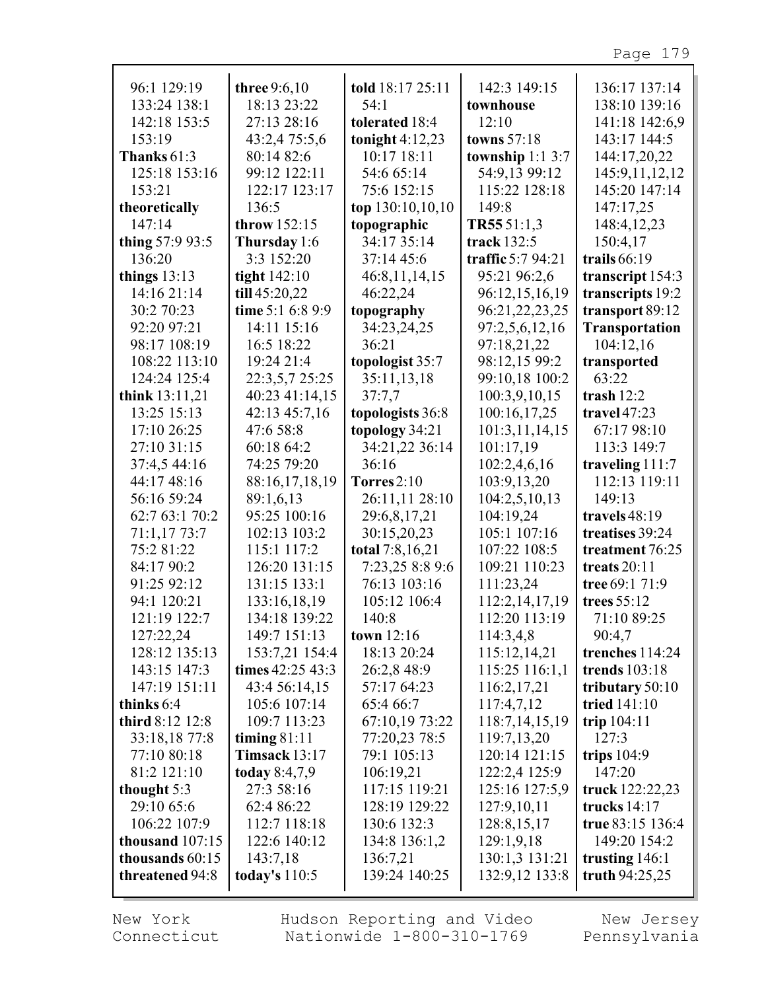| 96:1 129:19       | three 9:6,10     | told 18:17 25:11  | 142:3 149:15        | 136:17 137:14         |
|-------------------|------------------|-------------------|---------------------|-----------------------|
| 133:24 138:1      | 18:13 23:22      | 54:1              | townhouse           | 138:10 139:16         |
| 142:18 153:5      | 27:13 28:16      | tolerated 18:4    | 12:10               | 141:18 142:6,9        |
| 153:19            | 43:2,4 75:5,6    | tonight $4:12,23$ | towns 57:18         | 143:17 144:5          |
| Thanks $61:3$     | 80:14 82:6       | 10:17 18:11       | township $1:1\,3:7$ | 144:17,20,22          |
| 125:18 153:16     | 99:12 122:11     | 54:6 65:14        | 54:9,13 99:12       | 145:9,11,12,12        |
| 153:21            | 122:17 123:17    | 75:6 152:15       | 115:22 128:18       | 145:20 147:14         |
| theoretically     | 136:5            | top 130:10,10,10  | 149:8               | 147:17,25             |
| 147:14            | throw 152:15     | topographic       | TR55 51:1,3         | 148:4,12,23           |
| thing 57:9 93:5   | Thursday 1:6     | 34:17 35:14       | track 132:5         | 150:4,17              |
| 136:20            | 3:3 152:20       | 37:14 45:6        | traffic $5:794:21$  | trails $66:19$        |
| things $13:13$    | tight 142:10     | 46:8,11,14,15     | 95:21 96:2,6        | transcript 154:3      |
| 14:16 21:14       | till 45:20,22    | 46:22,24          | 96:12,15,16,19      | transcripts 19:2      |
| 30:2 70:23        | time 5:1 6:8 9:9 | topography        | 96:21,22,23,25      | transport 89:12       |
| 92:20 97:21       | 14:11 15:16      | 34:23,24,25       | 97:2,5,6,12,16      | <b>Transportation</b> |
| 98:17 108:19      | 16:5 18:22       | 36:21             | 97:18,21,22         | 104:12,16             |
| 108:22 113:10     | 19:24 21:4       | topologist 35:7   | 98:12,15 99:2       | transported           |
| 124:24 125:4      | 22:3,5,7 25:25   | 35:11,13,18       | 99:10,18 100:2      | 63.22                 |
| think 13:11,21    | 40:23 41:14,15   | 37:7,7            | 100:3,9,10,15       | trash $12:2$          |
| 13:25 15:13       | 42:13 45:7,16    | topologists 36:8  | 100:16,17,25        | travel $47:23$        |
| 17:10 26:25       | 47:6 58:8        | topology 34:21    | 101:3,11,14,15      | 67:17 98:10           |
| 27:10 31:15       | 60:18 64:2       | 34:21,22 36:14    | 101:17,19           | 113:3 149:7           |
| 37:4,5 44:16      | 74:25 79:20      | 36:16             | 102:2,4,6,16        | traveling $111:7$     |
| 44:17 48:16       | 88:16,17,18,19   | Torres $2:10$     | 103:9,13,20         | 112:13 119:11         |
| 56:16 59:24       | 89:1,6,13        | 26:11,11 28:10    | 104:2,5,10,13       | 149:13                |
| 62:7 63:1 70:2    | 95:25 100:16     | 29:6,8,17,21      | 104:19,24           | travels 48:19         |
| 71:1,17 73:7      | 102:13 103:2     | 30:15,20,23       | 105:1 107:16        | treatises 39:24       |
| 75:2 81:22        | 115:1 117:2      | total 7:8,16,21   | 107:22 108:5        | treatment 76:25       |
| 84:17 90:2        | 126:20 131:15    | 7:23,25 8:8 9:6   | 109:21 110:23       | treats $20:11$        |
| 91:25 92:12       | 131:15 133:1     | 76:13 103:16      | 111:23,24           | tree 69:1 71:9        |
| 94:1 120:21       | 133:16,18,19     | 105:12 106:4      | 112:2,14,17,19      | trees 55:12           |
| 121:19 122:7      | 134:18 139:22    | 140:8             | 112:20 113:19       | 71:10 89:25           |
| 127:22,24         | 149:7 151:13     | town $12:16$      | 114:3,4,8           | 90:4,7                |
| 128:12 135:13     | 153:7,21 154:4   | 18:13 20:24       | 115:12,14,21        | trenches 114:24       |
| 143:15 147:3      | times 42:25 43:3 | 26:2,8 48:9       | 115:25 116:1,1      | trends 103:18         |
| 147:19 151:11     | 43:4 56:14,15    | 57:17 64:23       | 116:2,17,21         | tributary $50:10$     |
| thinks 6:4        | 105:6 107:14     | 65:4 66:7         | 117:4,7,12          | tried 141:10          |
| third 8:12 12:8   | 109:7 113:23     | 67:10,19 73:22    | 118:7,14,15,19      | trip $104:11$         |
| 33:18,18 77:8     | timing $81:11$   | 77:20,23 78:5     | 119:7,13,20         | 127:3                 |
| 77:10 80:18       | Timsack $13:17$  | 79:1 105:13       | 120:14 121:15       | trips $104:9$         |
| 81:2 121:10       | today $8:4,7,9$  | 106:19,21         | 122:2,4 125:9       | 147:20                |
| thought 5:3       | 27:3 58:16       | 117:15 119:21     | 125:16 127:5,9      | truck 122:22,23       |
| 29:10 65:6        | 62:4 86:22       | 128:19 129:22     | 127:9,10,11         | trucks $14:17$        |
| 106:22 107:9      | 112:7 118:18     | 130:6 132:3       | 128:8, 15, 17       | true 83:15 136:4      |
| thousand $107:15$ | 122:6 140:12     | 134:8 136:1,2     | 129:1,9,18          | 149:20 154:2          |
| thousands 60:15   | 143:7,18         | 136:7,21          | 130:1,3 131:21      | trusting $146:1$      |
| threatened 94:8   | today's $110:5$  | 139:24 140:25     | 132:9,12 133:8      | truth $94:25,25$      |
|                   |                  |                   |                     |                       |

New York Connecticut Hudson Reporting and Video Nationwide 1-800-310-1769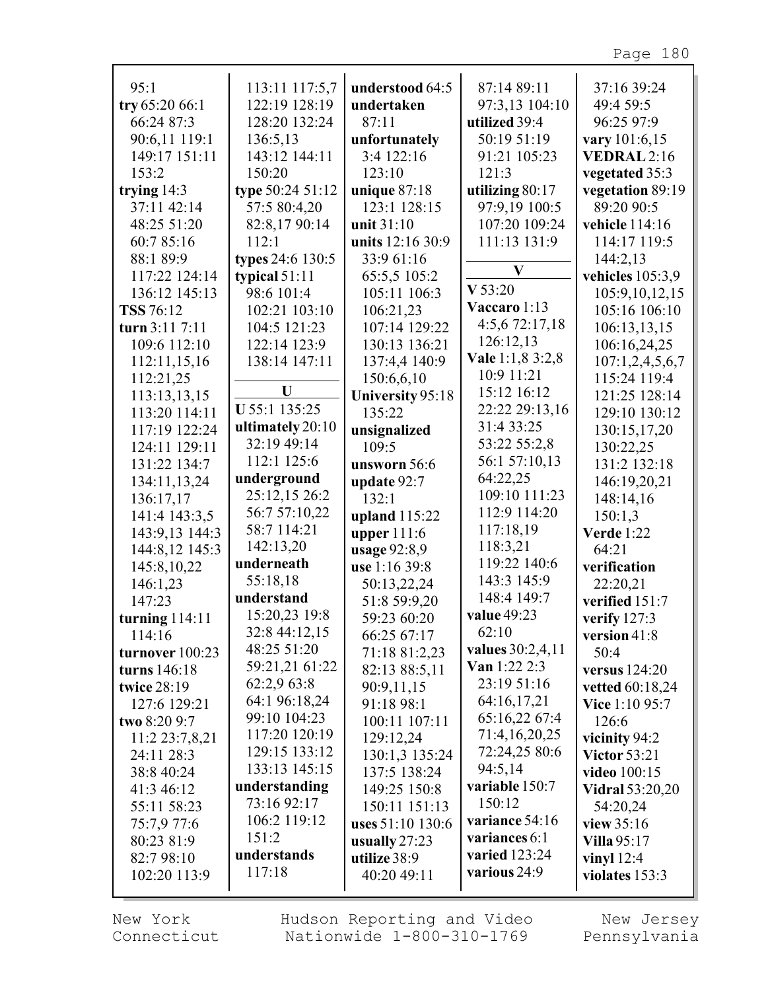| 95:1             | 113:11 117:5,7   | understood 64:5  | 87:14 89:11         | 37:16 39:24                     |
|------------------|------------------|------------------|---------------------|---------------------------------|
| try 65:20 66:1   | 122:19 128:19    | undertaken       | 97:3,13 104:10      | 49:4 59:5                       |
| 66:24 87:3       | 128:20 132:24    | 87:11            | utilized 39:4       | 96:25 97:9                      |
| 90:6,11 119:1    | 136:5,13         | unfortunately    | 50:19 51:19         | vary 101:6,15                   |
| 149:17 151:11    | 143:12 144:11    | 3:4 122:16       | 91:21 105:23        | VEDRAL 2:16                     |
| 153:2            | 150:20           | 123:10           | 121:3               | vegetated 35:3                  |
| trying $14:3$    | type 50:24 51:12 | unique $87:18$   | utilizing 80:17     | vegetation 89:19                |
| 37:11 42:14      | 57:5 80:4,20     | 123:1 128:15     | 97:9,19 100:5       | 89:20 90:5                      |
| 48:25 51:20      | 82:8,17 90:14    | unit 31:10       | 107:20 109:24       | vehicle 114:16                  |
| 60:7 85:16       | 112:1            | units 12:16 30:9 | 111:13 131:9        | 114:17 119:5                    |
| 88:1 89:9        | types 24:6 130:5 | 33:9 61:16       |                     | 144:2,13                        |
| 117:22 124:14    | typical $51:11$  | 65:5,5 105:2     | $\bf V$             | vehicles 105:3,9                |
| 136:12 145:13    | 98:6 101:4       | 105:11 106:3     | V 53:20             | 105:9,10,12,15                  |
| TSS 76:12        | 102:21 103:10    | 106:21,23        | Vaccaro 1:13        | 105:16 106:10                   |
| turn 3:11 7:11   | 104:5 121:23     | 107:14 129:22    | 4:5,6 72:17,18      | 106:13,13,15                    |
| 109:6 112:10     | 122:14 123:9     | 130:13 136:21    | 126:12,13           |                                 |
| 112:11,15,16     | 138:14 147:11    | 137:4,4 140:9    | Vale 1:1,8 3:2,8    | 106:16,24,25<br>107:1,2,4,5,6,7 |
| 112:21,25        |                  | 150:6,6,10       | 10:9 11:21          | 115:24 119:4                    |
| 113:13,13,15     | U                | University 95:18 | 15:12 16:12         | 121:25 128:14                   |
| 113:20 114:11    | U 55:1 135:25    | 135:22           | 22:22 29:13,16      | 129:10 130:12                   |
| 117:19 122:24    | ultimately 20:10 | unsignalized     | 31:4 33:25          | 130:15,17,20                    |
| 124:11 129:11    | 32:19 49:14      | 109:5            | 53:22 55:2,8        | 130:22,25                       |
| 131:22 134:7     | 112:1 125:6      | unsworn 56:6     | 56:1 57:10,13       | 131:2 132:18                    |
| 134:11,13,24     | underground      | update $92:7$    | 64:22,25            | 146:19,20,21                    |
| 136:17,17        | 25:12,15 26:2    | 132:1            | 109:10 111:23       | 148:14,16                       |
| 141:4 143:3,5    | 56:7 57:10,22    | upland 115:22    | 112:9 114:20        | 150:1,3                         |
| 143:9,13 144:3   | 58:7 114:21      | upper $111:6$    | 117:18,19           | <b>Verde</b> 1:22               |
| 144:8,12 145:3   | 142:13,20        | usage 92:8,9     | 118:3,21            | 64:21                           |
| 145:8,10,22      | underneath       | use 1:16 39:8    | 119:22 140:6        | verification                    |
| 146:1,23         | 55:18,18         | 50:13,22,24      | 143:3 145:9         | 22:20,21                        |
| 147:23           | understand       | 51:8 59:9,20     | 148:4 149:7         | verified 151:7                  |
| turning $114:11$ | 15:20,23 19:8    | 59:23 60:20      | value 49:23         | verify 127:3                    |
| 114:16           | 32:8 44:12,15    | 66:25 67:17      | 62:10               | version $41:8$                  |
| turnover 100:23  | 48:25 51:20      | 71:18 81:2,23    | values 30:2,4,11    | 50:4                            |
| turns 146:18     | 59:21,21 61:22   | 82:13 88:5,11    | <b>Van</b> 1:22 2:3 | versus $124:20$                 |
| twice 28:19      | 62:2,9 63:8      | 90:9,11,15       | 23:19 51:16         | vetted 60:18,24                 |
| 127:6 129:21     | 64:1 96:18,24    | 91:18 98:1       | 64:16,17,21         | <b>Vice</b> 1:10 95:7           |
| two 8:20 9:7     | 99:10 104:23     | 100:11 107:11    | 65:16,22 67:4       | 126:6                           |
| 11:2 23:7,8,21   | 117:20 120:19    | 129:12,24        | 71:4,16,20,25       | vicinity 94:2                   |
| 24:11 28:3       | 129:15 133:12    | 130:1,3 135:24   | 72:24,25 80:6       | <b>Victor 53:21</b>             |
| 38:8 40:24       | 133:13 145:15    | 137:5 138:24     | 94:5,14             | <b>video</b> 100:15             |
| 41:3 46:12       | understanding    | 149:25 150:8     | variable 150:7      | <b>Vidral</b> 53:20,20          |
| 55:11 58:23      | 73:16 92:17      | 150:11 151:13    | 150:12              | 54:20,24                        |
| 75:7,9 77:6      | 106:2 119:12     | uses 51:10 130:6 | variance 54:16      | view $35:16$                    |
| 80:23 81:9       | 151:2            | usually 27:23    | variances 6:1       | <b>Villa 95:17</b>              |
| 82:7 98:10       | understands      | utilize 38:9     | varied 123:24       | vinyl $12:4$                    |
| 102:20 113:9     | 117:18           | 40:20 49:11      | various 24:9        | violates 153:3                  |

Hudson Reporting and Video Nationwide 1-800-310-1769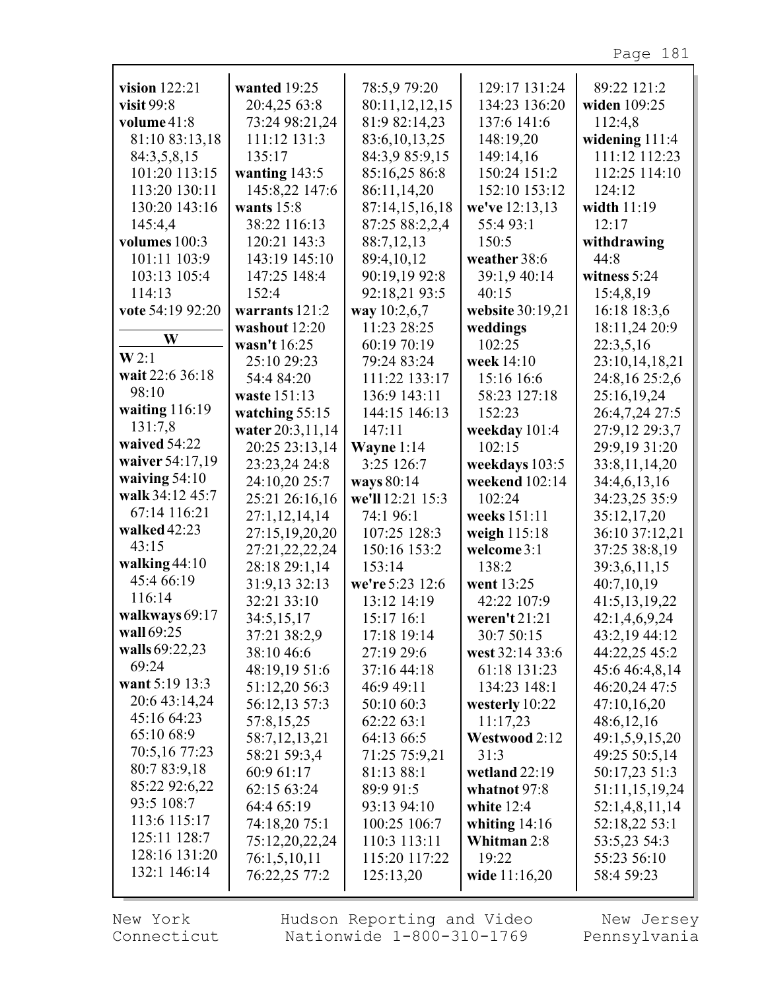Page 181

| 20:4,25 63:8<br>80:11,12,12,15<br>134:23 136:20<br>visit $99:8$<br>widen 109:25<br>73:24 98:21,24<br>81:9 82:14,23<br>volume 41:8<br>137:6 141:6<br>112:4,8<br>81:10 83:13,18<br>111:12 131:3<br>83:6, 10, 13, 25<br>148:19,20<br>widening $111:4$<br>84:3,9 85:9,15<br>111:12 112:23<br>84:3,5,8,15<br>135:17<br>149:14,16<br>101:20 113:15<br>wanting 143:5<br>85:16,25 86:8<br>150:24 151:2<br>112:25 114:10<br>113:20 130:11<br>145:8,22 147:6<br>86:11,14,20<br>152:10 153:12<br>124:12<br>130:20 143:16<br>wants $15:8$<br>87:14,15,16,18<br>we've 12:13,13<br>width 11:19<br>38:22 116:13<br>87:25 88:2,2,4<br>12:17<br>55:493:1<br>145:4,4<br>volumes 100:3<br>120:21 143:3<br>88:7,12,13<br>150:5<br>withdrawing<br>101:11 103:9<br>143:19 145:10<br>89:4,10,12<br>weather 38:6<br>44:8<br>103:13 105:4<br>147:25 148:4<br>90:19,19 92:8<br>39:1,9 40:14<br>witness 5:24<br>92:18,21 93:5<br>114:13<br>152:4<br>40:15<br>15:4,8,19<br>vote 54:19 92:20<br>way 10:2,6,7<br>website 30:19,21<br>16:18 18:3,6<br>warrants $121:2$<br>washout 12:20<br>11:23 28:25<br>weddings<br>18:11,24 20:9<br>W<br>60:19 70:19<br>102:25<br>22:3,5,16<br>wasn't 16:25<br>W2:1<br>25:10 29:23<br>79:24 83:24<br>week 14:10<br>23:10,14,18,21<br>wait 22:6 36:18<br>54:4 84:20<br>111:22 133:17<br>15:16 16:6<br>24:8,16 25:2,6<br>98:10<br>waste 151:13<br>136:9 143:11<br>58:23 127:18<br>25:16,19,24<br>waiting $116:19$<br>26:4,7,24 27:5<br>watching $55:15$<br>144:15 146:13<br>152:23<br>131:7,8<br>27:9,12 29:3,7<br>water 20:3,11,14<br>147:11<br>weekday 101:4<br>waived 54:22<br>20:25 23:13,14<br>29:9,19 31:20<br>Wayne $1:14$<br>102:15<br>waiver 54:17,19<br>3:25 126:7<br>23:23,24 24:8<br>33:8,11,14,20<br>weekdays 103:5<br>waiving $54:10$<br>24:10,20 25:7<br>ways 80:14<br>weekend 102:14<br>34:4,6,13,16<br>walk 34:12 45:7<br>25:21 26:16,16<br>we'll 12:21 15:3<br>102:24<br>34:23,25 35:9<br>67:14 116:21<br>27:1,12,14,14<br>35:12,17,20<br>74:1 96:1<br>weeks 151:11<br>walked $42:23$<br>27:15,19,20,20<br>36:10 37:12,21<br>107:25 128:3<br>weigh 115:18<br>43:15<br>27:21,22,22,24<br>37:25 38:8,19<br>150:16 153:2<br>welcome 3:1<br>walking $44:10$<br>28:18 29:1,14<br>153:14<br>138:2<br>39:3,6,11,15<br>45:4 66:19<br>31:9,13 32:13<br>we're 5:23 12:6<br>went 13:25<br>40:7,10,19<br>116:14<br>32:21 33:10<br>13:12 14:19<br>42:22 107:9<br>41:5,13,19,22<br>walkways 69:17<br>34:5,15,17<br>15:17 16:1<br>weren't 21:21<br>42:1,4,6,9,24<br>wall 69:25<br>37:21 38:2,9<br>17:18 19:14<br>30:7 50:15<br>43:2,19 44:12<br>walls 69:22,23<br>44:22,25 45:2<br>38:10 46:6<br>27:19 29:6<br>west 32:14 33:6<br>69:24<br>48:19,19 51:6<br>45:6 46:4,8,14<br>37:16 44:18<br>61:18 131:23<br>want 5:19 13:3<br>51:12,20 56:3<br>46:20,24 47:5<br>46:9 49:11<br>134:23 148:1<br>20:6 43:14,24<br>56:12,13 57:3<br>47:10,16,20<br>50:10 60:3<br>westerly 10:22<br>45:16 64:23<br>57:8,15,25<br>62:22 63:1<br>48:6,12,16<br>11:17,23<br>65:10 68:9<br>58:7,12,13,21<br>64:13 66:5<br>Westwood 2:12<br>49:1,5,9,15,20<br>70:5,16 77:23<br>71:25 75:9,21<br>49:25 50:5,14<br>58:21 59:3,4<br>31:3<br>80:7 83:9,18<br>50:17,23 51:3<br>60:9 61:17<br>81:13 88:1<br>wetland $22:19$<br>85:22 92:6,22<br>51:11,15,19,24<br>62:15 63:24<br>89:9 91:5<br>whatnot 97:8<br>93:5 108:7<br>64:4 65:19<br>93:13 94:10<br>white $12:4$<br>52:1,4,8,11,14<br>113:6 115:17<br>52:18,22 53:1<br>74:18,20 75:1<br>100:25 106:7<br>whiting $14:16$<br>125:11 128:7<br>53:5,23 54:3<br>75:12,20,22,24<br>110:3 113:11<br>Whitman 2:8<br>128:16 131:20<br>76:1,5,10,11<br>115:20 117:22<br>19:22<br>55:23 56:10 |                 |              |              | 129:17 131:24 | 89:22 121:2 |
|---------------------------------------------------------------------------------------------------------------------------------------------------------------------------------------------------------------------------------------------------------------------------------------------------------------------------------------------------------------------------------------------------------------------------------------------------------------------------------------------------------------------------------------------------------------------------------------------------------------------------------------------------------------------------------------------------------------------------------------------------------------------------------------------------------------------------------------------------------------------------------------------------------------------------------------------------------------------------------------------------------------------------------------------------------------------------------------------------------------------------------------------------------------------------------------------------------------------------------------------------------------------------------------------------------------------------------------------------------------------------------------------------------------------------------------------------------------------------------------------------------------------------------------------------------------------------------------------------------------------------------------------------------------------------------------------------------------------------------------------------------------------------------------------------------------------------------------------------------------------------------------------------------------------------------------------------------------------------------------------------------------------------------------------------------------------------------------------------------------------------------------------------------------------------------------------------------------------------------------------------------------------------------------------------------------------------------------------------------------------------------------------------------------------------------------------------------------------------------------------------------------------------------------------------------------------------------------------------------------------------------------------------------------------------------------------------------------------------------------------------------------------------------------------------------------------------------------------------------------------------------------------------------------------------------------------------------------------------------------------------------------------------------------------------------------------------------------------------------------------------------------------------------------------------------------------------------------------------------------------------------------------------------------------------------------------------------------------------------------------------------------------------------------------------------------------------------------------------------------------------------------------------------------------------------------------------------------------------------------|-----------------|--------------|--------------|---------------|-------------|
|                                                                                                                                                                                                                                                                                                                                                                                                                                                                                                                                                                                                                                                                                                                                                                                                                                                                                                                                                                                                                                                                                                                                                                                                                                                                                                                                                                                                                                                                                                                                                                                                                                                                                                                                                                                                                                                                                                                                                                                                                                                                                                                                                                                                                                                                                                                                                                                                                                                                                                                                                                                                                                                                                                                                                                                                                                                                                                                                                                                                                                                                                                                                                                                                                                                                                                                                                                                                                                                                                                                                                                                                               | vision $122:21$ | wanted 19:25 | 78:5,9 79:20 |               |             |
|                                                                                                                                                                                                                                                                                                                                                                                                                                                                                                                                                                                                                                                                                                                                                                                                                                                                                                                                                                                                                                                                                                                                                                                                                                                                                                                                                                                                                                                                                                                                                                                                                                                                                                                                                                                                                                                                                                                                                                                                                                                                                                                                                                                                                                                                                                                                                                                                                                                                                                                                                                                                                                                                                                                                                                                                                                                                                                                                                                                                                                                                                                                                                                                                                                                                                                                                                                                                                                                                                                                                                                                                               |                 |              |              |               |             |
|                                                                                                                                                                                                                                                                                                                                                                                                                                                                                                                                                                                                                                                                                                                                                                                                                                                                                                                                                                                                                                                                                                                                                                                                                                                                                                                                                                                                                                                                                                                                                                                                                                                                                                                                                                                                                                                                                                                                                                                                                                                                                                                                                                                                                                                                                                                                                                                                                                                                                                                                                                                                                                                                                                                                                                                                                                                                                                                                                                                                                                                                                                                                                                                                                                                                                                                                                                                                                                                                                                                                                                                                               |                 |              |              |               |             |
|                                                                                                                                                                                                                                                                                                                                                                                                                                                                                                                                                                                                                                                                                                                                                                                                                                                                                                                                                                                                                                                                                                                                                                                                                                                                                                                                                                                                                                                                                                                                                                                                                                                                                                                                                                                                                                                                                                                                                                                                                                                                                                                                                                                                                                                                                                                                                                                                                                                                                                                                                                                                                                                                                                                                                                                                                                                                                                                                                                                                                                                                                                                                                                                                                                                                                                                                                                                                                                                                                                                                                                                                               |                 |              |              |               |             |
|                                                                                                                                                                                                                                                                                                                                                                                                                                                                                                                                                                                                                                                                                                                                                                                                                                                                                                                                                                                                                                                                                                                                                                                                                                                                                                                                                                                                                                                                                                                                                                                                                                                                                                                                                                                                                                                                                                                                                                                                                                                                                                                                                                                                                                                                                                                                                                                                                                                                                                                                                                                                                                                                                                                                                                                                                                                                                                                                                                                                                                                                                                                                                                                                                                                                                                                                                                                                                                                                                                                                                                                                               |                 |              |              |               |             |
|                                                                                                                                                                                                                                                                                                                                                                                                                                                                                                                                                                                                                                                                                                                                                                                                                                                                                                                                                                                                                                                                                                                                                                                                                                                                                                                                                                                                                                                                                                                                                                                                                                                                                                                                                                                                                                                                                                                                                                                                                                                                                                                                                                                                                                                                                                                                                                                                                                                                                                                                                                                                                                                                                                                                                                                                                                                                                                                                                                                                                                                                                                                                                                                                                                                                                                                                                                                                                                                                                                                                                                                                               |                 |              |              |               |             |
|                                                                                                                                                                                                                                                                                                                                                                                                                                                                                                                                                                                                                                                                                                                                                                                                                                                                                                                                                                                                                                                                                                                                                                                                                                                                                                                                                                                                                                                                                                                                                                                                                                                                                                                                                                                                                                                                                                                                                                                                                                                                                                                                                                                                                                                                                                                                                                                                                                                                                                                                                                                                                                                                                                                                                                                                                                                                                                                                                                                                                                                                                                                                                                                                                                                                                                                                                                                                                                                                                                                                                                                                               |                 |              |              |               |             |
|                                                                                                                                                                                                                                                                                                                                                                                                                                                                                                                                                                                                                                                                                                                                                                                                                                                                                                                                                                                                                                                                                                                                                                                                                                                                                                                                                                                                                                                                                                                                                                                                                                                                                                                                                                                                                                                                                                                                                                                                                                                                                                                                                                                                                                                                                                                                                                                                                                                                                                                                                                                                                                                                                                                                                                                                                                                                                                                                                                                                                                                                                                                                                                                                                                                                                                                                                                                                                                                                                                                                                                                                               |                 |              |              |               |             |
|                                                                                                                                                                                                                                                                                                                                                                                                                                                                                                                                                                                                                                                                                                                                                                                                                                                                                                                                                                                                                                                                                                                                                                                                                                                                                                                                                                                                                                                                                                                                                                                                                                                                                                                                                                                                                                                                                                                                                                                                                                                                                                                                                                                                                                                                                                                                                                                                                                                                                                                                                                                                                                                                                                                                                                                                                                                                                                                                                                                                                                                                                                                                                                                                                                                                                                                                                                                                                                                                                                                                                                                                               |                 |              |              |               |             |
|                                                                                                                                                                                                                                                                                                                                                                                                                                                                                                                                                                                                                                                                                                                                                                                                                                                                                                                                                                                                                                                                                                                                                                                                                                                                                                                                                                                                                                                                                                                                                                                                                                                                                                                                                                                                                                                                                                                                                                                                                                                                                                                                                                                                                                                                                                                                                                                                                                                                                                                                                                                                                                                                                                                                                                                                                                                                                                                                                                                                                                                                                                                                                                                                                                                                                                                                                                                                                                                                                                                                                                                                               |                 |              |              |               |             |
|                                                                                                                                                                                                                                                                                                                                                                                                                                                                                                                                                                                                                                                                                                                                                                                                                                                                                                                                                                                                                                                                                                                                                                                                                                                                                                                                                                                                                                                                                                                                                                                                                                                                                                                                                                                                                                                                                                                                                                                                                                                                                                                                                                                                                                                                                                                                                                                                                                                                                                                                                                                                                                                                                                                                                                                                                                                                                                                                                                                                                                                                                                                                                                                                                                                                                                                                                                                                                                                                                                                                                                                                               |                 |              |              |               |             |
|                                                                                                                                                                                                                                                                                                                                                                                                                                                                                                                                                                                                                                                                                                                                                                                                                                                                                                                                                                                                                                                                                                                                                                                                                                                                                                                                                                                                                                                                                                                                                                                                                                                                                                                                                                                                                                                                                                                                                                                                                                                                                                                                                                                                                                                                                                                                                                                                                                                                                                                                                                                                                                                                                                                                                                                                                                                                                                                                                                                                                                                                                                                                                                                                                                                                                                                                                                                                                                                                                                                                                                                                               |                 |              |              |               |             |
|                                                                                                                                                                                                                                                                                                                                                                                                                                                                                                                                                                                                                                                                                                                                                                                                                                                                                                                                                                                                                                                                                                                                                                                                                                                                                                                                                                                                                                                                                                                                                                                                                                                                                                                                                                                                                                                                                                                                                                                                                                                                                                                                                                                                                                                                                                                                                                                                                                                                                                                                                                                                                                                                                                                                                                                                                                                                                                                                                                                                                                                                                                                                                                                                                                                                                                                                                                                                                                                                                                                                                                                                               |                 |              |              |               |             |
|                                                                                                                                                                                                                                                                                                                                                                                                                                                                                                                                                                                                                                                                                                                                                                                                                                                                                                                                                                                                                                                                                                                                                                                                                                                                                                                                                                                                                                                                                                                                                                                                                                                                                                                                                                                                                                                                                                                                                                                                                                                                                                                                                                                                                                                                                                                                                                                                                                                                                                                                                                                                                                                                                                                                                                                                                                                                                                                                                                                                                                                                                                                                                                                                                                                                                                                                                                                                                                                                                                                                                                                                               |                 |              |              |               |             |
|                                                                                                                                                                                                                                                                                                                                                                                                                                                                                                                                                                                                                                                                                                                                                                                                                                                                                                                                                                                                                                                                                                                                                                                                                                                                                                                                                                                                                                                                                                                                                                                                                                                                                                                                                                                                                                                                                                                                                                                                                                                                                                                                                                                                                                                                                                                                                                                                                                                                                                                                                                                                                                                                                                                                                                                                                                                                                                                                                                                                                                                                                                                                                                                                                                                                                                                                                                                                                                                                                                                                                                                                               |                 |              |              |               |             |
|                                                                                                                                                                                                                                                                                                                                                                                                                                                                                                                                                                                                                                                                                                                                                                                                                                                                                                                                                                                                                                                                                                                                                                                                                                                                                                                                                                                                                                                                                                                                                                                                                                                                                                                                                                                                                                                                                                                                                                                                                                                                                                                                                                                                                                                                                                                                                                                                                                                                                                                                                                                                                                                                                                                                                                                                                                                                                                                                                                                                                                                                                                                                                                                                                                                                                                                                                                                                                                                                                                                                                                                                               |                 |              |              |               |             |
|                                                                                                                                                                                                                                                                                                                                                                                                                                                                                                                                                                                                                                                                                                                                                                                                                                                                                                                                                                                                                                                                                                                                                                                                                                                                                                                                                                                                                                                                                                                                                                                                                                                                                                                                                                                                                                                                                                                                                                                                                                                                                                                                                                                                                                                                                                                                                                                                                                                                                                                                                                                                                                                                                                                                                                                                                                                                                                                                                                                                                                                                                                                                                                                                                                                                                                                                                                                                                                                                                                                                                                                                               |                 |              |              |               |             |
|                                                                                                                                                                                                                                                                                                                                                                                                                                                                                                                                                                                                                                                                                                                                                                                                                                                                                                                                                                                                                                                                                                                                                                                                                                                                                                                                                                                                                                                                                                                                                                                                                                                                                                                                                                                                                                                                                                                                                                                                                                                                                                                                                                                                                                                                                                                                                                                                                                                                                                                                                                                                                                                                                                                                                                                                                                                                                                                                                                                                                                                                                                                                                                                                                                                                                                                                                                                                                                                                                                                                                                                                               |                 |              |              |               |             |
|                                                                                                                                                                                                                                                                                                                                                                                                                                                                                                                                                                                                                                                                                                                                                                                                                                                                                                                                                                                                                                                                                                                                                                                                                                                                                                                                                                                                                                                                                                                                                                                                                                                                                                                                                                                                                                                                                                                                                                                                                                                                                                                                                                                                                                                                                                                                                                                                                                                                                                                                                                                                                                                                                                                                                                                                                                                                                                                                                                                                                                                                                                                                                                                                                                                                                                                                                                                                                                                                                                                                                                                                               |                 |              |              |               |             |
|                                                                                                                                                                                                                                                                                                                                                                                                                                                                                                                                                                                                                                                                                                                                                                                                                                                                                                                                                                                                                                                                                                                                                                                                                                                                                                                                                                                                                                                                                                                                                                                                                                                                                                                                                                                                                                                                                                                                                                                                                                                                                                                                                                                                                                                                                                                                                                                                                                                                                                                                                                                                                                                                                                                                                                                                                                                                                                                                                                                                                                                                                                                                                                                                                                                                                                                                                                                                                                                                                                                                                                                                               |                 |              |              |               |             |
|                                                                                                                                                                                                                                                                                                                                                                                                                                                                                                                                                                                                                                                                                                                                                                                                                                                                                                                                                                                                                                                                                                                                                                                                                                                                                                                                                                                                                                                                                                                                                                                                                                                                                                                                                                                                                                                                                                                                                                                                                                                                                                                                                                                                                                                                                                                                                                                                                                                                                                                                                                                                                                                                                                                                                                                                                                                                                                                                                                                                                                                                                                                                                                                                                                                                                                                                                                                                                                                                                                                                                                                                               |                 |              |              |               |             |
|                                                                                                                                                                                                                                                                                                                                                                                                                                                                                                                                                                                                                                                                                                                                                                                                                                                                                                                                                                                                                                                                                                                                                                                                                                                                                                                                                                                                                                                                                                                                                                                                                                                                                                                                                                                                                                                                                                                                                                                                                                                                                                                                                                                                                                                                                                                                                                                                                                                                                                                                                                                                                                                                                                                                                                                                                                                                                                                                                                                                                                                                                                                                                                                                                                                                                                                                                                                                                                                                                                                                                                                                               |                 |              |              |               |             |
|                                                                                                                                                                                                                                                                                                                                                                                                                                                                                                                                                                                                                                                                                                                                                                                                                                                                                                                                                                                                                                                                                                                                                                                                                                                                                                                                                                                                                                                                                                                                                                                                                                                                                                                                                                                                                                                                                                                                                                                                                                                                                                                                                                                                                                                                                                                                                                                                                                                                                                                                                                                                                                                                                                                                                                                                                                                                                                                                                                                                                                                                                                                                                                                                                                                                                                                                                                                                                                                                                                                                                                                                               |                 |              |              |               |             |
|                                                                                                                                                                                                                                                                                                                                                                                                                                                                                                                                                                                                                                                                                                                                                                                                                                                                                                                                                                                                                                                                                                                                                                                                                                                                                                                                                                                                                                                                                                                                                                                                                                                                                                                                                                                                                                                                                                                                                                                                                                                                                                                                                                                                                                                                                                                                                                                                                                                                                                                                                                                                                                                                                                                                                                                                                                                                                                                                                                                                                                                                                                                                                                                                                                                                                                                                                                                                                                                                                                                                                                                                               |                 |              |              |               |             |
|                                                                                                                                                                                                                                                                                                                                                                                                                                                                                                                                                                                                                                                                                                                                                                                                                                                                                                                                                                                                                                                                                                                                                                                                                                                                                                                                                                                                                                                                                                                                                                                                                                                                                                                                                                                                                                                                                                                                                                                                                                                                                                                                                                                                                                                                                                                                                                                                                                                                                                                                                                                                                                                                                                                                                                                                                                                                                                                                                                                                                                                                                                                                                                                                                                                                                                                                                                                                                                                                                                                                                                                                               |                 |              |              |               |             |
|                                                                                                                                                                                                                                                                                                                                                                                                                                                                                                                                                                                                                                                                                                                                                                                                                                                                                                                                                                                                                                                                                                                                                                                                                                                                                                                                                                                                                                                                                                                                                                                                                                                                                                                                                                                                                                                                                                                                                                                                                                                                                                                                                                                                                                                                                                                                                                                                                                                                                                                                                                                                                                                                                                                                                                                                                                                                                                                                                                                                                                                                                                                                                                                                                                                                                                                                                                                                                                                                                                                                                                                                               |                 |              |              |               |             |
|                                                                                                                                                                                                                                                                                                                                                                                                                                                                                                                                                                                                                                                                                                                                                                                                                                                                                                                                                                                                                                                                                                                                                                                                                                                                                                                                                                                                                                                                                                                                                                                                                                                                                                                                                                                                                                                                                                                                                                                                                                                                                                                                                                                                                                                                                                                                                                                                                                                                                                                                                                                                                                                                                                                                                                                                                                                                                                                                                                                                                                                                                                                                                                                                                                                                                                                                                                                                                                                                                                                                                                                                               |                 |              |              |               |             |
|                                                                                                                                                                                                                                                                                                                                                                                                                                                                                                                                                                                                                                                                                                                                                                                                                                                                                                                                                                                                                                                                                                                                                                                                                                                                                                                                                                                                                                                                                                                                                                                                                                                                                                                                                                                                                                                                                                                                                                                                                                                                                                                                                                                                                                                                                                                                                                                                                                                                                                                                                                                                                                                                                                                                                                                                                                                                                                                                                                                                                                                                                                                                                                                                                                                                                                                                                                                                                                                                                                                                                                                                               |                 |              |              |               |             |
|                                                                                                                                                                                                                                                                                                                                                                                                                                                                                                                                                                                                                                                                                                                                                                                                                                                                                                                                                                                                                                                                                                                                                                                                                                                                                                                                                                                                                                                                                                                                                                                                                                                                                                                                                                                                                                                                                                                                                                                                                                                                                                                                                                                                                                                                                                                                                                                                                                                                                                                                                                                                                                                                                                                                                                                                                                                                                                                                                                                                                                                                                                                                                                                                                                                                                                                                                                                                                                                                                                                                                                                                               |                 |              |              |               |             |
|                                                                                                                                                                                                                                                                                                                                                                                                                                                                                                                                                                                                                                                                                                                                                                                                                                                                                                                                                                                                                                                                                                                                                                                                                                                                                                                                                                                                                                                                                                                                                                                                                                                                                                                                                                                                                                                                                                                                                                                                                                                                                                                                                                                                                                                                                                                                                                                                                                                                                                                                                                                                                                                                                                                                                                                                                                                                                                                                                                                                                                                                                                                                                                                                                                                                                                                                                                                                                                                                                                                                                                                                               |                 |              |              |               |             |
|                                                                                                                                                                                                                                                                                                                                                                                                                                                                                                                                                                                                                                                                                                                                                                                                                                                                                                                                                                                                                                                                                                                                                                                                                                                                                                                                                                                                                                                                                                                                                                                                                                                                                                                                                                                                                                                                                                                                                                                                                                                                                                                                                                                                                                                                                                                                                                                                                                                                                                                                                                                                                                                                                                                                                                                                                                                                                                                                                                                                                                                                                                                                                                                                                                                                                                                                                                                                                                                                                                                                                                                                               |                 |              |              |               |             |
|                                                                                                                                                                                                                                                                                                                                                                                                                                                                                                                                                                                                                                                                                                                                                                                                                                                                                                                                                                                                                                                                                                                                                                                                                                                                                                                                                                                                                                                                                                                                                                                                                                                                                                                                                                                                                                                                                                                                                                                                                                                                                                                                                                                                                                                                                                                                                                                                                                                                                                                                                                                                                                                                                                                                                                                                                                                                                                                                                                                                                                                                                                                                                                                                                                                                                                                                                                                                                                                                                                                                                                                                               |                 |              |              |               |             |
|                                                                                                                                                                                                                                                                                                                                                                                                                                                                                                                                                                                                                                                                                                                                                                                                                                                                                                                                                                                                                                                                                                                                                                                                                                                                                                                                                                                                                                                                                                                                                                                                                                                                                                                                                                                                                                                                                                                                                                                                                                                                                                                                                                                                                                                                                                                                                                                                                                                                                                                                                                                                                                                                                                                                                                                                                                                                                                                                                                                                                                                                                                                                                                                                                                                                                                                                                                                                                                                                                                                                                                                                               |                 |              |              |               |             |
|                                                                                                                                                                                                                                                                                                                                                                                                                                                                                                                                                                                                                                                                                                                                                                                                                                                                                                                                                                                                                                                                                                                                                                                                                                                                                                                                                                                                                                                                                                                                                                                                                                                                                                                                                                                                                                                                                                                                                                                                                                                                                                                                                                                                                                                                                                                                                                                                                                                                                                                                                                                                                                                                                                                                                                                                                                                                                                                                                                                                                                                                                                                                                                                                                                                                                                                                                                                                                                                                                                                                                                                                               |                 |              |              |               |             |
|                                                                                                                                                                                                                                                                                                                                                                                                                                                                                                                                                                                                                                                                                                                                                                                                                                                                                                                                                                                                                                                                                                                                                                                                                                                                                                                                                                                                                                                                                                                                                                                                                                                                                                                                                                                                                                                                                                                                                                                                                                                                                                                                                                                                                                                                                                                                                                                                                                                                                                                                                                                                                                                                                                                                                                                                                                                                                                                                                                                                                                                                                                                                                                                                                                                                                                                                                                                                                                                                                                                                                                                                               |                 |              |              |               |             |
|                                                                                                                                                                                                                                                                                                                                                                                                                                                                                                                                                                                                                                                                                                                                                                                                                                                                                                                                                                                                                                                                                                                                                                                                                                                                                                                                                                                                                                                                                                                                                                                                                                                                                                                                                                                                                                                                                                                                                                                                                                                                                                                                                                                                                                                                                                                                                                                                                                                                                                                                                                                                                                                                                                                                                                                                                                                                                                                                                                                                                                                                                                                                                                                                                                                                                                                                                                                                                                                                                                                                                                                                               |                 |              |              |               |             |
|                                                                                                                                                                                                                                                                                                                                                                                                                                                                                                                                                                                                                                                                                                                                                                                                                                                                                                                                                                                                                                                                                                                                                                                                                                                                                                                                                                                                                                                                                                                                                                                                                                                                                                                                                                                                                                                                                                                                                                                                                                                                                                                                                                                                                                                                                                                                                                                                                                                                                                                                                                                                                                                                                                                                                                                                                                                                                                                                                                                                                                                                                                                                                                                                                                                                                                                                                                                                                                                                                                                                                                                                               |                 |              |              |               |             |
|                                                                                                                                                                                                                                                                                                                                                                                                                                                                                                                                                                                                                                                                                                                                                                                                                                                                                                                                                                                                                                                                                                                                                                                                                                                                                                                                                                                                                                                                                                                                                                                                                                                                                                                                                                                                                                                                                                                                                                                                                                                                                                                                                                                                                                                                                                                                                                                                                                                                                                                                                                                                                                                                                                                                                                                                                                                                                                                                                                                                                                                                                                                                                                                                                                                                                                                                                                                                                                                                                                                                                                                                               |                 |              |              |               |             |
|                                                                                                                                                                                                                                                                                                                                                                                                                                                                                                                                                                                                                                                                                                                                                                                                                                                                                                                                                                                                                                                                                                                                                                                                                                                                                                                                                                                                                                                                                                                                                                                                                                                                                                                                                                                                                                                                                                                                                                                                                                                                                                                                                                                                                                                                                                                                                                                                                                                                                                                                                                                                                                                                                                                                                                                                                                                                                                                                                                                                                                                                                                                                                                                                                                                                                                                                                                                                                                                                                                                                                                                                               |                 |              |              |               |             |
|                                                                                                                                                                                                                                                                                                                                                                                                                                                                                                                                                                                                                                                                                                                                                                                                                                                                                                                                                                                                                                                                                                                                                                                                                                                                                                                                                                                                                                                                                                                                                                                                                                                                                                                                                                                                                                                                                                                                                                                                                                                                                                                                                                                                                                                                                                                                                                                                                                                                                                                                                                                                                                                                                                                                                                                                                                                                                                                                                                                                                                                                                                                                                                                                                                                                                                                                                                                                                                                                                                                                                                                                               |                 |              |              |               |             |
|                                                                                                                                                                                                                                                                                                                                                                                                                                                                                                                                                                                                                                                                                                                                                                                                                                                                                                                                                                                                                                                                                                                                                                                                                                                                                                                                                                                                                                                                                                                                                                                                                                                                                                                                                                                                                                                                                                                                                                                                                                                                                                                                                                                                                                                                                                                                                                                                                                                                                                                                                                                                                                                                                                                                                                                                                                                                                                                                                                                                                                                                                                                                                                                                                                                                                                                                                                                                                                                                                                                                                                                                               |                 |              |              |               |             |
|                                                                                                                                                                                                                                                                                                                                                                                                                                                                                                                                                                                                                                                                                                                                                                                                                                                                                                                                                                                                                                                                                                                                                                                                                                                                                                                                                                                                                                                                                                                                                                                                                                                                                                                                                                                                                                                                                                                                                                                                                                                                                                                                                                                                                                                                                                                                                                                                                                                                                                                                                                                                                                                                                                                                                                                                                                                                                                                                                                                                                                                                                                                                                                                                                                                                                                                                                                                                                                                                                                                                                                                                               |                 |              |              |               |             |
|                                                                                                                                                                                                                                                                                                                                                                                                                                                                                                                                                                                                                                                                                                                                                                                                                                                                                                                                                                                                                                                                                                                                                                                                                                                                                                                                                                                                                                                                                                                                                                                                                                                                                                                                                                                                                                                                                                                                                                                                                                                                                                                                                                                                                                                                                                                                                                                                                                                                                                                                                                                                                                                                                                                                                                                                                                                                                                                                                                                                                                                                                                                                                                                                                                                                                                                                                                                                                                                                                                                                                                                                               |                 |              |              |               |             |
|                                                                                                                                                                                                                                                                                                                                                                                                                                                                                                                                                                                                                                                                                                                                                                                                                                                                                                                                                                                                                                                                                                                                                                                                                                                                                                                                                                                                                                                                                                                                                                                                                                                                                                                                                                                                                                                                                                                                                                                                                                                                                                                                                                                                                                                                                                                                                                                                                                                                                                                                                                                                                                                                                                                                                                                                                                                                                                                                                                                                                                                                                                                                                                                                                                                                                                                                                                                                                                                                                                                                                                                                               |                 |              |              |               |             |
|                                                                                                                                                                                                                                                                                                                                                                                                                                                                                                                                                                                                                                                                                                                                                                                                                                                                                                                                                                                                                                                                                                                                                                                                                                                                                                                                                                                                                                                                                                                                                                                                                                                                                                                                                                                                                                                                                                                                                                                                                                                                                                                                                                                                                                                                                                                                                                                                                                                                                                                                                                                                                                                                                                                                                                                                                                                                                                                                                                                                                                                                                                                                                                                                                                                                                                                                                                                                                                                                                                                                                                                                               |                 |              |              |               |             |
|                                                                                                                                                                                                                                                                                                                                                                                                                                                                                                                                                                                                                                                                                                                                                                                                                                                                                                                                                                                                                                                                                                                                                                                                                                                                                                                                                                                                                                                                                                                                                                                                                                                                                                                                                                                                                                                                                                                                                                                                                                                                                                                                                                                                                                                                                                                                                                                                                                                                                                                                                                                                                                                                                                                                                                                                                                                                                                                                                                                                                                                                                                                                                                                                                                                                                                                                                                                                                                                                                                                                                                                                               | 132:1 146:14    |              |              |               |             |
| 76:22,25 77:2<br>wide 11:16,20<br>125:13,20<br>58:4 59:23                                                                                                                                                                                                                                                                                                                                                                                                                                                                                                                                                                                                                                                                                                                                                                                                                                                                                                                                                                                                                                                                                                                                                                                                                                                                                                                                                                                                                                                                                                                                                                                                                                                                                                                                                                                                                                                                                                                                                                                                                                                                                                                                                                                                                                                                                                                                                                                                                                                                                                                                                                                                                                                                                                                                                                                                                                                                                                                                                                                                                                                                                                                                                                                                                                                                                                                                                                                                                                                                                                                                                     |                 |              |              |               |             |

Connecticut Nationwide 1-800-310-1769 Pennsylvania New York **Hudson Reporting and Video** New Jersey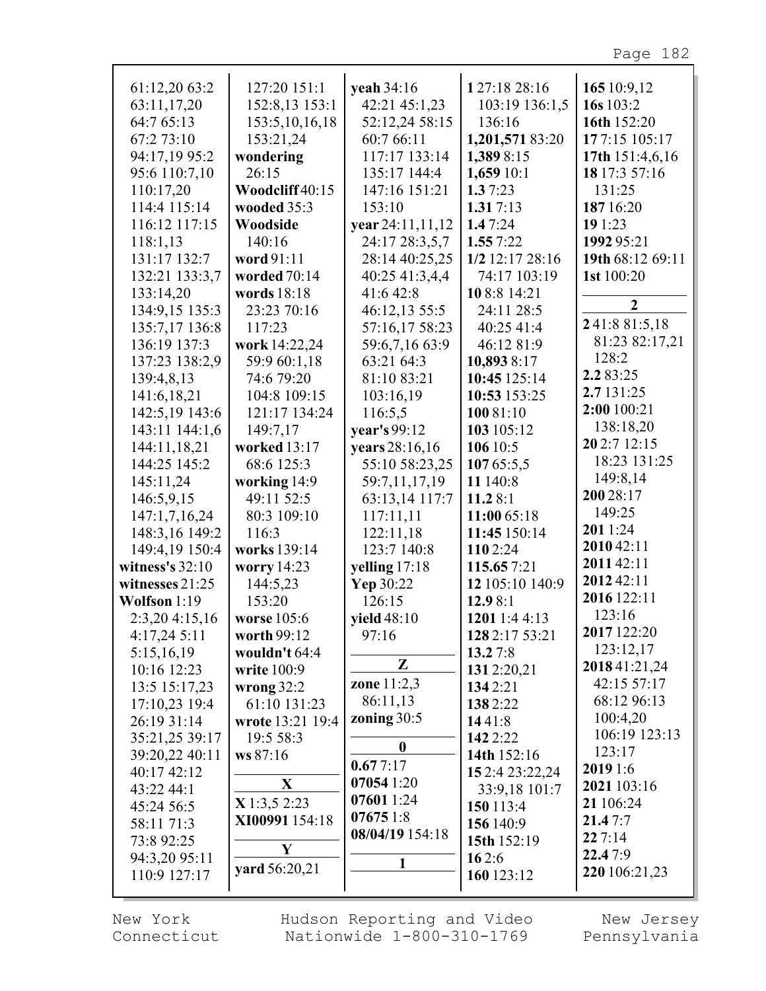Page 182

| 61:12,20 63:2     | 127:20 151:1      | veah 34:16       | 127:18 28:16    | 165 10:9,12      |
|-------------------|-------------------|------------------|-----------------|------------------|
| 63:11,17,20       | 152:8,13 153:1    | 42:21 45:1,23    | 103:19 136:1,5  | 16s 103:2        |
| 64:7 65:13        | 153:5, 10, 16, 18 | 52:12,24 58:15   | 136:16          | 16th 152:20      |
| 67:2 73:10        | 153:21,24         | 60:7 66:11       | 1,201,571 83:20 | 177:15 105:17    |
| 94:17,19 95:2     | wondering         | 117:17 133:14    | 1,389 8:15      | 17th 151:4,6,16  |
| 95:6 110:7,10     | 26:15             | 135:17 144:4     | 1,659 10:1      | 18 17:3 57:16    |
| 110:17,20         | Woodcliff 40:15   | 147:16 151:21    | 1.37:23         | 131:25           |
| 114:4 115:14      | wooded 35:3       | 153:10           | 1.317:13        | 187 16:20        |
| 116:12 117:15     | Woodside          | year 24:11,11,12 | 1.47:24         | 19 1:23          |
| 118:1,13          | 140:16            | 24:17 28:3,5,7   | 1.557:22        | 1992 95:21       |
| 131:17 132:7      | word 91:11        | 28:14 40:25,25   | 1/2 12:17 28:16 | 19th 68:12 69:11 |
| 132:21 133:3,7    | worded 70:14      | 40:25 41:3,4,4   | 74:17 103:19    | 1st 100:20       |
| 133:14,20         | words 18:18       | 41:6 42:8        | 108:8 14:21     |                  |
| 134:9,15 135:3    | 23:23 70:16       | 46:12,13 55:5    | 24:11 28:5      | $\boldsymbol{2}$ |
| 135:7,17 136:8    | 117:23            | 57:16,17 58:23   | 40:25 41:4      | 241:881:5,18     |
| 136:19 137:3      | work 14:22,24     | 59:6,7,16 63:9   | 46:12 81:9      | 81:23 82:17,21   |
| 137:23 138:2,9    | 59:9 60:1,18      | 63:21 64:3       | 10,893 8:17     | 128:2            |
| 139:4,8,13        | 74:6 79:20        | 81:10 83:21      | 10:45 125:14    | 2.283:25         |
| 141:6,18,21       | 104:8 109:15      | 103:16,19        | 10:53 153:25    | 2.7 131:25       |
| 142:5,19 143:6    | 121:17 134:24     | 116:5,5          | 10081:10        | 2:00 100:21      |
| 143:11 144:1,6    | 149:7,17          | year's 99:12     | 103 105:12      | 138:18,20        |
| 144:11,18,21      | worked 13:17      | years 28:16,16   | 106 10:5        | 20 2:7 12:15     |
| 144:25 145:2      | 68:6 125:3        | 55:10 58:23,25   | 10765:5,5       | 18:23 131:25     |
| 145:11,24         | working 14:9      | 59:7,11,17,19    | 11 140:8        | 149:8,14         |
| 146:5,9,15        | 49:11 52:5        | 63:13,14 117:7   | 11.28:1         | 200 28:17        |
| 147:1,7,16,24     | 80:3 109:10       | 117:11,11        | 11:00 65:18     | 149:25           |
| 148:3,16 149:2    | 116:3             | 122:11,18        | 11:45 150:14    | 2011:24          |
| 149:4,19 150:4    | works 139:14      | 123:7 140:8      | 110 2:24        | 2010 42:11       |
| witness's $32:10$ | worry 14:23       | yelling 17:18    | 115.657:21      | 2011 42:11       |
| witnesses 21:25   | 144:5,23          | Yep 30:22        | 12 105:10 140:9 | 2012 42:11       |
| Wolfson 1:19      | 153:20            | 126:15           | 12.98:1         | 2016 122:11      |
| 2:3,204:15,16     | worse 105:6       | yield 48:10      | 1201 1:4 4:13   | 123:16           |
| 4:17,24 5:11      | worth 99:12       | 97:16            | 128 2:17 53:21  | 2017 122:20      |
| 5:15,16,19        | wouldn't 64:4     |                  | 13.27:8         | 123:12,17        |
| 10:16 12:23       | write 100:9       | Z                | 1312:20,21      | 2018 41:21,24    |
| 13:5 15:17,23     | wrong $32:2$      | zone $11:2,3$    | 1342:21         | 42:15 57:17      |
| 17:10,23 19:4     | 61:10 131:23      | 86:11,13         | 1382:22         | 68:12 96:13      |
| 26:19 31:14       | wrote 13:21 19:4  | zoning 30:5      | 1441:8          | 100:4,20         |
| 35:21,25 39:17    | 19:5 58:3         |                  | 142 2:22        | 106:19 123:13    |
| 39:20,22 40:11    | ws 87:16          | $\boldsymbol{0}$ | 14th 152:16     | 123:17           |
| 40:17 42:12       |                   | 0.677:17         | 15 2:4 23:22,24 | 2019 1:6         |
| 43:22 44:1        | X                 | 07054 1:20       | 33:9,18 101:7   | 2021 103:16      |
| 45:24 56:5        | $X$ 1:3,5 2:23    | 07601 1:24       | 150 113:4       | 21 106:24        |
| 58:11 71:3        | XI00991 154:18    | 076751:8         | 156 140:9       | 21.47:7          |
| 73:8 92:25        |                   | 08/04/19 154:18  | 15th 152:19     | 227:14           |
| 94:3,20 95:11     | Y                 |                  | 162:6           | 22.47:9          |
| 110:9 127:17      | yard 56:20,21     |                  | 160 123:12      | 220 106:21,23    |
|                   |                   |                  |                 |                  |

New York Connecticut Hudson Reporting and Video Nationwide 1-800-310-1769

New Jersey Pennsylvania